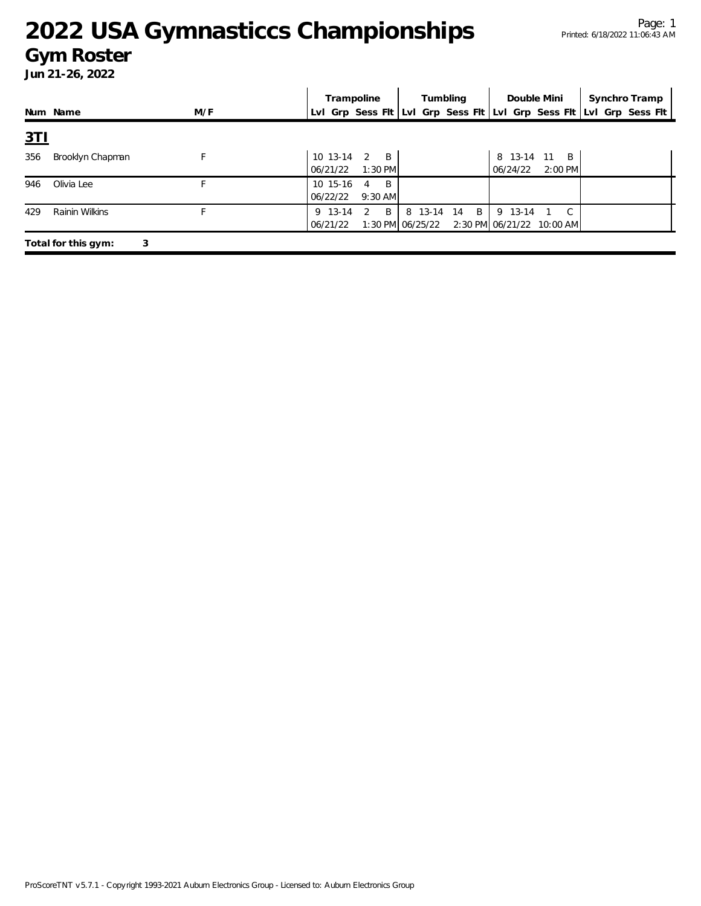### **Gym Roster**

|            |                     |     | Trampoline                                               | Tumbling                            | Double Mini                                         | Synchro Tramp                                                       |
|------------|---------------------|-----|----------------------------------------------------------|-------------------------------------|-----------------------------------------------------|---------------------------------------------------------------------|
|            | Num Name            | M/F |                                                          |                                     |                                                     | Lvl Grp Sess Flt Lvl Grp Sess Flt Lvl Grp Sess Flt Lvl Grp Sess Flt |
| <u>3TI</u> |                     |     |                                                          |                                     |                                                     |                                                                     |
| 356        | Brooklyn Chapman    |     | 10 13-14<br>2<br>$\overline{B}$<br>$1:30$ PM<br>06/21/22 |                                     | 8 13-14 11<br>$\overline{B}$<br>2:00 PM<br>06/24/22 |                                                                     |
| 946        | Olivia Lee          |     | 10 15-16<br>- B<br>4<br>06/22/22<br>$9:30$ AM            |                                     |                                                     |                                                                     |
| 429        | Rainin Wilkins      |     | B<br>9 13-14<br>-2<br>06/21/22                           | B<br>8 13-14 14<br>1:30 PM 06/25/22 | 9 13-14<br>2:30 PM 06/21/22 10:00 AM                |                                                                     |
|            | Total for this gym: | 3   |                                                          |                                     |                                                     |                                                                     |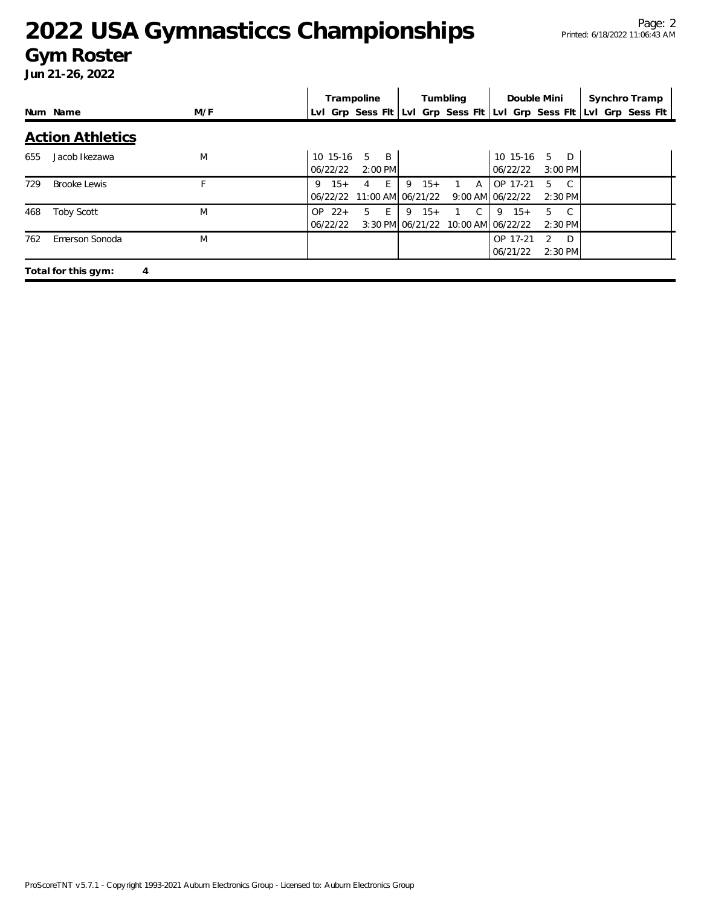### **Gym Roster**

|     |                          |     | Trampoline           |                                            |           |       | Tumbling |   | Double Mini                                                         |               |                           | Synchro Tramp |  |
|-----|--------------------------|-----|----------------------|--------------------------------------------|-----------|-------|----------|---|---------------------------------------------------------------------|---------------|---------------------------|---------------|--|
|     | Num Name                 | M/F |                      |                                            |           |       |          |   | Lyl Grp Sess Fit Lyl Grp Sess Fit Lyl Grp Sess Fit Lyl Grp Sess Fit |               |                           |               |  |
|     | <b>Action Athletics</b>  |     |                      |                                            |           |       |          |   |                                                                     |               |                           |               |  |
| 655 | Jacob Ikezawa            | M   | 10 15-16<br>06/22/22 | $5^{\circ}$<br>$\overline{B}$<br>$2:00$ PM |           |       |          |   | 10 15-16<br>06/22/22                                                | 5             | $\Box$<br>$3:00$ PM       |               |  |
| 729 | <b>Brooke Lewis</b>      | F.  | $9 \t15+$            | 4 E<br>06/22/22 11:00 AM 06/21/22          | $9 \t15+$ |       |          | A | OP 17-21<br>9:00 AM 06/22/22                                        | 5             | $\overline{C}$<br>2:30 PM |               |  |
| 468 | <b>Toby Scott</b>        | M   | $OP$ 22+<br>06/22/22 | $5 \quad E$                                | 9         | $15+$ | 1 C      |   | $9 \t15+$<br>3:30 PM 06/21/22 10:00 AM 06/22/22                     |               | 5 C<br>$2:30$ PM          |               |  |
| 762 | Emerson Sonoda           | M   |                      |                                            |           |       |          |   | OP 17-21<br>06/21/22                                                | $\mathcal{P}$ | $D^{\bullet}$<br>2:30 PM  |               |  |
|     | Total for this gym:<br>4 |     |                      |                                            |           |       |          |   |                                                                     |               |                           |               |  |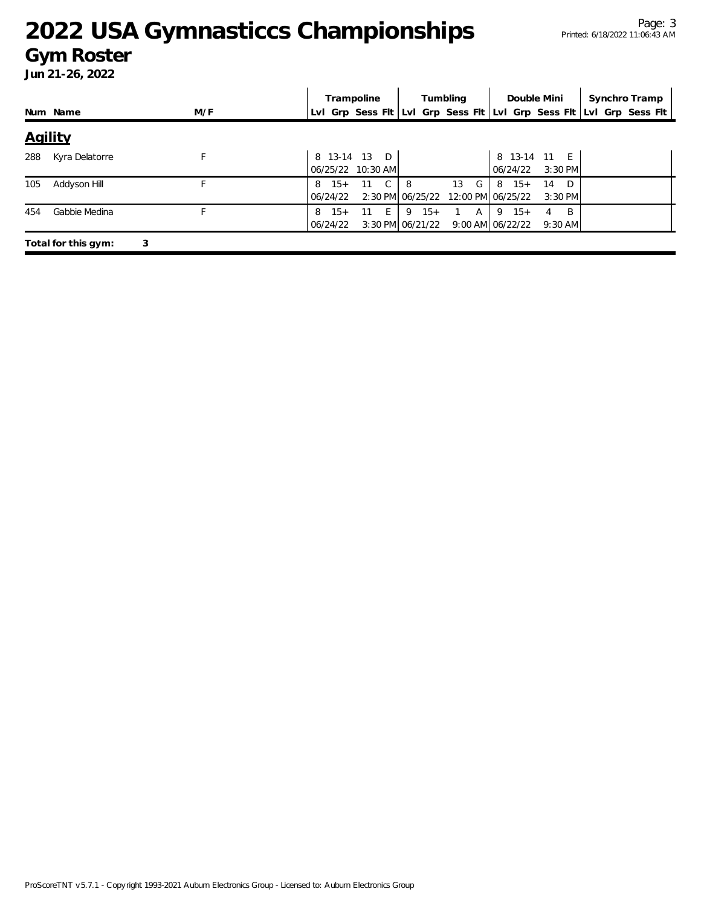### **Gym Roster**

|         |                     |     |                        | Trampoline                             | Tumbling  |                              | Double Mini                       |                        | Synchro Tramp                                                       |
|---------|---------------------|-----|------------------------|----------------------------------------|-----------|------------------------------|-----------------------------------|------------------------|---------------------------------------------------------------------|
|         | Num Name            | M/F |                        |                                        |           |                              |                                   |                        | Lvl Grp Sess Flt Lvl Grp Sess Flt Lvl Grp Sess Flt Lvl Grp Sess Flt |
| Agility |                     |     |                        |                                        |           |                              |                                   |                        |                                                                     |
| 288     | Kyra Delatorre      |     |                        | 8 13-14 13 D<br>06/25/22 10:30 AM      |           |                              | 8 13-14 11<br>06/24/22            | E<br>$3:30$ PM         |                                                                     |
| 105     | Addyson Hill        |     | $15+$<br>8<br>06/24/22 | $\mathsf{C}$<br>11<br>2:30 PM 06/25/22 | 8         | 13<br>G<br>12:00 PM 06/25/22 | $15+$<br>8 <sub>1</sub>           | - D<br>14<br>$3:30$ PM |                                                                     |
| 454     | Gabbie Medina       |     | $15+$<br>8<br>06/24/22 | 11<br>- E -<br>3:30 PM 06/21/22        | $9 \t15+$ | A                            | $9 \t15+$<br>$9:00$ AM $06/22/22$ | -B<br>4<br>$9:30$ AM   |                                                                     |
|         | Total for this gym: | 3   |                        |                                        |           |                              |                                   |                        |                                                                     |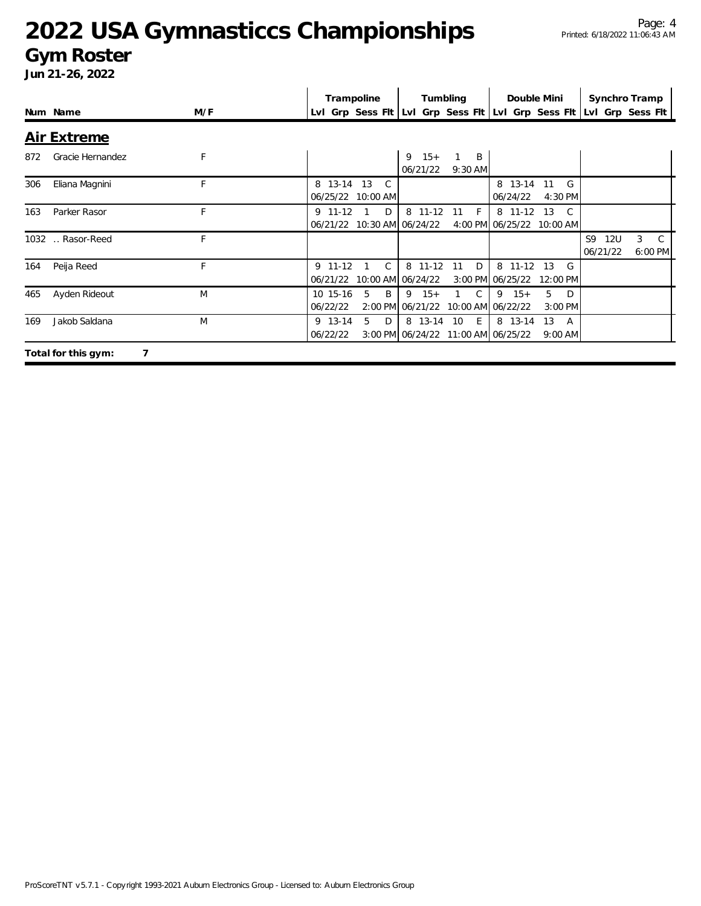### **Gym Roster**

|     |                          |     | Synchro Tramp<br>Trampoline<br>Tumbling<br>Double Mini                                                                                    |  |
|-----|--------------------------|-----|-------------------------------------------------------------------------------------------------------------------------------------------|--|
|     | Num Name                 | M/F | LvI Grp Sess FIt LvI Grp Sess FIt LvI Grp Sess FIt LvI Grp Sess FIt                                                                       |  |
|     | <b>Air Extreme</b>       |     |                                                                                                                                           |  |
| 872 | Gracie Hernandez         | F   | $9 \t15+$<br>B<br>06/21/22<br>$9:30$ AM                                                                                                   |  |
| 306 | Eliana Magnini           | F   | 8 13-14 13<br>8 13-14<br>$\mathcal{C}$<br>G<br>11<br>06/25/22 10:00 AM<br>06/24/22<br>4:30 PM                                             |  |
| 163 | Parker Rasor             | F   | 8 11-12<br>$9$ 11-12<br>D<br>8 11-12<br>F<br>13<br>11<br>$\mathcal{C}$<br>4:00 PM 06/25/22<br>06/21/22 10:30 AM 06/24/22<br>10:00 AM      |  |
|     | 1032  Rasor-Reed         | F   | S9<br>3<br><b>12U</b><br>C<br>06/21/22<br>6:00 PM                                                                                         |  |
| 164 | Peija Reed               | F   | D<br>$9$ 11-12<br>8 11-12<br>8 11-12<br>11<br>13<br>G<br>10:00 AM 06/24/22<br>3:00 PM 06/25/22<br>06/21/22<br>12:00 PM                    |  |
| 465 | Ayden Rideout            | M   | $9 \t15+$<br>5<br>10 15-16<br>5<br>B<br>$\mathcal{C}$<br>$9 \t15+$<br>D<br>06/22/22<br>2:00 PM 06/21/22<br>10:00 AM 06/22/22<br>$3:00$ PM |  |
| 169 | Jakob Saldana            | M   | 5<br>9 13-14<br>D<br>8 13-14<br>10<br>E<br>8 13-14<br>13<br>A<br>06/22/22<br>3:00 PM 06/24/22 11:00 AM 06/25/22<br>$9:00$ AM              |  |
|     | Total for this gym:<br>7 |     |                                                                                                                                           |  |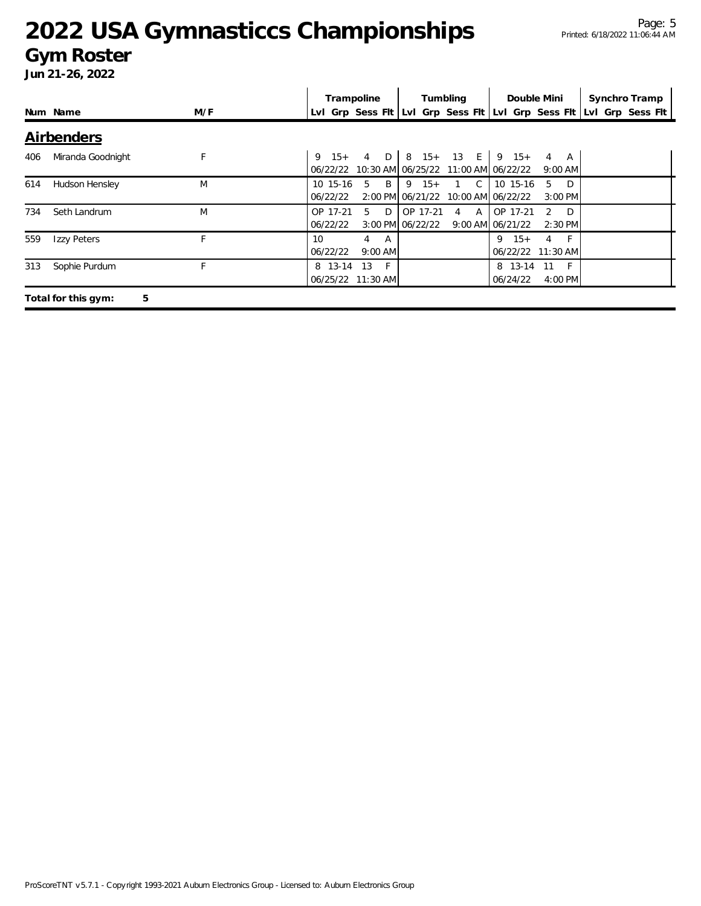### **Gym Roster**

|     |                          |     | Trampoline<br>Tumbling<br>Double Mini                                                                                                      | Synchro Tramp |
|-----|--------------------------|-----|--------------------------------------------------------------------------------------------------------------------------------------------|---------------|
|     | Num Name                 | M/F | Lvl Grp Sess Fit Lvi Grp Sess Fit Lvi Grp Sess Fit Lvi Grp Sess Fit                                                                        |               |
|     | <b>Airbenders</b>        |     |                                                                                                                                            |               |
| 406 | Miranda Goodnight        | F   | 8 15+ 13 E 9 15+<br>$4$ D<br>4 A<br>$9 \t15+$<br>06/22/22 10:30 AM 06/25/22 11:00 AM 06/22/22<br>$9:00$ AM                                 |               |
| 614 | Hudson Hensley           | M   | 1 C<br>10 15-16<br>5<br>$\overline{B}$<br>$9 \t15+$<br>10 15-16<br>$5$ D<br>2:00 PM 06/21/22<br>10:00 AM 06/22/22<br>06/22/22<br>$3:00$ PM |               |
| 734 | Seth Landrum             | M   | OP 17-21<br>$5$ D<br>4 A OP 17-21<br>OP 17-21<br>$2 \quad D$<br>3:00 PM 06/22/22<br>9:00 AM 06/21/22<br>06/22/22<br>$2:30$ PM              |               |
| 559 | Izzy Peters              | F   | 10 <sup>°</sup><br>$9 \t15+$<br>4 A<br>$4 \quad F$<br>06/22/22 11:30 AM<br>06/22/22<br>$9:00$ AM                                           |               |
| 313 | Sophie Purdum            |     | 8 13-14<br>$-F$<br>13<br>8 13-14<br>11<br>06/25/22 11:30 AM<br>06/24/22<br>4:00 PM                                                         | $-F$          |
|     | 5<br>Total for this gym: |     |                                                                                                                                            |               |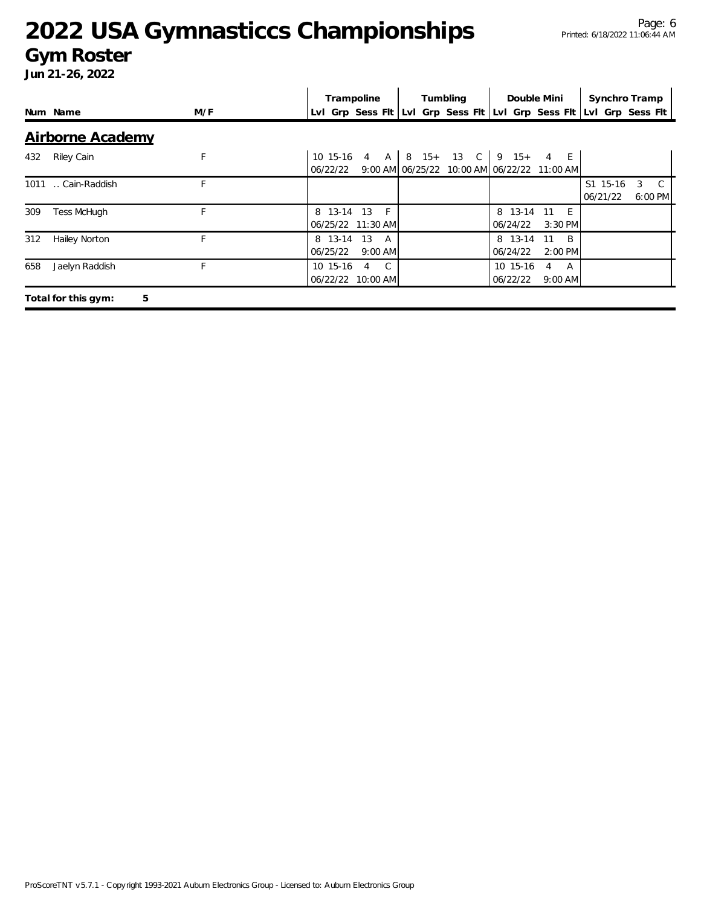### **Gym Roster**

|     |                          |     |                               | Trampoline      |          |  | Tumbling | Double Mini                                                                          |    |                  | Synchro Tramp                                                       |   |                         |
|-----|--------------------------|-----|-------------------------------|-----------------|----------|--|----------|--------------------------------------------------------------------------------------|----|------------------|---------------------------------------------------------------------|---|-------------------------|
|     | Num Name                 | M/F |                               |                 |          |  |          |                                                                                      |    |                  | Lvl Grp Sess Fit Lvl Grp Sess Fit Lvl Grp Sess Fit Lvl Grp Sess Fit |   |                         |
|     | <b>Airborne Academy</b>  |     |                               |                 |          |  |          |                                                                                      |    |                  |                                                                     |   |                         |
| 432 | Riley Cain               | F   | 06/22/22                      |                 |          |  |          | 10 15-16 4 A   8 15+ 13 C   9 15+ 4 E<br>9:00 AM 06/25/22 10:00 AM 06/22/22 11:00 AM |    |                  |                                                                     |   |                         |
|     | 1011  Cain-Raddish       | F   |                               |                 |          |  |          |                                                                                      |    |                  | S1 15-16<br>06/21/22                                                | 3 | $\mathbb{C}$<br>6:00 PM |
| 309 | <b>Tess McHugh</b>       |     | 8 13-14<br>06/25/22 11:30 AM  | 13              | $-F$     |  |          | 8 13-14<br>06/24/22                                                                  | 11 | - E<br>$3:30$ PM |                                                                     |   |                         |
| 312 | Hailey Norton            | F   | 8 13-14<br>06/25/22           | 13<br>$9:00$ AM | <b>A</b> |  |          | 8 13-14<br>06/24/22                                                                  | 11 | B.<br>2:00 PM    |                                                                     |   |                         |
| 658 | Jaelyn Raddish           | F   | 10 15-16<br>06/22/22 10:00 AM | 4               | C.       |  |          | 10 15-16<br>06/22/22                                                                 | 4  | A<br>$9:00$ AM   |                                                                     |   |                         |
|     | 5<br>Total for this gym: |     |                               |                 |          |  |          |                                                                                      |    |                  |                                                                     |   |                         |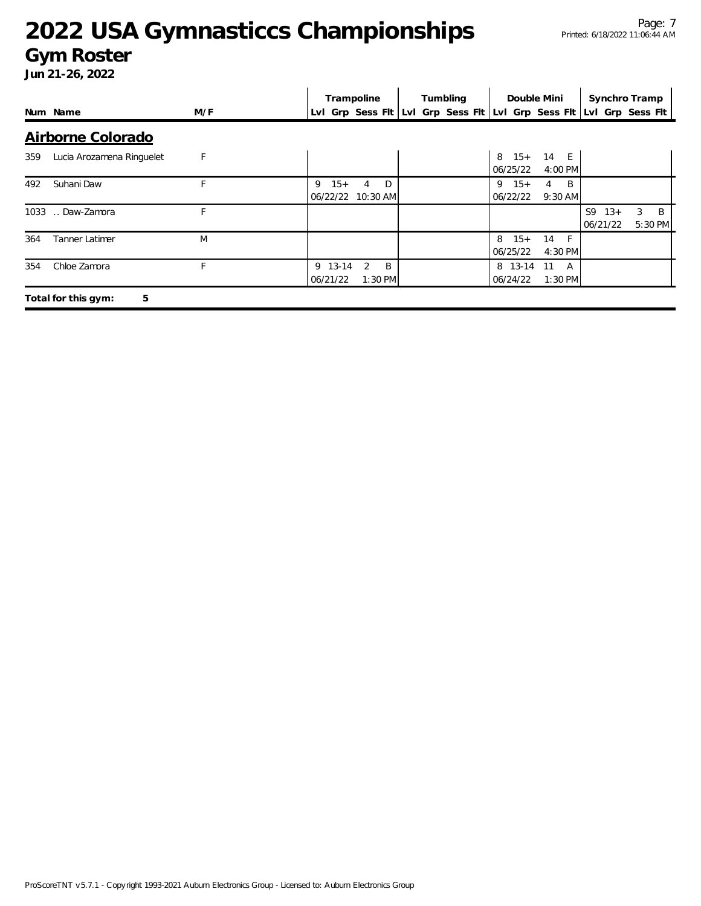### **Gym Roster**

|                                  | Trampoline | Tumbling                                   | Double Mini | Synchro Tramp                                   |                                                                     |
|----------------------------------|------------|--------------------------------------------|-------------|-------------------------------------------------|---------------------------------------------------------------------|
| Num Name                         | M/F        |                                            |             |                                                 | Lvl Grp Sess Flt Lvl Grp Sess Flt Lvl Grp Sess Flt Lvl Grp Sess Flt |
| Airborne Colorado                |            |                                            |             |                                                 |                                                                     |
| Lucia Arozamena Ringuelet<br>359 | F          |                                            |             | 14 E<br>$15+$<br>8<br>06/25/22<br>4:00 PM       |                                                                     |
| Suhani Daw<br>492                | F          | $15+$<br>D<br>9<br>4<br>06/22/22 10:30 AM  |             | $9 \t15+$<br>B<br>4<br>06/22/22<br>$9:30$ AM    |                                                                     |
| Daw-Zamora<br>1033               | F          |                                            |             |                                                 | S9<br>$13+$<br>3<br>B<br>06/21/22<br>5:30 PM                        |
| Tanner Latimer<br>364            | M          |                                            |             | $15+$<br>8<br>14<br>$-F$<br>06/25/22<br>4:30 PM |                                                                     |
| Chloe Zamora<br>354              | F          | 9 13-14<br>2<br>B<br>06/21/22<br>$1:30$ PM |             | 8 13-14<br>-11<br>A<br>06/24/22<br>$1:30$ PM    |                                                                     |
| 5<br>Total for this gym:         |            |                                            |             |                                                 |                                                                     |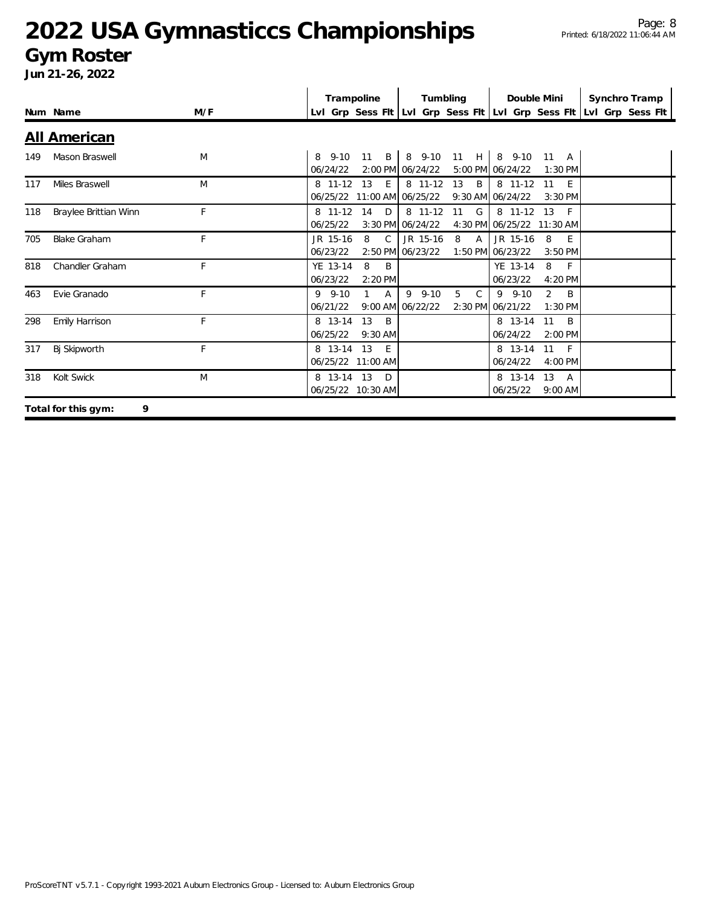### **Gym Roster**

|     |                          |     | Trampoline                |                                        | Tumbling     |                                                                     | Double Mini                             |                                  | Synchro Tramp |
|-----|--------------------------|-----|---------------------------|----------------------------------------|--------------|---------------------------------------------------------------------|-----------------------------------------|----------------------------------|---------------|
|     | Num Name                 | M/F |                           |                                        |              | Lvl Grp Sess Fit Lvl Grp Sess Fit Lvl Grp Sess Fit Lvl Grp Sess Fit |                                         |                                  |               |
|     | <b>All American</b>      |     |                           |                                        |              |                                                                     |                                         |                                  |               |
| 149 | Mason Braswell           | M   | $8\quad 9-10$<br>06/24/22 | B<br>11<br>2:00 PM 06/24/22            | 8 9-10       |                                                                     | 11 H   8 9-10 11 A<br>5:00 PM 06/24/22  | $1:30$ PM                        |               |
| 117 | Miles Braswell           | M   | 8 11-12<br>06/25/22       | 13<br>E<br>11:00 AM 06/25/22           | 8 11-12      | 13<br>B                                                             | 8 11-12<br>9:30 AM 06/24/22             | 11<br>E<br>$3:30$ PM             |               |
| 118 | Braylee Brittian Winn    | F   | 8 11-12<br>06/25/22       | 14<br>D<br>3:30 PM 06/24/22            | 8 11-12      | 11 G                                                                | 8 11-12 13<br>4:30 PM 06/25/22 11:30 AM | $-F$                             |               |
| 705 | <b>Blake Graham</b>      | F.  | JR 15-16<br>06/23/22      | 8<br>$\mathcal{C}$<br>2:50 PM 06/23/22 | JR 15-16     | 8<br>$\mathsf{A}$                                                   | JR 15-16<br>1:50 PM 06/23/22            | 8<br>$-E$<br>$3:50$ PM           |               |
| 818 | Chandler Graham          | F   | YE 13-14<br>06/23/22      | 8<br>B<br>2:20 PM                      |              |                                                                     | YE 13-14<br>06/23/22                    | 8<br>$-F$<br>4:20 PM             |               |
| 463 | Evie Granado             | F   | $9.9 - 10$<br>06/21/22    | $\mathsf{A}$<br>9:00 AM 06/22/22       | $9 - 9 - 10$ | 5<br>$\mathcal{C}$                                                  | $9 - 9 - 10$<br>2:30 PM 06/21/22        | $\overline{2}$<br>B<br>$1:30$ PM |               |
| 298 | Emily Harrison           | F   | 8 13-14<br>06/25/22       | 13<br>B<br>$9:30$ AM                   |              |                                                                     | 8 13-14<br>06/24/22                     | B<br>11<br>$2:00$ PM             |               |
| 317 | Bj Skipworth             | F   | 8 13-14                   | 13<br>- E<br>06/25/22 11:00 AM         |              |                                                                     | 8 13-14<br>06/24/22                     | 11<br>- F<br>4:00 PM             |               |
| 318 | Kolt Swick               | M   | 8 13-14 13                | $\Box$<br>06/25/22 10:30 AM            |              |                                                                     | 8 13-14<br>06/25/22                     | 13<br>A<br>$9:00$ AM             |               |
|     | 9<br>Total for this gym: |     |                           |                                        |              |                                                                     |                                         |                                  |               |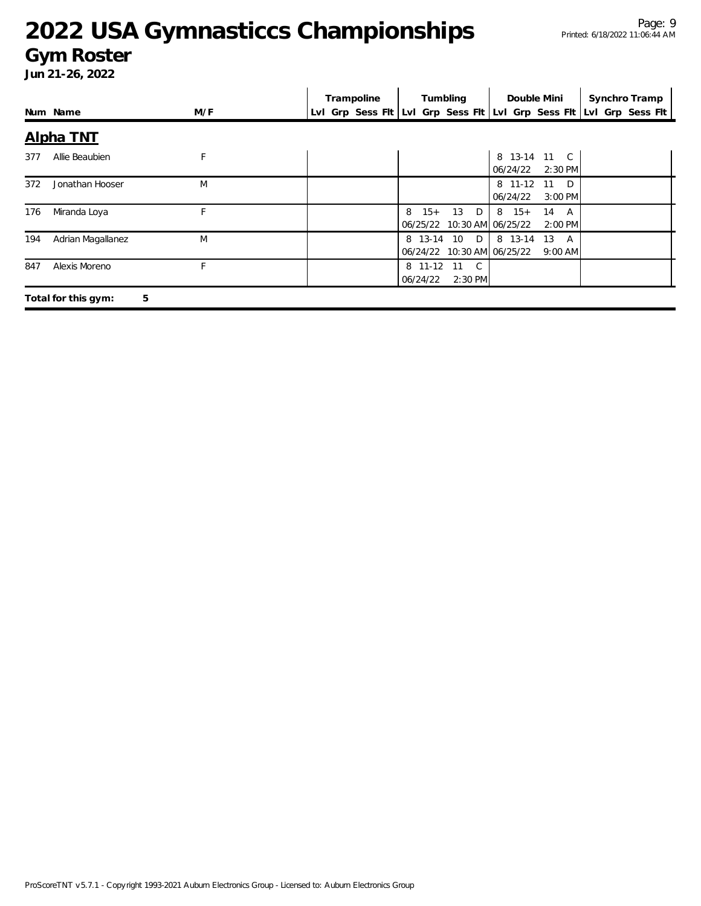#### Page: 9 Printed: 6/18/2022 11:06:44 AM

## **2022 USA Gymnasticcs Championships**

### **Gym Roster**

|     |                          |     |                                                                     | Trampoline |                        |                                            | Double Mini              |                                   | Synchro Tramp |  |
|-----|--------------------------|-----|---------------------------------------------------------------------|------------|------------------------|--------------------------------------------|--------------------------|-----------------------------------|---------------|--|
|     | Num Name                 | M/F | Lvl Grp Sess Fit Lvl Grp Sess Fit Lvl Grp Sess Fit Lvl Grp Sess Fit |            |                        |                                            |                          |                                   |               |  |
|     | Alpha TNT                |     |                                                                     |            |                        |                                            |                          |                                   |               |  |
| 377 | Allie Beaubien           | F   |                                                                     |            |                        |                                            | 8 13-14 11 C<br>06/24/22 | 2:30 PM                           |               |  |
| 372 | Jonathan Hooser          | M   |                                                                     |            |                        |                                            | 8 11-12<br>06/24/22      | 11<br>D <sub>D</sub><br>$3:00$ PM |               |  |
| 176 | Miranda Loya             | F.  |                                                                     |            | 8<br>$15+$             | 13 D<br>06/25/22 10:30 AM 06/25/22         | $8 \t15+$                | 14<br>A<br>$2:00$ PM              |               |  |
| 194 | Adrian Magallanez        | M   |                                                                     |            |                        | 8 13-14 10 D<br>06/24/22 10:30 AM 06/25/22 | 8 13-14 13 A             | $9:00$ AM                         |               |  |
| 847 | Alexis Moreno            | F   |                                                                     |            | 8 11-12 11<br>06/24/22 | $\mathbb{C}$<br>2:30 PM                    |                          |                                   |               |  |
|     | 5<br>Total for this gym: |     |                                                                     |            |                        |                                            |                          |                                   |               |  |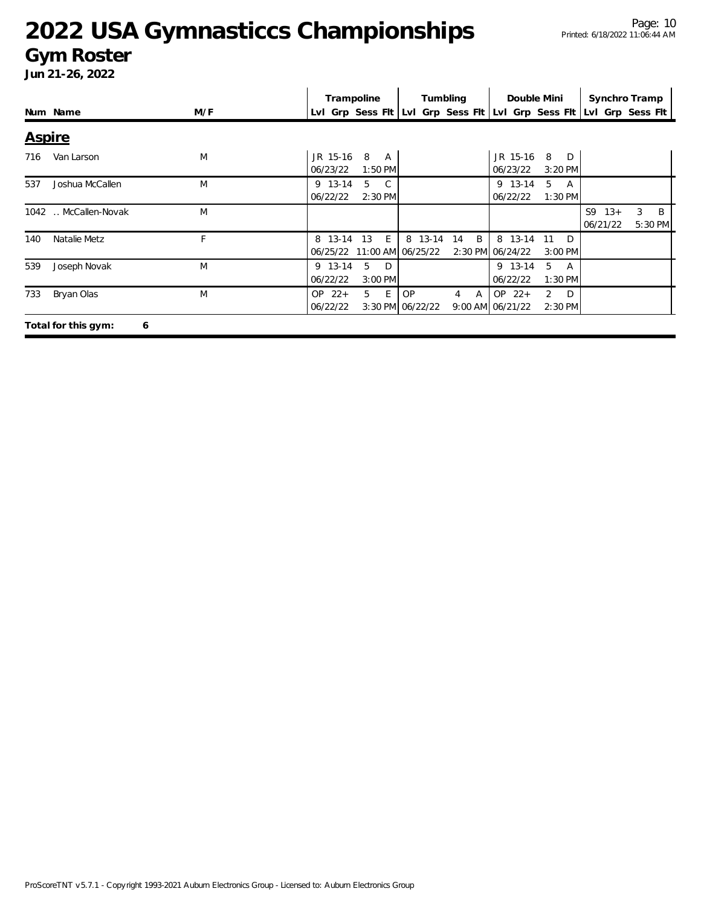### **Gym Roster**

|               |                          |     | Trampoline                |                |                              | Tumbling                       | Double Mini                                        |                                |                         | Synchro Tramp     |
|---------------|--------------------------|-----|---------------------------|----------------|------------------------------|--------------------------------|----------------------------------------------------|--------------------------------|-------------------------|-------------------|
|               | Num Name                 | M/F | Lvl Grp Sess Flt          |                |                              |                                | Lvl Grp Sess Fit Lvl Grp Sess Fit Lvl Grp Sess Fit |                                |                         |                   |
| <b>Aspire</b> |                          |     |                           |                |                              |                                |                                                    |                                |                         |                   |
| 716           | Van Larson               | M   | JR 15-16<br>8<br>06/23/22 | A<br>$1:50$ PM |                              |                                | JR 15-16<br>06/23/22                               | 8<br>D<br>$3:20$ PM            |                         |                   |
| 537           | Joshua McCallen          | M   | 5<br>9 13-14<br>06/22/22  | C.<br>2:30 PM  |                              |                                | 9 13-14<br>06/22/22                                | 5<br>A<br>$1:30$ PM            |                         |                   |
|               | 1042  McCallen-Novak     | M   |                           |                |                              |                                |                                                    |                                | S9<br>$13+$<br>06/21/22 | 3<br>B<br>5:30 PM |
| 140           | Natalie Metz             | F   | 8 13-14<br>13<br>06/25/22 | E              | 8 13-14<br>11:00 AM 06/25/22 | B<br>14                        | 8 13-14<br>2:30 PM 06/24/22                        | D<br>11<br>$3:00$ PM           |                         |                   |
| 539           | Joseph Novak             | M   | 5<br>9 13-14<br>06/22/22  | D<br>3:00 PM   |                              |                                | 9 13-14<br>06/22/22                                | 5<br>A<br>1:30 PM              |                         |                   |
| 733           | Bryan Olas               | M   | $OP$ 22+<br>5<br>06/22/22 | E              | OP.<br>3:30 PM 06/22/22      | $\mathsf{A}$<br>$\overline{4}$ | $OP$ 22+<br>9:00 AM 06/21/22                       | $\overline{2}$<br>D<br>2:30 PM |                         |                   |
|               | Total for this gym:<br>6 |     |                           |                |                              |                                |                                                    |                                |                         |                   |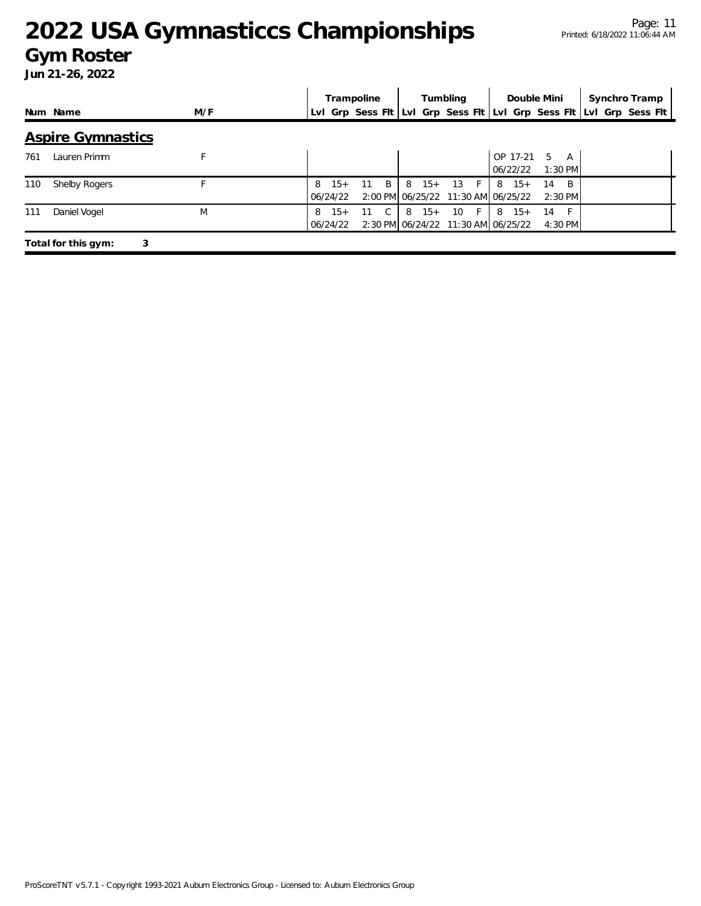### **Gym Roster**

|     |                          |     | Tumbling<br>Trampoline |                   | Double Mini |   | Synchro Tramp |       |            |     |                                                                     |                 |              |  |  |  |
|-----|--------------------------|-----|------------------------|-------------------|-------------|---|---------------|-------|------------|-----|---------------------------------------------------------------------|-----------------|--------------|--|--|--|
|     | Num Name                 | M/F |                        |                   |             |   |               |       |            |     | Lyl Grp Sess Fit Lyl Grp Sess Fit Lyl Grp Sess Fit Lyl Grp Sess Fit |                 |              |  |  |  |
|     | <b>Aspire Gymnastics</b> |     |                        |                   |             |   |               |       |            |     |                                                                     |                 |              |  |  |  |
| 761 | Lauren Primm             |     |                        |                   |             |   |               |       |            |     | OP 17-21<br>06/22/22                                                | .5<br>$1:30$ PM | A            |  |  |  |
| 110 | Shelby Rogers            |     | 8                      | $15+$<br>06/24/22 | 11          | B | 8             | $15+$ | 13<br>$-F$ |     | $8 \t15+$<br>2:00 PM 06/25/22 11:30 AM 06/25/22                     | 14<br>$2:30$ PM | <sup>B</sup> |  |  |  |
| 111 | Daniel Vogel             | M   | 8                      | $15+$<br>06/24/22 | 11          | C | 8             | $15+$ | 10         | -F. | $8 \t15+$<br>2:30 PM 06/24/22 11:30 AM 06/25/22                     | 14<br>4:30 PM   |              |  |  |  |
|     | Total for this gym:<br>3 |     |                        |                   |             |   |               |       |            |     |                                                                     |                 |              |  |  |  |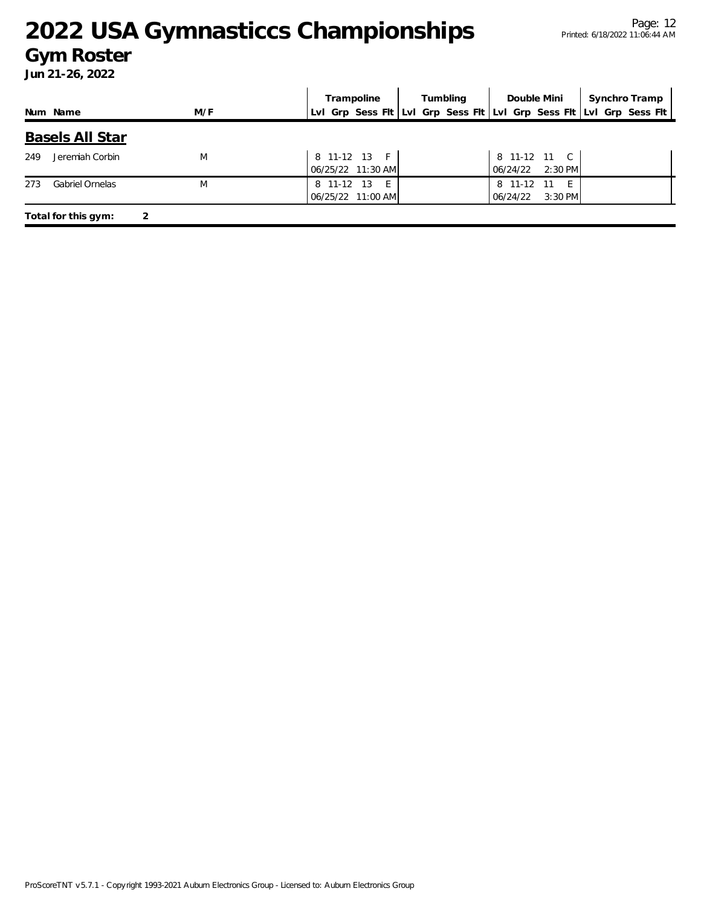### **Gym Roster**

|     |                        |     | Trampoline                                                          | Tumbling | Double Mini                                      | Synchro Tramp |
|-----|------------------------|-----|---------------------------------------------------------------------|----------|--------------------------------------------------|---------------|
|     | Num Name               | M/F | LvI Grp Sess FIt LvI Grp Sess FIt LvI Grp Sess FIt LvI Grp Sess FIt |          |                                                  |               |
|     | <b>Basels All Star</b> |     |                                                                     |          |                                                  |               |
| 249 | Jeremiah Corbin        | M   | 8 11-12 13 F<br>06/25/22 11:30 AM                                   |          | 8 11-12 11 C<br>$2:30$ PM<br>06/24/22            |               |
| 273 | <b>Gabriel Ornelas</b> | M   | 8 11-12<br>- 13<br>- E -<br>06/25/22 11:00 AM                       |          | 8 11-12<br>-11<br>- F -<br>$3:30$ PM<br>06/24/22 |               |
|     | Total for this gym:    |     |                                                                     |          |                                                  |               |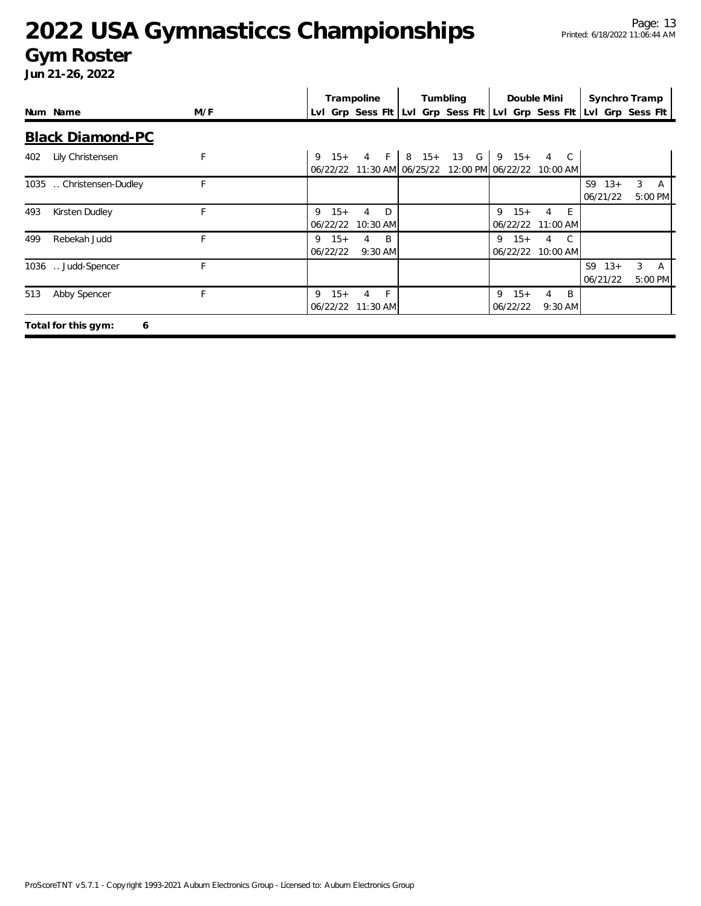### **Gym Roster**

|     |                          |     |                        | Trampoline                                                                                    |  | Tumbling | Double Mini                     |                            |                  |                |                   | Synchro Tramp |                             |
|-----|--------------------------|-----|------------------------|-----------------------------------------------------------------------------------------------|--|----------|---------------------------------|----------------------------|------------------|----------------|-------------------|---------------|-----------------------------|
|     | Num Name                 | M/F |                        | Lvl Grp Sess Flt Lvl Grp Sess Flt Lvl Grp Sess Flt Lvl Grp Sess Flt                           |  |          |                                 |                            |                  |                |                   |               |                             |
|     | <b>Black Diamond-PC</b>  |     |                        |                                                                                               |  |          |                                 |                            |                  |                |                   |               |                             |
| 402 | Lily Christensen         | F   |                        | 9 $15+$ 4 F   8 $15+$ 13 G   9 $15+$<br>06/22/22 11:30 AM 06/25/22 12:00 PM 06/22/22 10:00 AM |  |          |                                 | 4 C                        |                  |                |                   |               |                             |
|     | 1035  Christensen-Dudley | F   |                        |                                                                                               |  |          |                                 |                            |                  | S <sub>9</sub> | $13+$<br>06/21/22 |               | $3 \overline{A}$<br>5:00 PM |
| 493 | Kirsten Dudley           |     | $15+$<br>9<br>06/22/22 | D<br>4<br>10:30 AM                                                                            |  |          | $15+$<br>9<br>06/22/22 11:00 AM | 4                          | $-E$             |                |                   |               |                             |
| 499 | Rebekah Judd             | F.  | 9<br>$15+$<br>06/22/22 | B<br>4<br>$9:30$ AM                                                                           |  |          | $15+$<br>9<br>06/22/22          | $\overline{4}$<br>10:00 AM | C.               |                |                   |               |                             |
|     | 1036  Judd-Spencer       | F   |                        |                                                                                               |  |          |                                 |                            |                  | S9             | $13+$<br>06/21/22 | 3             | A<br>5:00 PM                |
| 513 | Abby Spencer             | F   | $15+$<br>9             | $-F$<br>4<br>06/22/22 11:30 AM                                                                |  |          | 9<br>$15+$<br>06/22/22          | 4                          | - B<br>$9:30$ AM |                |                   |               |                             |
|     | Total for this gym:<br>6 |     |                        |                                                                                               |  |          |                                 |                            |                  |                |                   |               |                             |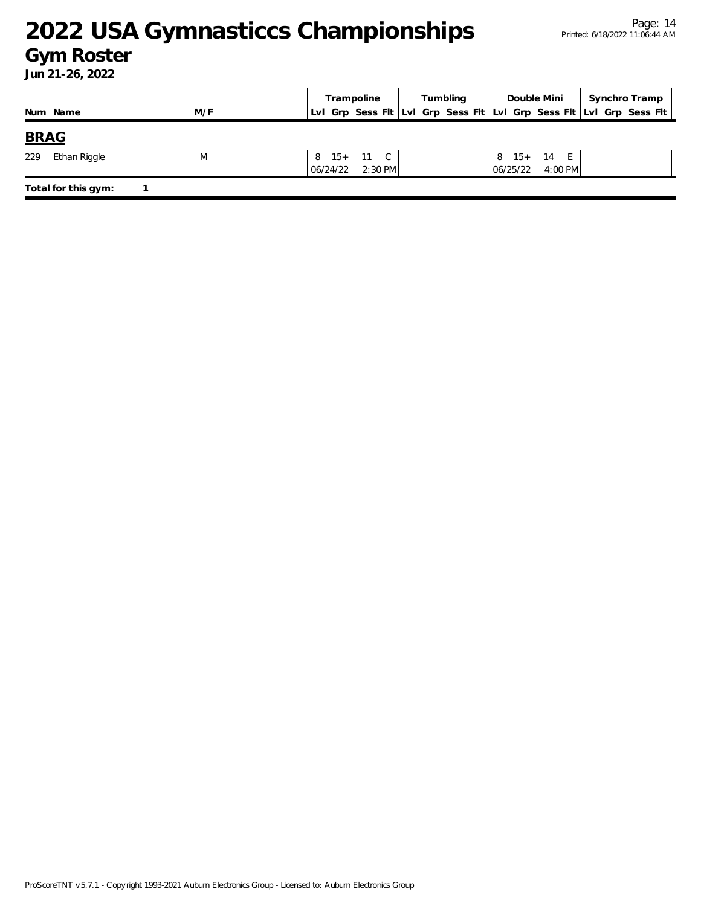### **Gym Roster**

|                     |     | Trampoline                                                          | Tumbling | Double Mini                         | Synchro Tramp |
|---------------------|-----|---------------------------------------------------------------------|----------|-------------------------------------|---------------|
| Num Name            | M/F | LvI Grp Sess Fit LvI Grp Sess Fit LvI Grp Sess Fit LvI Grp Sess Fit |          |                                     |               |
| <b>BRAG</b>         |     |                                                                     |          |                                     |               |
| Ethan Riggle<br>229 | M   | 8 15+ 11 C<br>06/24/22 2:30 PM                                      |          | 8 15+ 14 E<br>$4:00$ PM<br>06/25/22 |               |
| Total for this gym: |     |                                                                     |          |                                     |               |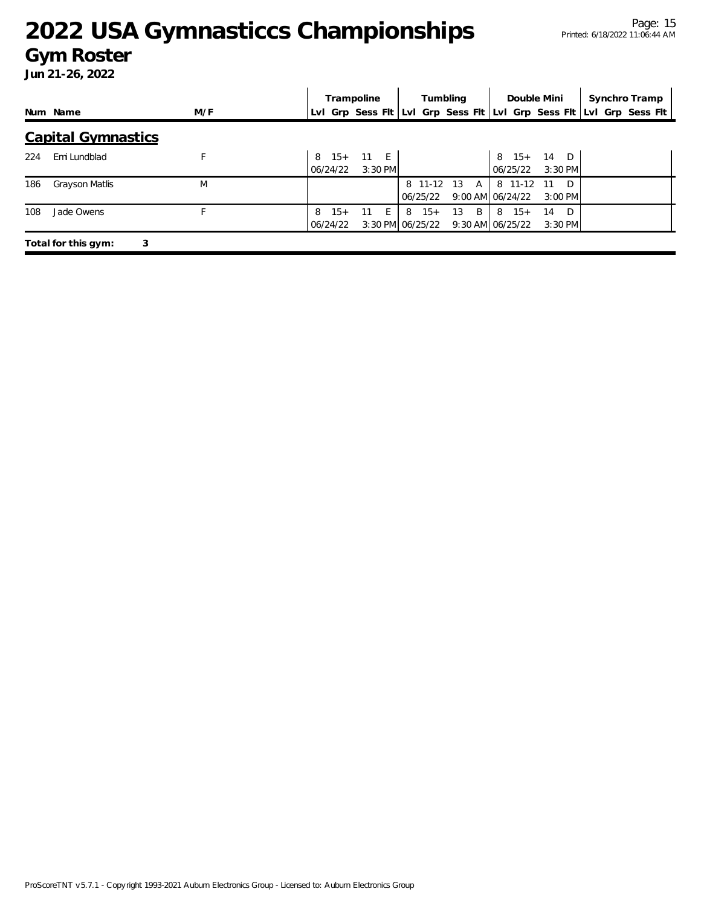### **Gym Roster**

|     |                           |     |   | Trampoline        |      |         |   |                           | Tumbling |              |                                                                     | Double Mini            | Synchro Tramp |  |
|-----|---------------------------|-----|---|-------------------|------|---------|---|---------------------------|----------|--------------|---------------------------------------------------------------------|------------------------|---------------|--|
|     | Num Name                  | M/F |   |                   |      |         |   |                           |          |              | Lvl Grp Sess Flt Lvl Grp Sess Flt Lvl Grp Sess Flt Lvl Grp Sess Flt |                        |               |  |
|     | <b>Capital Gymnastics</b> |     |   |                   |      |         |   |                           |          |              |                                                                     |                        |               |  |
| 224 | Emi Lundblad              | F   | 8 | $15+$<br>06/24/22 | 11 E | 3:30 PM |   |                           |          |              | $8 \t15+$<br>06/25/22                                               | 14 D<br>$3:30$ PM      |               |  |
| 186 | Grayson Matlis            | M   |   |                   |      |         |   | 8 11-12 13<br>06/25/22    |          | $\mathsf{A}$ | 8 11-12<br>9:00 AM 06/24/22                                         | D<br>-11<br>$3:00$ PM  |               |  |
| 108 | Jade Owens                | E   | 8 | $15+$<br>06/24/22 | 11   | - E -   | 8 | $15+$<br>3:30 PM 06/25/22 | 13       | B            | $8 \t15+$<br>$9:30$ AM $06/25/22$                                   | - D<br>14<br>$3:30$ PM |               |  |
|     | Total for this gym:<br>3  |     |   |                   |      |         |   |                           |          |              |                                                                     |                        |               |  |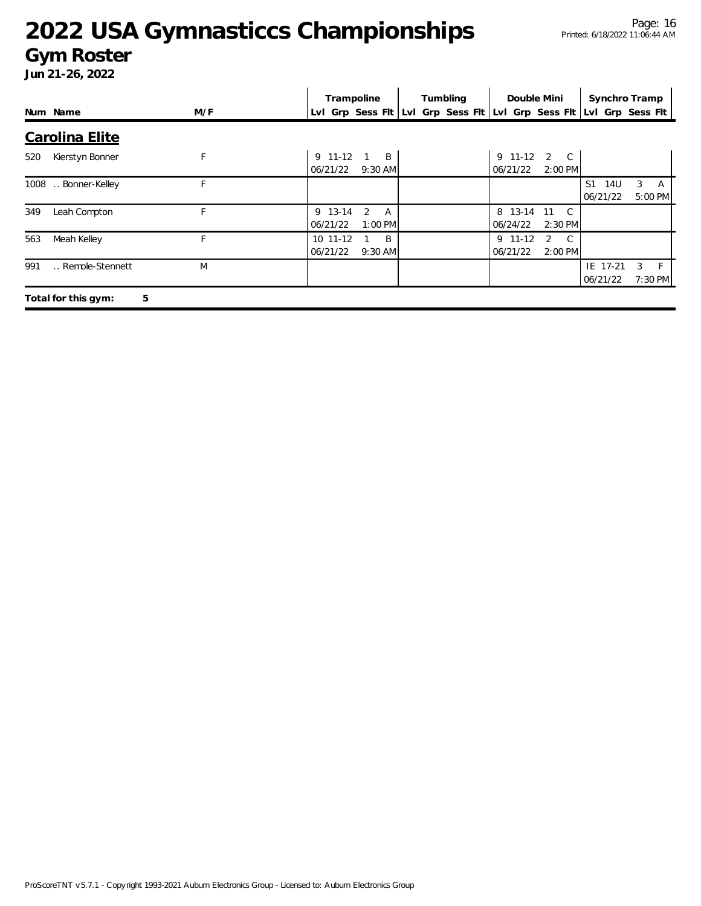### **Gym Roster**

|     |                          |     |          | Trampoline                                                          | Tumbling | Double Mini |                    | Synchro Tramp         |         |          |
|-----|--------------------------|-----|----------|---------------------------------------------------------------------|----------|-------------|--------------------|-----------------------|---------|----------|
|     | Num Name                 | M/F |          | Lvl Grp Sess Fit Lvl Grp Sess Fit Lvl Grp Sess Fit Lvl Grp Sess Fit |          |             |                    |                       |         |          |
|     | <b>Carolina Elite</b>    |     |          |                                                                     |          |             |                    |                       |         |          |
| 520 | Kierstyn Bonner          | F   | 9 11-12  | B                                                                   |          | $9$ 11-12   | $2\degree$ C       |                       |         |          |
|     |                          |     | 06/21/22 | $9:30$ AM                                                           |          | 06/21/22    | $2:00$ PM          |                       |         |          |
|     | 1008  Bonner-Kelley      | F   |          |                                                                     |          |             |                    | S <sub>1</sub><br>14U | 3       | <b>A</b> |
|     |                          |     |          |                                                                     |          |             |                    | 06/21/22              | 5:00 PM |          |
| 349 | Leah Compton             | F   | 9 13-14  | 2<br>A                                                              |          | 8 13-14     | $\mathbb{C}$<br>11 |                       |         |          |
|     |                          |     | 06/21/22 | 1:00 PM                                                             |          | 06/24/22    | $2:30$ PM          |                       |         |          |
| 563 | Meah Kelley              | F   | 10 11-12 | B                                                                   |          | $9$ 11-12   | 2<br>$\mathbb{C}$  |                       |         |          |
|     |                          |     | 06/21/22 | $9:30$ AM                                                           |          | 06/21/22    | $2:00$ PM          |                       |         |          |
| 991 | Remole-Stennett          | M   |          |                                                                     |          |             |                    | IE 17-21              | 3       | F.       |
|     |                          |     |          |                                                                     |          |             |                    | 06/21/22              | 7:30 PM |          |
|     | Total for this gym:<br>5 |     |          |                                                                     |          |             |                    |                       |         |          |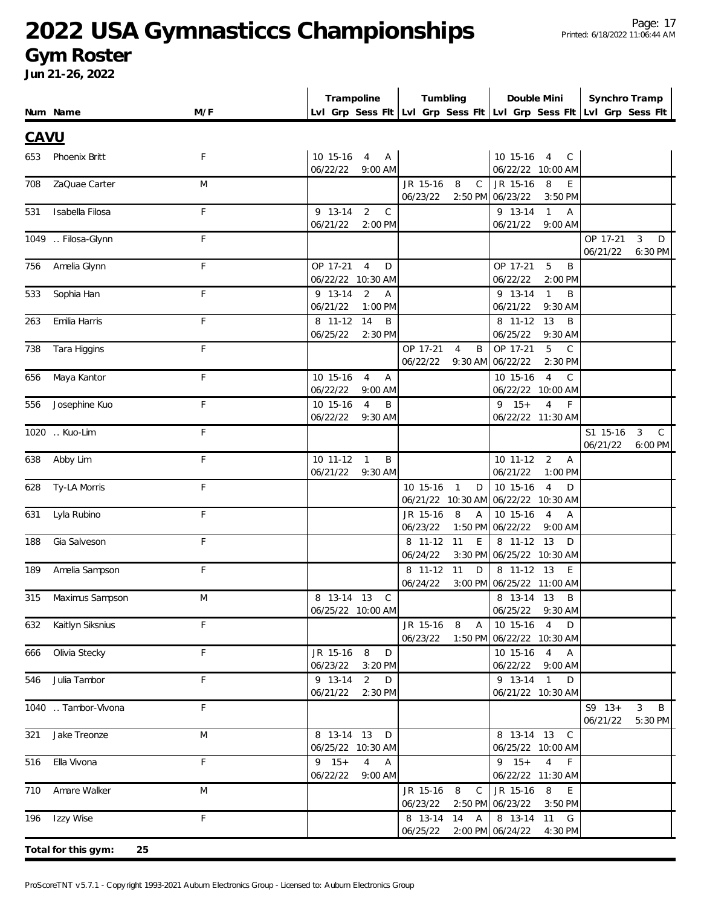### **Gym Roster**

|             |                           |             | Trampoline                                                            | Tumbling                                                            | Double Mini                                                              | Synchro Tramp                                            |
|-------------|---------------------------|-------------|-----------------------------------------------------------------------|---------------------------------------------------------------------|--------------------------------------------------------------------------|----------------------------------------------------------|
|             | Num Name                  | M/F         |                                                                       | Lvl Grp Sess Fit Lvl Grp Sess Fit Lvl Grp Sess Fit Lvl Grp Sess Fit |                                                                          |                                                          |
| <b>CAVU</b> |                           |             |                                                                       |                                                                     |                                                                          |                                                          |
| 653         | Phoenix Britt             | F           | 10 15-16 4 A                                                          |                                                                     | 10 15-16 4<br>$\mathsf{C}$                                               |                                                          |
|             |                           |             | 06/22/22<br>$9:00$ AM                                                 |                                                                     | 06/22/22 10:00 AM                                                        |                                                          |
| 708         | ZaQuae Carter             | M           |                                                                       | JR 15-16<br>8<br>$\mathsf{C}$                                       | JR 15-16<br>8<br>E                                                       |                                                          |
|             | Isabella Filosa           | $\mathsf F$ | $\overline{2}$<br>9 13-14<br>$\mathcal{C}$                            | 06/23/22                                                            | 2:50 PM 06/23/22<br>3:50 PM<br>$\mathbf{1}$<br>9 13-14<br>$\overline{A}$ |                                                          |
| 531         |                           |             | 06/21/22<br>2:00 PM                                                   |                                                                     | 06/21/22<br>$9:00$ AM                                                    |                                                          |
|             | 1049  Filosa-Glynn        | F           |                                                                       |                                                                     |                                                                          | OP 17-21<br>3<br>D                                       |
|             |                           |             |                                                                       |                                                                     |                                                                          | 06/21/22<br>6:30 PM                                      |
| 756         | Amelia Glynn              | F           | OP 17-21<br>$\overline{4}$<br>D<br>06/22/22 10:30 AM                  |                                                                     | OP 17-21<br>5<br>B<br>06/22/22<br>2:00 PM                                |                                                          |
| 533         | Sophia Han                | F           | 9 13-14<br>2<br>$\mathsf{A}$                                          |                                                                     | 9 13-14<br>$\mathbf{1}$<br>B                                             |                                                          |
|             |                           |             | 06/21/22<br>1:00 PM                                                   |                                                                     | 06/21/22<br>9:30 AM                                                      |                                                          |
| 263         | Emilia Harris             | F           | 8 11-12<br>14<br>B                                                    |                                                                     | 8 11-12<br>13<br>B                                                       |                                                          |
|             |                           |             | 06/25/22<br>2:30 PM                                                   |                                                                     | 06/25/22<br>9:30 AM                                                      |                                                          |
| 738         | Tara Higgins              | F           |                                                                       | OP 17-21<br>B<br>$\overline{4}$                                     | OP 17-21<br>5<br>$\mathsf{C}$                                            |                                                          |
|             |                           | F           |                                                                       | 06/22/22                                                            | 9:30 AM 06/22/22<br>2:30 PM                                              |                                                          |
| 656         | Maya Kantor               |             | $\overline{4}$<br>10 15-16<br>$\overline{A}$<br>06/22/22<br>$9:00$ AM |                                                                     | $\overline{4}$<br>10 15-16<br>$\mathcal{C}$<br>06/22/22 10:00 AM         |                                                          |
| 556         | Josephine Kuo             | F           | $\overline{4}$<br>10 15-16<br>B                                       |                                                                     | $\overline{4}$<br>$9 \t15+$<br>$\mathsf{F}$                              |                                                          |
|             |                           |             | 9:30 AM<br>06/22/22                                                   |                                                                     | 06/22/22 11:30 AM                                                        |                                                          |
|             | 1020 Kuo-Lim              | F           |                                                                       |                                                                     |                                                                          | $\mathbf{3}$<br>$\mathsf{C}$<br>S1 15-16                 |
| 638         | Abby Lim                  | F           | $\mathbf{1}$<br>B<br>10 11-12                                         |                                                                     | $10$ 11-12<br>$\overline{2}$<br>$\overline{A}$                           | 06/21/22<br>6:00 PM                                      |
|             |                           |             | 06/21/22<br>9:30 AM                                                   |                                                                     | 06/21/22<br>$1:00$ PM                                                    |                                                          |
| 628         | Ty-LA Morris              | F           |                                                                       | $\overline{1}$<br>10 15-16<br>D                                     | 10 15-16<br>$\overline{4}$<br>D                                          |                                                          |
|             |                           |             |                                                                       |                                                                     | 06/21/22 10:30 AM 06/22/22 10:30 AM                                      |                                                          |
| 631         | Lyla Rubino               | F           |                                                                       | 8<br>JR 15-16<br>$\overline{A}$<br>06/23/22                         | $\overline{4}$<br>10 15-16<br>$\overline{A}$                             |                                                          |
| 188         | Gia Salveson              | F           |                                                                       | 8 11-12<br>11<br>E                                                  | 1:50 PM 06/22/22<br>9:00 AM<br>13<br>8 11-12<br>D                        |                                                          |
|             |                           |             |                                                                       | 06/24/22                                                            | 3:30 PM 06/25/22 10:30 AM                                                |                                                          |
| 189         | Amelia Sampson            | F           |                                                                       | 8 11-12<br>11<br>D                                                  | 8 11-12 13<br>E                                                          |                                                          |
|             |                           |             |                                                                       | 06/24/22                                                            | 3:00 PM 06/25/22 11:00 AM                                                |                                                          |
|             | 315 Maximus Sampson       | M           | 8 13-14 13 C                                                          |                                                                     | 8 13-14 13 B                                                             |                                                          |
|             | Kaitlyn Siksnius          | F           | 06/25/22 10:00 AM                                                     | JR 15-16 8<br>$\overline{A}$                                        | 06/25/22 9:30 AM<br>10 15-16 4<br>D                                      |                                                          |
| 632         |                           |             |                                                                       | 06/23/22                                                            | 1:50 PM 06/22/22 10:30 AM                                                |                                                          |
| 666         | Olivia Stecky             | F           | 8<br>JR 15-16<br>D                                                    |                                                                     | 10 15-16 4 A                                                             |                                                          |
|             |                           |             | 06/23/22<br>3:20 PM                                                   |                                                                     | 06/22/22 9:00 AM                                                         |                                                          |
| 546         | Julia Tambor              | F           | 9 13-14<br>2<br>D                                                     |                                                                     | 9 13-14 1<br>D                                                           |                                                          |
|             |                           |             | 06/21/22<br>2:30 PM                                                   |                                                                     | 06/21/22 10:30 AM                                                        |                                                          |
|             | 1040  Tambor-Vivona       | F           |                                                                       |                                                                     |                                                                          | $S9 \t13+$<br>3 <sup>7</sup><br>B<br>06/21/22<br>5:30 PM |
| 321         | Jake Treonze              | M           | 8 13-14 13 D                                                          |                                                                     | 8 13-14 13 C                                                             |                                                          |
|             |                           |             | 06/25/22 10:30 AM                                                     |                                                                     | 06/25/22 10:00 AM                                                        |                                                          |
| 516         | Ella Vivona               | F           | $9 \t15+$<br>$\overline{4}$<br>$\overline{A}$                         |                                                                     | $9 \t15+$<br>$4$ F                                                       |                                                          |
|             |                           |             | 06/22/22<br>9:00 AM                                                   |                                                                     | 06/22/22 11:30 AM                                                        |                                                          |
| 710         | Amare Walker              | M           |                                                                       | JR 15-16<br>8 C<br>06/23/22                                         | JR 15-16 8 E<br>2:50 PM 06/23/22<br>3:50 PM                              |                                                          |
|             | 196 Izzy Wise             | F           |                                                                       | 8 13-14 14 A                                                        | 8 13-14 11 G                                                             |                                                          |
|             |                           |             |                                                                       | 06/25/22                                                            | 2:00 PM 06/24/22<br>4:30 PM                                              |                                                          |
|             | Total for this gym:<br>25 |             |                                                                       |                                                                     |                                                                          |                                                          |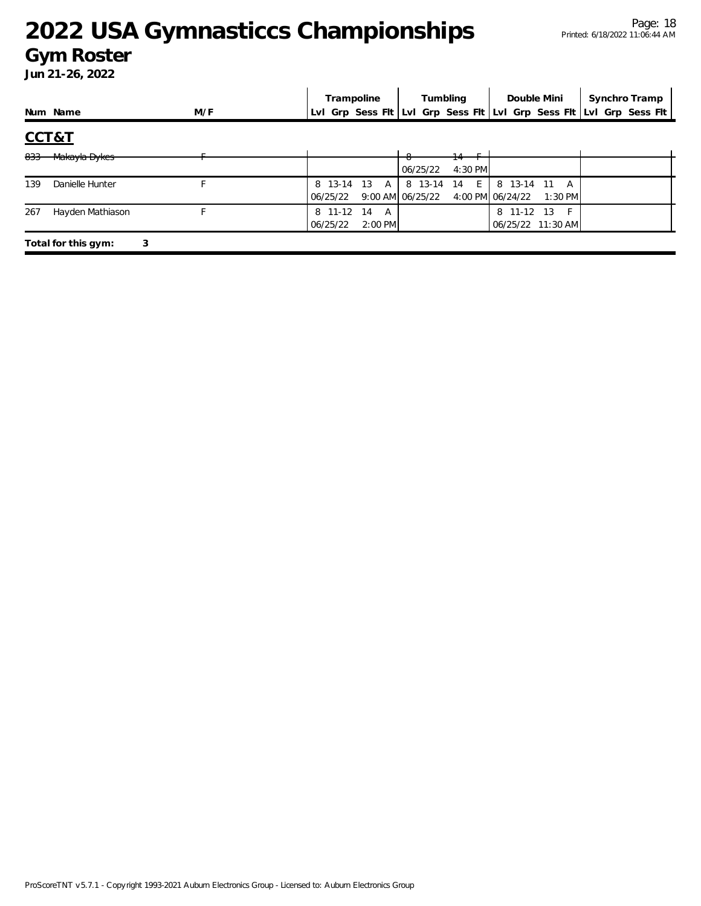### **Gym Roster**

|       |                     |     | Trampoline                                | Tumbling                                 | Double Mini                                                         | Synchro Tramp |
|-------|---------------------|-----|-------------------------------------------|------------------------------------------|---------------------------------------------------------------------|---------------|
|       | Num Name            | M/F |                                           |                                          | LvI Grp Sess FIt LvI Grp Sess FIt LvI Grp Sess FIt LvI Grp Sess FIt |               |
| CCT&T |                     |     |                                           |                                          |                                                                     |               |
| 833   | Makayla Dykes       |     |                                           | 06/25/22<br>4:30 PM                      |                                                                     |               |
| 139   | Danielle Hunter     |     | 8 13-14 13<br>$\mathsf{A}$<br>06/25/22    | E.<br>8 13-14<br>-14<br>9:00 AM 06/25/22 | 8 13-14 11<br>A<br>4:00 PM 06/24/22<br>$1:30$ PM                    |               |
| 267   | Hayden Mathiason    |     | 8 11-12<br>14<br>A<br>06/25/22<br>2:00 PM |                                          | 11-12<br>13<br>8<br>06/25/22 11:30 AM                               |               |
|       | Total for this gym: | 3   |                                           |                                          |                                                                     |               |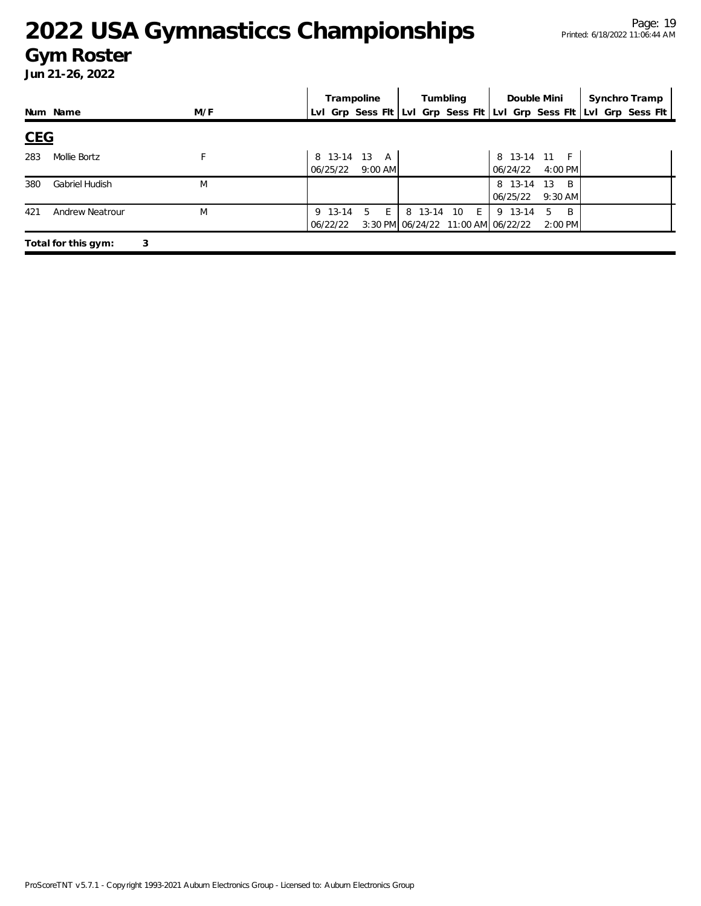### **Gym Roster**

|            |                       |     | Trampoline                            | Tumbling                                                         | Double Mini                                                         | Synchro Tramp |
|------------|-----------------------|-----|---------------------------------------|------------------------------------------------------------------|---------------------------------------------------------------------|---------------|
|            | Num Name              | M/F |                                       |                                                                  | Lvl Grp Sess Fit Lvl Grp Sess Fit Lvl Grp Sess Fit Lvl Grp Sess Fit |               |
| <b>CEG</b> |                       |     |                                       |                                                                  |                                                                     |               |
| 283        | Mollie Bortz          |     | 8 13-14 13 A<br>$9:00$ AM<br>06/25/22 |                                                                  | 8 13-14 11 F<br>4:00 PM<br>06/24/22                                 |               |
| 380        | <b>Gabriel Hudish</b> | M   |                                       |                                                                  | 8 13-14<br>13<br>$\overline{B}$<br>$9:30$ AM<br>06/25/22            |               |
| 421        | Andrew Neatrour       | M   | 5<br>9 13-14<br>E<br>06/22/22         | 8 13-14 10<br>$E_{\rm{H}}$<br>3:30 PM 06/24/22 11:00 AM 06/22/22 | 9 13-14<br>- B<br>5<br>2:00 PM                                      |               |
|            | Total for this gym:   | 3   |                                       |                                                                  |                                                                     |               |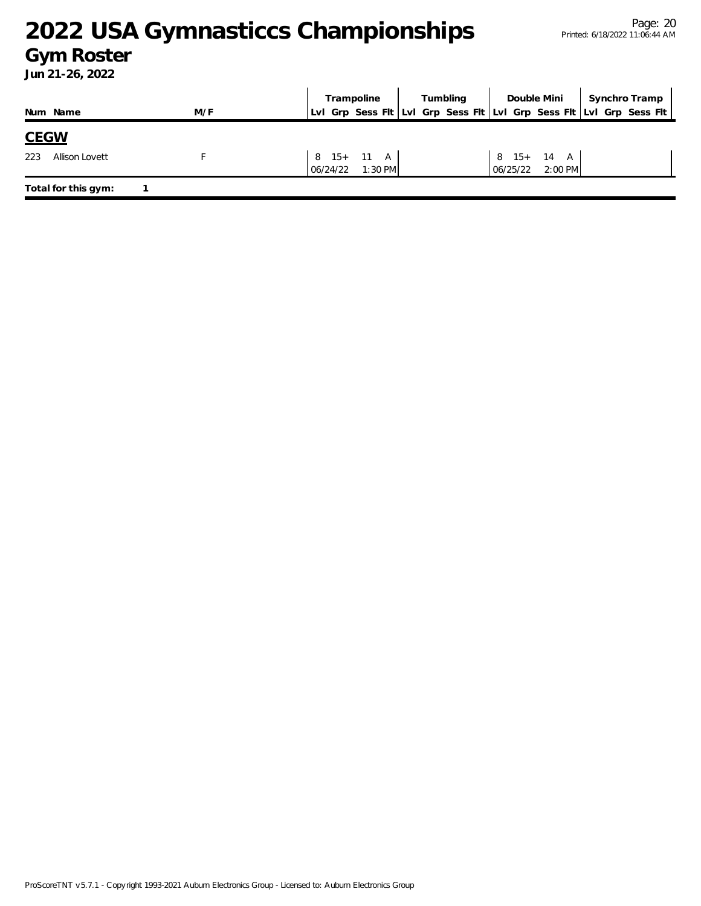### **Gym Roster**

|                              |     |                    | Trampoline          | Tumbling | Double Mini                             | Synchro Tramp |                                                                     |
|------------------------------|-----|--------------------|---------------------|----------|-----------------------------------------|---------------|---------------------------------------------------------------------|
| Num Name                     | M/F |                    |                     |          |                                         |               | LvI Grp Sess Fit LvI Grp Sess Fit LvI Grp Sess Fit LvI Grp Sess Fit |
| <b>CEGW</b>                  |     |                    |                     |          |                                         |               |                                                                     |
| 223<br><b>Allison Lovett</b> |     | $06/24/22$ 1:30 PM | $8 \t15 + \t11 \tA$ |          | $8 \t15 + \t14 \tA$<br>06/25/22 2:00 PM |               |                                                                     |
| Total for this gym:          |     |                    |                     |          |                                         |               |                                                                     |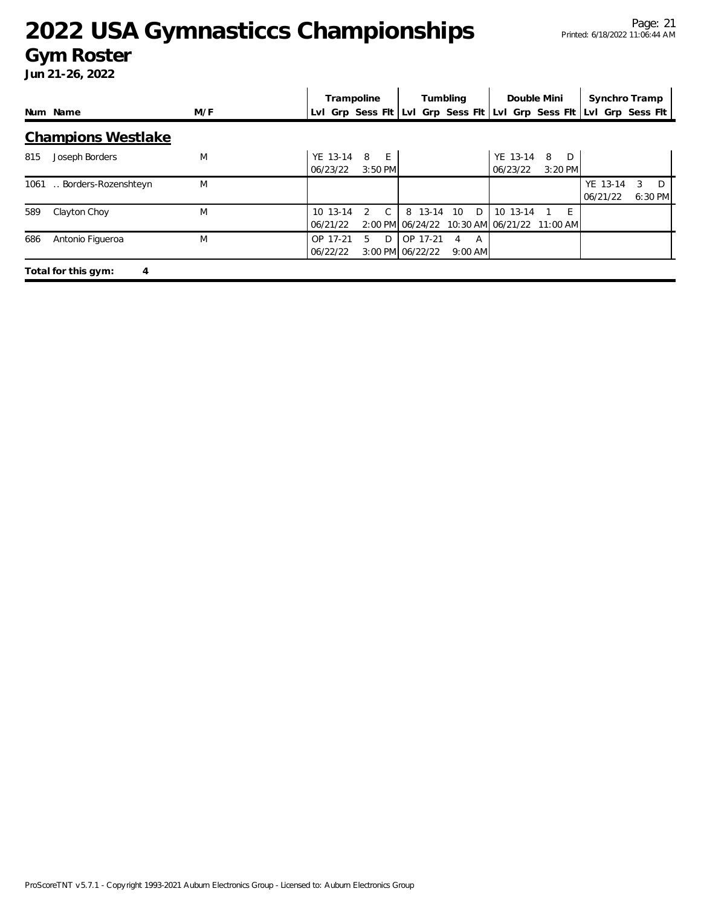### **Gym Roster**

|     |                           |     | Trampoline                                         |                                         |          |         | Tumbling            |   | Double Mini                            |                     | Synchro Tramp        |   |              |
|-----|---------------------------|-----|----------------------------------------------------|-----------------------------------------|----------|---------|---------------------|---|----------------------------------------|---------------------|----------------------|---|--------------|
|     | Num Name                  | M/F | Lvl Grp Sess Fit Lvl Grp Sess Fit Lvl Grp Sess Fit |                                         |          |         |                     |   |                                        |                     | Lvl Grp Sess Flt     |   |              |
|     | <b>Champions Westlake</b> |     |                                                    |                                         |          |         |                     |   |                                        |                     |                      |   |              |
| 815 | Joseph Borders            | M   | YE 13-14<br>06/23/22                               | 8<br>- E<br>$3:50$ PM                   |          |         |                     |   | YE 13-14<br>06/23/22                   | 8<br>D<br>$3:20$ PM |                      |   |              |
|     | 1061  Borders-Rozenshteyn | M   |                                                    |                                         |          |         |                     |   |                                        |                     | YE 13-14<br>06/21/22 | 3 | D<br>6:30 PM |
| 589 | Clayton Choy              | M   | $10 \t13 - 14$<br>06/21/22                         | C.<br>$\mathcal{P}$<br>2:00 PM 06/24/22 |          | 8 13-14 | 10                  | D | 10 13-14<br>10:30 AM 06/21/22 11:00 AM | - F                 |                      |   |              |
| 686 | Antonio Figueroa          | M   | OP 17-21<br>06/22/22                               | $5 -$<br>D<br>3:00 PM 06/22/22          | OP 17-21 |         | A<br>4<br>$9:00$ AM |   |                                        |                     |                      |   |              |
|     | Total for this gym:<br>4  |     |                                                    |                                         |          |         |                     |   |                                        |                     |                      |   |              |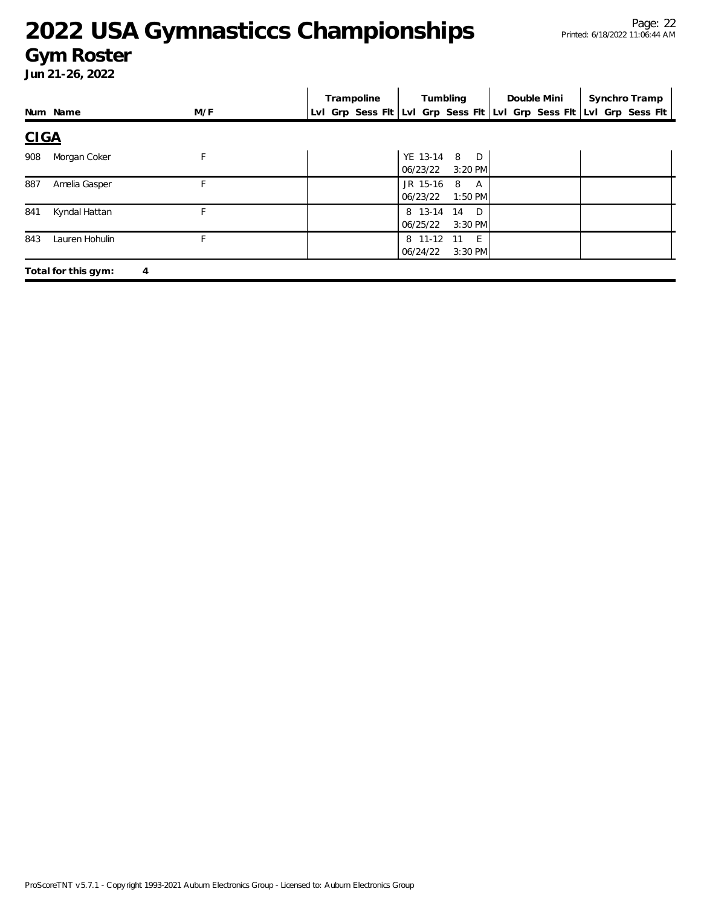### **Gym Roster**

|             |                     |     | Trampoline | Tumbling                                       | Double Mini | Synchro Tramp                                                       |
|-------------|---------------------|-----|------------|------------------------------------------------|-------------|---------------------------------------------------------------------|
|             | Num Name            | M/F |            |                                                |             | Lvl Grp Sess Flt Lvl Grp Sess Flt Lvl Grp Sess Flt Lvl Grp Sess Flt |
| <b>CIGA</b> |                     |     |            |                                                |             |                                                                     |
| 908         | Morgan Coker        | F   |            | YE 13-14 8 D<br>06/23/22<br>$3:20$ PM          |             |                                                                     |
| 887         | Amelia Gasper       |     |            | JR 15-16 8<br>A<br>06/23/22<br>$1:50$ PM       |             |                                                                     |
| 841         | Kyndal Hattan       | F   |            | 8 13-14 14 D<br>06/25/22<br>$3:30$ PM          |             |                                                                     |
| 843         | Lauren Hohulin      |     |            | 8 11-12<br>$-E$<br>- 11<br>06/24/22<br>3:30 PM |             |                                                                     |
|             | Total for this gym: | 4   |            |                                                |             |                                                                     |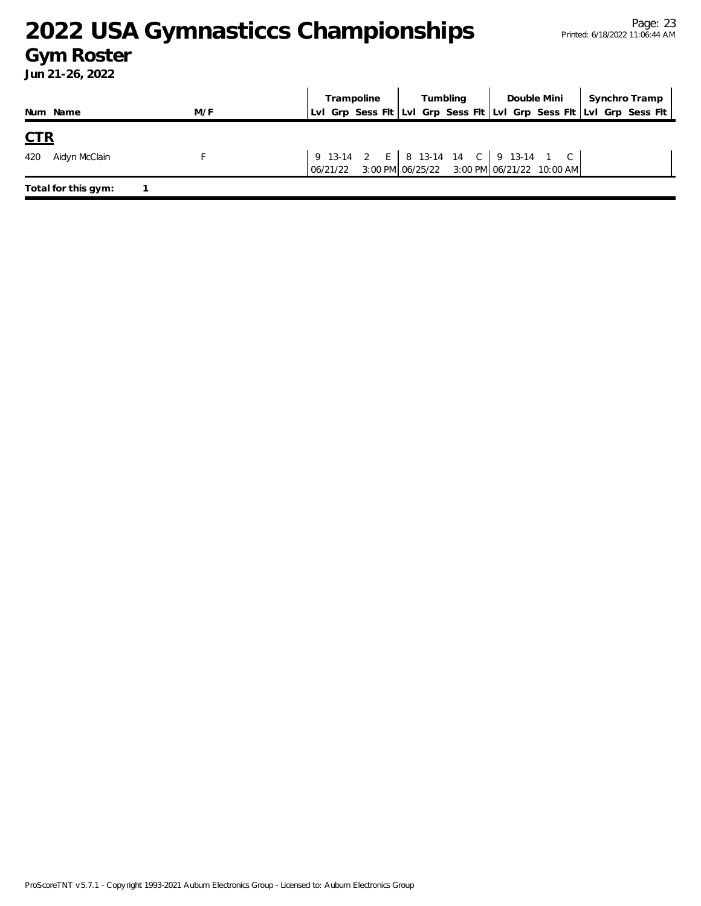### **Gym Roster**

|                     |     | Trampoline | Tumbling                                                                                                                                  | Double Mini | Synchro Tramp                                                       |
|---------------------|-----|------------|-------------------------------------------------------------------------------------------------------------------------------------------|-------------|---------------------------------------------------------------------|
| Num Name            | M/F |            |                                                                                                                                           |             | Lvl Grp Sess Flt Lvl Grp Sess Flt Lvl Grp Sess Flt Lvl Grp Sess Flt |
| <u>CTR</u>          |     |            |                                                                                                                                           |             |                                                                     |
| 420 Aidyn McClain   |     |            | 9 13-14 2 E   8 13-14 14 C   9 13-14 1 C<br>$\begin{bmatrix} 06/21/22 & 3:00 \text{ PM} \end{bmatrix}$ 06/25/22 3:00 PM 06/21/22 10:00 AM |             |                                                                     |
| Total for this gym: |     |            |                                                                                                                                           |             |                                                                     |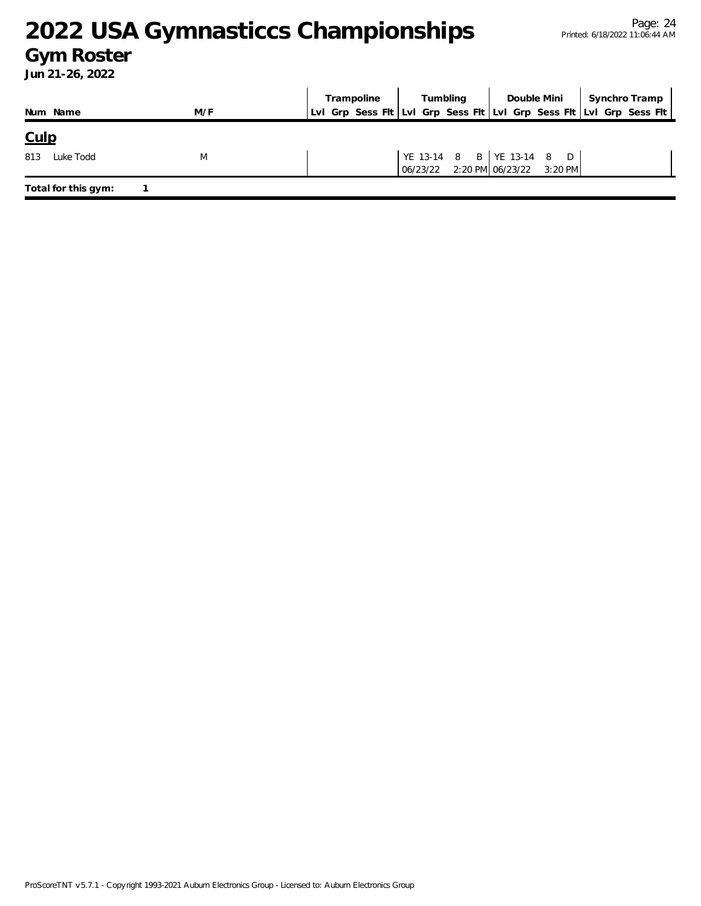### **Gym Roster**

|                     |     | Trampoline                                                          | <b>Tumbling</b> |                                                                | Double Mini   Synchro Tramp |
|---------------------|-----|---------------------------------------------------------------------|-----------------|----------------------------------------------------------------|-----------------------------|
| Num Name            | M/F | LvI Grp Sess Fit LvI Grp Sess Fit LvI Grp Sess Fit LvI Grp Sess Fit |                 |                                                                |                             |
| <u>Culp</u>         |     |                                                                     |                 |                                                                |                             |
| 813<br>Luke Todd    | M   |                                                                     |                 | YE 13-14 8 B YE 13-14 8 D<br>06/23/22 2:20 PM 06/23/22 3:20 PM |                             |
| Total for this gym: |     |                                                                     |                 |                                                                |                             |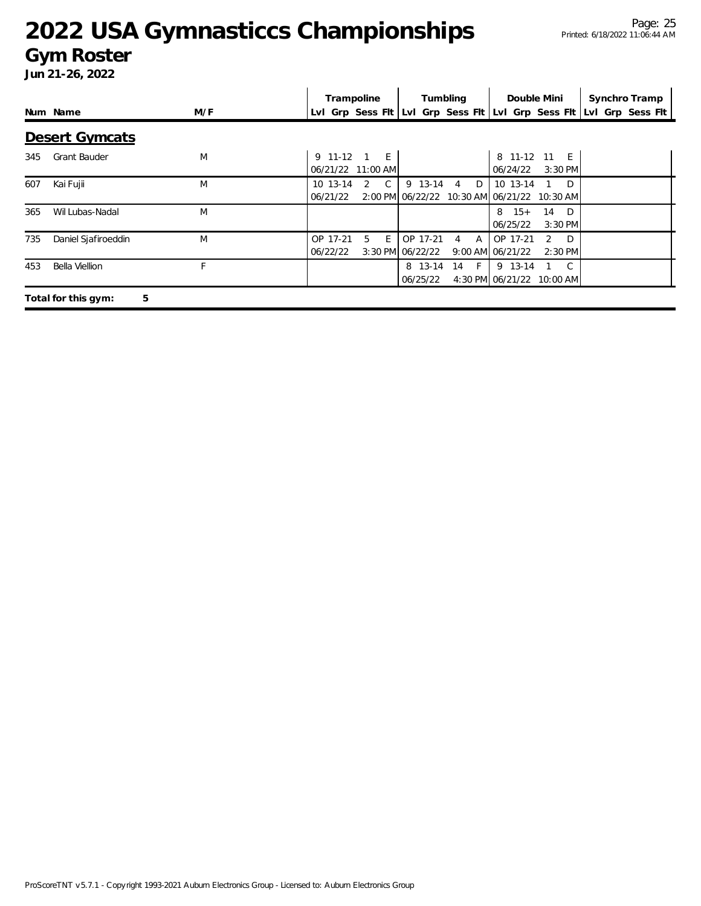### **Gym Roster**

|     |                          |     |             | Trampoline          |                  | Tumbling                       | Double Mini                                 |                      | Synchro Tramp                                                       |  |
|-----|--------------------------|-----|-------------|---------------------|------------------|--------------------------------|---------------------------------------------|----------------------|---------------------------------------------------------------------|--|
|     | Num Name                 | M/F |             |                     |                  |                                |                                             |                      | Lvl Grp Sess Flt Lvl Grp Sess Flt Lvl Grp Sess Flt Lvl Grp Sess Flt |  |
|     | <b>Desert Gymcats</b>    |     |             |                     |                  |                                |                                             |                      |                                                                     |  |
| 345 | <b>Grant Bauder</b>      | M   | $9$ 11-12 1 | E                   |                  |                                | 8 11-12 11 E                                |                      |                                                                     |  |
|     |                          |     |             | 06/21/22 11:00 AM   |                  |                                | 06/24/22                                    | 3:30 PM              |                                                                     |  |
| 607 | Kai Fujii                | M   | 10 13-14    | $\overline{C}$<br>2 |                  | 9 13-14 4 D                    | 10 13-14                                    | $\Box$               |                                                                     |  |
|     |                          |     | 06/21/22    |                     |                  |                                | 2:00 PM 06/22/22 10:30 AM 06/21/22 10:30 AM |                      |                                                                     |  |
| 365 | Wil Lubas-Nadal          | M   |             |                     |                  |                                | $8 \t15+$                                   | 14<br>D <sub>D</sub> |                                                                     |  |
|     |                          |     |             |                     |                  |                                | 06/25/22                                    | $3:30$ PM            |                                                                     |  |
| 735 | Daniel Sjafiroeddin      | M   | OP 17-21    | 5<br>E              | OP 17-21         | $\mathsf{A}$<br>$\overline{4}$ | OP 17-21                                    | D.<br>$\mathcal{P}$  |                                                                     |  |
|     |                          |     | 06/22/22    |                     | 3:30 PM 06/22/22 |                                | 9:00 AM 06/21/22                            | $2:30$ PM            |                                                                     |  |
| 453 | Bella Viellion           | E   |             |                     |                  | 8 13-14 14 F                   | 9 13-14                                     | $\overline{C}$       |                                                                     |  |
|     |                          |     |             |                     | 06/25/22         |                                | 4:30 PM 06/21/22 10:00 AM                   |                      |                                                                     |  |
|     | Total for this gym:<br>5 |     |             |                     |                  |                                |                                             |                      |                                                                     |  |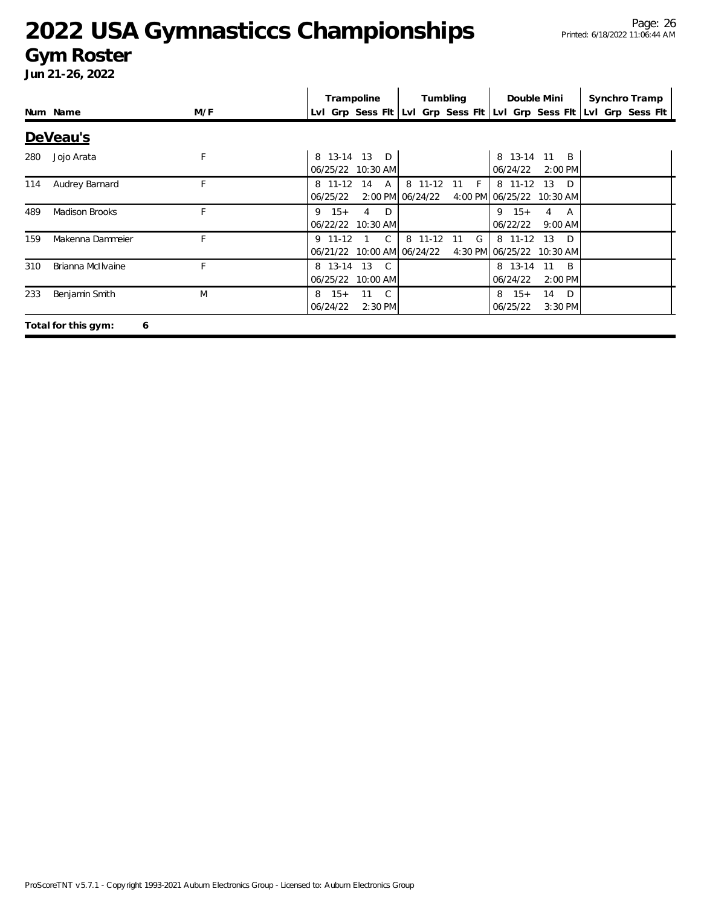### **Gym Roster**

|     |                          |     | Trampoline<br>Tumbling                                                        | Double Mini                                              | Synchro Tramp    |  |  |  |  |  |
|-----|--------------------------|-----|-------------------------------------------------------------------------------|----------------------------------------------------------|------------------|--|--|--|--|--|
|     | Num Name                 | M/F | Lyl Grp Sess FIt Lyl Grp Sess FIt Lyl Grp Sess FIt                            |                                                          | Lvl Grp Sess Flt |  |  |  |  |  |
|     | DeVeau's                 |     |                                                                               |                                                          |                  |  |  |  |  |  |
| 280 | Jojo Arata               | F   | $13$ D<br>8 13-14<br>06/25/22 10:30 AM                                        | 8 13-14<br>11<br>$\overline{B}$<br>06/24/22<br>$2:00$ PM |                  |  |  |  |  |  |
| 114 | Audrey Barnard           | F   | 8 11-12<br>8 11-12<br>14<br>A<br>$-11$<br>F<br>2:00 PM 06/24/22<br>06/25/22   | 8 11-12<br>13<br>D.<br>4:00 PM 06/25/22 10:30 AM         |                  |  |  |  |  |  |
| 489 | <b>Madison Brooks</b>    | F   | $9 \t15+$<br>$\Box$<br>4<br>06/22/22 10:30 AM                                 | $9 \t15+$<br>4 A<br>06/22/22<br>$9:00$ AM                |                  |  |  |  |  |  |
| 159 | Makenna Dammeier         | F   | $\mathsf{C}$<br>G<br>$9$ 11-12<br>8 11-12<br>11<br>06/21/22 10:00 AM 06/24/22 | 8 11-12 13<br>D.<br>4:30 PM 06/25/22 10:30 AM            |                  |  |  |  |  |  |
| 310 | Brianna McIlvaine        | F   | 8 13-14<br>13<br>$\mathsf{C}$<br>06/25/22 10:00 AM                            | 8 13-14<br>11<br><sup>B</sup><br>06/24/22<br>2:00 PM     |                  |  |  |  |  |  |
| 233 | Benjamin Smith           | M   | 11<br>$\overline{C}$<br>$15+$<br>8<br>06/24/22<br>2:30 PM                     | 14<br>D<br>8<br>$15+$<br>06/25/22<br>$3:30$ PM           |                  |  |  |  |  |  |
|     | Total for this gym:<br>6 |     |                                                                               |                                                          |                  |  |  |  |  |  |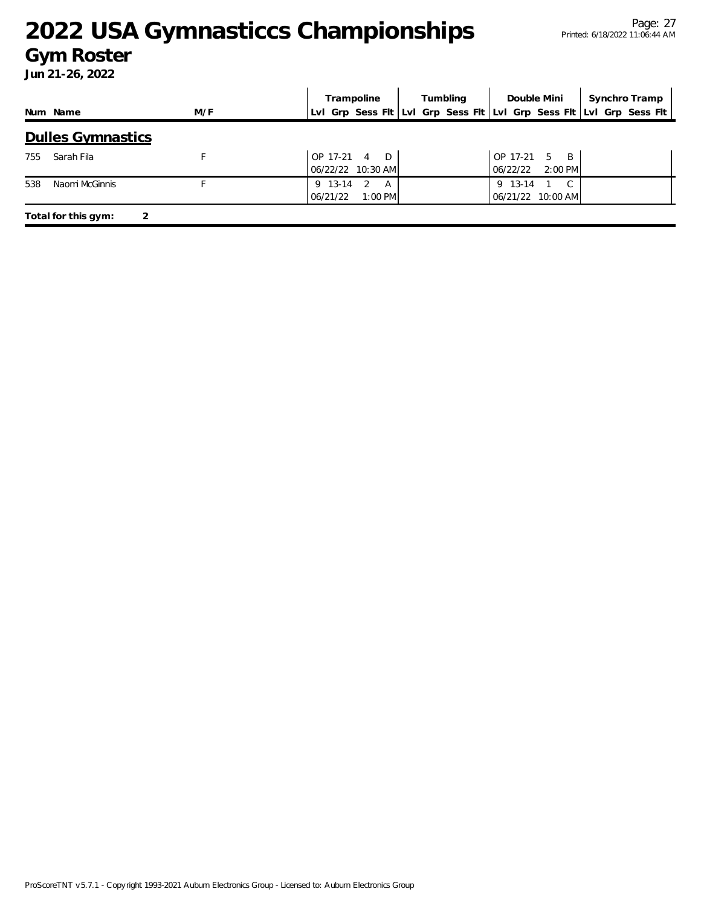### **Gym Roster**

|     |                          |     |                     | Trampoline               | Tumbling |  | Double Mini |                           | Synchro Tramp |                                                                     |
|-----|--------------------------|-----|---------------------|--------------------------|----------|--|-------------|---------------------------|---------------|---------------------------------------------------------------------|
|     | Num Name                 | M/F |                     |                          |          |  |             |                           |               | Lvl Grp Sess Flt Lvl Grp Sess Flt Lvl Grp Sess Flt Lvl Grp Sess Flt |
|     | <b>Dulles Gymnastics</b> |     |                     |                          |          |  |             |                           |               |                                                                     |
| 755 | Sarah Fila               |     | OP 17-21            | 4 D<br>06/22/22 10:30 AM |          |  | 06/22/22    | OP 17-21 5 B<br>$2:00$ PM |               |                                                                     |
| 538 | Naomi McGinnis           |     | 9 13-14<br>06/21/22 | -2<br>A<br>$1:00$ PM     |          |  | 9 13-14     | 06/21/22 10:00 AM         |               |                                                                     |
|     | Total for this gym:      |     |                     |                          |          |  |             |                           |               |                                                                     |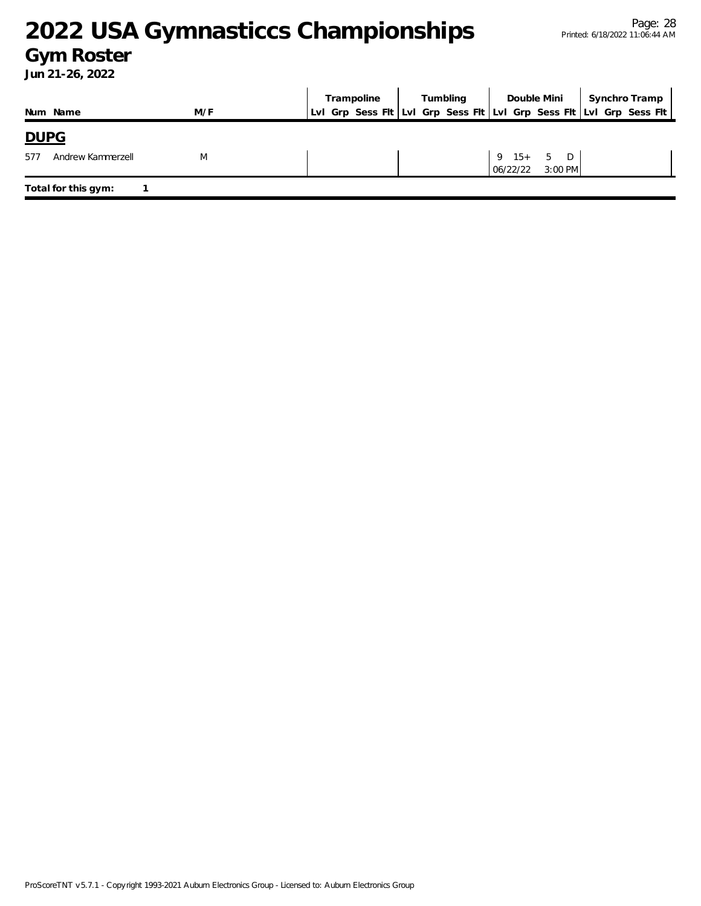### **Gym Roster**

|                          |     | Tumbling<br>Trampoline |  |  | Double Mini | Synchro Tramp |                          |  |                                                                     |  |
|--------------------------|-----|------------------------|--|--|-------------|---------------|--------------------------|--|---------------------------------------------------------------------|--|
| Num Name                 | M/F |                        |  |  |             |               |                          |  | Lvl Grp Sess Fit Lvl Grp Sess Fit Lvl Grp Sess Fit Lvl Grp Sess Fit |  |
| <b>DUPG</b>              |     |                        |  |  |             |               |                          |  |                                                                     |  |
| 577<br>Andrew Kammerzell | M   |                        |  |  |             | 06/22/22      | $9$ 15+ 5 D<br>$3:00$ PM |  |                                                                     |  |
| Total for this gym:      |     |                        |  |  |             |               |                          |  |                                                                     |  |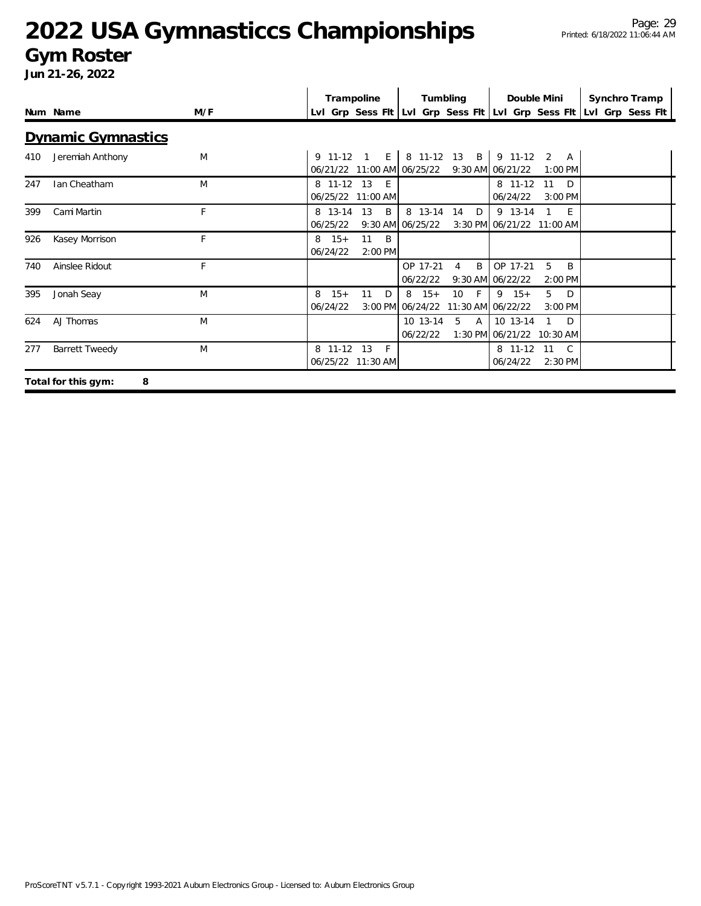### **Gym Roster**

|     |                           |     | Trampoline<br>Tumbling                                                                                                                         | Double Mini<br>Synchro Tramp     |
|-----|---------------------------|-----|------------------------------------------------------------------------------------------------------------------------------------------------|----------------------------------|
|     | Num Name                  | M/F | Lvl Grp Sess Flt Lvl Grp Sess Flt Lvl Grp Sess Flt Lvl Grp Sess Flt                                                                            |                                  |
|     | <b>Dynamic Gymnastics</b> |     |                                                                                                                                                |                                  |
| 410 | Jeremiah Anthony          | M   | 8 11-12 13 B 9 11-12 2 A<br>$9 11-12 1 E$<br>06/21/22 11:00 AM 06/25/22<br>9:30 AM 06/21/22                                                    | 1:00 PM                          |
| 247 | Ian Cheatham              | M   | 8 11-12 13 E<br>8 11-12<br>06/25/22 11:00 AM<br>06/24/22                                                                                       | 11<br>$\Box$<br>$3:00$ PM        |
| 399 | Cami Martin               | F   | 13<br><sup>B</sup><br>8 13-14<br>9 13-14<br>8 13-14<br>14<br>D<br>06/25/22<br>3:30 PM 06/21/22 11:00 AM<br>$9:30$ AM $06/25/22$                | E<br>$\mathbf{1}$                |
| 926 | Kasey Morrison            | F   | 11<br>$\overline{B}$<br>$8 \t15+$<br>06/24/22<br>2:00 PM                                                                                       |                                  |
| 740 | Ainslee Ridout            | F   | B<br>OP 17-21<br>OP 17-21<br>$\overline{4}$<br>06/22/22<br>9:30 AM 06/22/22                                                                    | 5<br><sup>B</sup><br>2:00 PM     |
| 395 | Jonah Seay                | M   | $15+$<br>$8 \t15+$<br>10 <sup>°</sup><br>$-$ F $\rightarrow$<br>$9 \t15+$<br>8<br>11<br>D<br>3:00 PM 06/24/22<br>11:30 AM 06/22/22<br>06/24/22 | $5^{\circ}$<br>$\Box$<br>3:00 PM |
| 624 | A.J Thomas                | M   | 10 13-14<br>10 13-14<br>-5<br>$\mathsf{A}$<br>1:30 PM 06/21/22 10:30 AM<br>06/22/22                                                            | $\Box$                           |
| 277 | <b>Barrett Tweedy</b>     | M   | 8 11-12 13<br>8 11-12<br>- F<br>06/24/22<br>06/25/22 11:30 AM                                                                                  | 11<br>$\mathcal{C}$<br>2:30 PM   |
|     | Total for this gym:<br>8  |     |                                                                                                                                                |                                  |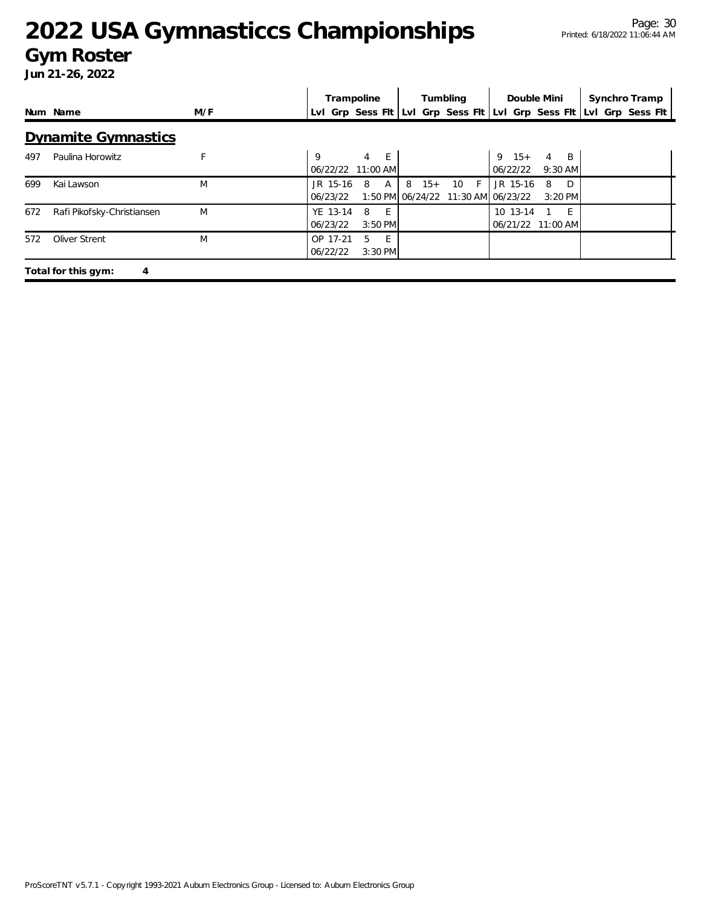### **Gym Roster**

|     |                            |     | Trampoline<br>Tumbling |                             | Double Mini |                                                 | Synchro Tramp                 |                                |                                                                     |  |
|-----|----------------------------|-----|------------------------|-----------------------------|-------------|-------------------------------------------------|-------------------------------|--------------------------------|---------------------------------------------------------------------|--|
|     | Num Name                   | M/F |                        |                             |             |                                                 |                               |                                | Lvl Grp Sess Flt Lvl Grp Sess Flt Lvl Grp Sess Flt Lvl Grp Sess Flt |  |
|     | <b>Dynamite Gymnastics</b> |     |                        |                             |             |                                                 |                               |                                |                                                                     |  |
| 497 | Paulina Horowitz           | F   | Q                      | E<br>4<br>06/22/22 11:00 AM |             |                                                 | $9 \t15+$<br>06/22/22         | 4<br><sup>B</sup><br>$9:30$ AM |                                                                     |  |
| 699 | Kai Lawson                 | M   | $JR$ 15-16<br>06/23/22 | 8<br>A                      | 8<br>$15+$  | 10<br>- F<br>1:50 PM 06/24/22 11:30 AM 06/23/22 | JR 15-16                      | D<br>8<br>3:20 PM              |                                                                     |  |
| 672 | Rafi Pikofsky-Christiansen | M   | YE 13-14<br>06/23/22   | 8<br>E<br>$3:50$ PM         |             |                                                 | 10 13-14<br>06/21/22 11:00 AM | - F                            |                                                                     |  |
| 572 | Oliver Strent              | M   | OP 17-21<br>06/22/22   | -5<br>E<br>3:30 PM          |             |                                                 |                               |                                |                                                                     |  |
|     | Total for this gym:<br>4   |     |                        |                             |             |                                                 |                               |                                |                                                                     |  |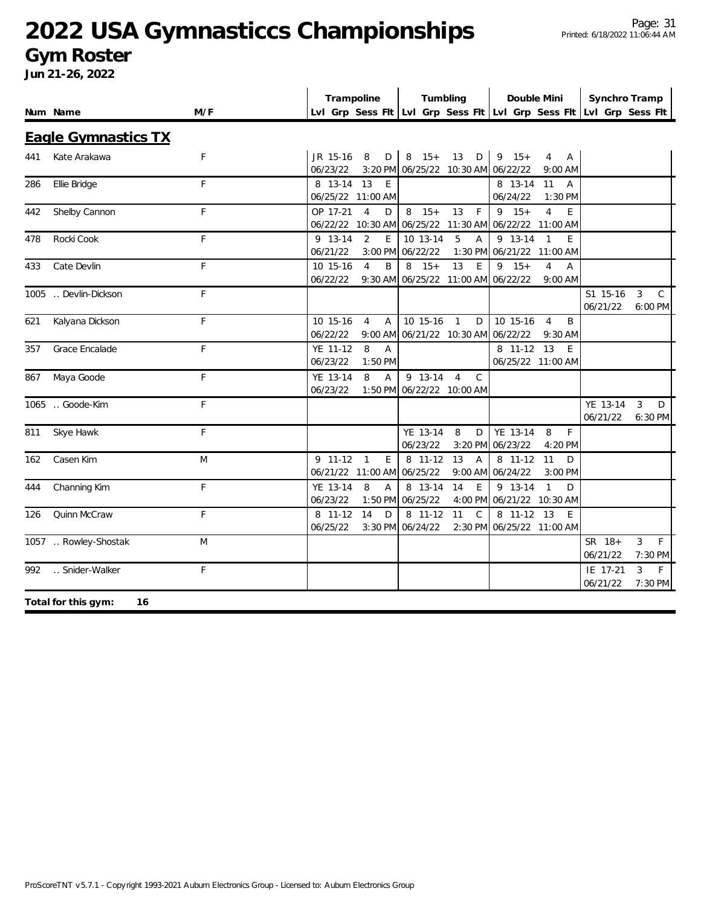### **Gym Roster**

|     | Num Name                   | M/F         | Trampoline<br>Lvl Grp Sess Fit Lvl Grp Sess Fit Lvl Grp Sess Fit Lvl Grp Sess Fit | Tumbling                                                                             | Double Mini                                               | Synchro Tramp                                         |
|-----|----------------------------|-------------|-----------------------------------------------------------------------------------|--------------------------------------------------------------------------------------|-----------------------------------------------------------|-------------------------------------------------------|
|     | <b>Eagle Gymnastics TX</b> |             |                                                                                   |                                                                                      |                                                           |                                                       |
| 441 | Kate Arakawa               | F           | JR 15-16<br>8<br>$\mathsf D$<br>06/23/22                                          | $8 \t15+$<br>$13$ D<br>3:20 PM 06/25/22 10:30 AM 06/22/22                            | $9 \t15+$<br>$\overline{4}$<br>Α<br>$9:00$ AM             |                                                       |
| 286 | Ellie Bridge               | F           | 8 13-14 13<br>E<br>06/25/22 11:00 AM                                              |                                                                                      | 8 13-14<br>11<br>$\overline{A}$<br>06/24/22<br>1:30 PM    |                                                       |
| 442 | Shelby Cannon              | $\mathsf F$ | OP 17-21<br>$\overline{4}$<br>D<br>06/22/22 10:30 AM 06/25/22 11:30 AM            | $8 \t15+$<br>13<br>F                                                                 | $9 \t15+$<br>$\overline{4}$<br>E<br>06/22/22 11:00 AM     |                                                       |
| 478 | Rocki Cook                 | F           | 9 13-14<br>2<br>E<br>06/21/22<br>3:00 PM                                          | 10 13-14<br>5<br>$\overline{A}$<br>06/22/22<br>1:30 PM                               | 9 13-14<br>$\overline{1}$<br>E<br>06/21/22 11:00 AM       |                                                       |
| 433 | Cate Devlin                | F           | 10 15-16<br>$\overline{4}$<br>B<br>06/22/22                                       | $15+$<br>13<br>E<br>8<br>9:30 AM 06/25/22 11:00 AM 06/22/22                          | $15+$<br>9<br>$\overline{4}$<br>Α<br>$9:00$ AM            |                                                       |
|     | 1005  Devlin-Dickson       | F           |                                                                                   |                                                                                      |                                                           | S1 15-16<br>3<br>$\mathcal{C}$<br>06/21/22<br>6:00 PM |
| 621 | Kalyana Dickson            | F           | 10 15-16<br>$\overline{4}$<br>$\overline{A}$<br>06/22/22                          | 10 15-16<br>D<br>$\overline{1}$<br>9:00 AM 06/21/22 10:30 AM 06/22/22                | 10 15-16<br>B<br>$\overline{4}$<br>$9:30$ AM              |                                                       |
| 357 | Grace Encalade             | F           | YE 11-12<br>8<br>$\overline{A}$<br>06/23/22<br>$1:50$ PM                          |                                                                                      | 8 11-12 13<br>E<br>06/25/22 11:00 AM                      |                                                       |
| 867 | Maya Goode                 | F           | YE 13-14<br>8<br>$\overline{A}$<br>06/23/22                                       | $\overline{9}$ 13-14<br>$\overline{4}$<br>$\mathcal{C}$<br>1:50 PM 06/22/22 10:00 AM |                                                           |                                                       |
|     | 1065  Goode-Kim            | F           |                                                                                   |                                                                                      |                                                           | YE 13-14<br>3<br>D<br>06/21/22<br>6:30 PM             |
| 811 | Skye Hawk                  | F           |                                                                                   | YE 13-14<br>D<br>8<br>06/23/22<br>3:20 PM                                            | YE 13-14<br>8<br>F<br>06/23/22<br>4:20 PM                 |                                                       |
| 162 | Casen Kim                  | M           | $9$ 11-12<br>E<br>$\mathbf{1}$<br>06/21/22 11:00 AM 06/25/22                      | 13<br>8 11-12<br>A                                                                   | 8 11-12<br>11<br>D<br>9:00 AM 06/24/22<br>3:00 PM         |                                                       |
| 444 | Channing Kim               | F           | YE 13-14<br>8<br>$\overline{A}$<br>06/23/22<br>1:50 PM                            | 14<br>8 13-14<br>E<br>06/25/22                                                       | 9 13-14<br>$\mathbf{1}$<br>D<br>4:00 PM 06/21/22 10:30 AM |                                                       |
| 126 | Quinn McCraw               | F           | 8 11-12<br>14<br>D<br>06/25/22<br>3:30 PM                                         | 8 11-12<br>11<br>$\mathcal{C}$<br>06/24/22                                           | 8 11-12<br>13<br>E<br>2:30 PM 06/25/22 11:00 AM           |                                                       |
|     | 1057  Rowley-Shostak       | M           |                                                                                   |                                                                                      |                                                           | F<br>SR 18+<br>3<br>06/21/22<br>7:30 PM               |
| 992 | Snider-Walker              | F           |                                                                                   |                                                                                      |                                                           | F<br>IE 17-21<br>3<br>06/21/22<br>7:30 PM             |
|     | Total for this gym:<br>16  |             |                                                                                   |                                                                                      |                                                           |                                                       |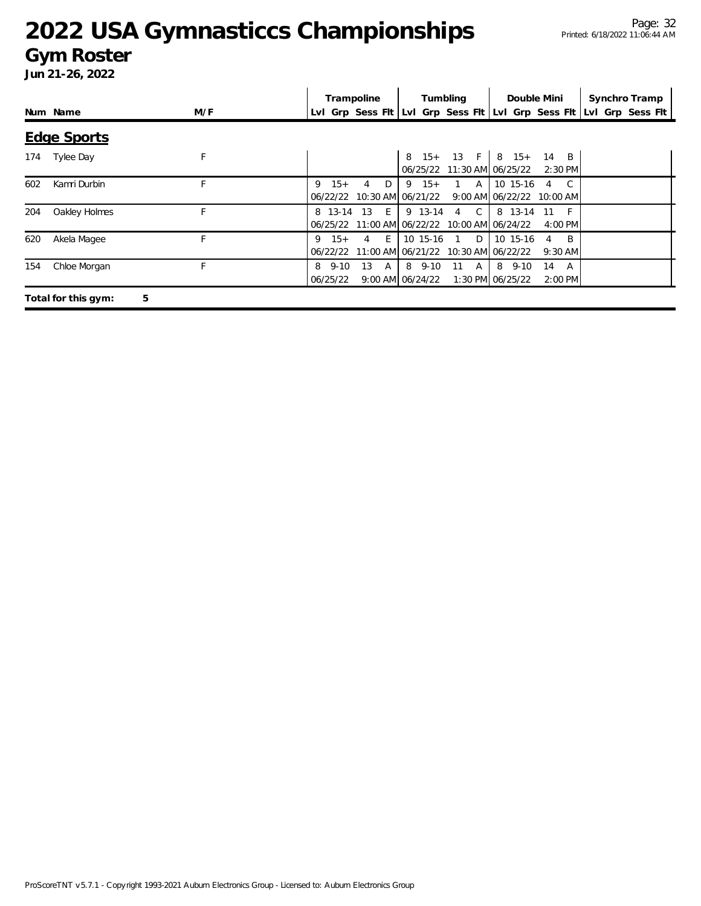### **Gym Roster**

|     |                     |     |                           |       | Trampoline   |   |                                | Tumbling       | Double Mini                                                      |                |                             | Synchro Tramp                                                       |
|-----|---------------------|-----|---------------------------|-------|--------------|---|--------------------------------|----------------|------------------------------------------------------------------|----------------|-----------------------------|---------------------------------------------------------------------|
|     | Num Name            | M/F |                           |       |              |   |                                |                |                                                                  |                |                             | Lvl Grp Sess Fit Lvl Grp Sess Fit Lvl Grp Sess Fit Lvl Grp Sess Fit |
|     | <b>Edge Sports</b>  |     |                           |       |              |   |                                |                |                                                                  |                |                             |                                                                     |
| 174 | <b>Tylee Day</b>    | F   |                           |       |              |   |                                |                | 8 15+ 13 F   8 15+ 14 B<br>06/25/22 11:30 AM 06/25/22            |                | $2:30$ PM                   |                                                                     |
| 602 | Kamri Durbin        | F.  | 9                         | $15+$ | 4            | D | $9 \t15+$                      | $1 \quad A$    | 10 15-16<br>06/22/22 10:30 AM 06/21/22 9:00 AM 06/22/22 10:00 AM | $\overline{4}$ | $\overline{C}$              |                                                                     |
| 204 | Oakley Holmes       | F   |                           |       | 8 13-14 13 E |   |                                | 9 13-14 4 C    | 8 13-14 11<br>06/25/22 11:00 AM 06/22/22 10:00 AM 06/24/22       |                | $-F$<br>4:00 PM             |                                                                     |
| 620 | Akela Magee         | F.  | 9                         | $15+$ | 4 E          |   |                                | $10$ 15-16 1 D | 10 15-16<br>06/22/22 11:00 AM 06/21/22 10:30 AM 06/22/22         | 4              | $\overline{B}$<br>$9:30$ AM |                                                                     |
| 154 | Chloe Morgan        | F   | $8\quad 9-10$<br>06/25/22 |       | 13 A         |   | 8 9-10<br>$9:00$ AM $06/24/22$ | 11 A           | 8 9-10<br>1:30 PM 06/25/22                                       | 14             | A<br>2:00 PM                |                                                                     |
|     | Total for this gym: | 5   |                           |       |              |   |                                |                |                                                                  |                |                             |                                                                     |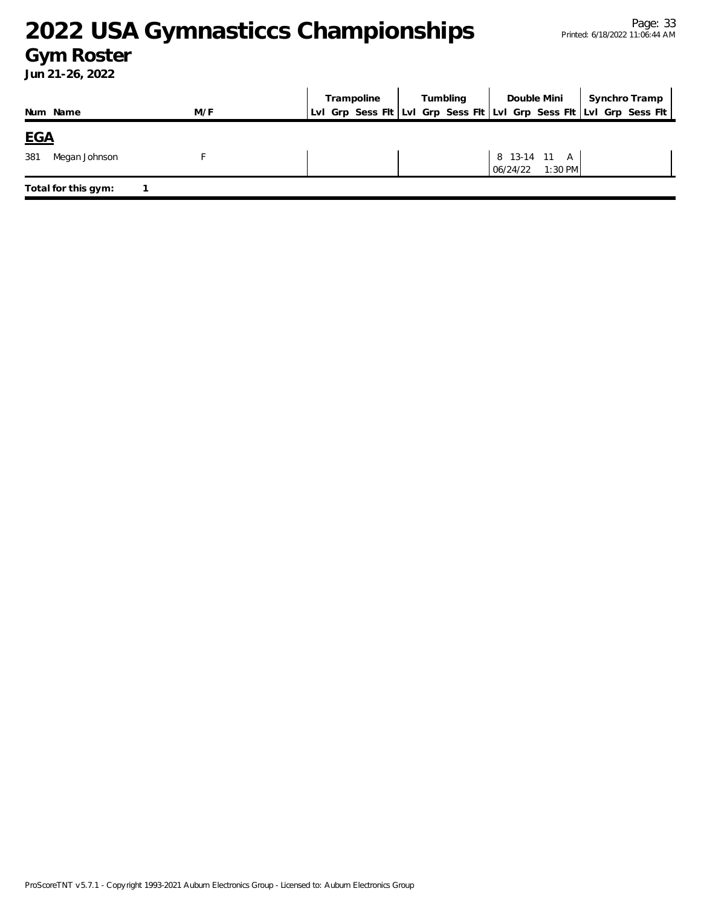### **Gym Roster**

| Num Name             | M/F | Trampoline   Tumbling<br>LvI Grp Sess FIt LvI Grp Sess FIt LvI Grp Sess FIt LvI Grp Sess FIt | Double Mini                           | Synchro Tramp |
|----------------------|-----|----------------------------------------------------------------------------------------------|---------------------------------------|---------------|
| <u>EGA</u>           |     |                                                                                              |                                       |               |
| 381<br>Megan Johnson |     |                                                                                              | 8 13-14 11 A<br>$1:30$ PM<br>06/24/22 |               |
| Total for this gym:  |     |                                                                                              |                                       |               |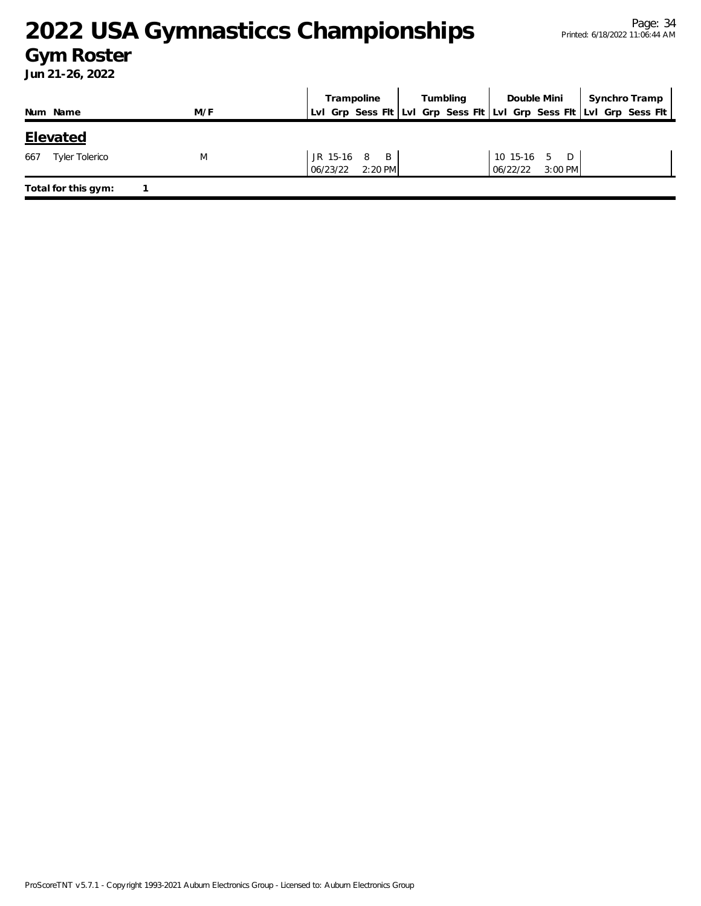### **Gym Roster**

|                              |     | Tumbling<br>Trampoline                                              |  | Double Mini           | Synchro Tramp |
|------------------------------|-----|---------------------------------------------------------------------|--|-----------------------|---------------|
| Num Name                     | M/F | Lvl Grp Sess Fit Lvl Grp Sess Fit Lvl Grp Sess Fit Lvl Grp Sess Fit |  |                       |               |
| <b>Elevated</b>              |     |                                                                     |  |                       |               |
| 667<br><b>Tyler Tolerico</b> | M   | JR 15-16 8 B                                                        |  | 10 15-16 5 D          |               |
|                              |     | 06/23/22 2:20 PM                                                    |  | $3:00$ PM<br>06/22/22 |               |
| Total for this gym:          |     |                                                                     |  |                       |               |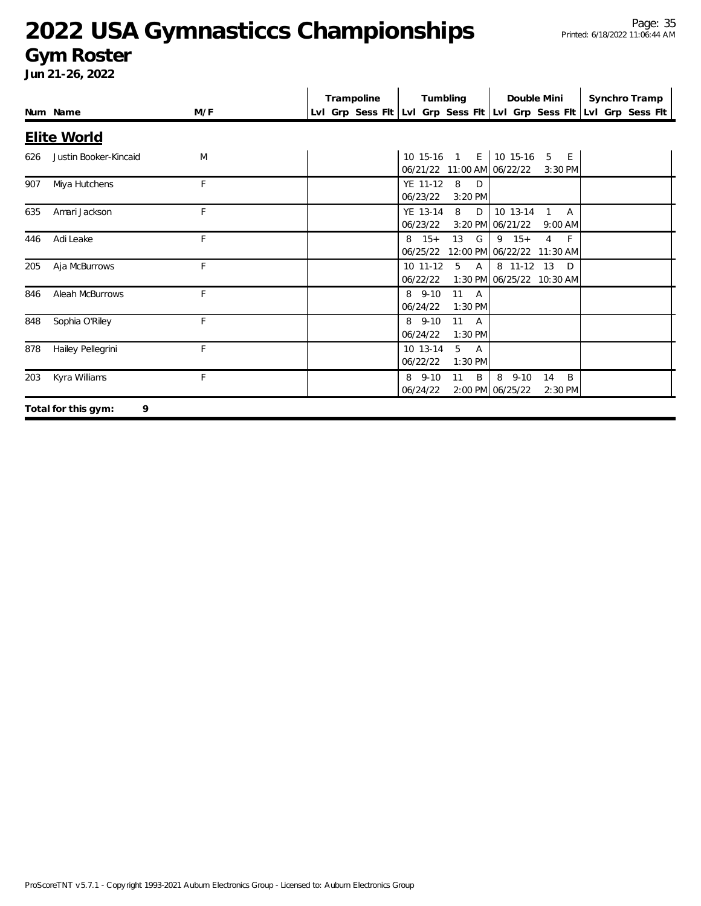### **Gym Roster**

|     |                          |     | Trampoline | Tumbling                                                 | Double Mini                                                               | Synchro Tramp                                                       |
|-----|--------------------------|-----|------------|----------------------------------------------------------|---------------------------------------------------------------------------|---------------------------------------------------------------------|
|     | Num Name                 | M/F |            |                                                          |                                                                           | LvI Grp Sess FIt LvI Grp Sess FIt LvI Grp Sess FIt LvI Grp Sess FIt |
|     | <b>Elite World</b>       |     |            |                                                          |                                                                           |                                                                     |
| 626 | Justin Booker-Kincaid    | M   |            | 10 15-16 1 E 10 15-16 5 E<br>06/21/22 11:00 AM 06/22/22  | $3:30$ PM                                                                 |                                                                     |
| 907 | Miya Hutchens            | F   |            | 8<br>YE 11-12<br>D<br>06/23/22<br>3:20 PM                |                                                                           |                                                                     |
| 635 | Amari Jackson            | F   |            | YE 13-14<br>8<br>D<br>06/23/22                           | 10 13-14<br>$\overline{A}$<br>$\mathbf{1}$<br>3:20 PM 06/21/22<br>9:00 AM |                                                                     |
| 446 | Adi Leake                | F   |            | 13<br>G<br>$8 \t15+$<br>06/25/22                         | $9 \t15+$<br>$\overline{4}$<br>F<br>12:00 PM 06/22/22 11:30 AM            |                                                                     |
| 205 | Aja McBurrows            | F   |            | $10$ 11-12<br>$5^{\circ}$<br>$\overline{A}$<br>06/22/22  | 8 11-12 13<br>D<br>1:30 PM 06/25/22 10:30 AM                              |                                                                     |
| 846 | Aleah McBurrows          | F   |            | 11 A<br>$8, 9-10$<br>06/24/22<br>1:30 PM                 |                                                                           |                                                                     |
| 848 | Sophia O'Riley           | F   |            | 8 9-10<br>$11 \quad A$<br>06/24/22<br>1:30 PM            |                                                                           |                                                                     |
| 878 | Hailey Pellegrini        | F   |            | 10 13-14<br>5<br>$\overline{A}$<br>06/22/22<br>$1:30$ PM |                                                                           |                                                                     |
| 203 | Kyra Williams            | F   |            | 8 9-10<br>B<br>11<br>06/24/22                            | B<br>8<br>$9 - 10$<br>14<br>2:00 PM 06/25/22<br>2:30 PM                   |                                                                     |
|     | 9<br>Total for this gym: |     |            |                                                          |                                                                           |                                                                     |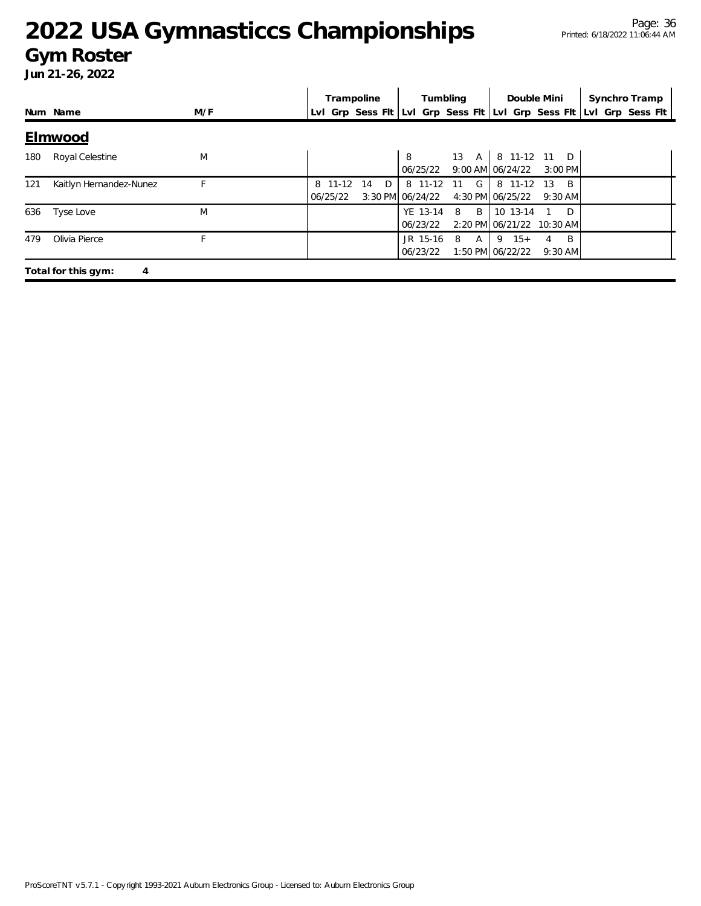### **Gym Roster**

|     |                          |     |                     | Trampoline |               |                             | Tumbling         | Double Mini                           |                        | Synchro Tramp                                                       |  |
|-----|--------------------------|-----|---------------------|------------|---------------|-----------------------------|------------------|---------------------------------------|------------------------|---------------------------------------------------------------------|--|
|     | Num Name                 | M/F |                     |            |               |                             |                  |                                       |                        | Lvl Grp Sess Flt Lvl Grp Sess Flt Lvl Grp Sess Flt Lvl Grp Sess Flt |  |
|     | Elmwood                  |     |                     |            |               |                             |                  |                                       |                        |                                                                     |  |
| 180 | Royal Celestine          | M   |                     |            |               | 8<br>06/25/22               | 13<br>A          | 8 11-12 11 D<br>$9:00$ AM $06/24/22$  | $3:00$ PM              |                                                                     |  |
| 121 | Kaitlyn Hernandez-Nunez  | F   | 8 11-12<br>06/25/22 | 14         | $D^{\bullet}$ | 8 11-12<br>3:30 PM 06/24/22 | $\sim$ G +<br>11 | 8 11-12<br>4:30 PM 06/25/22           | B<br>- 13<br>$9:30$ AM |                                                                     |  |
| 636 | Tyse Love                | M   |                     |            |               | 06/23/22                    | YE 13-14 8 B     | 10 13-14<br>2:20 PM 06/21/22 10:30 AM | D                      |                                                                     |  |
| 479 | Olivia Pierce            | F   |                     |            |               | JR 15-16<br>06/23/22        | 8<br>A           | $15+$<br>9<br>1:50 PM 06/22/22        | B<br>4<br>$9:30$ AM    |                                                                     |  |
|     | Total for this gym:<br>4 |     |                     |            |               |                             |                  |                                       |                        |                                                                     |  |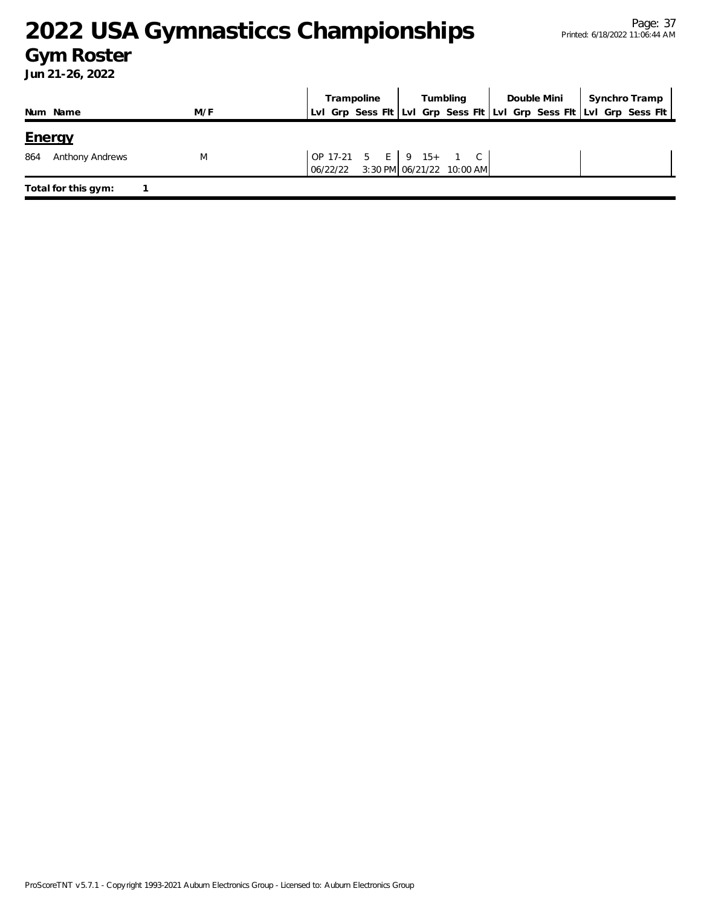### **Gym Roster**

|                                                |     | Trampoline                         |  | Tumbling                  | Double Mini | Synchro Tramp                                                       |
|------------------------------------------------|-----|------------------------------------|--|---------------------------|-------------|---------------------------------------------------------------------|
| Num Name                                       | M/F |                                    |  |                           |             | Lvl Grp Sess Fit Lvl Grp Sess Fit Lvl Grp Sess Fit Lvl Grp Sess Fit |
| <u>Eneray</u><br>864<br><b>Anthony Andrews</b> | M   | OP 17-21 5 E 9 15+ 1 C<br>06/22/22 |  | 3:30 PM 06/21/22 10:00 AM |             |                                                                     |
| Total for this gym:                            |     |                                    |  |                           |             |                                                                     |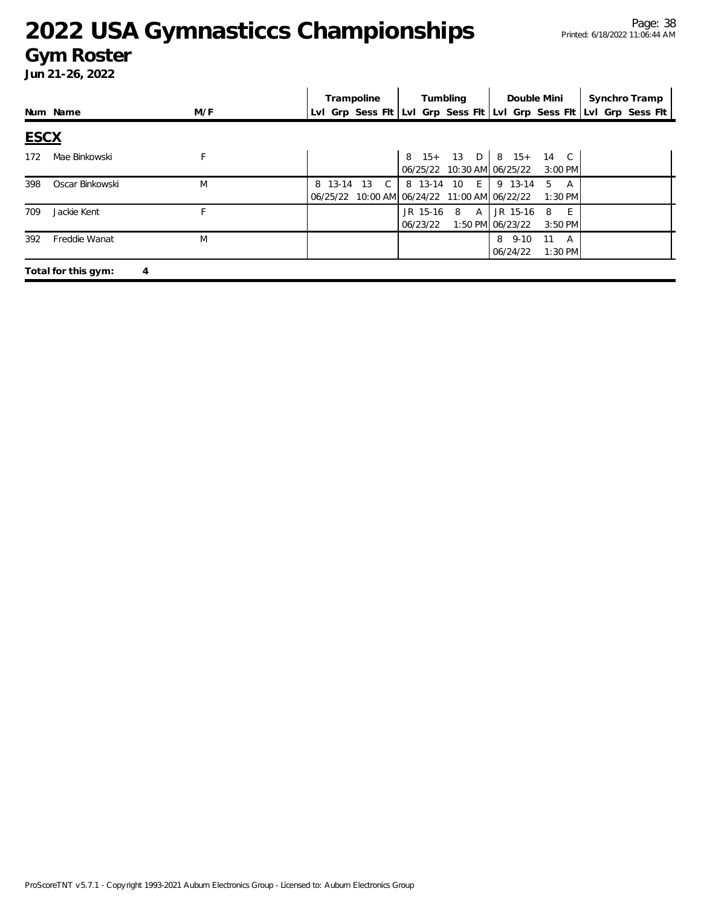#### **Gym Roster**

|             |                     |     | Trampoline           | Tumbling                                                      | Double Mini                                | Synchro Tramp                                                       |
|-------------|---------------------|-----|----------------------|---------------------------------------------------------------|--------------------------------------------|---------------------------------------------------------------------|
|             | Num Name            | M/F |                      |                                                               |                                            | Lvl Grp Sess Fit Lvl Grp Sess Fit Lvl Grp Sess Fit Lvl Grp Sess Fit |
| <b>ESCX</b> |                     |     |                      |                                                               |                                            |                                                                     |
| 172         | Mae Binkowski       | F   |                      | 06/25/22 10:30 AM 06/25/22                                    | 8 15+ 13 D   8 15+ 14 C<br>$3:00$ PM       |                                                                     |
| 398         | Oscar Binkowski     | M   | - 13<br>C<br>8 13-14 | 8 13-14 10 El<br>06/25/22 10:00 AM 06/24/22 11:00 AM 06/22/22 | 9 13-14<br>5<br>A<br>$1:30$ PM             |                                                                     |
| 709         | Jackie Kent         |     |                      | JR 15-16 8 A JR 15-16<br>06/23/22                             | 8<br>- E<br>1:50 PM 06/23/22<br>$3:50$ PM  |                                                                     |
| 392         | Freddie Wanat       | M   |                      |                                                               | 8 9-10<br>11<br>A<br>06/24/22<br>$1:30$ PM |                                                                     |
|             | Total for this gym: | 4   |                      |                                                               |                                            |                                                                     |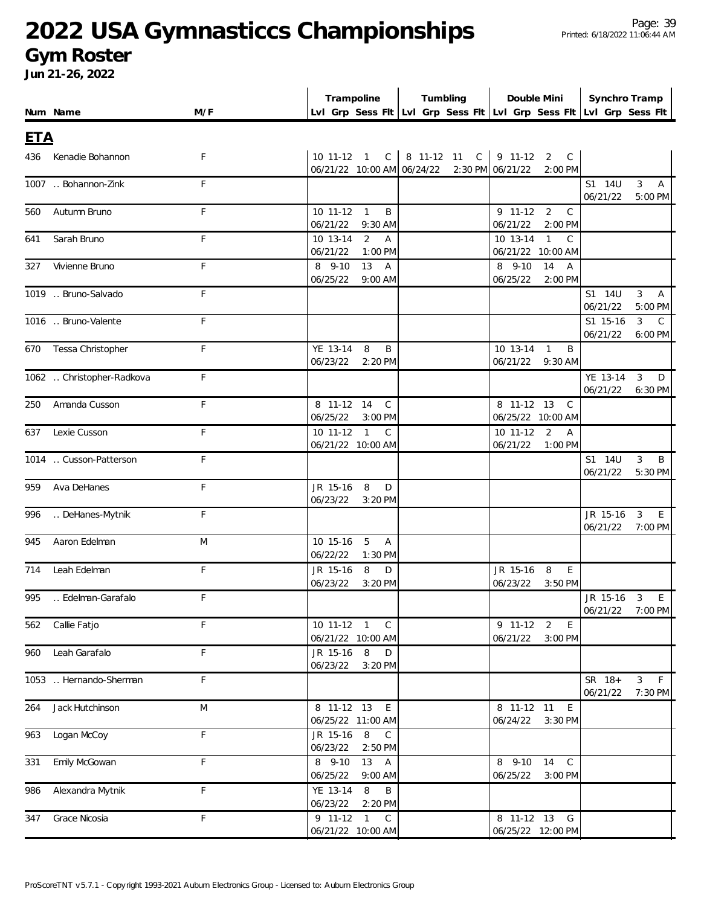#### **Gym Roster**

| Lvl Grp Sess Fit Lvl Grp Sess Fit Lvl Grp Sess Fit Lvl Grp Sess Fit<br>M/F<br>Num Name<br><b>ETA</b><br>10 11-12 1<br>8 11-12 11<br>C<br>9 11-12<br>Kenadie Bohannon<br>F<br>$\mathsf{C}$<br>2<br>C<br>436<br>06/21/22 10:00 AM 06/24/22<br>2:30 PM 06/21/22<br>2:00 PM<br>F<br>1007  Bohannon-Zink<br>S1 14U<br>3<br>A<br>06/21/22<br>5:00 PM<br>$9$ 11-12<br>F<br>10 11-12<br>$\mathbf{1}$<br>2<br>Autumn Bruno<br>B<br>C<br>560<br>06/21/22<br>9:30 AM<br>06/21/22<br>2:00 PM<br>Sarah Bruno<br>F<br>10 13-14<br>2<br>10 13-14<br>C<br>Α<br>$\mathbf{1}$<br>641<br>06/21/22<br>06/21/22 10:00 AM<br>1:00 PM<br>8 9-10<br>Vivienne Bruno<br>F<br>8 9-10<br>13<br>14<br>A<br>Α<br>327<br>06/25/22<br>06/25/22<br>2:00 PM<br>9:00 AM<br>1019  Bruno-Salvado<br>F<br>S1 14U<br>3<br>A<br>06/21/22<br>5:00 PM<br>F<br>1016  Bruno-Valente<br>S1 15-16<br>3<br>C<br>06/21/22<br>6:00 PM<br>Tessa Christopher<br>F<br>YE 13-14<br>10 13-14<br>8<br>B<br>B<br>670<br>$\mathbf{1}$<br>06/23/22<br>2:20 PM<br>06/21/22<br>9:30 AM<br>F<br>1062  Christopher-Radkova<br>YE 13-14<br>3<br>D<br>06/21/22<br>6:30 PM<br>F<br>8 11-12 14<br>8 11-12 13<br>Amanda Cusson<br>C<br>250<br>C<br>06/25/22<br>06/25/22 10:00 AM<br>3:00 PM<br>10 11-12 1<br>Lexie Cusson<br>F<br>10 11-12<br>2<br>$\mathsf{C}$<br>Α<br>637<br>06/21/22 10:00 AM<br>06/21/22<br>1:00 PM<br>F<br>1014  Cusson-Patterson<br>S1 14U<br>3<br>B<br>06/21/22<br>5:30 PM<br>F<br>Ava DeHanes<br>JR 15-16<br>959<br>8<br>D<br>06/23/22<br>3:20 PM<br>F<br>DeHanes-Mytnik<br>JR 15-16<br>3<br>996<br>E<br>06/21/22<br>7:00 PM<br>Aaron Edelman<br>M<br>10 15-16<br>5<br>945<br>A<br>06/22/22<br>1:30 PM<br>F<br>Leah Edelman<br>JR 15-16<br>8<br>JR 15-16<br>8<br>E<br>714<br>D<br>06/23/22<br>06/23/22<br>3:20 PM<br>3:50 PM<br>Edelman-Garafalo<br>F<br>JR 15-16<br>995<br>3<br>E<br>06/21/22<br>7:00 PM<br>9 11-12 2<br>562 Callie Fatjo<br>F<br>10 11-12 1 C<br>$\mathsf E$<br>06/21/22 10:00 AM<br>06/21/22 3:00 PM<br>F<br>JR 15-16 8<br>960 Leah Garafalo<br>D<br>06/23/22 3:20 PM<br>F<br>SR 18+<br>$3 \quad F$<br>1053  Hernando-Sherman<br>06/21/22<br>7:30 PM<br>${\sf M}$<br>8 11-12 13 E<br>8 11-12 11 E<br>264<br>Jack Hutchinson<br>06/25/22 11:00 AM<br>06/24/22 3:30 PM<br>F<br>JR 15-16 8<br>963 Logan McCoy<br>$\mathsf{C}$<br>06/23/22 2:50 PM<br>F<br>331 Emily McGowan<br>8 9-10 13 A<br>8 9-10 14 C<br>06/25/22<br>$9:00$ AM<br>06/25/22<br>$3:00$ PM<br>F<br>YE 13-14 8<br>$\sf B$<br>986 Alexandra Mytnik<br>06/23/22<br>2:20 PM<br>F<br>9 11-12 1 C<br>8 11-12 13 G<br>347 Grace Nicosia<br>06/21/22 10:00 AM<br>06/25/22 12:00 PM |  | Trampoline | Tumbling | Double Mini | Synchro Tramp |  |
|------------------------------------------------------------------------------------------------------------------------------------------------------------------------------------------------------------------------------------------------------------------------------------------------------------------------------------------------------------------------------------------------------------------------------------------------------------------------------------------------------------------------------------------------------------------------------------------------------------------------------------------------------------------------------------------------------------------------------------------------------------------------------------------------------------------------------------------------------------------------------------------------------------------------------------------------------------------------------------------------------------------------------------------------------------------------------------------------------------------------------------------------------------------------------------------------------------------------------------------------------------------------------------------------------------------------------------------------------------------------------------------------------------------------------------------------------------------------------------------------------------------------------------------------------------------------------------------------------------------------------------------------------------------------------------------------------------------------------------------------------------------------------------------------------------------------------------------------------------------------------------------------------------------------------------------------------------------------------------------------------------------------------------------------------------------------------------------------------------------------------------------------------------------------------------------------------------------------------------------------------------------------------------------------------------------------------------------------------------------------------------------------------------------------------------------------------------------------------------------------------------------------------------------------------------------------------------------------------------------|--|------------|----------|-------------|---------------|--|
|                                                                                                                                                                                                                                                                                                                                                                                                                                                                                                                                                                                                                                                                                                                                                                                                                                                                                                                                                                                                                                                                                                                                                                                                                                                                                                                                                                                                                                                                                                                                                                                                                                                                                                                                                                                                                                                                                                                                                                                                                                                                                                                                                                                                                                                                                                                                                                                                                                                                                                                                                                                                                  |  |            |          |             |               |  |
|                                                                                                                                                                                                                                                                                                                                                                                                                                                                                                                                                                                                                                                                                                                                                                                                                                                                                                                                                                                                                                                                                                                                                                                                                                                                                                                                                                                                                                                                                                                                                                                                                                                                                                                                                                                                                                                                                                                                                                                                                                                                                                                                                                                                                                                                                                                                                                                                                                                                                                                                                                                                                  |  |            |          |             |               |  |
|                                                                                                                                                                                                                                                                                                                                                                                                                                                                                                                                                                                                                                                                                                                                                                                                                                                                                                                                                                                                                                                                                                                                                                                                                                                                                                                                                                                                                                                                                                                                                                                                                                                                                                                                                                                                                                                                                                                                                                                                                                                                                                                                                                                                                                                                                                                                                                                                                                                                                                                                                                                                                  |  |            |          |             |               |  |
|                                                                                                                                                                                                                                                                                                                                                                                                                                                                                                                                                                                                                                                                                                                                                                                                                                                                                                                                                                                                                                                                                                                                                                                                                                                                                                                                                                                                                                                                                                                                                                                                                                                                                                                                                                                                                                                                                                                                                                                                                                                                                                                                                                                                                                                                                                                                                                                                                                                                                                                                                                                                                  |  |            |          |             |               |  |
|                                                                                                                                                                                                                                                                                                                                                                                                                                                                                                                                                                                                                                                                                                                                                                                                                                                                                                                                                                                                                                                                                                                                                                                                                                                                                                                                                                                                                                                                                                                                                                                                                                                                                                                                                                                                                                                                                                                                                                                                                                                                                                                                                                                                                                                                                                                                                                                                                                                                                                                                                                                                                  |  |            |          |             |               |  |
|                                                                                                                                                                                                                                                                                                                                                                                                                                                                                                                                                                                                                                                                                                                                                                                                                                                                                                                                                                                                                                                                                                                                                                                                                                                                                                                                                                                                                                                                                                                                                                                                                                                                                                                                                                                                                                                                                                                                                                                                                                                                                                                                                                                                                                                                                                                                                                                                                                                                                                                                                                                                                  |  |            |          |             |               |  |
|                                                                                                                                                                                                                                                                                                                                                                                                                                                                                                                                                                                                                                                                                                                                                                                                                                                                                                                                                                                                                                                                                                                                                                                                                                                                                                                                                                                                                                                                                                                                                                                                                                                                                                                                                                                                                                                                                                                                                                                                                                                                                                                                                                                                                                                                                                                                                                                                                                                                                                                                                                                                                  |  |            |          |             |               |  |
|                                                                                                                                                                                                                                                                                                                                                                                                                                                                                                                                                                                                                                                                                                                                                                                                                                                                                                                                                                                                                                                                                                                                                                                                                                                                                                                                                                                                                                                                                                                                                                                                                                                                                                                                                                                                                                                                                                                                                                                                                                                                                                                                                                                                                                                                                                                                                                                                                                                                                                                                                                                                                  |  |            |          |             |               |  |
|                                                                                                                                                                                                                                                                                                                                                                                                                                                                                                                                                                                                                                                                                                                                                                                                                                                                                                                                                                                                                                                                                                                                                                                                                                                                                                                                                                                                                                                                                                                                                                                                                                                                                                                                                                                                                                                                                                                                                                                                                                                                                                                                                                                                                                                                                                                                                                                                                                                                                                                                                                                                                  |  |            |          |             |               |  |
|                                                                                                                                                                                                                                                                                                                                                                                                                                                                                                                                                                                                                                                                                                                                                                                                                                                                                                                                                                                                                                                                                                                                                                                                                                                                                                                                                                                                                                                                                                                                                                                                                                                                                                                                                                                                                                                                                                                                                                                                                                                                                                                                                                                                                                                                                                                                                                                                                                                                                                                                                                                                                  |  |            |          |             |               |  |
|                                                                                                                                                                                                                                                                                                                                                                                                                                                                                                                                                                                                                                                                                                                                                                                                                                                                                                                                                                                                                                                                                                                                                                                                                                                                                                                                                                                                                                                                                                                                                                                                                                                                                                                                                                                                                                                                                                                                                                                                                                                                                                                                                                                                                                                                                                                                                                                                                                                                                                                                                                                                                  |  |            |          |             |               |  |
|                                                                                                                                                                                                                                                                                                                                                                                                                                                                                                                                                                                                                                                                                                                                                                                                                                                                                                                                                                                                                                                                                                                                                                                                                                                                                                                                                                                                                                                                                                                                                                                                                                                                                                                                                                                                                                                                                                                                                                                                                                                                                                                                                                                                                                                                                                                                                                                                                                                                                                                                                                                                                  |  |            |          |             |               |  |
|                                                                                                                                                                                                                                                                                                                                                                                                                                                                                                                                                                                                                                                                                                                                                                                                                                                                                                                                                                                                                                                                                                                                                                                                                                                                                                                                                                                                                                                                                                                                                                                                                                                                                                                                                                                                                                                                                                                                                                                                                                                                                                                                                                                                                                                                                                                                                                                                                                                                                                                                                                                                                  |  |            |          |             |               |  |
|                                                                                                                                                                                                                                                                                                                                                                                                                                                                                                                                                                                                                                                                                                                                                                                                                                                                                                                                                                                                                                                                                                                                                                                                                                                                                                                                                                                                                                                                                                                                                                                                                                                                                                                                                                                                                                                                                                                                                                                                                                                                                                                                                                                                                                                                                                                                                                                                                                                                                                                                                                                                                  |  |            |          |             |               |  |
|                                                                                                                                                                                                                                                                                                                                                                                                                                                                                                                                                                                                                                                                                                                                                                                                                                                                                                                                                                                                                                                                                                                                                                                                                                                                                                                                                                                                                                                                                                                                                                                                                                                                                                                                                                                                                                                                                                                                                                                                                                                                                                                                                                                                                                                                                                                                                                                                                                                                                                                                                                                                                  |  |            |          |             |               |  |
|                                                                                                                                                                                                                                                                                                                                                                                                                                                                                                                                                                                                                                                                                                                                                                                                                                                                                                                                                                                                                                                                                                                                                                                                                                                                                                                                                                                                                                                                                                                                                                                                                                                                                                                                                                                                                                                                                                                                                                                                                                                                                                                                                                                                                                                                                                                                                                                                                                                                                                                                                                                                                  |  |            |          |             |               |  |
|                                                                                                                                                                                                                                                                                                                                                                                                                                                                                                                                                                                                                                                                                                                                                                                                                                                                                                                                                                                                                                                                                                                                                                                                                                                                                                                                                                                                                                                                                                                                                                                                                                                                                                                                                                                                                                                                                                                                                                                                                                                                                                                                                                                                                                                                                                                                                                                                                                                                                                                                                                                                                  |  |            |          |             |               |  |
|                                                                                                                                                                                                                                                                                                                                                                                                                                                                                                                                                                                                                                                                                                                                                                                                                                                                                                                                                                                                                                                                                                                                                                                                                                                                                                                                                                                                                                                                                                                                                                                                                                                                                                                                                                                                                                                                                                                                                                                                                                                                                                                                                                                                                                                                                                                                                                                                                                                                                                                                                                                                                  |  |            |          |             |               |  |
|                                                                                                                                                                                                                                                                                                                                                                                                                                                                                                                                                                                                                                                                                                                                                                                                                                                                                                                                                                                                                                                                                                                                                                                                                                                                                                                                                                                                                                                                                                                                                                                                                                                                                                                                                                                                                                                                                                                                                                                                                                                                                                                                                                                                                                                                                                                                                                                                                                                                                                                                                                                                                  |  |            |          |             |               |  |
|                                                                                                                                                                                                                                                                                                                                                                                                                                                                                                                                                                                                                                                                                                                                                                                                                                                                                                                                                                                                                                                                                                                                                                                                                                                                                                                                                                                                                                                                                                                                                                                                                                                                                                                                                                                                                                                                                                                                                                                                                                                                                                                                                                                                                                                                                                                                                                                                                                                                                                                                                                                                                  |  |            |          |             |               |  |
|                                                                                                                                                                                                                                                                                                                                                                                                                                                                                                                                                                                                                                                                                                                                                                                                                                                                                                                                                                                                                                                                                                                                                                                                                                                                                                                                                                                                                                                                                                                                                                                                                                                                                                                                                                                                                                                                                                                                                                                                                                                                                                                                                                                                                                                                                                                                                                                                                                                                                                                                                                                                                  |  |            |          |             |               |  |
|                                                                                                                                                                                                                                                                                                                                                                                                                                                                                                                                                                                                                                                                                                                                                                                                                                                                                                                                                                                                                                                                                                                                                                                                                                                                                                                                                                                                                                                                                                                                                                                                                                                                                                                                                                                                                                                                                                                                                                                                                                                                                                                                                                                                                                                                                                                                                                                                                                                                                                                                                                                                                  |  |            |          |             |               |  |
|                                                                                                                                                                                                                                                                                                                                                                                                                                                                                                                                                                                                                                                                                                                                                                                                                                                                                                                                                                                                                                                                                                                                                                                                                                                                                                                                                                                                                                                                                                                                                                                                                                                                                                                                                                                                                                                                                                                                                                                                                                                                                                                                                                                                                                                                                                                                                                                                                                                                                                                                                                                                                  |  |            |          |             |               |  |
|                                                                                                                                                                                                                                                                                                                                                                                                                                                                                                                                                                                                                                                                                                                                                                                                                                                                                                                                                                                                                                                                                                                                                                                                                                                                                                                                                                                                                                                                                                                                                                                                                                                                                                                                                                                                                                                                                                                                                                                                                                                                                                                                                                                                                                                                                                                                                                                                                                                                                                                                                                                                                  |  |            |          |             |               |  |
|                                                                                                                                                                                                                                                                                                                                                                                                                                                                                                                                                                                                                                                                                                                                                                                                                                                                                                                                                                                                                                                                                                                                                                                                                                                                                                                                                                                                                                                                                                                                                                                                                                                                                                                                                                                                                                                                                                                                                                                                                                                                                                                                                                                                                                                                                                                                                                                                                                                                                                                                                                                                                  |  |            |          |             |               |  |
|                                                                                                                                                                                                                                                                                                                                                                                                                                                                                                                                                                                                                                                                                                                                                                                                                                                                                                                                                                                                                                                                                                                                                                                                                                                                                                                                                                                                                                                                                                                                                                                                                                                                                                                                                                                                                                                                                                                                                                                                                                                                                                                                                                                                                                                                                                                                                                                                                                                                                                                                                                                                                  |  |            |          |             |               |  |
|                                                                                                                                                                                                                                                                                                                                                                                                                                                                                                                                                                                                                                                                                                                                                                                                                                                                                                                                                                                                                                                                                                                                                                                                                                                                                                                                                                                                                                                                                                                                                                                                                                                                                                                                                                                                                                                                                                                                                                                                                                                                                                                                                                                                                                                                                                                                                                                                                                                                                                                                                                                                                  |  |            |          |             |               |  |
|                                                                                                                                                                                                                                                                                                                                                                                                                                                                                                                                                                                                                                                                                                                                                                                                                                                                                                                                                                                                                                                                                                                                                                                                                                                                                                                                                                                                                                                                                                                                                                                                                                                                                                                                                                                                                                                                                                                                                                                                                                                                                                                                                                                                                                                                                                                                                                                                                                                                                                                                                                                                                  |  |            |          |             |               |  |
|                                                                                                                                                                                                                                                                                                                                                                                                                                                                                                                                                                                                                                                                                                                                                                                                                                                                                                                                                                                                                                                                                                                                                                                                                                                                                                                                                                                                                                                                                                                                                                                                                                                                                                                                                                                                                                                                                                                                                                                                                                                                                                                                                                                                                                                                                                                                                                                                                                                                                                                                                                                                                  |  |            |          |             |               |  |
|                                                                                                                                                                                                                                                                                                                                                                                                                                                                                                                                                                                                                                                                                                                                                                                                                                                                                                                                                                                                                                                                                                                                                                                                                                                                                                                                                                                                                                                                                                                                                                                                                                                                                                                                                                                                                                                                                                                                                                                                                                                                                                                                                                                                                                                                                                                                                                                                                                                                                                                                                                                                                  |  |            |          |             |               |  |
|                                                                                                                                                                                                                                                                                                                                                                                                                                                                                                                                                                                                                                                                                                                                                                                                                                                                                                                                                                                                                                                                                                                                                                                                                                                                                                                                                                                                                                                                                                                                                                                                                                                                                                                                                                                                                                                                                                                                                                                                                                                                                                                                                                                                                                                                                                                                                                                                                                                                                                                                                                                                                  |  |            |          |             |               |  |
|                                                                                                                                                                                                                                                                                                                                                                                                                                                                                                                                                                                                                                                                                                                                                                                                                                                                                                                                                                                                                                                                                                                                                                                                                                                                                                                                                                                                                                                                                                                                                                                                                                                                                                                                                                                                                                                                                                                                                                                                                                                                                                                                                                                                                                                                                                                                                                                                                                                                                                                                                                                                                  |  |            |          |             |               |  |
|                                                                                                                                                                                                                                                                                                                                                                                                                                                                                                                                                                                                                                                                                                                                                                                                                                                                                                                                                                                                                                                                                                                                                                                                                                                                                                                                                                                                                                                                                                                                                                                                                                                                                                                                                                                                                                                                                                                                                                                                                                                                                                                                                                                                                                                                                                                                                                                                                                                                                                                                                                                                                  |  |            |          |             |               |  |
|                                                                                                                                                                                                                                                                                                                                                                                                                                                                                                                                                                                                                                                                                                                                                                                                                                                                                                                                                                                                                                                                                                                                                                                                                                                                                                                                                                                                                                                                                                                                                                                                                                                                                                                                                                                                                                                                                                                                                                                                                                                                                                                                                                                                                                                                                                                                                                                                                                                                                                                                                                                                                  |  |            |          |             |               |  |
|                                                                                                                                                                                                                                                                                                                                                                                                                                                                                                                                                                                                                                                                                                                                                                                                                                                                                                                                                                                                                                                                                                                                                                                                                                                                                                                                                                                                                                                                                                                                                                                                                                                                                                                                                                                                                                                                                                                                                                                                                                                                                                                                                                                                                                                                                                                                                                                                                                                                                                                                                                                                                  |  |            |          |             |               |  |
|                                                                                                                                                                                                                                                                                                                                                                                                                                                                                                                                                                                                                                                                                                                                                                                                                                                                                                                                                                                                                                                                                                                                                                                                                                                                                                                                                                                                                                                                                                                                                                                                                                                                                                                                                                                                                                                                                                                                                                                                                                                                                                                                                                                                                                                                                                                                                                                                                                                                                                                                                                                                                  |  |            |          |             |               |  |
|                                                                                                                                                                                                                                                                                                                                                                                                                                                                                                                                                                                                                                                                                                                                                                                                                                                                                                                                                                                                                                                                                                                                                                                                                                                                                                                                                                                                                                                                                                                                                                                                                                                                                                                                                                                                                                                                                                                                                                                                                                                                                                                                                                                                                                                                                                                                                                                                                                                                                                                                                                                                                  |  |            |          |             |               |  |
|                                                                                                                                                                                                                                                                                                                                                                                                                                                                                                                                                                                                                                                                                                                                                                                                                                                                                                                                                                                                                                                                                                                                                                                                                                                                                                                                                                                                                                                                                                                                                                                                                                                                                                                                                                                                                                                                                                                                                                                                                                                                                                                                                                                                                                                                                                                                                                                                                                                                                                                                                                                                                  |  |            |          |             |               |  |
|                                                                                                                                                                                                                                                                                                                                                                                                                                                                                                                                                                                                                                                                                                                                                                                                                                                                                                                                                                                                                                                                                                                                                                                                                                                                                                                                                                                                                                                                                                                                                                                                                                                                                                                                                                                                                                                                                                                                                                                                                                                                                                                                                                                                                                                                                                                                                                                                                                                                                                                                                                                                                  |  |            |          |             |               |  |
|                                                                                                                                                                                                                                                                                                                                                                                                                                                                                                                                                                                                                                                                                                                                                                                                                                                                                                                                                                                                                                                                                                                                                                                                                                                                                                                                                                                                                                                                                                                                                                                                                                                                                                                                                                                                                                                                                                                                                                                                                                                                                                                                                                                                                                                                                                                                                                                                                                                                                                                                                                                                                  |  |            |          |             |               |  |
|                                                                                                                                                                                                                                                                                                                                                                                                                                                                                                                                                                                                                                                                                                                                                                                                                                                                                                                                                                                                                                                                                                                                                                                                                                                                                                                                                                                                                                                                                                                                                                                                                                                                                                                                                                                                                                                                                                                                                                                                                                                                                                                                                                                                                                                                                                                                                                                                                                                                                                                                                                                                                  |  |            |          |             |               |  |
|                                                                                                                                                                                                                                                                                                                                                                                                                                                                                                                                                                                                                                                                                                                                                                                                                                                                                                                                                                                                                                                                                                                                                                                                                                                                                                                                                                                                                                                                                                                                                                                                                                                                                                                                                                                                                                                                                                                                                                                                                                                                                                                                                                                                                                                                                                                                                                                                                                                                                                                                                                                                                  |  |            |          |             |               |  |
|                                                                                                                                                                                                                                                                                                                                                                                                                                                                                                                                                                                                                                                                                                                                                                                                                                                                                                                                                                                                                                                                                                                                                                                                                                                                                                                                                                                                                                                                                                                                                                                                                                                                                                                                                                                                                                                                                                                                                                                                                                                                                                                                                                                                                                                                                                                                                                                                                                                                                                                                                                                                                  |  |            |          |             |               |  |
|                                                                                                                                                                                                                                                                                                                                                                                                                                                                                                                                                                                                                                                                                                                                                                                                                                                                                                                                                                                                                                                                                                                                                                                                                                                                                                                                                                                                                                                                                                                                                                                                                                                                                                                                                                                                                                                                                                                                                                                                                                                                                                                                                                                                                                                                                                                                                                                                                                                                                                                                                                                                                  |  |            |          |             |               |  |
|                                                                                                                                                                                                                                                                                                                                                                                                                                                                                                                                                                                                                                                                                                                                                                                                                                                                                                                                                                                                                                                                                                                                                                                                                                                                                                                                                                                                                                                                                                                                                                                                                                                                                                                                                                                                                                                                                                                                                                                                                                                                                                                                                                                                                                                                                                                                                                                                                                                                                                                                                                                                                  |  |            |          |             |               |  |
|                                                                                                                                                                                                                                                                                                                                                                                                                                                                                                                                                                                                                                                                                                                                                                                                                                                                                                                                                                                                                                                                                                                                                                                                                                                                                                                                                                                                                                                                                                                                                                                                                                                                                                                                                                                                                                                                                                                                                                                                                                                                                                                                                                                                                                                                                                                                                                                                                                                                                                                                                                                                                  |  |            |          |             |               |  |
|                                                                                                                                                                                                                                                                                                                                                                                                                                                                                                                                                                                                                                                                                                                                                                                                                                                                                                                                                                                                                                                                                                                                                                                                                                                                                                                                                                                                                                                                                                                                                                                                                                                                                                                                                                                                                                                                                                                                                                                                                                                                                                                                                                                                                                                                                                                                                                                                                                                                                                                                                                                                                  |  |            |          |             |               |  |
|                                                                                                                                                                                                                                                                                                                                                                                                                                                                                                                                                                                                                                                                                                                                                                                                                                                                                                                                                                                                                                                                                                                                                                                                                                                                                                                                                                                                                                                                                                                                                                                                                                                                                                                                                                                                                                                                                                                                                                                                                                                                                                                                                                                                                                                                                                                                                                                                                                                                                                                                                                                                                  |  |            |          |             |               |  |
|                                                                                                                                                                                                                                                                                                                                                                                                                                                                                                                                                                                                                                                                                                                                                                                                                                                                                                                                                                                                                                                                                                                                                                                                                                                                                                                                                                                                                                                                                                                                                                                                                                                                                                                                                                                                                                                                                                                                                                                                                                                                                                                                                                                                                                                                                                                                                                                                                                                                                                                                                                                                                  |  |            |          |             |               |  |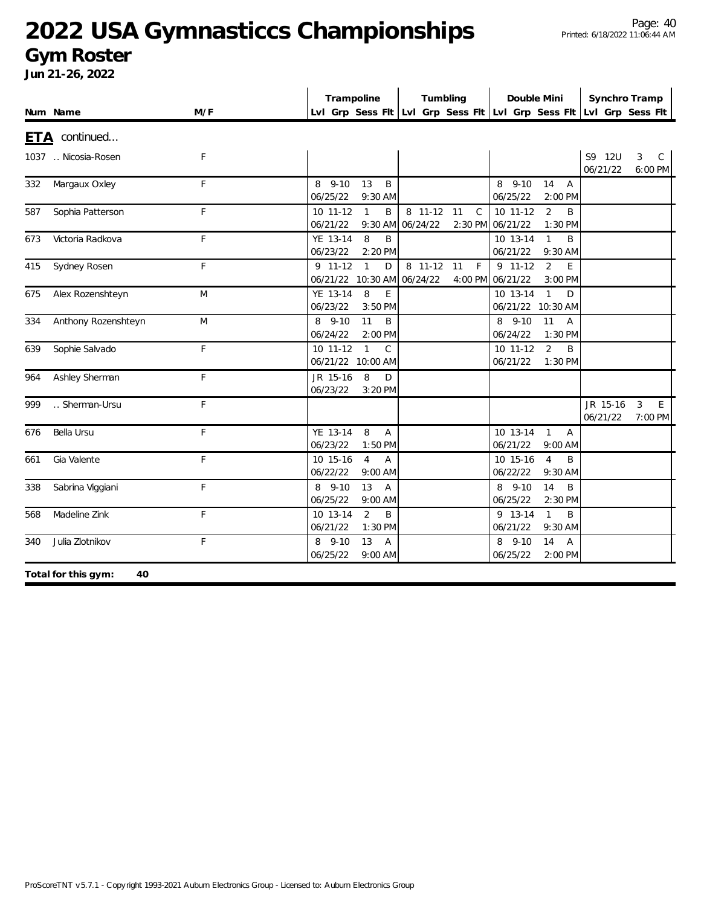### **Gym Roster**

|            |                           |     |                      | Trampoline                                         | Tumbling            |                    | Double Mini                   |                                 | Synchro Tramp                                                       |                              |
|------------|---------------------------|-----|----------------------|----------------------------------------------------|---------------------|--------------------|-------------------------------|---------------------------------|---------------------------------------------------------------------|------------------------------|
|            | Num Name                  | M/F |                      |                                                    |                     |                    |                               |                                 | Lvl Grp Sess Fit Lvl Grp Sess Fit Lvl Grp Sess Fit Lvl Grp Sess Fit |                              |
| <u>ETA</u> | continued                 |     |                      |                                                    |                     |                    |                               |                                 |                                                                     |                              |
|            | 1037  Nicosia-Rosen       | F   |                      |                                                    |                     |                    |                               |                                 | S9 12U<br>06/21/22                                                  | $\mathsf{C}$<br>3<br>6:00 PM |
| 332        | Margaux Oxley             | F   | 8 9-10<br>06/25/22   | 13<br>B<br>9:30 AM                                 |                     |                    | 8 9-10<br>06/25/22            | 14<br>$\overline{A}$<br>2:00 PM |                                                                     |                              |
| 587        | Sophia Patterson          | F   | 10 11-12<br>06/21/22 | B<br>$\mathbf{1}$<br>9:30 AM                       | 8 11-12<br>06/24/22 | 11<br>$\mathsf{C}$ | 10 11-12<br>2:30 PM 06/21/22  | 2<br>B<br>1:30 PM               |                                                                     |                              |
| 673        | Victoria Radkova          | F   | YE 13-14<br>06/23/22 | 8<br>B<br>2:20 PM                                  |                     |                    | 10 13-14<br>06/21/22          | $\mathbf{1}$<br>B<br>9:30 AM    |                                                                     |                              |
| 415        | Sydney Rosen              | F   | $9$ 11-12            | $\mathbf{1}$<br>D<br>06/21/22 10:30 AM             | 8 11-12<br>06/24/22 | 11<br>$\mathsf{F}$ | $9$ 11-12<br>4:00 PM 06/21/22 | $\overline{2}$<br>E<br>3:00 PM  |                                                                     |                              |
| 675        | Alex Rozenshteyn          | M   | YE 13-14<br>06/23/22 | 8<br>E<br>3:50 PM                                  |                     |                    | 10 13-14<br>06/21/22 10:30 AM | $\mathbf{1}$<br>D               |                                                                     |                              |
| 334        | Anthony Rozenshteyn       | M   | 8 9-10<br>06/24/22   | 11<br>B<br>2:00 PM                                 |                     |                    | 8 9-10<br>06/24/22            | 11<br>$\overline{A}$<br>1:30 PM |                                                                     |                              |
| 639        | Sophie Salvado            | F   | 10 11-12             | $\mathbf{1}$<br>$\mathcal{C}$<br>06/21/22 10:00 AM |                     |                    | 10 11-12<br>06/21/22          | $\overline{2}$<br>B<br>1:30 PM  |                                                                     |                              |
| 964        | Ashley Sherman            | F   | JR 15-16<br>06/23/22 | 8<br>D<br>3:20 PM                                  |                     |                    |                               |                                 |                                                                     |                              |
| 999        | Sherman-Ursu              | F   |                      |                                                    |                     |                    |                               |                                 | JR 15-16<br>06/21/22                                                | 3<br>E<br>7:00 PM            |
| 676        | Bella Ursu                | F   | YE 13-14<br>06/23/22 | 8<br>Α<br>1:50 PM                                  |                     |                    | 10 13-14<br>06/21/22          | $\mathbf{1}$<br>Α<br>9:00 AM    |                                                                     |                              |
| 661        | Gia Valente               | F   | 10 15-16<br>06/22/22 | $\overline{4}$<br>A<br>9:00 AM                     |                     |                    | 10 15-16<br>06/22/22          | $\overline{4}$<br>B<br>9:30 AM  |                                                                     |                              |
| 338        | Sabrina Viggiani          | F   | 8 9-10<br>06/25/22   | 13<br>Α<br>9:00 AM                                 |                     |                    | 8 9-10<br>06/25/22            | 14<br>B<br>2:30 PM              |                                                                     |                              |
| 568        | Madeline Zink             | F   | 10 13-14<br>06/21/22 | $\overline{2}$<br>B<br>1:30 PM                     |                     |                    | 9 13-14<br>06/21/22           | $\mathbf{1}$<br>B<br>9:30 AM    |                                                                     |                              |
| 340        | Julia Zlotnikov           | F   | 8 9-10<br>06/25/22   | 13<br>$\overline{A}$<br>9:00 AM                    |                     |                    | 8 9-10<br>06/25/22            | 14<br>$\overline{A}$<br>2:00 PM |                                                                     |                              |
|            | Total for this gym:<br>40 |     |                      |                                                    |                     |                    |                               |                                 |                                                                     |                              |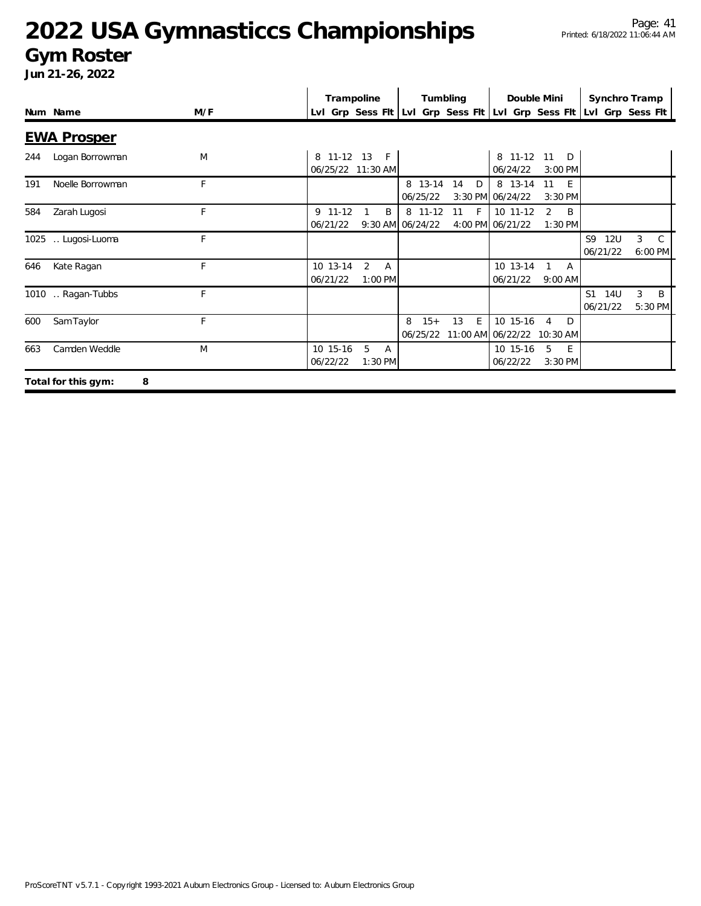#### **Gym Roster**

|     |                          |     | Trampoline                      |                                  |   |                     | Tumbling |              | Double Mini                   |                                  |                                                                     | Synchro Tramp                |  |
|-----|--------------------------|-----|---------------------------------|----------------------------------|---|---------------------|----------|--------------|-------------------------------|----------------------------------|---------------------------------------------------------------------|------------------------------|--|
|     | Num Name                 | M/F |                                 |                                  |   |                     |          |              |                               |                                  | Lvl Grp Sess Fit Lvl Grp Sess Fit Lvl Grp Sess Fit Lvl Grp Sess Fit |                              |  |
|     | <b>EWA Prosper</b>       |     |                                 |                                  |   |                     |          |              |                               |                                  |                                                                     |                              |  |
| 244 | Logan Borrowman          | M   | 8 11-12 13<br>06/25/22 11:30 AM | $-F$                             |   |                     |          |              | 8 11-12 11<br>06/24/22        | D<br>$3:00$ PM                   |                                                                     |                              |  |
| 191 | Noelle Borrowman         | F   |                                 |                                  |   | 8 13-14<br>06/25/22 | 14       | D            | 8 13-14<br>3:30 PM 06/24/22   | 11<br>E<br>3:30 PM               |                                                                     |                              |  |
| 584 | Zarah Lugosi             | F   | $9$ 11-12<br>06/21/22           | B<br>9:30 AM 06/24/22            |   | 8 11-12             | 11       | $\mathsf{F}$ | 10 11-12<br>4:00 PM 06/21/22  | $\overline{2}$<br>B<br>$1:30$ PM |                                                                     |                              |  |
|     | 1025 . Lugosi-Luoma      | F   |                                 |                                  |   |                     |          |              |                               |                                  | S9<br>12U<br>06/21/22                                               | 3<br>$\mathbb{C}$<br>6:00 PM |  |
| 646 | Kate Ragan               | F   | 10 13-14<br>06/21/22            | 2<br>$\mathsf{A}$<br>$1:00$ PM   |   |                     |          |              | 10 13-14<br>06/21/22          | A<br>$9:00$ AM                   |                                                                     |                              |  |
|     | 1010  Ragan-Tubbs        | F.  |                                 |                                  |   |                     |          |              |                               |                                  | S <sub>1</sub><br>14U<br>06/21/22                                   | 3<br>B<br>5:30 PM            |  |
| 600 | Sam Taylor               | F   |                                 |                                  | 8 | $15+$<br>06/25/22   | 13       | E            | 10 15-16<br>11:00 AM 06/22/22 | D<br>$\overline{4}$<br>10:30 AM  |                                                                     |                              |  |
| 663 | Camden Weddle            | M   | 10 15-16<br>06/22/22            | 5<br>$\overline{A}$<br>$1:30$ PM |   |                     |          |              | 10 15-16<br>06/22/22          | 5<br>E<br>$3:30$ PM              |                                                                     |                              |  |
|     | Total for this gym:<br>8 |     |                                 |                                  |   |                     |          |              |                               |                                  |                                                                     |                              |  |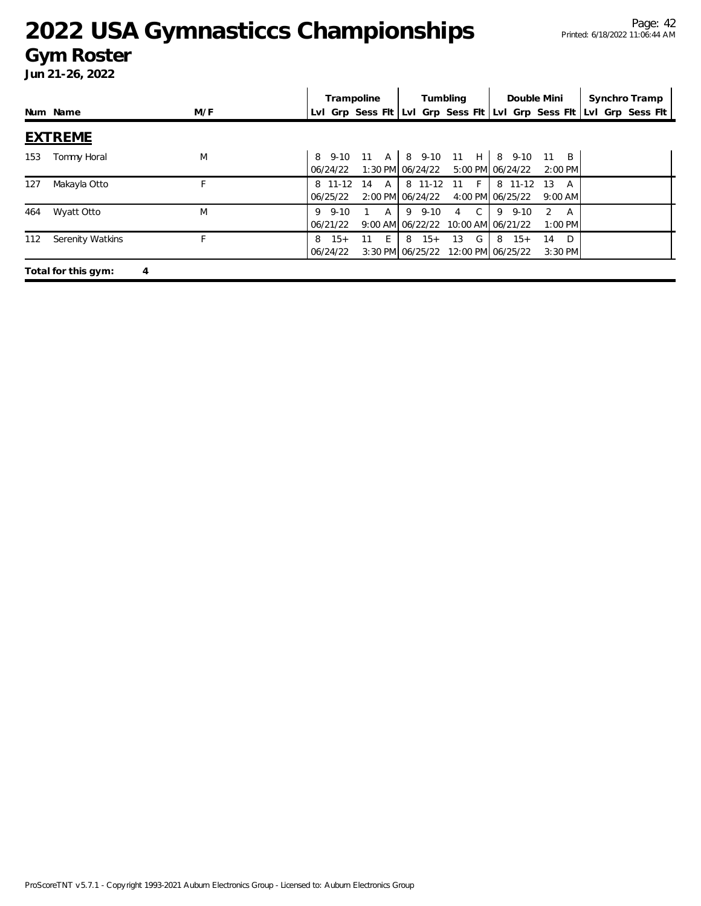#### **Gym Roster**

|     |                          |     |                            | Trampoline                     |                  | Tumbling                                         | Double Mini    |                                 | Synchro Tramp                                                       |  |
|-----|--------------------------|-----|----------------------------|--------------------------------|------------------|--------------------------------------------------|----------------|---------------------------------|---------------------------------------------------------------------|--|
|     | Num Name                 | M/F |                            |                                |                  |                                                  |                |                                 | Lvl Grp Sess Flt Lvl Grp Sess Flt Lvl Grp Sess Flt Lvl Grp Sess Flt |  |
|     | <b>EXTREME</b>           |     |                            |                                |                  |                                                  |                |                                 |                                                                     |  |
| 153 | Tommy Horal              | M   | 06/24/22                   | 8 9-10 11 A 8 9-10 11 H 8 9-10 |                  | 1:30 PM 06/24/22 5:00 PM 06/24/22                |                | $11 \quad B$<br>$2:00$ PM       |                                                                     |  |
| 127 | Makayla Otto             |     | 8 11-12<br>06/25/22        | <b>A</b><br>14                 | 2:00 PM 06/24/22 | 8 11-12 11 F<br>4:00 PM 06/25/22                 | 8 11-12        | -13<br>$9:00$ AM                |                                                                     |  |
| 464 | Wyatt Otto               | M   | $9 \quad 9-10$<br>06/21/22 | $1 \quad A$                    |                  | 9 9-10 4 C<br>9:00 AM 06/22/22 10:00 AM 06/21/22 | $9 \quad 9-10$ | $\mathcal{L}$<br>A<br>$1:00$ PM |                                                                     |  |
| 112 | Serenity Watkins         |     | $15+$<br>8<br>06/24/22     | 11 E                           | $8 \t15+$        | 13 G<br>3:30 PM 06/25/22 12:00 PM 06/25/22       | $8 \t15+$      | D <sub>D</sub><br>14<br>3:30 PM |                                                                     |  |
|     | Total for this gym:<br>4 |     |                            |                                |                  |                                                  |                |                                 |                                                                     |  |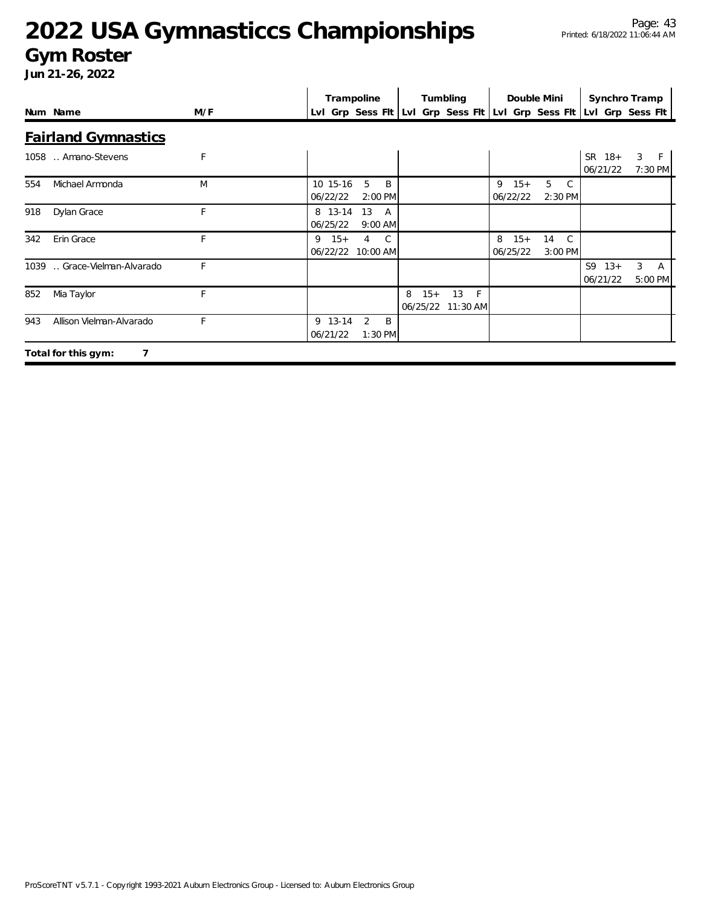#### **Gym Roster**

|     |                              |              | Trampoline                                                          |                      |                        | Tumbling               |                        | Double Mini                   |                        | Synchro Tramp     |
|-----|------------------------------|--------------|---------------------------------------------------------------------|----------------------|------------------------|------------------------|------------------------|-------------------------------|------------------------|-------------------|
|     | Num Name                     | M/F          | LvI Grp Sess FIt LvI Grp Sess FIt LvI Grp Sess FIt LvI Grp Sess FIt |                      |                        |                        |                        |                               |                        |                   |
|     | <b>Fairland Gymnastics</b>   |              |                                                                     |                      |                        |                        |                        |                               |                        |                   |
|     | 1058  Amano-Stevens          | $\mathsf{F}$ |                                                                     |                      |                        |                        |                        |                               | $SR$ 18+<br>06/21/22   | 3<br>F<br>7:30 PM |
| 554 | Michael Armonda              | M            | 10 15-16<br>06/22/22                                                | 5<br>B<br>2:00 PM    |                        |                        | $9 \t15+$<br>06/22/22  | 5<br>C.<br>2:30 PM            |                        |                   |
| 918 | Dylan Grace                  | F            | 8 13-14<br>06/25/22                                                 | 13<br>A<br>$9:00$ AM |                        |                        |                        |                               |                        |                   |
| 342 | Erin Grace                   | F            | $9 \t15+$<br>06/22/22 10:00 AM                                      | C.<br>4              |                        |                        | 8<br>$15+$<br>06/25/22 | $\mathsf{C}$<br>14<br>3:00 PM |                        |                   |
|     | 1039  Grace-Vielman-Alvarado | F            |                                                                     |                      |                        |                        |                        |                               | $S9 \t13+$<br>06/21/22 | 3<br>A<br>5:00 PM |
| 852 | Mia Taylor                   | F            |                                                                     |                      | $15+$<br>8<br>06/25/22 | 13<br>$-F$<br>11:30 AM |                        |                               |                        |                   |
| 943 | Allison Vielman-Alvarado     | E            | 9 13-14<br>06/21/22                                                 | 2<br>B<br>$1:30$ PM  |                        |                        |                        |                               |                        |                   |
|     | 7<br>Total for this gym:     |              |                                                                     |                      |                        |                        |                        |                               |                        |                   |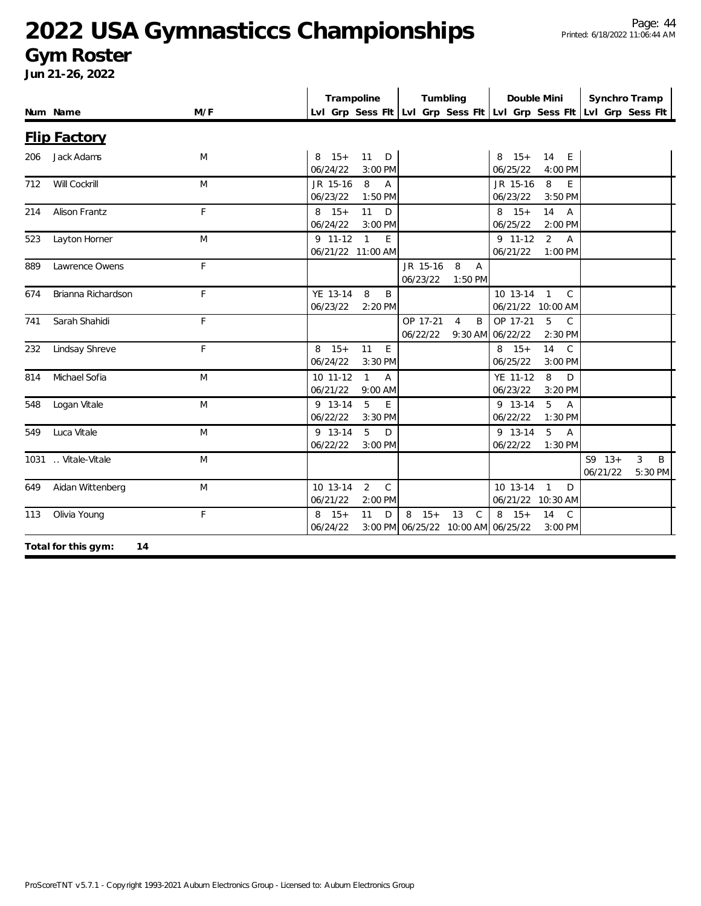#### **Gym Roster**

|     |                           |             | Trampoline                                                        | Tumbling                                                              | Double Mini                                                          | Synchro Tramp                                                       |
|-----|---------------------------|-------------|-------------------------------------------------------------------|-----------------------------------------------------------------------|----------------------------------------------------------------------|---------------------------------------------------------------------|
|     | Num Name                  | M/F         |                                                                   |                                                                       |                                                                      | Lvl Grp Sess Fit Lvl Grp Sess Fit Lvl Grp Sess Fit Lvl Grp Sess Fit |
|     | <b>Flip Factory</b>       |             |                                                                   |                                                                       |                                                                      |                                                                     |
| 206 | Jack Adams                | M           | $8 \t15+$<br>11<br>D<br>06/24/22<br>3:00 PM                       |                                                                       | $15+$<br>14<br>E<br>8<br>06/25/22<br>4:00 PM                         |                                                                     |
| 712 | Will Cockrill             | M           | 8<br>JR 15-16<br>$\overline{A}$<br>06/23/22<br>1:50 PM            |                                                                       | JR 15-16<br>E<br>8<br>06/23/22<br>3:50 PM                            |                                                                     |
| 214 | Alison Frantz             | $\mathsf F$ | 11<br>$8 \t15+$<br>D<br>06/24/22<br>3:00 PM                       |                                                                       | $8 \t15+$<br>14<br>$\overline{A}$<br>06/25/22<br>2:00 PM             |                                                                     |
| 523 | Layton Horner             | M           | $9$ 11-12<br>$\overline{1}$<br>E.<br>06/21/22 11:00 AM            |                                                                       | $\overline{2}$<br>$9$ 11-12<br>$\overline{A}$<br>06/21/22<br>1:00 PM |                                                                     |
| 889 | Lawrence Owens            | F           |                                                                   | JR 15-16<br>8<br>$\overline{A}$<br>06/23/22<br>$1:50$ PM              |                                                                      |                                                                     |
| 674 | Brianna Richardson        | F           | YE 13-14<br>8<br>B<br>06/23/22<br>2:20 PM                         |                                                                       | 10 13-14 1<br>$\mathcal{C}$<br>06/21/22 10:00 AM                     |                                                                     |
| 741 | Sarah Shahidi             | F           |                                                                   | OP 17-21<br>$\overline{4}$<br>B<br>06/22/22                           | OP 17-21<br>5<br>$\mathsf{C}$<br>9:30 AM 06/22/22<br>2:30 PM         |                                                                     |
| 232 | Lindsay Shreve            | F           | 11<br>E<br>$8 \t15+$<br>06/24/22<br>3:30 PM                       |                                                                       | $\mathsf{C}$<br>$8 \t15+$<br>14<br>06/25/22<br>3:00 PM               |                                                                     |
| 814 | Michael Sofia             | M           | 10 11-12<br>$\mathbf{1}$<br>$\overline{A}$<br>06/21/22<br>9:00 AM |                                                                       | 8<br>YE 11-12<br>D<br>06/23/22<br>3:20 PM                            |                                                                     |
| 548 | Logan Vitale              | M           | 5<br>9 13-14<br>E.<br>06/22/22<br>3:30 PM                         |                                                                       | $9 13 - 14$<br>5<br>$\overline{A}$<br>06/22/22<br>1:30 PM            |                                                                     |
| 549 | Luca Vitale               | M           | 5<br>9 13-14<br>D<br>06/22/22<br>3:00 PM                          |                                                                       | $5^{\circ}$<br>9 13-14<br>$\overline{A}$<br>06/22/22<br>1:30 PM      |                                                                     |
|     | 1031  Vitale-Vitale       | M           |                                                                   |                                                                       |                                                                      | $S9 \t13+$<br>3<br>B<br>06/21/22<br>5:30 PM                         |
| 649 | Aidan Wittenberg          | M           | $\overline{2}$<br>$\mathsf{C}$<br>10 13-14<br>06/21/22<br>2:00 PM |                                                                       | 10 13-14 1<br>D<br>06/21/22 10:30 AM                                 |                                                                     |
| 113 | Olivia Young              | F           | $8 \t15+$<br>11<br>D<br>06/24/22                                  | $8 \t15+$<br>13<br>$\mathsf{C}$<br>3:00 PM 06/25/22 10:00 AM 06/25/22 | $8 \t15+$<br>14<br>C<br>3:00 PM                                      |                                                                     |
|     | Total for this gym:<br>14 |             |                                                                   |                                                                       |                                                                      |                                                                     |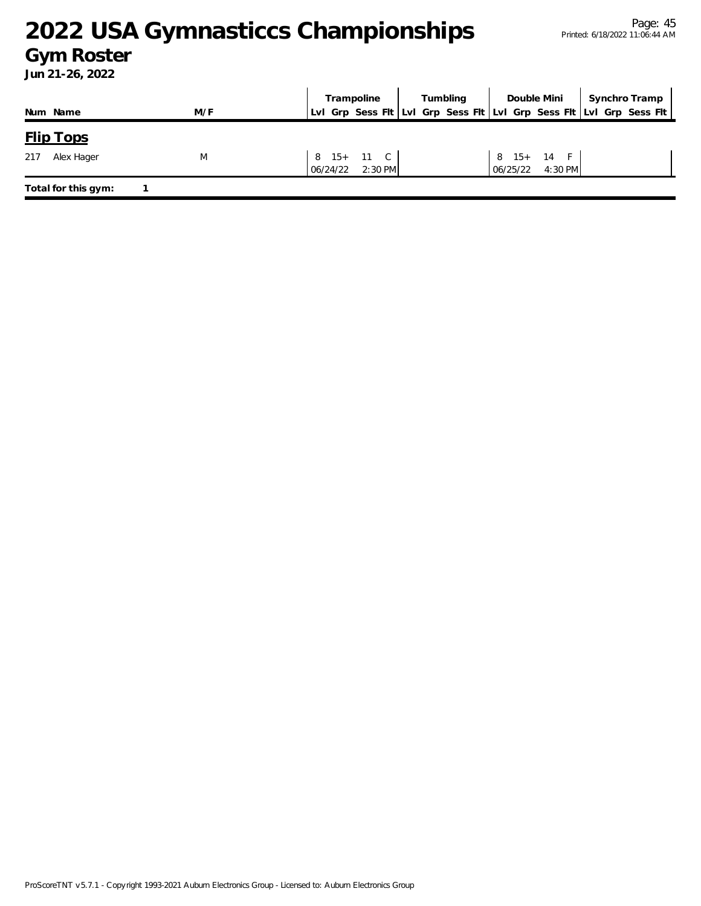### **Gym Roster**

|     |                     |     |  | Trampoline |                                |  |  | Tumbling |  | Double Mini                      |  | Synchro Tramp                                                       |  |
|-----|---------------------|-----|--|------------|--------------------------------|--|--|----------|--|----------------------------------|--|---------------------------------------------------------------------|--|
|     | Num Name            | M/F |  |            |                                |  |  |          |  |                                  |  | Lvl Grp Sess Flt Lvl Grp Sess Flt Lvl Grp Sess Flt Lvl Grp Sess Flt |  |
|     | <b>Flip Tops</b>    |     |  |            |                                |  |  |          |  |                                  |  |                                                                     |  |
| 217 | Alex Hager          | M   |  |            | 8 15+ 11 C<br>06/24/22 2:30 PM |  |  |          |  | 8 15+ 14 F<br>$06/25/22$ 4:30 PM |  |                                                                     |  |
|     | Total for this gym: |     |  |            |                                |  |  |          |  |                                  |  |                                                                     |  |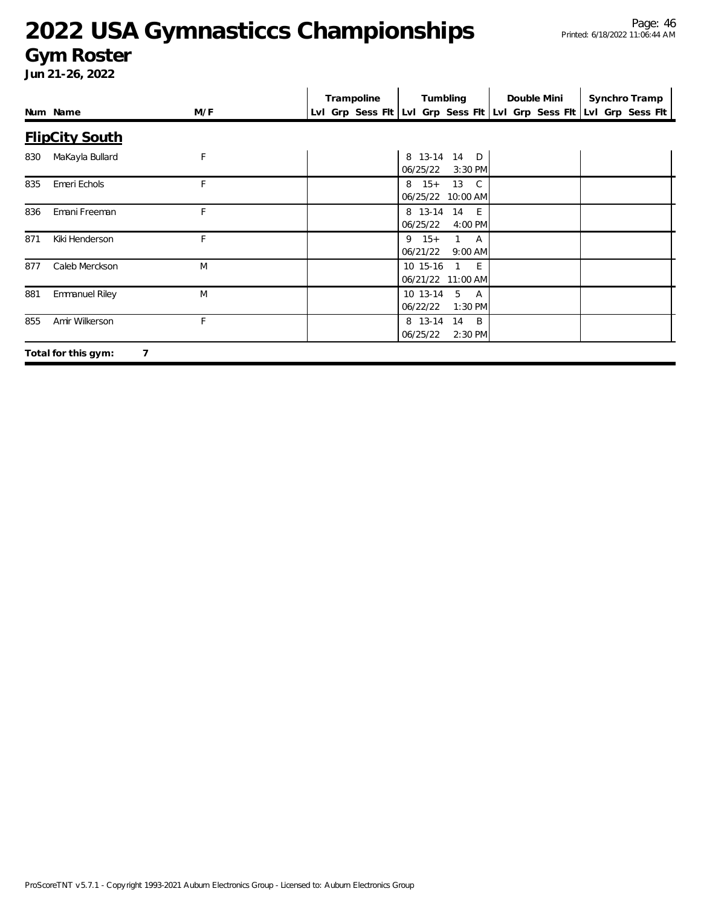#### **Gym Roster**

|     | Num Name                 | M/F | Trampoline | Tumbling                                                       | Double Mini | Synchro Tramp<br>Lvl Grp Sess Fit Lvl Grp Sess Fit Lvl Grp Sess Fit Lvl Grp Sess Fit |
|-----|--------------------------|-----|------------|----------------------------------------------------------------|-------------|--------------------------------------------------------------------------------------|
|     | <b>FlipCity South</b>    |     |            |                                                                |             |                                                                                      |
| 830 | MaKayla Bullard          | F   |            | 8 13-14 14 D<br>06/25/22<br>3:30 PM                            |             |                                                                                      |
| 835 | Emeri Echols             | F   |            | $8 \t15+$<br>13 C<br>06/25/22<br>10:00 AM                      |             |                                                                                      |
| 836 | Emani Freeman            | F   |            | 8 13-14 14 E<br>06/25/22<br>4:00 PM                            |             |                                                                                      |
| 871 | Kiki Henderson           | F   |            | $9 \t15+$<br>$1 \quad A$<br>06/21/22<br>$9:00$ AM              |             |                                                                                      |
| 877 | Caleb Merckson           | M   |            | 10 15-16<br>1 E<br>06/21/22 11:00 AM                           |             |                                                                                      |
| 881 | <b>Emmanuel Riley</b>    | M   |            | 10 13-14<br>$5\overline{)}$<br><b>A</b><br>06/22/22<br>1:30 PM |             |                                                                                      |
| 855 | Amir Wilkerson           | F   |            | 8 13-14<br>14 B<br>06/25/22<br>2:30 PM                         |             |                                                                                      |
|     | 7<br>Total for this gym: |     |            |                                                                |             |                                                                                      |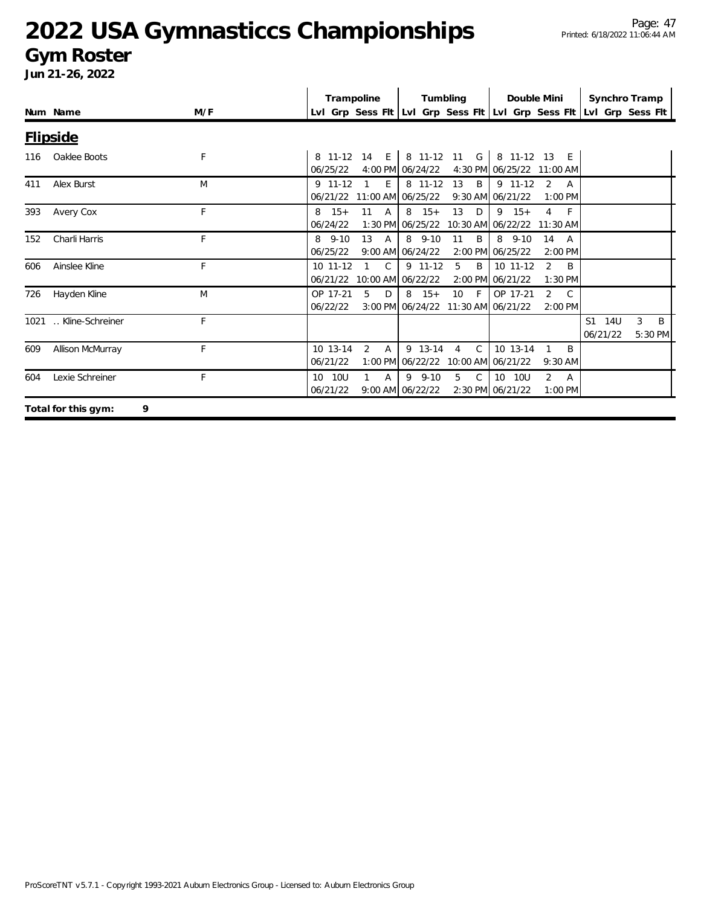#### **Gym Roster**

|      |                     |     | Trampoline                             |                        | Tumbling                                        |                                                     | Double Mini                               |                                               | Synchro Tramp                                                       |                   |
|------|---------------------|-----|----------------------------------------|------------------------|-------------------------------------------------|-----------------------------------------------------|-------------------------------------------|-----------------------------------------------|---------------------------------------------------------------------|-------------------|
|      | Num Name            | M/F |                                        |                        |                                                 |                                                     |                                           |                                               | LvI Grp Sess FIt LvI Grp Sess FIt LvI Grp Sess FIt LvI Grp Sess FIt |                   |
|      | <b>Flipside</b>     |     |                                        |                        |                                                 |                                                     |                                           |                                               |                                                                     |                   |
| 116  | Oaklee Boots        | F   | 06/25/22                               | 8 11-12 14 E           | 4:00 PM 06/24/22                                | 8 11-12 11 G                                        | 8 11-12 13 E<br>4:30 PM 06/25/22 11:00 AM |                                               |                                                                     |                   |
| 411  | Alex Burst          | M   | $9$ 11-12<br>06/21/22                  | E<br>11:00 AM 06/25/22 | 8 11-12                                         | 13<br>B                                             | $9$ 11-12<br>9:30 AM 06/21/22             | $\mathcal{P}$<br>A<br>$1:00$ PM               |                                                                     |                   |
| 393  | Avery Cox           | F   | $8 \t15+$<br>06/24/22                  | $11 \quad A$           | $8 \t15+$<br>1:30 PM 06/25/22                   | 13<br>D                                             | $9 \t15+$<br>10:30 AM 06/22/22 11:30 AM   | $\overline{4}$<br>$-F$                        |                                                                     |                   |
| 152  | Charli Harris       | F   | $8$ 9-10<br>06/25/22                   | 13<br><b>A</b>         | 8 9-10<br>9:00 AM 06/24/22                      | 11<br>B                                             | 8 9-10<br>2:00 PM 06/25/22                | 14<br>A<br>2:00 PM                            |                                                                     |                   |
| 606  | Ainslee Kline       | F   | 10 11-12<br>06/21/22 10:00 AM 06/22/22 | $\mathcal{C}$          | $9$ 11-12                                       | 5<br>B                                              | 10 11-12<br>2:00 PM 06/21/22              | $\overline{2}$<br>B<br>1:30 PM                |                                                                     |                   |
| 726  | Hayden Kline        | M   | OP 17-21<br>06/22/22                   | 5<br>D                 | $8 \t15+$<br>3:00 PM 06/24/22 11:30 AM 06/21/22 | 10 <sup>1</sup><br>$-F$                             | OP 17-21                                  | $\mathfrak{D}$<br>$\mathcal{C}$<br>2:00 PM    |                                                                     |                   |
| 1021 | Kline-Schreiner     | F   |                                        |                        |                                                 |                                                     |                                           |                                               | S1<br>14U<br>06/21/22                                               | 3<br>B<br>5:30 PM |
| 609  | Allison McMurray    | F   | 10 13-14<br>06/21/22                   | 2<br>$\overline{A}$    | 9 13-14<br>1:00 PM 06/22/22                     | $\mathsf{C}$<br>$\overline{4}$<br>10:00 AM 06/21/22 | 10 13-14                                  | B<br>$9:30$ AM                                |                                                                     |                   |
| 604  | Lexie Schreiner     | F   | 10 10U<br>06/21/22                     | $\mathsf{A}$           | $9.9 - 10$<br>9:00 AM 06/22/22                  | 5<br>$\mathsf{C}$                                   | 10 10U<br>2:30 PM 06/21/22                | $\overline{2}$<br>$\overline{A}$<br>$1:00$ PM |                                                                     |                   |
|      | Total for this gym: | 9   |                                        |                        |                                                 |                                                     |                                           |                                               |                                                                     |                   |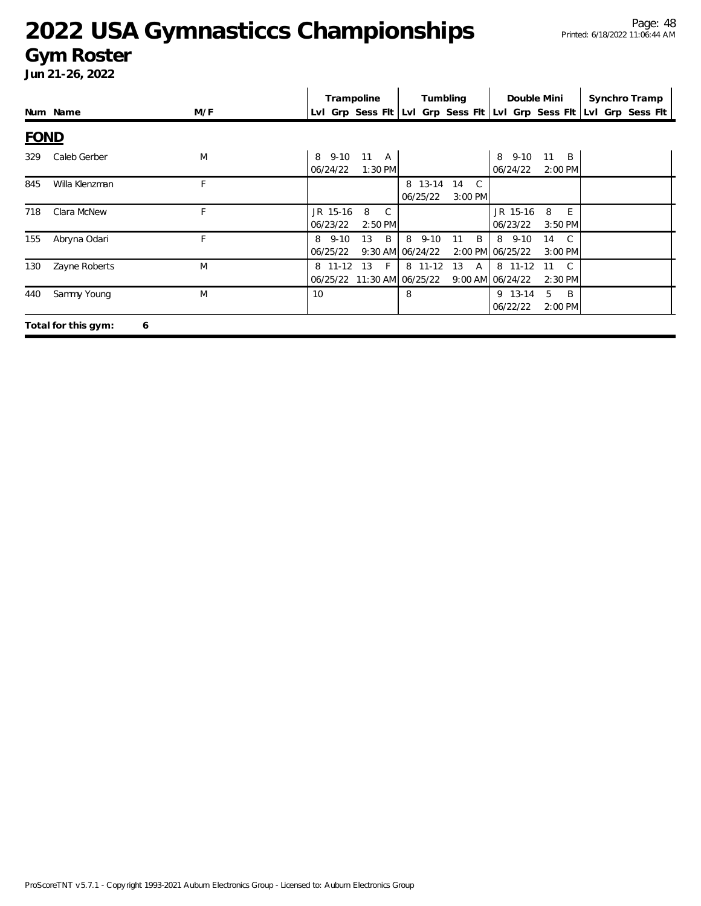### **Gym Roster**

|             |                          |     | Trampoline<br>Tumbling<br>Double Mini<br>Synchro Tramp                                                                                                |
|-------------|--------------------------|-----|-------------------------------------------------------------------------------------------------------------------------------------------------------|
|             | Num Name                 | M/F | Lvl Grp Sess Fit Lvl Grp Sess Fit Lvl Grp Sess Fit<br>Lvl Grp Sess Flt                                                                                |
| <b>FOND</b> |                          |     |                                                                                                                                                       |
| 329         | Caleb Gerber             | M   | $9 - 10$<br>11<br>8 9-10<br>11<br>$\overline{B}$<br>8<br><b>A</b><br>06/24/22<br>$1:30$ PM<br>06/24/22<br>2:00 PM                                     |
| 845         | Willa Klenzman           | F   | 8 13-14 14 C<br>06/25/22<br>$3:00$ PM                                                                                                                 |
| 718         | Clara McNew              | F   | JR 15-16<br>8<br>JR 15-16<br>8<br>- E<br>C.<br>06/23/22<br>2:50 PM<br>06/23/22<br>3:50 PM                                                             |
| 155         | Abryna Odari             | F   | $8$ 9-10<br>$8\quad 9-10$<br>13<br>- B<br>B<br>8 9-10<br>11<br>14<br>C.<br>9:30 AM 06/24/22<br>2:00 PM 06/25/22<br>06/25/22<br>3:00 PM                |
| 130         | Zayne Roberts            | M   | 8 11-12<br>13<br>8 11-12<br>13<br>8 11-12<br>$-F$<br>$\mathcal{C}$<br>$\mathsf{A}$<br>11<br>06/25/22 11:30 AM 06/25/22<br>9:00 AM 06/24/22<br>2:30 PM |
| 440         | Sammy Young              | M   | 8<br>9 13-14<br>5<br>B<br>10<br>06/22/22<br>2:00 PM                                                                                                   |
|             | Total for this gym:<br>6 |     |                                                                                                                                                       |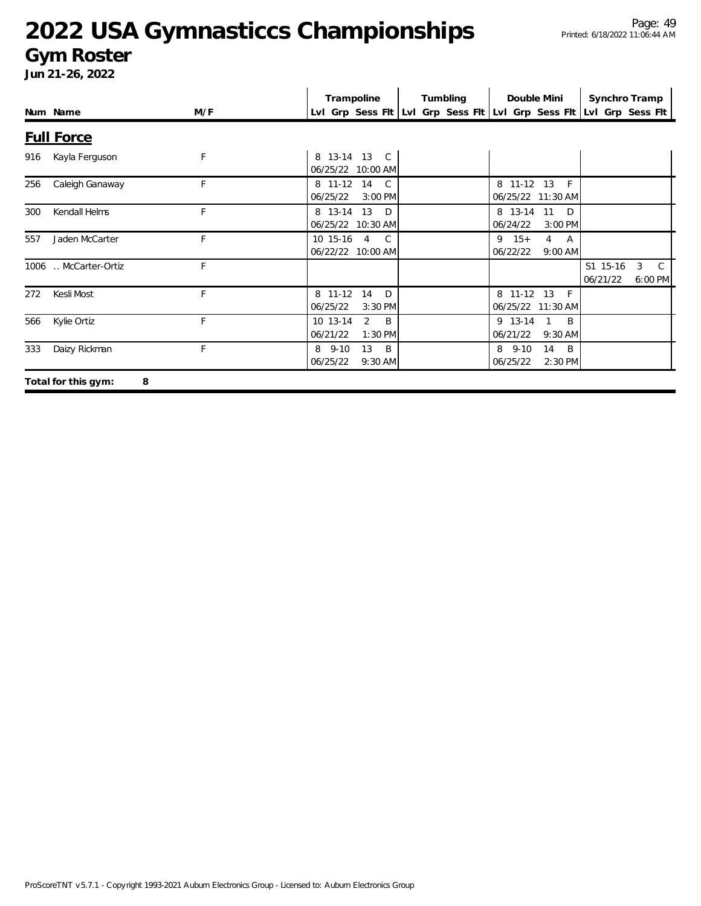#### **Gym Roster**

|     |                          |     | Trampoline                                                          | Tumbling | Double Mini                                            | Synchro Tramp                                         |
|-----|--------------------------|-----|---------------------------------------------------------------------|----------|--------------------------------------------------------|-------------------------------------------------------|
|     | Num Name                 | M/F | LvI Grp Sess FIt LvI Grp Sess FIt LvI Grp Sess FIt LvI Grp Sess FIt |          |                                                        |                                                       |
|     | <b>Full Force</b>        |     |                                                                     |          |                                                        |                                                       |
| 916 | Kayla Ferguson           | F   | 8 13-14 13 C<br>06/25/22 10:00 AM                                   |          |                                                        |                                                       |
| 256 | Caleigh Ganaway          | F   | 8 11-12 14<br>$\mathcal{C}$<br>06/25/22<br>3:00 PM                  |          | 8 11-12 13<br>$-F$<br>06/25/22 11:30 AM                |                                                       |
| 300 | Kendall Helms            | F   | 8 13-14 13<br>$\Box$<br>06/25/22 10:30 AM                           |          | 8 13-14 11<br>$\Box$<br>06/24/22<br>3:00 PM            |                                                       |
| 557 | Jaden McCarter           | F   | 10 15-16 4 C<br>06/22/22 10:00 AM                                   |          | $9 \t15+$<br>$4 \overline{A}$<br>06/22/22<br>$9:00$ AM |                                                       |
|     | 1006  McCarter-Ortiz     | F   |                                                                     |          |                                                        | S1 15-16<br>3<br>$\mathcal{C}$<br>06/21/22<br>6:00 PM |
| 272 | Kesli Most               | F   | 8 11-12<br>14<br>D<br>06/25/22<br>3:30 PM                           |          | 8 11-12 13<br>$\mathsf{F}$<br>06/25/22 11:30 AM        |                                                       |
| 566 | Kylie Ortiz              | F   | $\overline{2}$<br>10 13-14<br>$\overline{B}$<br>06/21/22<br>1:30 PM |          | 9 13-14<br>B<br>06/21/22<br>9:30 AM                    |                                                       |
| 333 | Daizy Rickman            | F   | 13<br>$\overline{B}$<br>8 9-10<br>06/25/22<br>$9:30$ AM             |          | $8\quad 9-10$<br>14<br>B<br>06/25/22<br>2:30 PM        |                                                       |
|     | Total for this gym:<br>8 |     |                                                                     |          |                                                        |                                                       |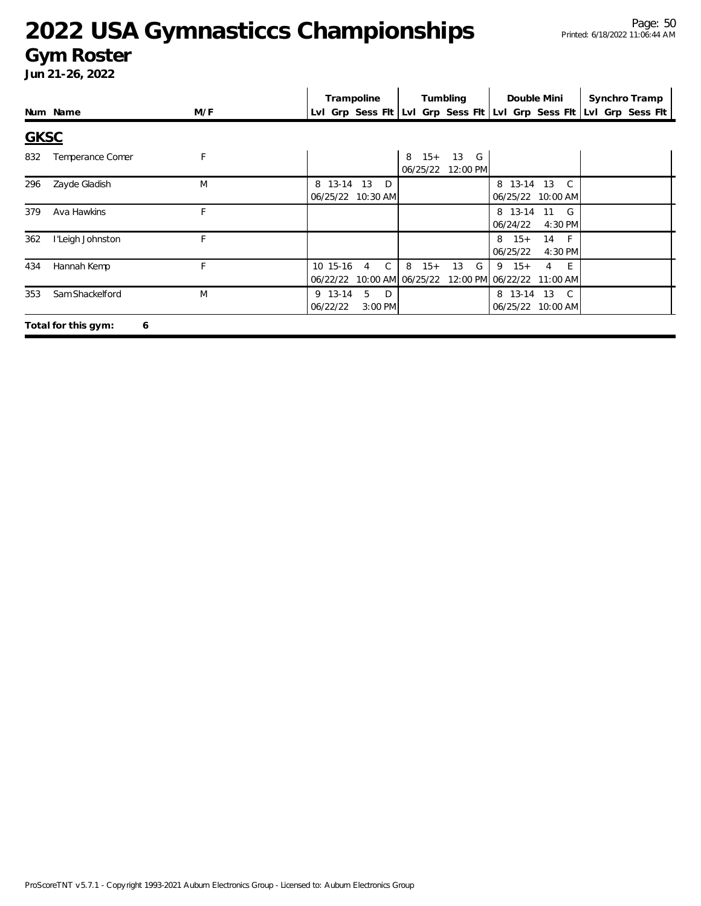### **Gym Roster**

| Jun 21-26, 2022 |  |
|-----------------|--|
|                 |  |

|             |                          |     |                      | Trampoline                                                          |                                 | Tumbling            | Double Mini                             |                                   | Synchro Tramp |
|-------------|--------------------------|-----|----------------------|---------------------------------------------------------------------|---------------------------------|---------------------|-----------------------------------------|-----------------------------------|---------------|
|             | Num Name                 | M/F |                      | Lvl Grp Sess Flt Lvl Grp Sess Flt Lvl Grp Sess Flt Lvl Grp Sess Flt |                                 |                     |                                         |                                   |               |
| <b>GKSC</b> |                          |     |                      |                                                                     |                                 |                     |                                         |                                   |               |
| 832         | Temperance Comer         | F   |                      |                                                                     | $8 \t15+$<br>06/25/22           | 13<br>G<br>12:00 PM |                                         |                                   |               |
| 296         | Zayde Gladish            | M   | 8 13-14              | 13<br>D <sub>1</sub><br>06/25/22 10:30 AM                           |                                 |                     | 8 13-14 13                              | $\mathbb{C}$<br>06/25/22 10:00 AM |               |
| 379         | Ava Hawkins              | F   |                      |                                                                     |                                 |                     | 06/24/22                                | 8 13-14 11 G<br>4:30 PM           |               |
| 362         | l'Leigh Johnston         | F   |                      |                                                                     |                                 |                     | $8 \t15+$<br>06/25/22                   | 14 F<br>4:30 PM                   |               |
| 434         | Hannah Kemp              | F   | 10 15-16<br>06/22/22 | C<br>4                                                              | 8<br>$15+$<br>10:00 AM 06/25/22 | 13<br>G             | $9 \t15+$<br>12:00 PM 06/22/22 11:00 AM | - E<br>4                          |               |
| 353         | Sam Shackelford          | M   | 9 13-14<br>06/22/22  | 5<br>D<br>3:00 PM                                                   |                                 |                     |                                         | 8 13-14 13 C<br>06/25/22 10:00 AM |               |
|             | Total for this gym:<br>6 |     |                      |                                                                     |                                 |                     |                                         |                                   |               |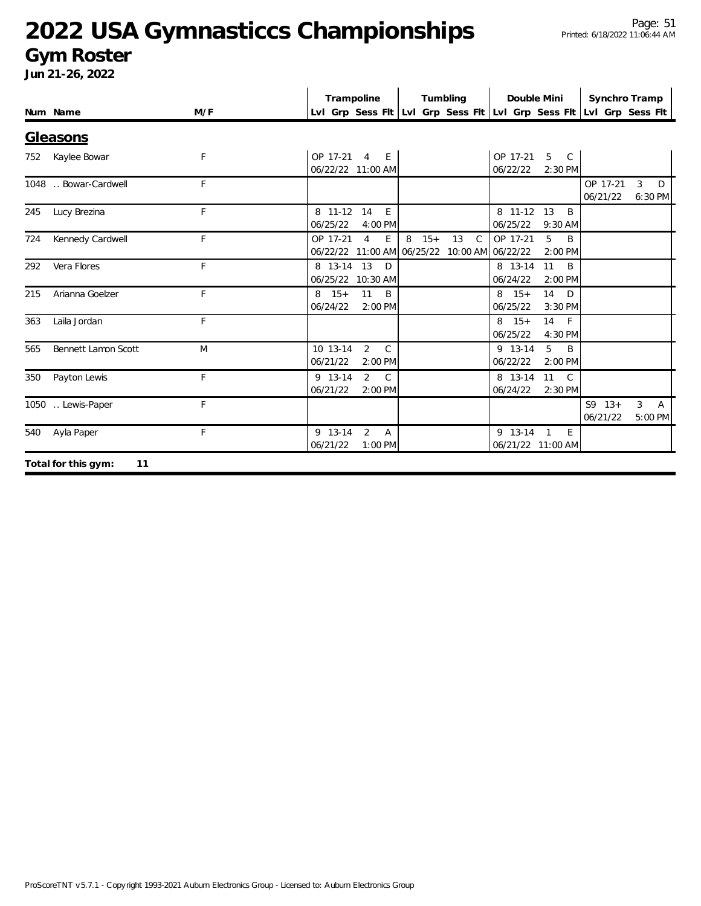#### **Gym Roster**

|     | Num Name                     | M/F | Trampoline                                                                      | Tumbling                         | Double Mini                                       | Synchro Tramp<br>Lvl Grp Sess Fit Lvl Grp Sess Fit Lvl Grp Sess Fit Lvl Grp Sess Fit |
|-----|------------------------------|-----|---------------------------------------------------------------------------------|----------------------------------|---------------------------------------------------|--------------------------------------------------------------------------------------|
|     |                              |     |                                                                                 |                                  |                                                   |                                                                                      |
|     | Gleasons<br>752 Kaylee Bowar | F   | OP 17-21 4 E<br>06/22/22 11:00 AM                                               |                                  | OP 17-21 5 C<br>06/22/22<br>2:30 PM               |                                                                                      |
|     | 1048 . Bowar-Cardwell        | F.  |                                                                                 |                                  |                                                   | OP 17-21<br>$\mathbf{3}$<br>D<br>06/21/22<br>6:30 PM                                 |
| 245 | Lucy Brezina                 | F   | 8 11-12 14<br>E<br>06/25/22<br>4:00 PM                                          |                                  | 8 11-12 13<br>B<br>06/25/22<br>9:30 AM            |                                                                                      |
| 724 | Kennedy Cardwell             | F   | OP 17-21<br>$\overline{4}$<br>E<br>06/22/22 11:00 AM 06/25/22 10:00 AM 06/22/22 | 8<br>$15+$<br>13<br>$\mathsf{C}$ | 5<br>OP 17-21<br>B<br>2:00 PM                     |                                                                                      |
| 292 | Vera Flores                  | F   | 8 13-14 13<br><sup>D</sup><br>06/25/22 10:30 AM                                 |                                  | 8 13-14<br>11<br>B<br>06/24/22<br>2:00 PM         |                                                                                      |
| 215 | Arianna Goelzer              | F   | 11<br>$8 \t15+$<br>B<br>06/24/22<br>2:00 PM                                     |                                  | 14<br>$8 \t15+$<br>D<br>06/25/22<br>3:30 PM       |                                                                                      |
| 363 | Laila Jordan                 | F.  |                                                                                 |                                  | $14$ F<br>$8 \t15+$<br>06/25/22<br>4:30 PM        |                                                                                      |
| 565 | Bennett Lamon Scott          | M   | 10 13-14<br>$\overline{2}$<br>$\mathcal{C}$<br>06/21/22<br>2:00 PM              |                                  | 9 13-14<br>5<br>B<br>06/22/22<br>2:00 PM          |                                                                                      |
| 350 | Payton Lewis                 | F   | 2<br>9 13-14<br>$\mathbb{C}$<br>06/21/22<br>2:00 PM                             |                                  | 8 13-14 11<br>$\mathsf{C}$<br>06/24/22<br>2:30 PM |                                                                                      |
|     | 1050  Lewis-Paper            | F   |                                                                                 |                                  |                                                   | $S9 \t13+$<br>3 <sup>1</sup><br>A<br>06/21/22<br>5:00 PM                             |
|     | 540 Ayla Paper               | F   | 2<br>9 13-14<br>$\overline{A}$<br>06/21/22<br>$1:00$ PM                         |                                  | 9 13-14 1<br>E<br>06/21/22 11:00 AM               |                                                                                      |
|     | Total for this gym:<br>11    |     |                                                                                 |                                  |                                                   |                                                                                      |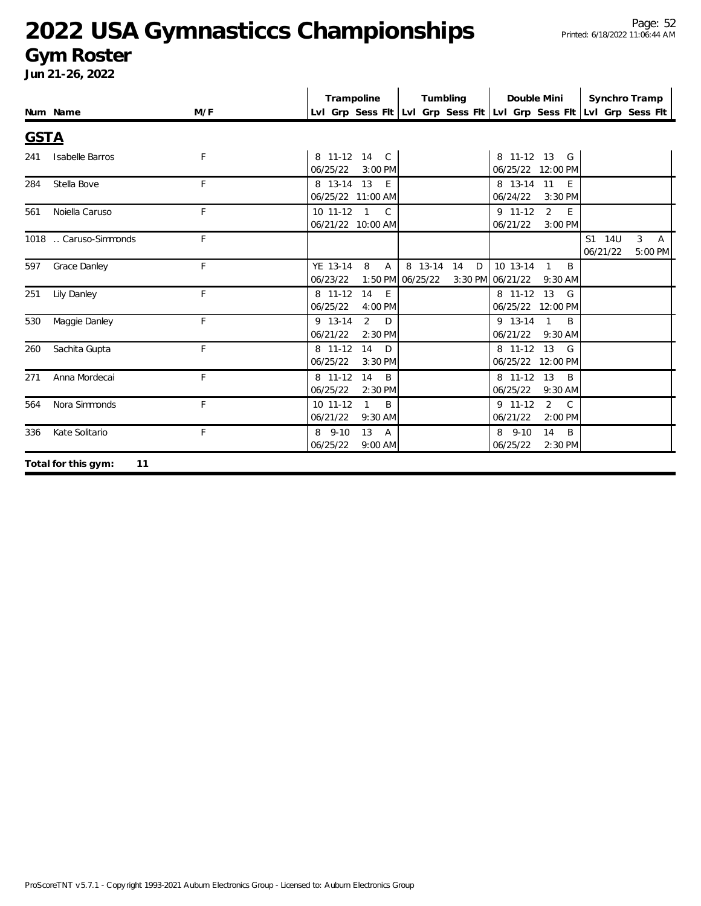#### **Gym Roster**

|             | Num Name                  | M/F | Trampoline                                                 | Tumbling                            | Double Mini                                                 | Synchro Tramp<br>Lvl Grp Sess Fit Lvl Grp Sess Fit Lvl Grp Sess Fit Lvl Grp Sess Fit |
|-------------|---------------------------|-----|------------------------------------------------------------|-------------------------------------|-------------------------------------------------------------|--------------------------------------------------------------------------------------|
| <b>GSTA</b> |                           |     |                                                            |                                     |                                                             |                                                                                      |
| 241         | Isabelle Barros           | F   | 8 11-12 14 C<br>06/25/22<br>3:00 PM                        |                                     | 8 11-12 13 G<br>06/25/22 12:00 PM                           |                                                                                      |
| 284         | Stella Bove               | F   | 8 13-14 13<br>E<br>06/25/22 11:00 AM                       |                                     | 8 13-14 11<br>E<br>06/24/22<br>3:30 PM                      |                                                                                      |
| 561         | Noiella Caruso            | F   | 10 11-12 1 C<br>06/21/22 10:00 AM                          |                                     | 2<br>9 11-12<br>E<br>06/21/22<br>3:00 PM                    |                                                                                      |
|             | 1018  Caruso-Simmonds     | F   |                                                            |                                     |                                                             | S1 14U<br>3 <sup>7</sup><br>$\overline{A}$<br>06/21/22<br>5:00 PM                    |
| 597         | <b>Grace Danley</b>       | F   | YE 13-14<br>8<br>$\overline{A}$<br>06/23/22                | 8 13-14 14<br>D<br>1:50 PM 06/25/22 | $10$ 13-14 1<br><sup>B</sup><br>3:30 PM 06/21/22<br>9:30 AM |                                                                                      |
| 251         | <b>Lily Danley</b>        | F   | 14<br>8 11-12<br>E<br>06/25/22<br>4:00 PM                  |                                     | 8 11-12 13<br>G<br>06/25/22 12:00 PM                        |                                                                                      |
| 530         | Maggie Danley             | F   | $\overline{2}$<br>9 13-14<br>$\Box$<br>06/21/22<br>2:30 PM |                                     | 9 13-14<br>$\overline{1}$<br>B<br>06/21/22 9:30 AM          |                                                                                      |
| 260         | Sachita Gupta             | F   | 8 11-12<br>14<br>$\Box$<br>06/25/22<br>$3:30$ PM           |                                     | 8 11-12 13<br>G<br>06/25/22 12:00 PM                        |                                                                                      |
| 271         | Anna Mordecai             | F   | 14<br>$\mathsf{B}$<br>8 11-12<br>06/25/22<br>2:30 PM       |                                     | 8 11-12 13<br>B<br>06/25/22<br>9:30 AM                      |                                                                                      |
| 564         | Nora Simmonds             | F   | B<br>10 11-12<br>$\mathbf{1}$<br>06/21/22<br>$9:30$ AM     |                                     | $2 \quad C$<br>$9$ 11-12<br>06/21/22<br>$2:00$ PM           |                                                                                      |
| 336         | Kate Solitario            | F   | 13<br>$8$ 9-10<br>A<br>06/25/22<br>9:00 AM                 |                                     | 8 9-10<br>14<br>B<br>06/25/22<br>2:30 PM                    |                                                                                      |
|             | Total for this gym:<br>11 |     |                                                            |                                     |                                                             |                                                                                      |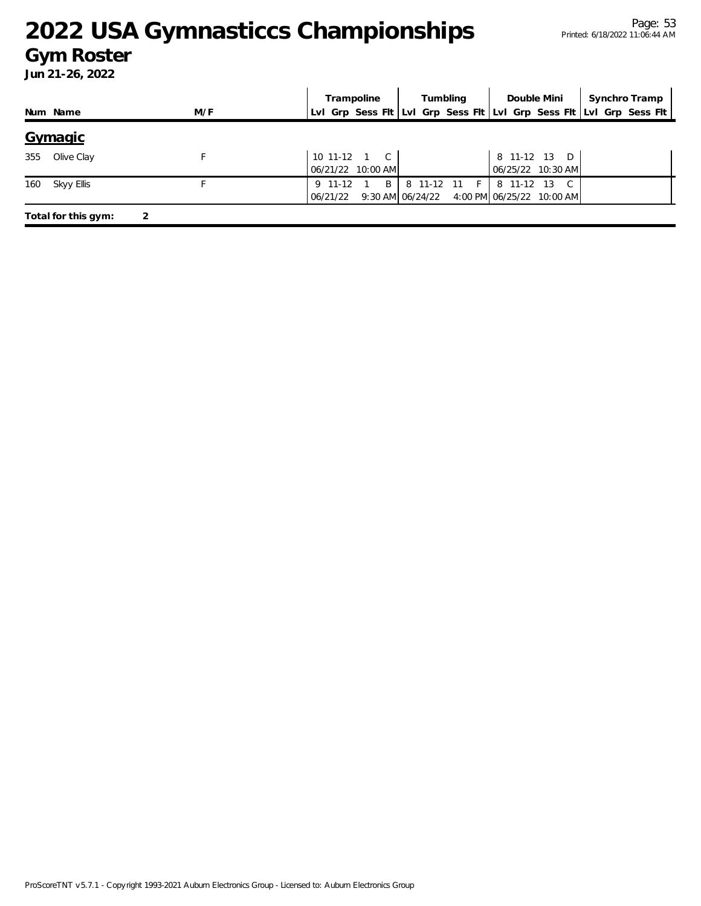#### **Gym Roster**

|     |                     |     | Trampoline                                                          | Tumbling     | Double Mini                                                   | Synchro Tramp |
|-----|---------------------|-----|---------------------------------------------------------------------|--------------|---------------------------------------------------------------|---------------|
|     | Num Name            | M/F | Lvl Grp Sess Fit Lvl Grp Sess Fit Lvl Grp Sess Fit Lvl Grp Sess Fit |              |                                                               |               |
|     | Gymagic             |     |                                                                     |              |                                                               |               |
| 355 | Olive Clay          |     | $10$ 11-12 1 C<br>06/21/22 10:00 AM                                 |              | 8 11-12 13 D<br>06/25/22 10:30 AM                             |               |
| 160 | Skyy Ellis          |     | B<br>9 11-12<br>06/21/22                                            | 8 11-12 11 F | 8 11-12<br>- 13<br>9:30 AM 06/24/22 4:00 PM 06/25/22 10:00 AM |               |
|     | Total for this gym: |     |                                                                     |              |                                                               |               |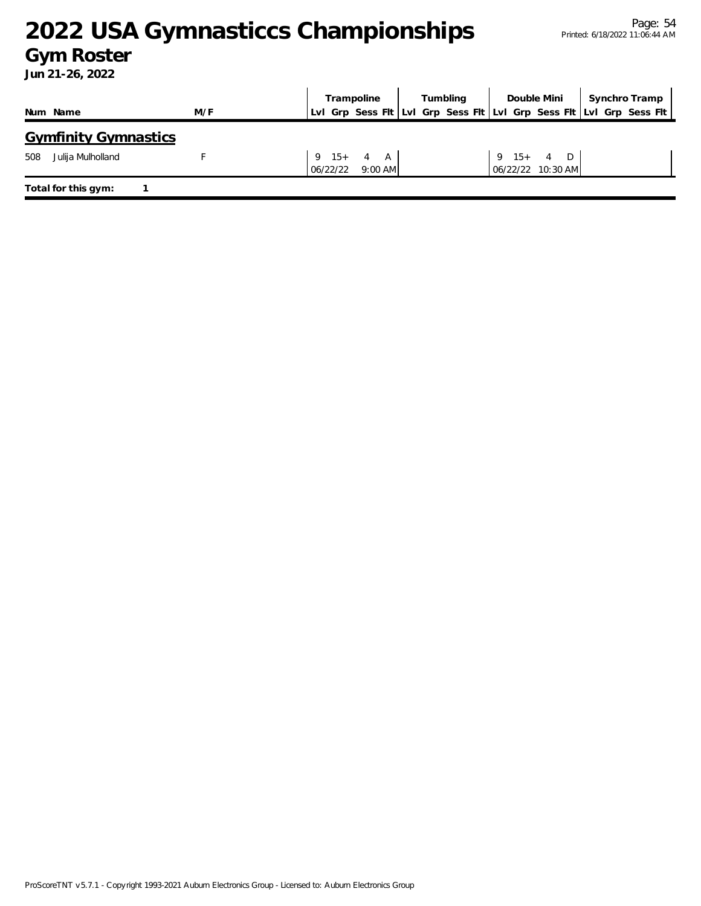### **Gym Roster**

|     |                             |     |          | Trampoline       |  | Tumbling |              | Double Mini                                                         | Synchro Tramp |  |
|-----|-----------------------------|-----|----------|------------------|--|----------|--------------|---------------------------------------------------------------------|---------------|--|
|     | Num Name                    | M/F |          |                  |  |          |              | LvI Grp Sess FIt LvI Grp Sess FIt LvI Grp Sess FIt LvI Grp Sess FIt |               |  |
|     | <b>Gymfinity Gymnastics</b> |     |          |                  |  |          |              |                                                                     |               |  |
| 508 | Julija Mulholland           |     |          | $9 \t15 + 4 \tA$ |  |          | $9 \t15 + 4$ | D                                                                   |               |  |
|     |                             |     | 06/22/22 | $9:00$ AM        |  |          |              | 06/22/22 10:30 AM                                                   |               |  |
|     | Total for this gym:         |     |          |                  |  |          |              |                                                                     |               |  |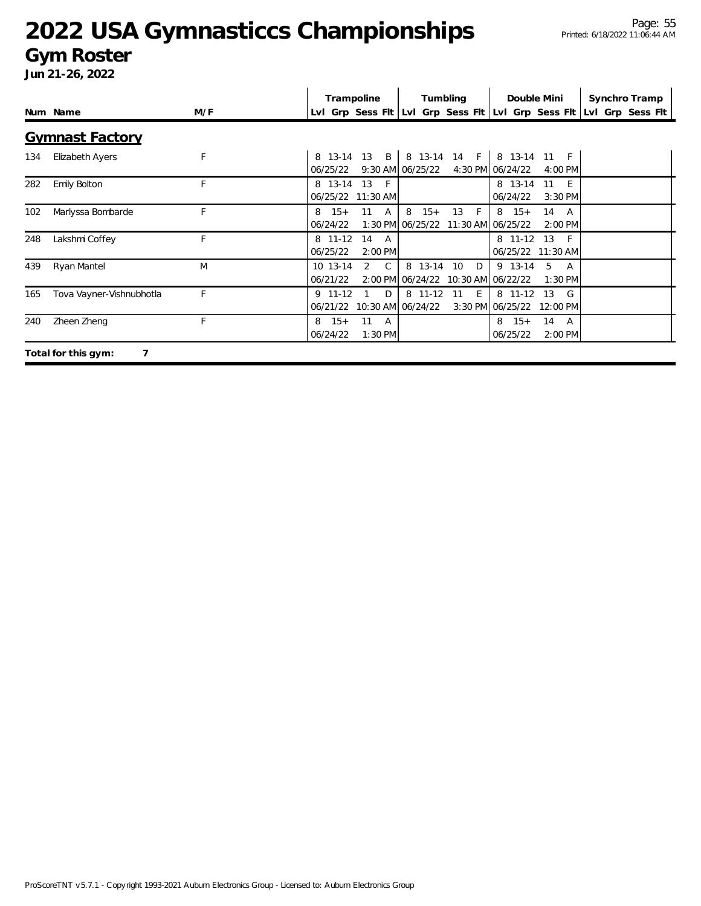#### **Gym Roster**

|     | Num Name                 | M/F | Trampoline                                            | Tumbling                                                        | Double Mini                                                        | Synchro Tramp<br>LvI Grp Sess FIt LvI Grp Sess FIt LvI Grp Sess FIt LvI Grp Sess FIt |
|-----|--------------------------|-----|-------------------------------------------------------|-----------------------------------------------------------------|--------------------------------------------------------------------|--------------------------------------------------------------------------------------|
|     | <b>Gymnast Factory</b>   |     |                                                       |                                                                 |                                                                    |                                                                                      |
| 134 | Elizabeth Ayers          | F   | $\overline{B}$<br>8 13-14<br>13<br>06/25/22           | 8 13-14 14<br>F <sub>1</sub><br>$9:30$ AM $06/25/22$            | 8 13-14<br>$11 \quad F$<br>4:30 PM 06/24/22<br>$4:00 \, \text{PM}$ |                                                                                      |
| 282 | Emily Bolton             | F   | 8 13-14<br>13<br>$-F$<br>06/25/22<br>11:30 AM         |                                                                 | 8 13-14<br>11<br>- E<br>06/24/22<br>$3:30$ PM                      |                                                                                      |
| 102 | Marlyssa Bombarde        | F   | $15+$<br>11<br>8<br>A<br>06/24/22                     | 13<br>8<br>$15+$<br>-F<br>1:30 PM 06/25/22<br>11:30 AM 06/25/22 | $8 \t15+$<br>14<br>A<br>$2:00$ PM                                  |                                                                                      |
| 248 | Lakshmi Coffey           | F.  | 8 11-12<br>14<br>A<br>06/25/22<br>2:00 PM             |                                                                 | 8 11-12<br>13<br>- F<br>06/25/22 11:30 AM                          |                                                                                      |
| 439 | Ryan Mantel              | M   | $\mathsf{C}$<br>10 13-14<br>2<br>06/21/22             | 8 13-14 10<br>D<br>2:00 PM 06/24/22 10:30 AM 06/22/22           | 9 13-14<br>5<br>A<br>$1:30$ PM                                     |                                                                                      |
| 165 | Tova Vayner-Vishnubhotla | F   | 9 11-12<br>D<br>06/21/22                              | 8 11-12<br>11<br>E<br>10:30 AM 06/24/22                         | 8 11-12<br>13<br>G<br>3:30 PM 06/25/22<br>12:00 PM                 |                                                                                      |
| 240 | Zheen Zheng              | F   | $15+$<br>11<br>8<br><b>A</b><br>06/24/22<br>$1:30$ PM |                                                                 | $15+$<br>14<br>8<br>A<br>06/25/22<br>2:00 PM                       |                                                                                      |
|     | 7<br>Total for this gym: |     |                                                       |                                                                 |                                                                    |                                                                                      |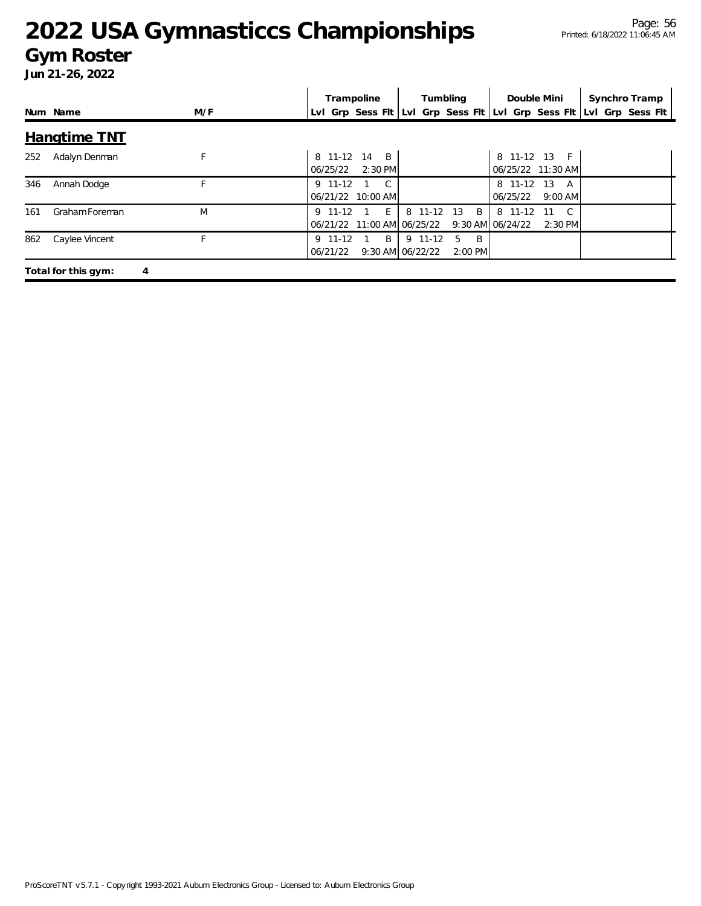#### **Gym Roster**

|     |                     |     | Tumbling<br>Double Mini<br>Trampoline                                                                                                              | Synchro Tramp |
|-----|---------------------|-----|----------------------------------------------------------------------------------------------------------------------------------------------------|---------------|
|     | Num Name            | M/F | Lyl Grp Sess Fit Lyl Grp Sess Fit Lyl Grp Sess Fit Lyl Grp Sess Fit                                                                                |               |
|     | Hangtime TNT        |     |                                                                                                                                                    |               |
| 252 | Adalyn Denman       | F   | 8 11-12 13<br>8 11-12<br>14<br>$-F$<br>$\overline{B}$<br>06/25/22 11:30 AM<br>2:30 PM<br>06/25/22                                                  |               |
| 346 | Annah Dodge         |     | 9 11-12<br>C.<br>8 11-12<br>-13<br>A<br>06/21/22 10:00 AM<br>06/25/22<br>$9:00$ AM                                                                 |               |
| 161 | Graham Foreman      | M   | 8 11-12 13<br>$\overline{B}$<br>9 11-12 1 E<br>8 11-12<br>$\overline{C}$<br>-11<br>06/21/22 11:00 AM 06/25/22<br>$9:30$ AM $06/24/22$<br>$2:30$ PM |               |
| 862 | Caylee Vincent      |     | - B<br>9 11-12<br>$\mathsf{B}$<br>9 11-12 5<br>06/21/22<br>9:30 AM 06/22/22<br>2:00 PM                                                             |               |
|     | Total for this gym: | 4   |                                                                                                                                                    |               |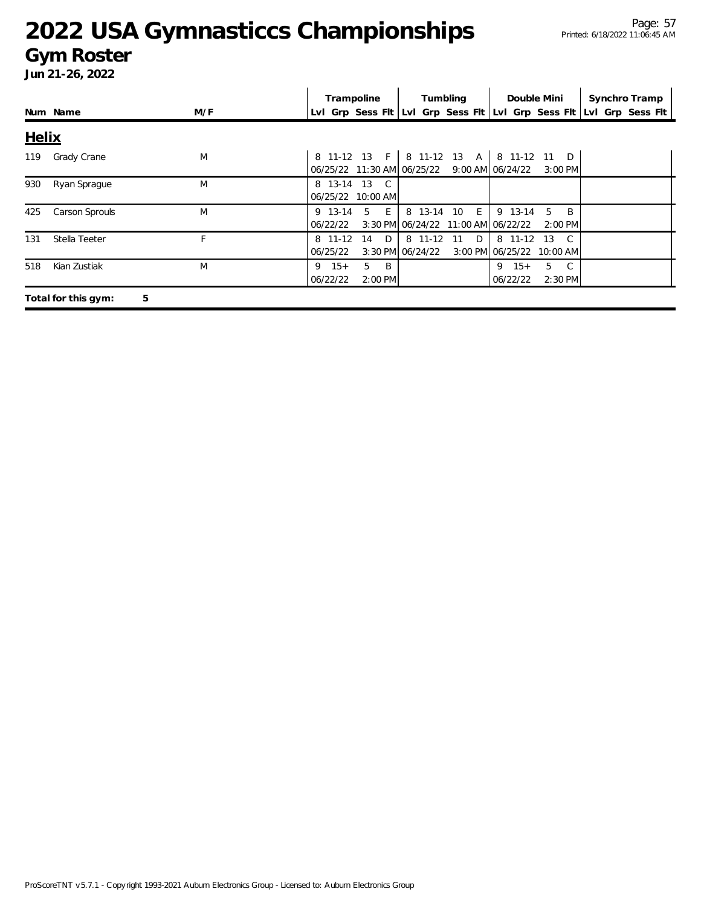#### **Gym Roster**

|              |                          |     | Trampoline<br>Tumbling<br>Synchro Tramp<br>Double Mini                                                                                |
|--------------|--------------------------|-----|---------------------------------------------------------------------------------------------------------------------------------------|
|              | Num Name                 | M/F | Lvl Grp Sess Fit Lvl Grp Sess Fit Lvl Grp Sess Fit Lvl Grp Sess Fit                                                                   |
| <b>Helix</b> |                          |     |                                                                                                                                       |
| 119          | Grady Crane              | M   | 8 11-12 13 A 8 11-12 11<br>8 11-12 13 F<br>$\Box$<br>06/25/22 11:30 AM 06/25/22 9:00 AM 06/24/22<br>$3:00$ PM                         |
| 930          | Ryan Sprague             | M   | 8 13-14 13 C<br>06/25/22 10:00 AM                                                                                                     |
| 425          | Carson Sprouls           | M   | 8 13-14 10 E<br>5 E<br>9 13-14<br>5<br><b>B</b><br>9 13-14<br>3:30 PM 06/24/22 11:00 AM 06/22/22<br>06/22/22<br>$2:00$ PM             |
| 131          | Stella Teeter            | F   | 8 11-12<br>8 11-12<br>D<br>D<br>8 11-12 13<br>$\overline{C}$<br>14<br>11<br>06/25/22<br>3:30 PM 06/24/22<br>3:00 PM 06/25/22 10:00 AM |
| 518          | Kian Zustiak             | M   | $15+$<br>5<br>- B<br>5<br>C.<br>9<br>$15+$<br>9<br>06/22/22<br>2:00 PM<br>06/22/22<br>2:30 PM                                         |
|              | 5<br>Total for this gym: |     |                                                                                                                                       |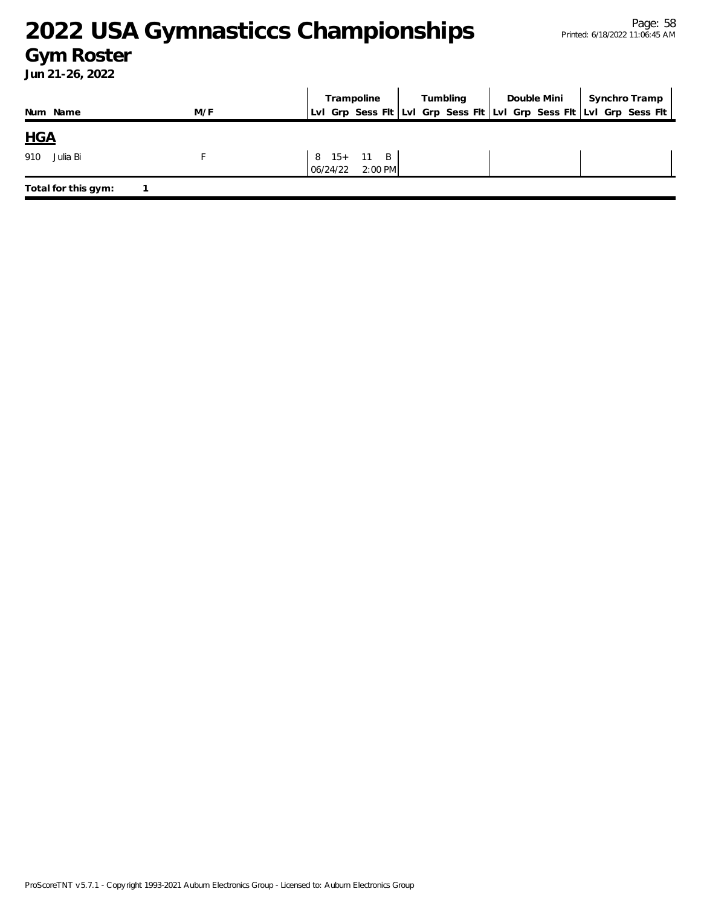### **Gym Roster**

|                     |     | Trampoline                          | Tumbling | Double Mini | Synchro Tramp                                                       |
|---------------------|-----|-------------------------------------|----------|-------------|---------------------------------------------------------------------|
| Num Name            | M/F |                                     |          |             | Lvl Grp Sess Flt Lvl Grp Sess Flt Lvl Grp Sess Flt Lvl Grp Sess Flt |
| <b>HGA</b>          |     |                                     |          |             |                                                                     |
| Julia Bi<br>910     |     | 8 15+ 11 B<br>$2:00$ PM<br>06/24/22 |          |             |                                                                     |
| Total for this gym: |     |                                     |          |             |                                                                     |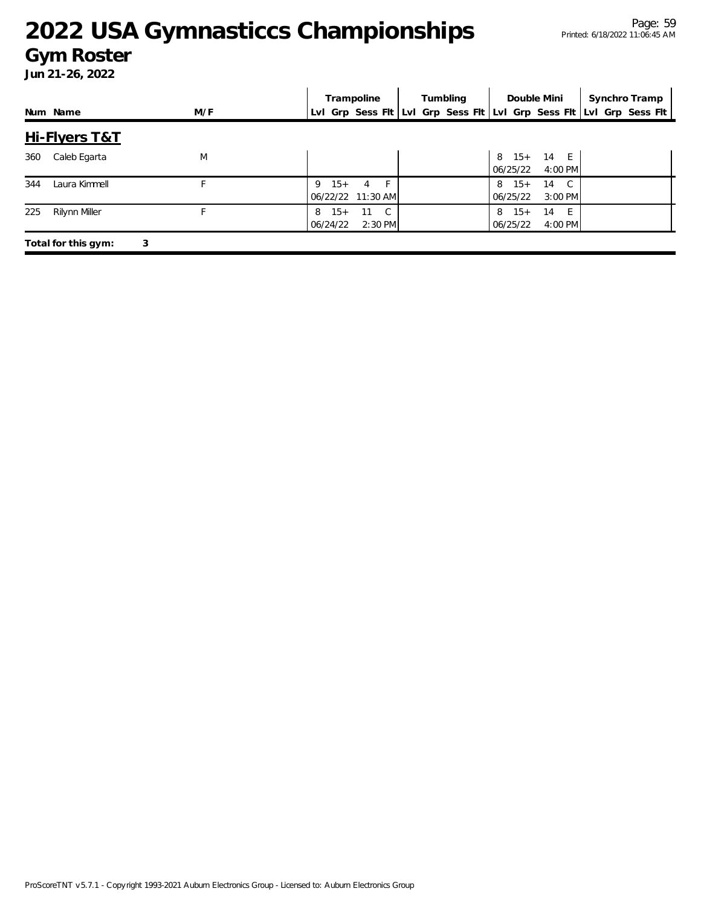#### **Gym Roster**

|                      |     | Trampoline                                                          | Tumbling | Double Mini                                              | Synchro Tramp |
|----------------------|-----|---------------------------------------------------------------------|----------|----------------------------------------------------------|---------------|
| Num Name             | M/F | Lvl Grp Sess Flt Lvl Grp Sess Flt Lvl Grp Sess Flt Lvl Grp Sess Flt |          |                                                          |               |
| Hi-Flyers T&T        |     |                                                                     |          |                                                          |               |
| Caleb Egarta<br>360  | M   |                                                                     |          | 8 15+ 14 E<br>06/25/22<br>4:00 PM                        |               |
| 344<br>Laura Kimmell |     | F<br>$15+$<br>9<br>4<br>06/22/22 11:30 AM                           |          | $8 \t15+$<br>$\overline{C}$<br>14<br>06/25/22<br>3:00 PM |               |
| 225<br>Rilynn Miller | F   | $15+$<br>11<br>$\overline{C}$<br>8<br>06/24/22<br>$2:30$ PM         |          | $8 \t15+$<br>14<br>- F<br>06/25/22<br>4:00 PM            |               |
| Total for this gym:  | 3   |                                                                     |          |                                                          |               |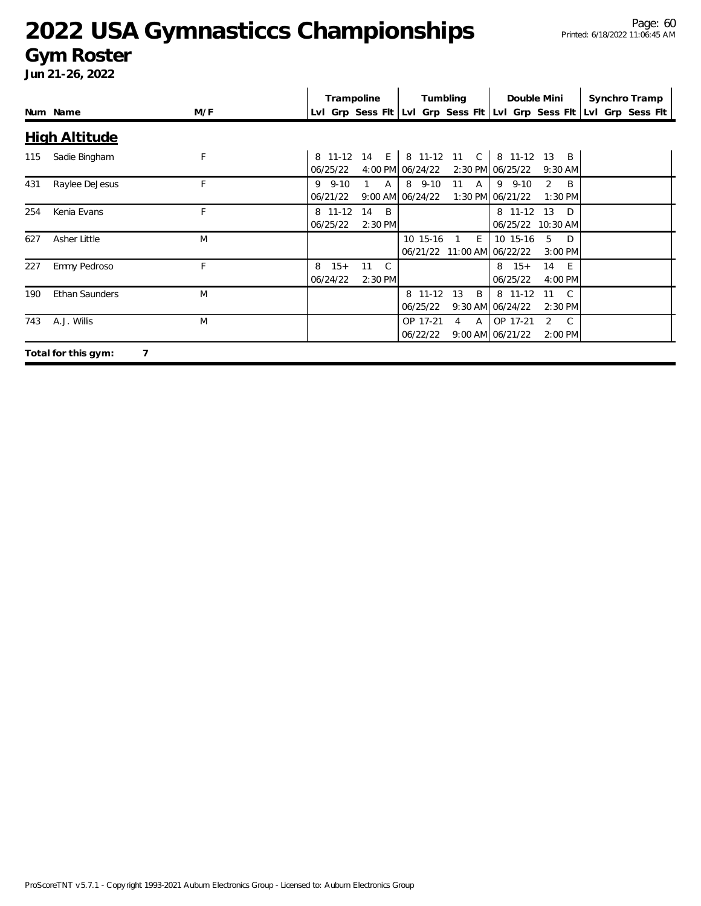#### **Gym Roster**

|     | Num Name              | M/F | Trampoline             |                                 |                                       | Tumbling                        |                                             | Double Mini                                   | Synchro Tramp<br>LvI Grp Sess FIt LvI Grp Sess FIt LvI Grp Sess FIt LvI Grp Sess FIt |  |
|-----|-----------------------|-----|------------------------|---------------------------------|---------------------------------------|---------------------------------|---------------------------------------------|-----------------------------------------------|--------------------------------------------------------------------------------------|--|
|     | <b>High Altitude</b>  |     |                        |                                 |                                       |                                 |                                             |                                               |                                                                                      |  |
| 115 | Sadie Bingham         | F   | 06/25/22               | 8 11-12 14 E                    | 4:00 PM 06/24/22                      |                                 | 8 11-12 11 C 8 11-12 13<br>2:30 PM 06/25/22 | $\overline{B}$<br>$9:30$ AM                   |                                                                                      |  |
| 431 | Raylee DeJesus        | F   | $9.9 - 10$<br>06/21/22 | A                               | $8\quad 9-10$<br>$9:00$ AM $06/24/22$ | 11 A                            | $9 \t 9-10$<br>1:30 PM 06/21/22             | $\mathcal{P}$<br>B<br>1:30 PM                 |                                                                                      |  |
| 254 | Kenia Evans           | F   | 8 11-12<br>06/25/22    | 14<br>$\overline{B}$<br>2:30 PM |                                       |                                 | 8 11-12 13<br>06/25/22 10:30 AM             | D.                                            |                                                                                      |  |
| 627 | Asher Little          | M   |                        |                                 | 10 15-16                              | E<br>06/21/22 11:00 AM 06/22/22 | 10 15-16                                    | .5<br>D.<br>3:00 PM                           |                                                                                      |  |
| 227 | Emmy Pedroso          | F   | $15+$<br>8<br>06/24/22 | 11<br>$\mathbb{C}$<br>2:30 PM   |                                       |                                 | $8 \t15+$<br>06/25/22                       | 14 E<br>4:00 PM                               |                                                                                      |  |
| 190 | <b>Ethan Saunders</b> | M   |                        |                                 | 8 11-12<br>06/25/22                   | 13<br>B                         | 8 11-12<br>9:30 AM 06/24/22                 | $\overline{C}$<br>11<br>2:30 PM               |                                                                                      |  |
| 743 | A.J. Willis           | M   |                        |                                 | OP 17-21<br>06/22/22                  | A<br>$\overline{4}$             | OP 17-21<br>9:00 AM 06/21/22                | $\overline{2}$<br>$\overline{C}$<br>$2:00$ PM |                                                                                      |  |
|     | Total for this gym:   |     |                        |                                 |                                       |                                 |                                             |                                               |                                                                                      |  |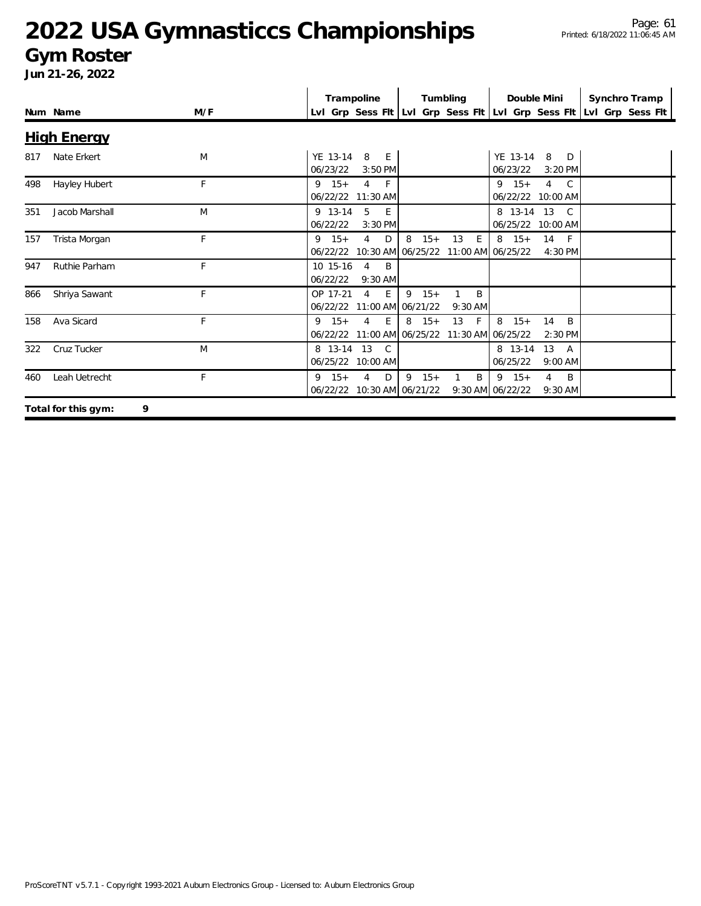#### **Gym Roster**

|     |                     |     | Trampoline                                               | Tumbling                                                              | Double Mini                                                       | Synchro Tramp                                                       |
|-----|---------------------|-----|----------------------------------------------------------|-----------------------------------------------------------------------|-------------------------------------------------------------------|---------------------------------------------------------------------|
|     | Num Name            | M/F |                                                          |                                                                       |                                                                   | Lvl Grp Sess Flt Lvl Grp Sess Flt Lvl Grp Sess Flt Lvl Grp Sess Flt |
|     | <b>High Energy</b>  |     |                                                          |                                                                       |                                                                   |                                                                     |
| 817 | Nate Erkert         | M   | YE 13-14<br>8<br>E<br>06/23/22<br>$3:50$ PM              |                                                                       | YE 13-14<br>8<br>D<br>06/23/22<br>$3:20$ PM                       |                                                                     |
| 498 | Hayley Hubert       | F   | $9 \t15+$<br>$-F$<br>$\overline{4}$<br>06/22/22 11:30 AM |                                                                       | $9 \t15+$<br>$\overline{4}$<br>$\mathcal{C}$<br>06/22/22 10:00 AM |                                                                     |
| 351 | Jacob Marshall      | M   | 5<br>9 13-14<br>E.<br>06/22/22<br>3:30 PM                |                                                                       | 8 13-14 13<br>$\mathcal{C}$<br>06/25/22 10:00 AM                  |                                                                     |
| 157 | Trista Morgan       | F   | $9 \t15+$<br>4<br>D                                      | 8<br>$15+$<br>13<br>E<br>06/22/22 10:30 AM 06/25/22 11:00 AM 06/25/22 | $8 \t15+$<br>14<br>- F<br>4:30 PM                                 |                                                                     |
| 947 | Ruthie Parham       | F   | 10 15-16<br>4<br>B<br>06/22/22<br>$9:30$ AM              |                                                                       |                                                                   |                                                                     |
| 866 | Shriya Sawant       | F   | E<br>OP 17-21<br>4<br>06/22/22                           | $9 \t15+$<br>B<br>11:00 AM 06/21/22<br>$9:30$ AM                      |                                                                   |                                                                     |
| 158 | Ava Sicard          | F   | $9 \t15+$<br>4<br>E.<br>06/22/22                         | $8 \t15+$<br>13<br>F<br>11:00 AM 06/25/22 11:30 AM 06/25/22           | 8<br>$15+$<br>14<br>B<br>$2:30$ PM                                |                                                                     |
| 322 | Cruz Tucker         | M   | 8 13-14 13<br>$\mathsf{C}$<br>06/25/22 10:00 AM          |                                                                       | 13<br>8 13-14<br>A<br>06/25/22<br>$9:00$ AM                       |                                                                     |
| 460 | Leah Uetrecht       | F   | $9 \t15+$<br>4<br>D<br>06/22/22 10:30 AM 06/21/22        | $9 \t15+$<br>$\mathbf{1}$<br>B                                        | $9 \t15+$<br>$\overline{4}$<br>B<br>9:30 AM 06/22/22<br>$9:30$ AM |                                                                     |
|     | Total for this gym: | 9   |                                                          |                                                                       |                                                                   |                                                                     |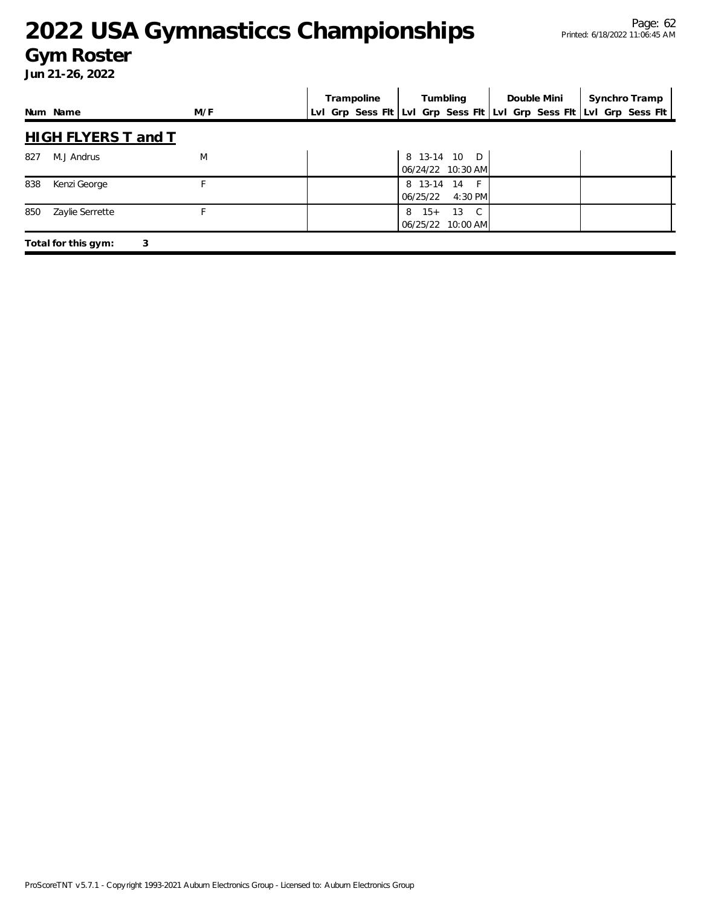#### **Gym Roster**

|          |                            |     |  | Trampoline |                       | Tumbling                            | Double Mini                                                         | Synchro Tramp |  |
|----------|----------------------------|-----|--|------------|-----------------------|-------------------------------------|---------------------------------------------------------------------|---------------|--|
| Num Name |                            | M/F |  |            |                       |                                     | Lvl Grp Sess Fit Lvl Grp Sess Fit Lvl Grp Sess Fit Lvl Grp Sess Fit |               |  |
|          | <b>HIGH FLYERS T and T</b> |     |  |            |                       |                                     |                                                                     |               |  |
| 827      | M.J Andrus                 | M   |  |            |                       | 8 13-14 10 D<br>$06/24/22$ 10:30 AM |                                                                     |               |  |
| 838      | Kenzi George               | F   |  |            | 06/25/22              | 8 13-14 14 F<br>4:30 PM             |                                                                     |               |  |
| 850      | Zaylie Serrette            | F   |  |            | $8 \t15+$<br>06/25/22 | 13 C<br>$10:00$ AM                  |                                                                     |               |  |
|          | Total for this gym:<br>3   |     |  |            |                       |                                     |                                                                     |               |  |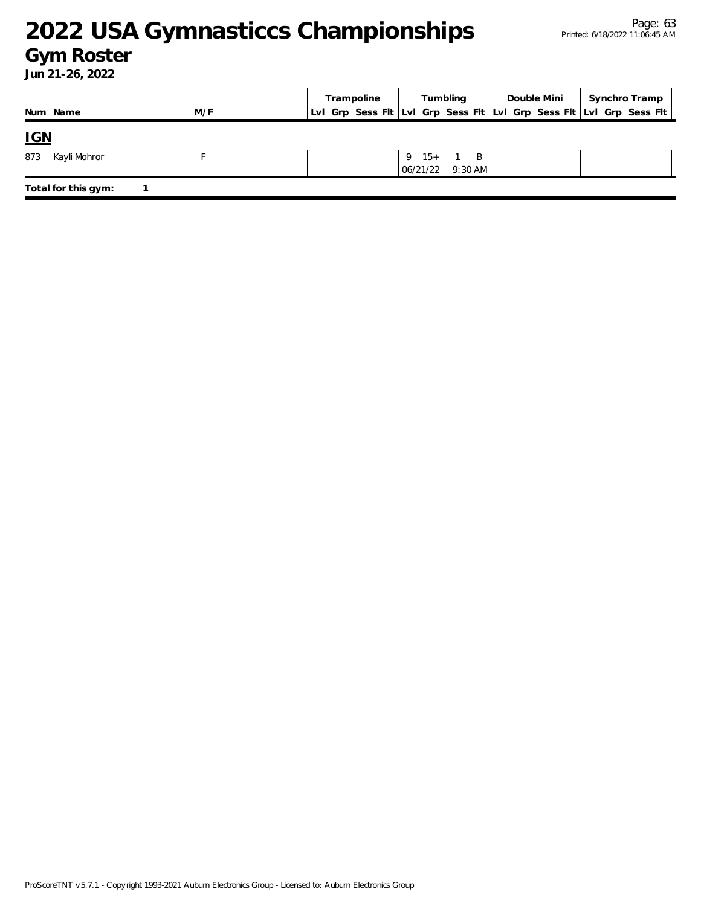#### **Gym Roster**

|                     |     | Trampoline | Tumbling                                | Double Mini | Synchro Tramp                                                       |
|---------------------|-----|------------|-----------------------------------------|-------------|---------------------------------------------------------------------|
| Num Name            | M/F |            |                                         |             | LvI Grp Sess Fit LvI Grp Sess Fit LvI Grp Sess Fit LvI Grp Sess Fit |
| <u>IGN</u>          |     |            |                                         |             |                                                                     |
| 873<br>Kayli Mohror |     |            | $9 \t15+1 \tB$<br>06/21/22<br>$9:30$ AM |             |                                                                     |
| Total for this gym: |     |            |                                         |             |                                                                     |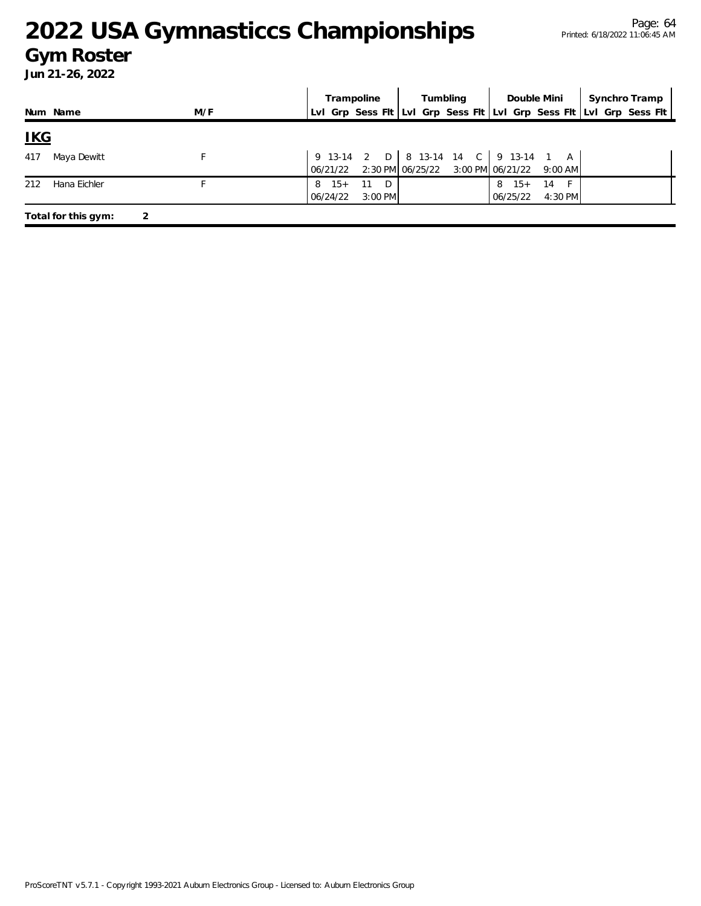#### **Gym Roster**

|            |                     |     | Trampoline             |                      | Tumbling                                                                                                                                                         |                       | Double Mini     | Synchro Tramp                                                       |
|------------|---------------------|-----|------------------------|----------------------|------------------------------------------------------------------------------------------------------------------------------------------------------------------|-----------------------|-----------------|---------------------------------------------------------------------|
|            | Num Name            | M/F |                        |                      |                                                                                                                                                                  |                       |                 | Lvl Grp Sess Fit Lvl Grp Sess Fit Lvl Grp Sess Fit Lvl Grp Sess Fit |
| <u>IKG</u> |                     |     |                        |                      |                                                                                                                                                                  |                       |                 |                                                                     |
| 417        | Maya Dewitt         |     |                        |                      | 9 13-14 2 D   8 13-14 14 C   9 13-14 1 A<br>$\begin{bmatrix} 06/21/22 & 2:30 \text{ PM} & 06/25/22 & 3:00 \text{ PM} & 06/21/22 & 9:00 \text{ AM} \end{bmatrix}$ |                       |                 |                                                                     |
| 212        | Hana Eichler        |     | $15+$<br>8<br>06/24/22 | 11<br>D<br>$3:00$ PM |                                                                                                                                                                  | $8 \t15+$<br>06/25/22 | - 14<br>4:30 PM |                                                                     |
|            | Total for this gym: |     |                        |                      |                                                                                                                                                                  |                       |                 |                                                                     |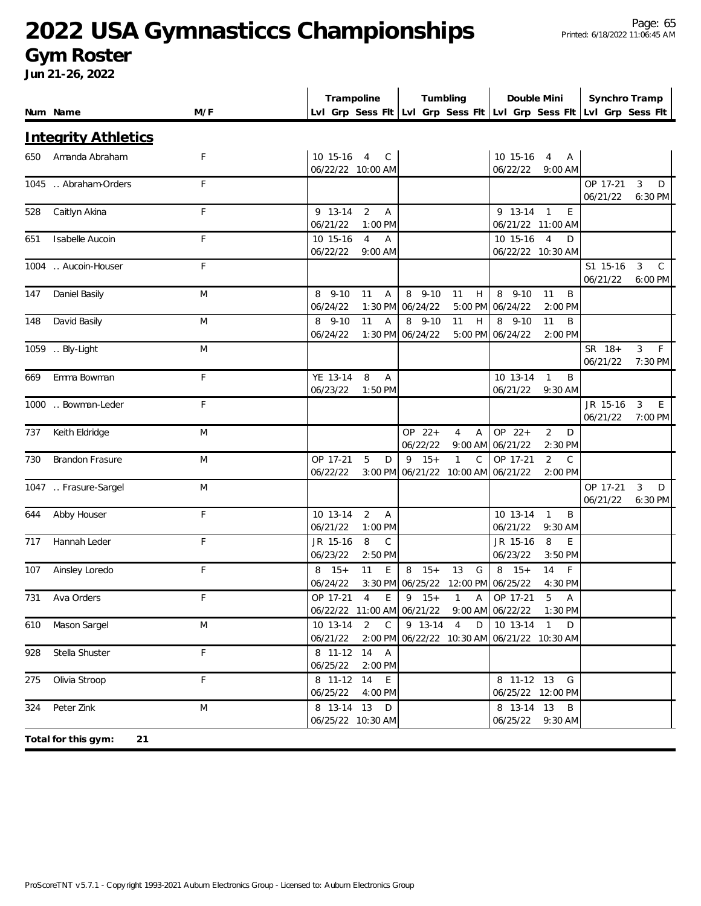#### **Gym Roster**

|     |                            |     | Trampoline                                                | Tumbling                                                                                   | Double Mini                                            | Synchro Tramp                                        |
|-----|----------------------------|-----|-----------------------------------------------------------|--------------------------------------------------------------------------------------------|--------------------------------------------------------|------------------------------------------------------|
|     | Num Name                   | M/F |                                                           | Lvl Grp Sess Fit Lvl Grp Sess Fit Lvl Grp Sess Fit Lvl Grp Sess Fit                        |                                                        |                                                      |
|     | <b>Integrity Athletics</b> |     |                                                           |                                                                                            |                                                        |                                                      |
| 650 | Amanda Abraham             | F   | 10 15-16 4<br>C                                           |                                                                                            | 10 15-16<br>$\overline{4}$<br>Α                        |                                                      |
|     | 1045  Abraham-Orders       | F   | 06/22/22 10:00 AM                                         |                                                                                            | 06/22/22<br>$9:00$ AM                                  | OP 17-21<br>3<br>D                                   |
|     |                            |     |                                                           |                                                                                            |                                                        | 06/21/22<br>6:30 PM                                  |
| 528 | Caitlyn Akina              | F   | $\overline{2}$<br>9 13-14<br>A<br>06/21/22<br>$1:00$ PM   |                                                                                            | 9 13-14 1<br>E<br>06/21/22 11:00 AM                    |                                                      |
| 651 | Isabelle Aucoin            | F   | 10 15-16<br>$\overline{4}$<br>A                           |                                                                                            | 10 15-16<br>$\overline{4}$<br>D                        |                                                      |
|     |                            |     | 06/22/22<br>$9:00$ AM                                     |                                                                                            | 06/22/22 10:30 AM                                      |                                                      |
|     | 1004 . Aucoin-Houser       | F   |                                                           |                                                                                            |                                                        | $\mathsf{C}$<br>S1 15-16<br>3<br>06/21/22<br>6:00 PM |
| 147 | Daniel Basily              | M   | $8\quad 9-10$<br>11<br>A                                  | 8 9-10<br>11<br>H                                                                          | 8<br>$9 - 10$<br>11<br>B                               |                                                      |
|     |                            |     | 06/24/22<br>$1:30$ PM                                     | 06/24/22                                                                                   | 5:00 PM 06/24/22<br>2:00 PM                            |                                                      |
| 148 | David Basily               | M   | 11<br>$8$ 9-10<br>$\overline{A}$<br>06/24/22<br>$1:30$ PM | 8 9-10<br>11<br>H<br>06/24/22                                                              | $8, 9-10$<br>11<br>B<br>5:00 PM 06/24/22<br>2:00 PM    |                                                      |
|     | 1059  Bly-Light            | M   |                                                           |                                                                                            |                                                        | F<br>3<br>SR 18+                                     |
|     |                            |     |                                                           |                                                                                            |                                                        | 06/21/22<br>7:30 PM                                  |
| 669 | Emma Bowman                | F   | 8<br>YE 13-14<br>$\overline{A}$<br>06/23/22<br>$1:50$ PM  |                                                                                            | 10 13-14<br>B<br>$\mathbf{1}$<br>06/21/22<br>$9:30$ AM |                                                      |
|     | 1000  Bowman-Leder         | F   |                                                           |                                                                                            |                                                        | JR 15-16<br>3<br>E                                   |
|     |                            |     |                                                           |                                                                                            |                                                        | 06/21/22<br>7:00 PM                                  |
| 737 | Keith Eldridge             | M   |                                                           | OP 22+<br>$\overline{A}$<br>$\overline{4}$<br>06/22/22<br>9:00 AM                          | OP 22+<br>$\overline{2}$<br>D<br>06/21/22<br>2:30 PM   |                                                      |
| 730 | <b>Brandon Frasure</b>     | M   | 5<br>OP 17-21<br>D                                        | $9 \t15+$<br>$\mathbf{1}$<br>$\mathsf{C}$                                                  | $\overline{2}$<br>$\mathsf{C}$<br>OP 17-21             |                                                      |
|     |                            |     | 06/22/22<br>$3:00$ PM                                     | 06/21/22<br>10:00 AM                                                                       | 06/21/22<br>2:00 PM                                    |                                                      |
|     | 1047  Frasure-Sargel       | M   |                                                           |                                                                                            |                                                        | OP 17-21<br>3<br>D<br>06/21/22<br>6:30 PM            |
| 644 | Abby Houser                | F   | $\overline{2}$<br>10 13-14<br>$\overline{A}$              |                                                                                            | 10 13-14<br>B<br>$\mathbf{1}$                          |                                                      |
|     |                            |     | 06/21/22<br>1:00 PM                                       |                                                                                            | 06/21/22<br>$9:30$ AM                                  |                                                      |
| 717 | Hannah Leder               | F   | $\mathsf{C}$<br>8<br>JR 15-16<br>06/23/22<br>2:50 PM      |                                                                                            | 8<br>E<br>JR 15-16<br>06/23/22<br>3:50 PM              |                                                      |
| 107 | Ainsley Loredo             | F   | $8 \t15+$<br>11<br>E                                      | $8 \t15+$<br>13<br>G                                                                       | $8 \t15+$<br>14<br>$\mathsf{F}$                        |                                                      |
|     |                            |     | 06/24/22                                                  | 3:30 PM 06/25/22 12:00 PM 06/25/22                                                         | $4:30$ PM                                              |                                                      |
|     | 731 Ava Orders             |     |                                                           | OP 17-21 4 E 9 15+ 1 A OP 17-21 5 A<br>06/22/22 11:00 AM 06/21/22 9:00 AM 06/22/22 1:30 PM |                                                        |                                                      |
|     | 610 Mason Sargel           | M   | 10 13-14<br>2 C                                           | 9 13-14 4<br>D                                                                             | $\overline{10}$ 13-14 1<br>D                           |                                                      |
|     |                            |     | 06/21/22                                                  | 2:00 PM 06/22/22 10:30 AM 06/21/22 10:30 AM                                                |                                                        |                                                      |
| 928 | Stella Shuster             | F   | 8 11-12 14 A<br>06/25/22<br>2:00 PM                       |                                                                                            |                                                        |                                                      |
| 275 | Olivia Stroop              | F   | 8 11-12 14<br>E.                                          |                                                                                            | 8 11-12 13 G                                           |                                                      |
|     |                            |     | 06/25/22<br>4:00 PM                                       |                                                                                            | 06/25/22 12:00 PM                                      |                                                      |
|     | 324 Peter Zink             | M   | 8 13-14 13 D                                              |                                                                                            | 8 13-14 13 B                                           |                                                      |
|     |                            |     | 06/25/22 10:30 AM                                         |                                                                                            | 06/25/22 9:30 AM                                       |                                                      |
|     | Total for this gym:<br>21  |     |                                                           |                                                                                            |                                                        |                                                      |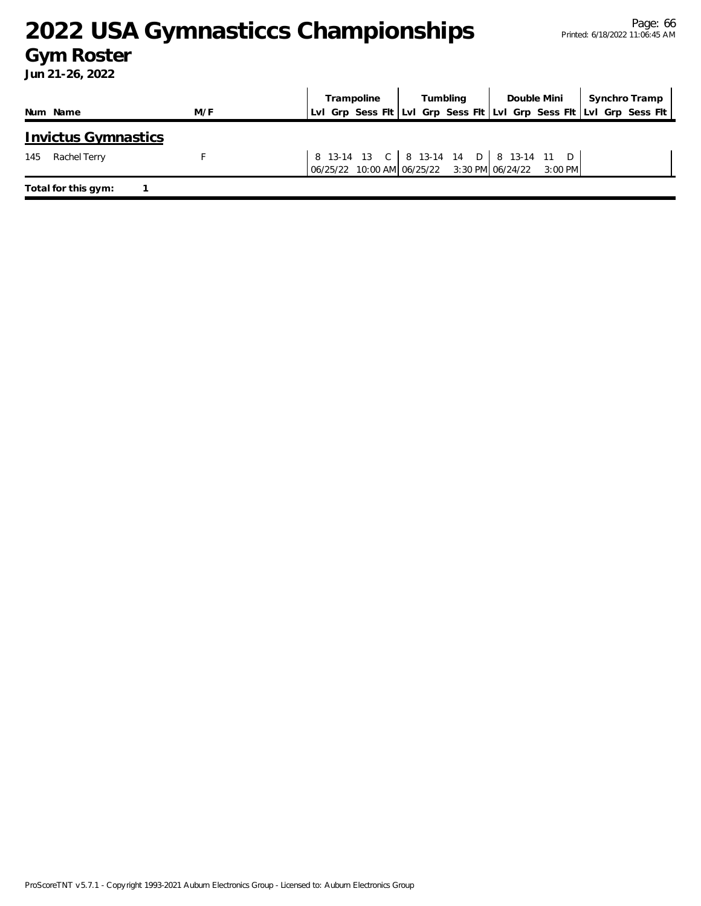### **Gym Roster**

|                     |                            |                                                                                                                                                        | Trampoline | Tumbling | Double Mini                            | Synchro Tramp |                                                                        |
|---------------------|----------------------------|--------------------------------------------------------------------------------------------------------------------------------------------------------|------------|----------|----------------------------------------|---------------|------------------------------------------------------------------------|
| Num Name            | M/F                        |                                                                                                                                                        |            |          |                                        |               | LvI Grp Sess FIt  LvI Grp Sess FIt  LvI Grp Sess FIt  LvI Grp Sess FIt |
|                     | <b>Invictus Gymnastics</b> |                                                                                                                                                        |            |          |                                        |               |                                                                        |
| Rachel Terry<br>145 |                            | $\begin{bmatrix} 06/25/22 & 10:00 \end{bmatrix}$ AM $\begin{bmatrix} 06/25/22 & 3:30 \end{bmatrix}$ PM $\begin{bmatrix} 06/24/22 & 3:00 \end{bmatrix}$ |            |          | 8 13-14 13 C 8 13-14 14 D 8 13-14 11 D |               |                                                                        |
| Total for this gym: |                            |                                                                                                                                                        |            |          |                                        |               |                                                                        |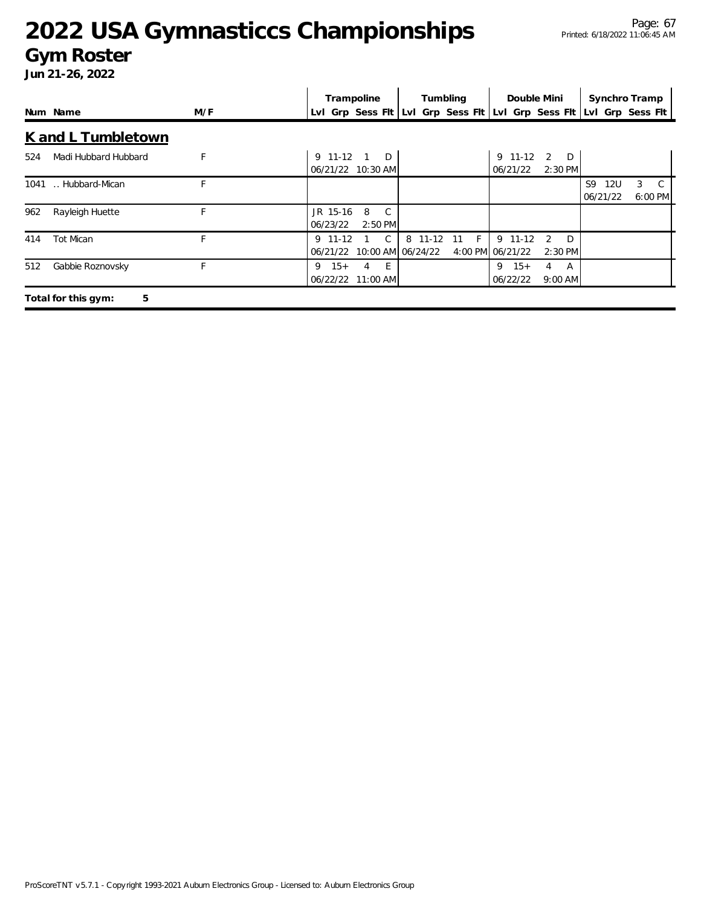#### **Gym Roster**

|                             |     |                      | Trampoline                              |                | Tumbling | Double Mini                                        |                               |                              | Synchro Tramp          |
|-----------------------------|-----|----------------------|-----------------------------------------|----------------|----------|----------------------------------------------------|-------------------------------|------------------------------|------------------------|
| Num Name                    | M/F |                      | Lvl Grp Sess Flt                        |                |          | Lvl Grp Sess FIt Lvl Grp Sess FIt Lvl Grp Sess FIt |                               |                              |                        |
| K and L Tumbletown          |     |                      |                                         |                |          |                                                    |                               |                              |                        |
| Madi Hubbard Hubbard<br>524 | F   | 9 11-12              | 1 D<br>06/21/22 10:30 AM                |                |          | 9 11-12<br>06/21/22                                | 2<br>D<br>2:30 PM             |                              |                        |
| Hubbard-Mican<br>1041       | F   |                      |                                         |                |          |                                                    |                               | S9<br><b>12U</b><br>06/21/22 | $3 \quad C$<br>6:00 PM |
| 962<br>Rayleigh Huette      |     | JR 15-16<br>06/23/22 | 8<br>C.<br>2:50 PM                      |                |          |                                                    |                               |                              |                        |
| <b>Tot Mican</b><br>414     | F   | $9$ 11-12            | C.<br>06/21/22 10:00 AM 06/24/22        | 8<br>$11 - 12$ | F.<br>11 | 9 11-12<br>4:00 PM 06/21/22                        | D<br>$\mathcal{P}$<br>2:30 PM |                              |                        |
| 512<br>Gabbie Roznovsky     | F   | 9                    | $15+$<br>$-E$<br>4<br>06/22/22 11:00 AM |                |          | $15+$<br>9<br>06/22/22                             | 4<br>A<br>$9:00$ AM           |                              |                        |
| 5<br>Total for this gym:    |     |                      |                                         |                |          |                                                    |                               |                              |                        |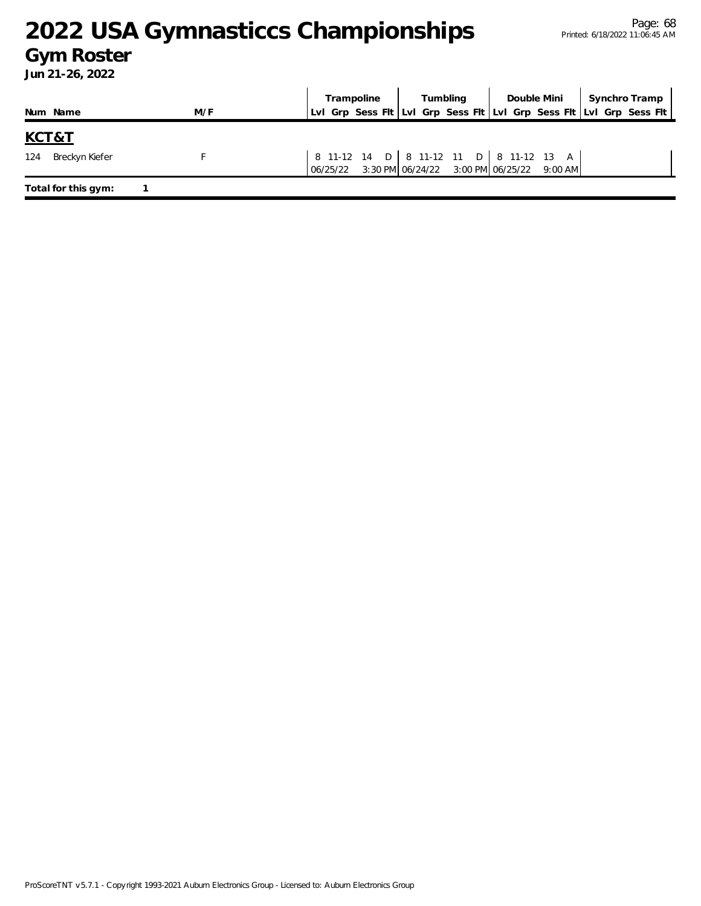### **Gym Roster**

|                         |                     |     | Trampoline | Tumbling |                                                    | Double Mini   Synchro Tramp |                                                                     |
|-------------------------|---------------------|-----|------------|----------|----------------------------------------------------|-----------------------------|---------------------------------------------------------------------|
|                         | Num Name            | M/F |            |          |                                                    |                             | Lui Grp Sess Fit Lui Grp Sess Fit Lui Grp Sess Fit Lui Grp Sess Fit |
| <u>KCT&amp;T</u><br>124 | Breckyn Kiefer      |     |            |          | 8 11-12 14 D   8 11-12 11 D   8 11-12 13 A         |                             |                                                                     |
|                         |                     |     |            |          | 06/25/22 3:30 PM 06/24/22 3:00 PM 06/25/22 9:00 AM |                             |                                                                     |
|                         | Total for this gym: |     |            |          |                                                    |                             |                                                                     |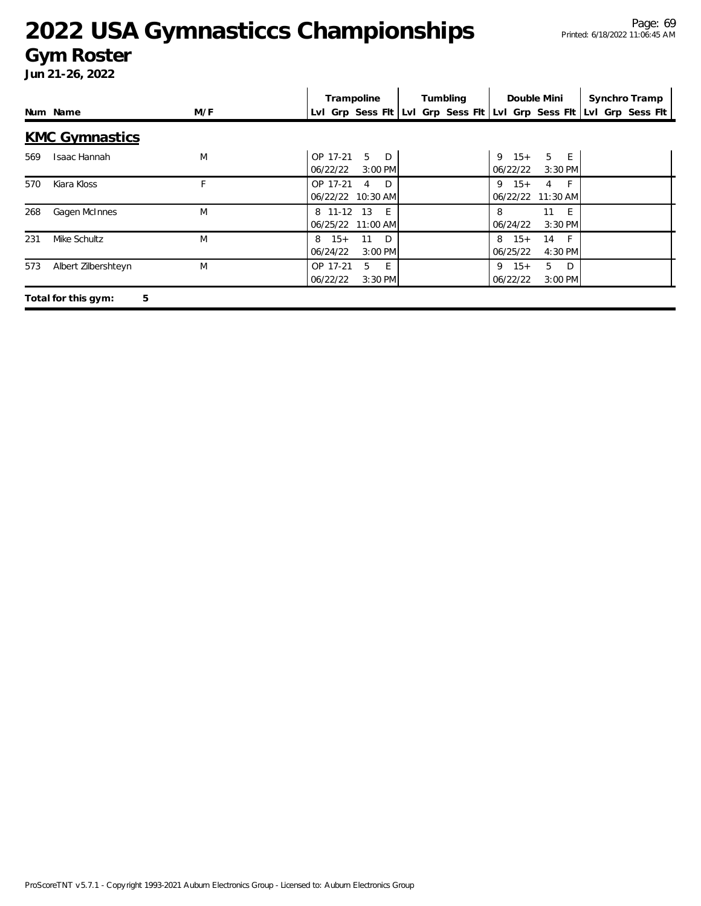#### **Gym Roster**

|     |                          |     | Trampoline                                                | Tumbling                                           | Double Mini                                     | Synchro Tramp    |
|-----|--------------------------|-----|-----------------------------------------------------------|----------------------------------------------------|-------------------------------------------------|------------------|
|     | Num Name                 | M/F |                                                           | Lvl Grp Sess Fit Lvl Grp Sess Fit Lvl Grp Sess Fit |                                                 | Lvl Grp Sess Flt |
|     | <b>KMC Gymnastics</b>    |     |                                                           |                                                    |                                                 |                  |
| 569 | Isaac Hannah             | M   | 5<br>OP 17-21<br>D<br>06/22/22<br>3:00 PM                 |                                                    | 5 E<br>$15+$<br>9<br>06/22/22<br>$3:30$ PM      |                  |
| 570 | Kiara Kloss              | E.  | OP 17-21<br>$\Box$<br>$\overline{4}$<br>06/22/22 10:30 AM |                                                    | $9 \t15+$<br>$4 \quad F$<br>06/22/22 11:30 AM   |                  |
| 268 | Gagen McInnes            | M   | 8 11-12<br>- 13<br>$-E$<br>06/25/22 11:00 AM              |                                                    | 11<br>8<br>- E<br>$3:30$ PM<br>06/24/22         |                  |
| 231 | Mike Schultz             | M   | $15+$<br>11<br>D<br>8<br>06/24/22<br>3:00 PM              |                                                    | $15+$<br>8<br>14<br>$-F$<br>06/25/22<br>4:30 PM |                  |
| 573 | Albert Zilbershteyn      | M   | 5<br>E<br>OP 17-21<br>3:30 PM<br>06/22/22                 |                                                    | $9 \t15+$<br>5 D<br>06/22/22<br>3:00 PM         |                  |
|     | 5<br>Total for this gym: |     |                                                           |                                                    |                                                 |                  |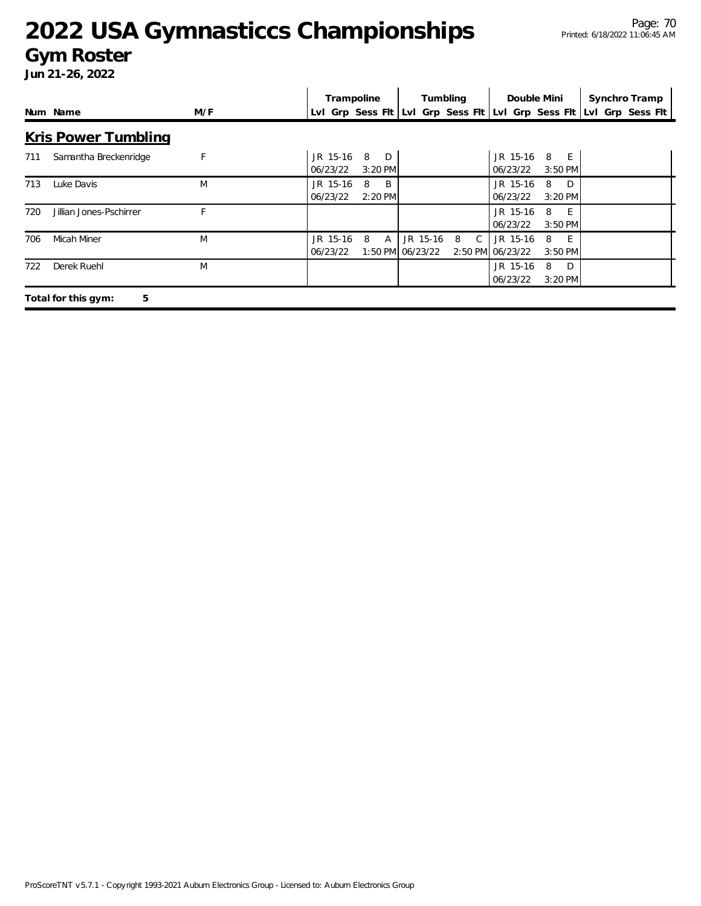#### **Gym Roster**

|     |                            |     | Trampoline           |                            |          | Tumbling                                           |                              | Double Mini            | Synchro Tramp    |
|-----|----------------------------|-----|----------------------|----------------------------|----------|----------------------------------------------------|------------------------------|------------------------|------------------|
|     | Num Name                   | M/F |                      |                            |          | Lvl Grp Sess Flt Lvl Grp Sess Flt Lvl Grp Sess Flt |                              |                        | Lvl Grp Sess Flt |
|     | <u>Kris Power Tumbling</u> |     |                      |                            |          |                                                    |                              |                        |                  |
| 711 | Samantha Breckenridge      | F   | JR 15-16<br>06/23/22 | 8<br>D<br>$3:20$ PM        |          |                                                    | JR 15-16<br>06/23/22         | 8 E<br>$3:50$ PM       |                  |
| 713 | Luke Davis                 | M   | JR 15-16<br>06/23/22 | B<br>8<br>2:20 PM          |          |                                                    | JR 15-16<br>06/23/22         | D.<br>8<br>3:20 PM     |                  |
| 720 | Jillian Jones-Pschirrer    |     |                      |                            |          |                                                    | JR 15-16<br>06/23/22         | 8<br>$-E$<br>$3:50$ PM |                  |
| 706 | Micah Miner                | M   | JR 15-16<br>06/23/22 | 8<br>A<br>1:50 PM 06/23/22 | JR 15-16 | 8<br>$\mathsf{C}$                                  | JR 15-16<br>2:50 PM 06/23/22 | 8<br>- E<br>3:50 PM    |                  |
| 722 | Derek Ruehl                | M   |                      |                            |          |                                                    | JR 15-16<br>06/23/22         | 8<br>D<br>$3:20$ PM    |                  |
|     | 5<br>Total for this gym:   |     |                      |                            |          |                                                    |                              |                        |                  |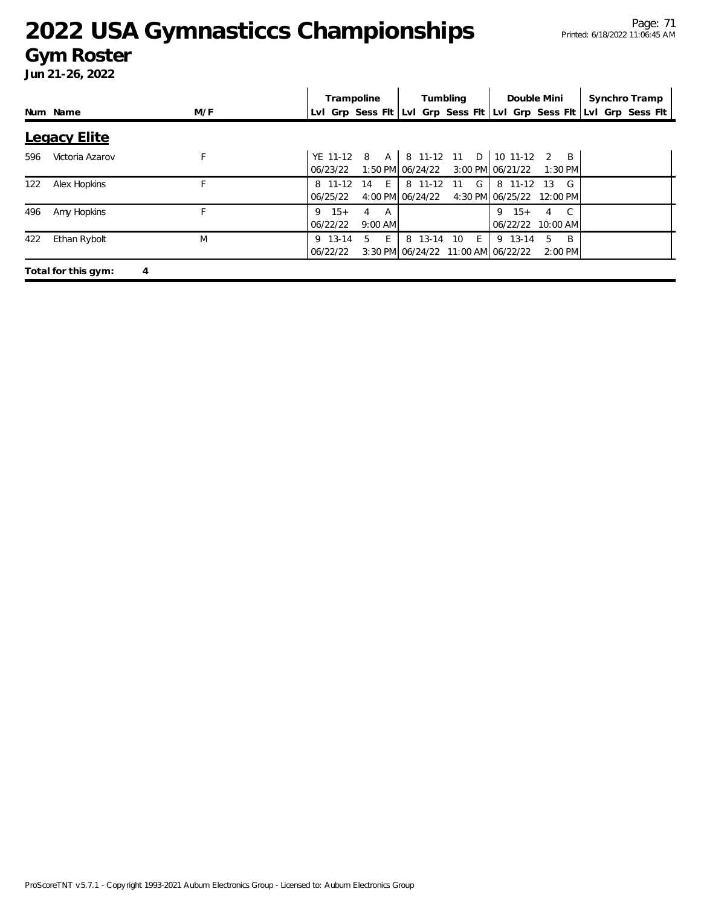#### **Gym Roster**

|     |                     |     | Trampoline                                   | Tumbling                                                        | Double Mini                                     | Synchro Tramp                                                       |
|-----|---------------------|-----|----------------------------------------------|-----------------------------------------------------------------|-------------------------------------------------|---------------------------------------------------------------------|
|     | Num Name            | M/F |                                              |                                                                 |                                                 | Lyl Grp Sess Fit Lyl Grp Sess Fit Lyl Grp Sess Fit Lyl Grp Sess Fit |
|     | <b>Legacy Elite</b> |     |                                              |                                                                 |                                                 |                                                                     |
| 596 | Victoria Azarov     | F   | YE 11-12 8<br>06/23/22                       | A   8 11-12 11 D   10 11-12 2<br>1:50 PM 06/24/22               | $\overline{B}$<br>3:00 PM 06/21/22<br>$1:30$ PM |                                                                     |
| 122 | Alex Hopkins        |     | 8 11-12 14 E<br>06/25/22                     | 8 11-12 11 G<br>4:00 PM 06/24/22                                | G<br>8 11-12 13<br>4:30 PM 06/25/22 12:00 PM    |                                                                     |
| 496 | Amy Hopkins         | F   | $9 \t15+$<br>A<br>4<br>06/22/22<br>$9:00$ AM |                                                                 | $9 \t15+$<br>4<br>06/22/22 10:00 AM             |                                                                     |
| 422 | Ethan Rybolt        | M   | E<br>5<br>9 13-14<br>06/22/22                | 8 13-14 10<br>$E_{\perp}$<br>3:30 PM 06/24/22 11:00 AM 06/22/22 | 9 13-14<br>B.<br>5.<br>$2:00$ PM                |                                                                     |
|     | Total for this gym: | 4   |                                              |                                                                 |                                                 |                                                                     |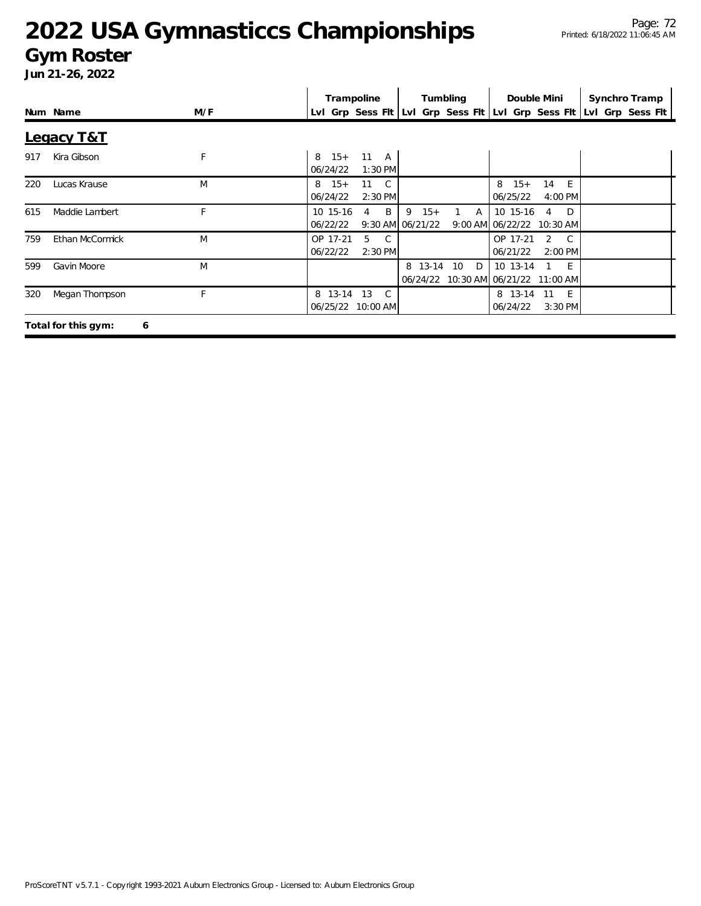#### **Gym Roster**

|            |                          |     | Trampoline                                            | Tumbling                                                            | Double Mini                                                       | Synchro Tramp |
|------------|--------------------------|-----|-------------------------------------------------------|---------------------------------------------------------------------|-------------------------------------------------------------------|---------------|
|            | Num Name                 | M/F |                                                       | LvI Grp Sess FIt LvI Grp Sess FIt LvI Grp Sess FIt LvI Grp Sess FIt |                                                                   |               |
| Legacy T&T |                          |     |                                                       |                                                                     |                                                                   |               |
| 917        | Kira Gibson              | F   | $15+$<br>11 A<br>8<br>06/24/22<br>1:30 PM             |                                                                     |                                                                   |               |
| 220        | Lucas Krause             | M   | $15+$<br>11 C<br>8<br>06/24/22<br>2:30 PM             |                                                                     | $15+$<br>8<br>14<br>$-E$<br>06/25/22<br>4:00 PM                   |               |
| 615        | Maddie Lambert           | E.  | B<br>10 15-16<br>4<br>06/22/22                        | $9 \t15+$<br>$\mathsf{A}$<br>9:30 AM 06/21/22                       | D<br>10 15-16<br>4<br>9:00 AM 06/22/22 10:30 AM                   |               |
| 759        | Ethan McCormick          | M   | 5<br>OP 17-21<br>$\mathcal{C}$<br>06/22/22<br>2:30 PM |                                                                     | $\mathcal{C}$<br>OP 17-21<br>$\mathcal{P}$<br>2:00 PM<br>06/21/22 |               |
| 599        | Gavin Moore              | M   |                                                       | 8 13-14<br>10<br>D                                                  | 10 13-14<br>- E<br>06/24/22 10:30 AM 06/21/22 11:00 AM            |               |
| 320        | Megan Thompson           | F   | 8 13-14<br>13<br>$\mathcal{C}$<br>06/25/22 10:00 AM   |                                                                     | 8 13-14<br>11<br>- E<br>06/24/22<br>3:30 PM                       |               |
|            | Total for this gym:<br>6 |     |                                                       |                                                                     |                                                                   |               |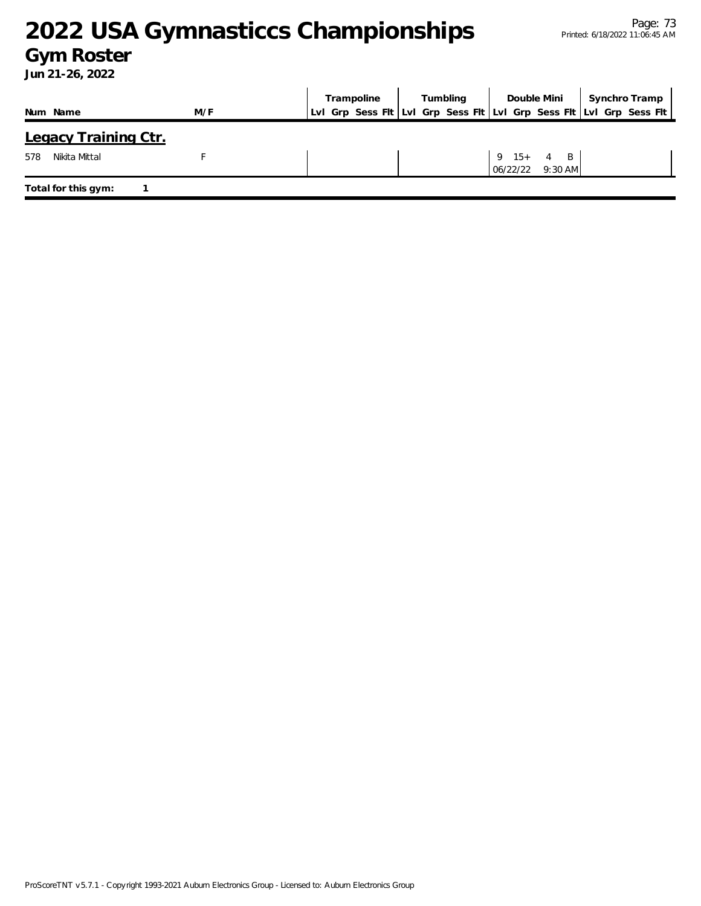### **Gym Roster**

|                             |     | Trampoline                                                          | Tumbling |                          | Double Mini    | Synchro Tramp |
|-----------------------------|-----|---------------------------------------------------------------------|----------|--------------------------|----------------|---------------|
| Num Name                    | M/F | Lvl Grp Sess Fit Lvl Grp Sess Fit Lvl Grp Sess Fit Lvl Grp Sess Fit |          |                          |                |               |
| <b>Legacy Training Ctr.</b> |     |                                                                     |          |                          |                |               |
| Nikita Mittal<br>578        |     |                                                                     |          | $9 \t15 + 4$<br>06/22/22 | B<br>$9:30$ AM |               |
| Total for this gym:         |     |                                                                     |          |                          |                |               |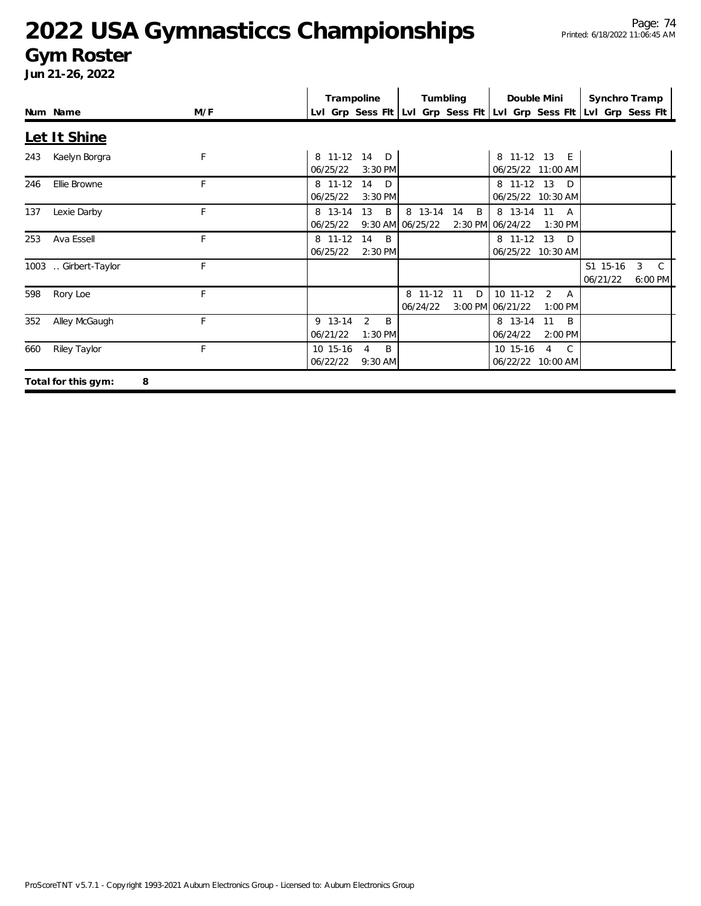#### **Gym Roster**

**Jun 21-26, 2022**

|     |                          |     |                      | Trampoline                                                          | Tumbling                    |         | Double Mini                  |                                           | Synchro Tramp        |                        |  |
|-----|--------------------------|-----|----------------------|---------------------------------------------------------------------|-----------------------------|---------|------------------------------|-------------------------------------------|----------------------|------------------------|--|
|     | Num Name                 | M/F |                      | Lvl Grp Sess Fit Lvi Grp Sess Fit Lvi Grp Sess Fit Lvi Grp Sess Fit |                             |         |                              |                                           |                      |                        |  |
|     | Let It Shine             |     |                      |                                                                     |                             |         |                              |                                           |                      |                        |  |
| 243 | Kaelyn Borgra            | F   | 06/25/22             | 8 11-12 14 D<br>$3:30$ PM                                           |                             |         |                              | 8 11-12 13 E<br>06/25/22 11:00 AM         |                      |                        |  |
| 246 | Ellie Browne             | F   | 8 11-12<br>06/25/22  | 14<br>D<br>$3:30$ PM                                                |                             |         |                              | 8 11-12 13 D<br>06/25/22 10:30 AM         |                      |                        |  |
| 137 | Lexie Darby              | F   | 8 13-14<br>06/25/22  | 13<br>B                                                             | 8 13-14<br>9:30 AM 06/25/22 | 14<br>B | 2:30 PM 06/24/22             | 8 13-14 11 A<br>$1:30$ PM                 |                      |                        |  |
| 253 | Ava Essell               | E   | 8 11-12<br>06/25/22  | 14<br>$\overline{B}$<br>$2:30$ PM                                   |                             |         |                              | 8 11-12 13 D<br>06/25/22 10:30 AM         |                      |                        |  |
|     | 1003  Girbert-Taylor     | F   |                      |                                                                     |                             |         |                              |                                           | S1 15-16<br>06/21/22 | $3 \quad C$<br>6:00 PM |  |
| 598 | Rory Loe                 | F   |                      |                                                                     | 8 11-12<br>06/24/22         | 11<br>D | 10 11-12<br>3:00 PM 06/21/22 | 2<br><b>A</b><br>1:00 PM                  |                      |                        |  |
| 352 | Alley McGaugh            | F   | 9 13-14<br>06/21/22  | $\overline{2}$<br>B<br>$1:30$ PM                                    |                             |         | 8 13-14<br>06/24/22          | 11<br>B<br>2:00 PM                        |                      |                        |  |
| 660 | Riley Taylor             | F   | 10 15-16<br>06/22/22 | B<br>4<br>9:30 AM                                                   |                             |         | 10 15-16                     | $\overline{4}$<br>C.<br>06/22/22 10:00 AM |                      |                        |  |
|     | Total for this gym:<br>Я |     |                      |                                                                     |                             |         |                              |                                           |                      |                        |  |

**o**tal for this gym: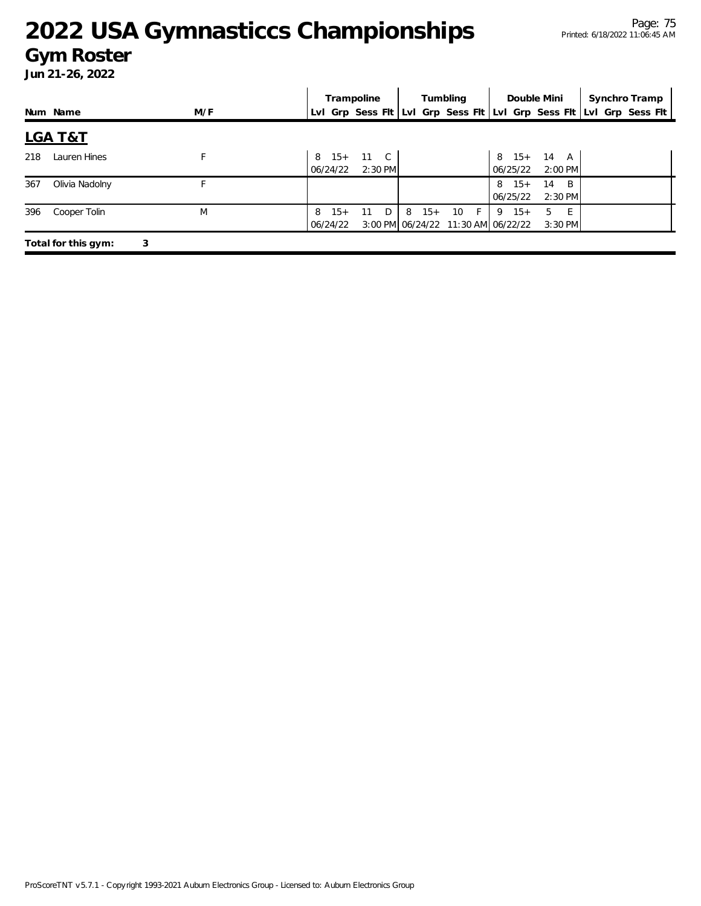#### **Gym Roster**

|     |                     |     |                        | Trampoline |         |   |       | Tumbling    |                                                 | Double Mini               | Synchro Tramp                                                       |  |
|-----|---------------------|-----|------------------------|------------|---------|---|-------|-------------|-------------------------------------------------|---------------------------|---------------------------------------------------------------------|--|
|     | Num Name            | M/F |                        |            |         |   |       |             |                                                 |                           | Lvl Grp Sess Flt Lvl Grp Sess Flt Lvl Grp Sess Flt Lvl Grp Sess Flt |  |
|     | <b>LGA T&amp;T</b>  |     |                        |            |         |   |       |             |                                                 |                           |                                                                     |  |
| 218 | Lauren Hines        | F   | 8 15+ 11 C<br>06/24/22 |            | 2:30 PM |   |       |             | 06/25/22                                        | $8$ 15+ 14 A<br>$2:00$ PM |                                                                     |  |
| 367 | Olivia Nadolny      |     |                        |            |         |   |       |             | $8 \t15+$<br>06/25/22                           | 14<br>- B<br>$2:30$ PM    |                                                                     |  |
| 396 | Cooper Tolin        | M   | $15+$<br>8<br>06/24/22 | 11         | D.      | 8 | $15+$ | 10<br>- F - | $9 \t15+$<br>3:00 PM 06/24/22 11:30 AM 06/22/22 | 5<br>- F<br>$3:30$ PM     |                                                                     |  |
|     | Total for this gym: | 3   |                        |            |         |   |       |             |                                                 |                           |                                                                     |  |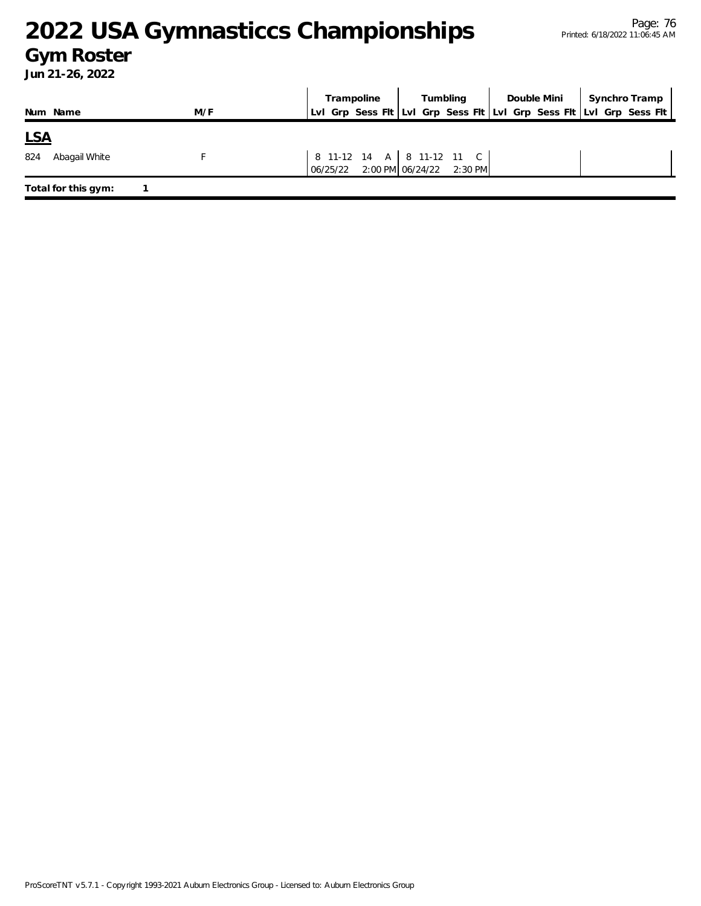### **Gym Roster**

|            |                     |     | Trampoline                        | Tumbling                  | Double Mini                                                         | Synchro Tramp |
|------------|---------------------|-----|-----------------------------------|---------------------------|---------------------------------------------------------------------|---------------|
|            | Num Name            | M/F |                                   |                           | Lvl Grp Sess Flt Lvl Grp Sess Flt Lvl Grp Sess Flt Lvl Grp Sess Flt |               |
| <u>LSA</u> |                     |     |                                   |                           |                                                                     |               |
| 824        | Abagail White       |     | 06/25/22 2:00 PM 06/24/22 2:30 PM | 8 11-12 14 A 8 11-12 11 C |                                                                     |               |
|            | Total for this gym: |     |                                   |                           |                                                                     |               |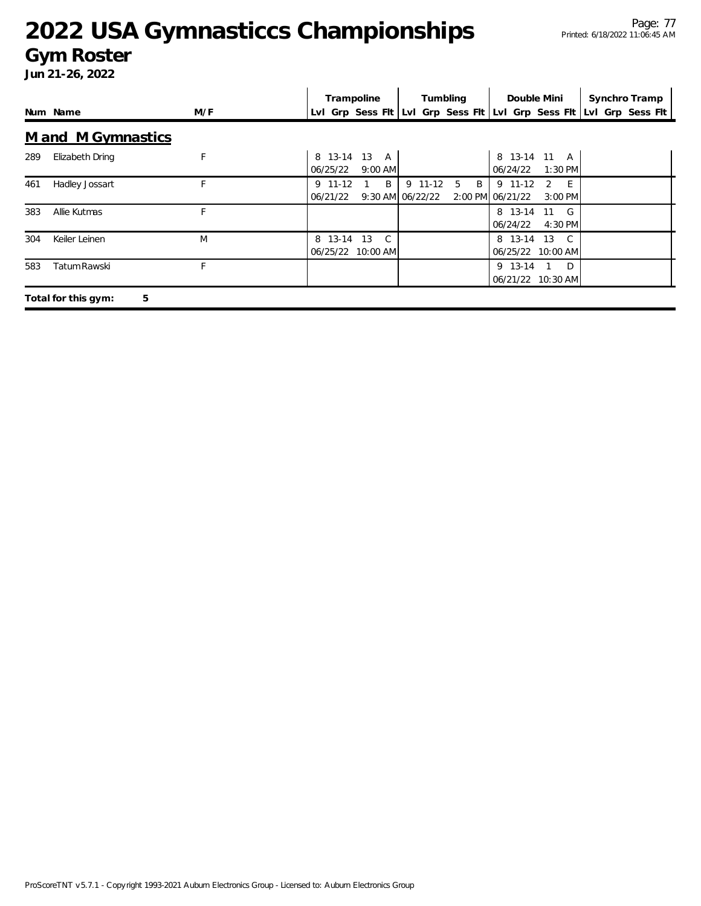#### **Gym Roster**

|     |                          |     | Trampoline                                                          | Tumbling          | Double Mini                                                       | Synchro Tramp |
|-----|--------------------------|-----|---------------------------------------------------------------------|-------------------|-------------------------------------------------------------------|---------------|
|     | Num Name                 | M/F | Lvl Grp Sess Flt Lvl Grp Sess Flt Lvl Grp Sess Flt Lvl Grp Sess Flt |                   |                                                                   |               |
|     | M and M Gymnastics       |     |                                                                     |                   |                                                                   |               |
| 289 | Elizabeth Dring          | F   | 8 13-14<br>13 A<br>06/25/22<br>$9:00$ AM                            |                   | 8 13-14 11 A<br>06/24/22<br>$1:30$ PM                             |               |
| 461 | Hadley Jossart           |     | B<br>9 11-12<br>9:30 AM 06/22/22<br>06/21/22                        | 9 11-12<br>B<br>5 | 9 11-12<br>$\mathcal{P}$<br>$-E$<br>2:00 PM 06/21/22<br>$3:00$ PM |               |
| 383 | Allie Kutmas             |     |                                                                     |                   | 8 13-14 11 G<br>06/24/22<br>$4:30$ PM                             |               |
| 304 | Keiler Leinen            | M   | 8 13-14<br>13<br>$\mathbb{C}$<br>06/25/22 10:00 AM                  |                   | 8 13-14 13 C<br>06/25/22 10:00 AM                                 |               |
| 583 | Tatum Rawski             | F.  |                                                                     |                   | 9 13-14<br>$1\quad D$<br>06/21/22 10:30 AM                        |               |
|     | 5<br>Total for this gym: |     |                                                                     |                   |                                                                   |               |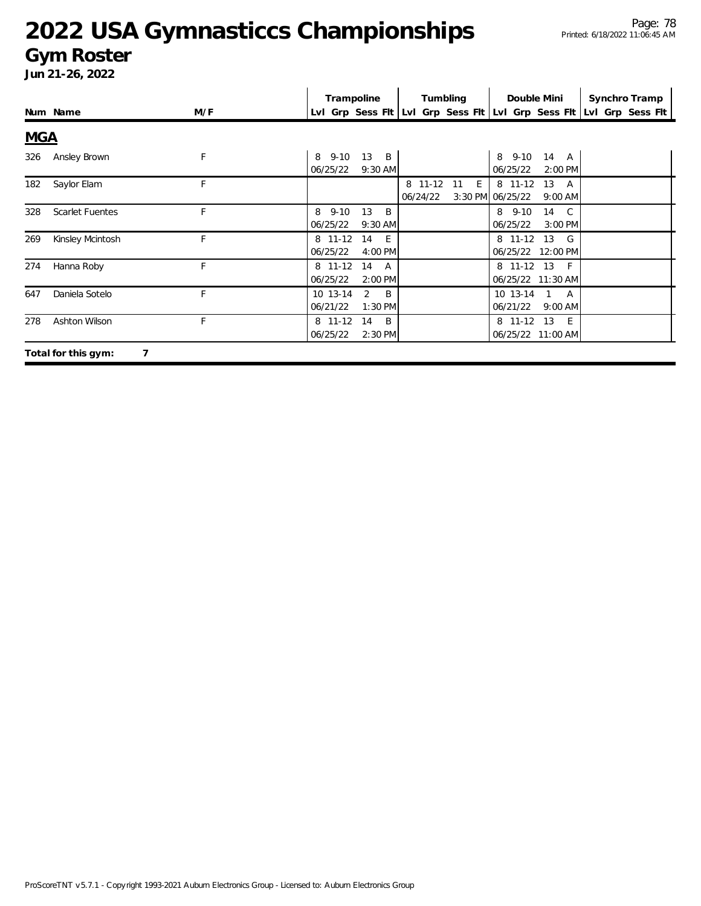#### **Gym Roster**

|            |                        |     | Trampoline           |                              |                     | Tumbling |                             | Double Mini                       | Synchro Tramp                                                       |
|------------|------------------------|-----|----------------------|------------------------------|---------------------|----------|-----------------------------|-----------------------------------|---------------------------------------------------------------------|
|            | Num Name               | M/F |                      |                              |                     |          |                             |                                   | LvI Grp Sess FIt LvI Grp Sess FIt LvI Grp Sess FIt LvI Grp Sess FIt |
| <b>MGA</b> |                        |     |                      |                              |                     |          |                             |                                   |                                                                     |
| 326        | Ansley Brown           | F   | 8 9-10<br>06/25/22   | 13 B<br>$9:30$ AM            |                     |          | 8 9-10<br>06/25/22          | 14 A<br>2:00 PM                   |                                                                     |
| 182        | Saylor Elam            | F   |                      |                              | 8 11-12<br>06/24/22 | E<br>11  | 8 11-12<br>3:30 PM 06/25/22 | 13<br>A<br>$9:00$ AM              |                                                                     |
| 328        | <b>Scarlet Fuentes</b> | F   | 8 9-10<br>06/25/22   | 13<br>B.<br>$9:30$ AM        |                     |          | 8 9-10<br>06/25/22          | 14 C<br>3:00 PM                   |                                                                     |
| 269        | Kinsley Mcintosh       | F   | 8 11-12<br>06/25/22  | 14<br>- E<br>4:00 PM         |                     |          | 8 11-12 13                  | $\mathsf{G}$<br>06/25/22 12:00 PM |                                                                     |
| 274        | Hanna Roby             | F   | 8 11-12<br>06/25/22  | 14<br>A<br>2:00 PM           |                     |          | 8 11-12 13                  | $-F$<br>06/25/22 11:30 AM         |                                                                     |
| 647        | Daniela Sotelo         | F   | 10 13-14<br>06/21/22 | 2<br><sup>B</sup><br>1:30 PM |                     |          | 10 13-14<br>06/21/22        | 1 A<br>$9:00$ AM                  |                                                                     |
| 278        | Ashton Wilson          | F   | 8 11-12<br>06/25/22  | 14<br>B<br>2:30 PM           |                     |          | 8 11-12 13                  | - E<br>06/25/22 11:00 AM          |                                                                     |
|            | Total for this gym:    |     |                      |                              |                     |          |                             |                                   |                                                                     |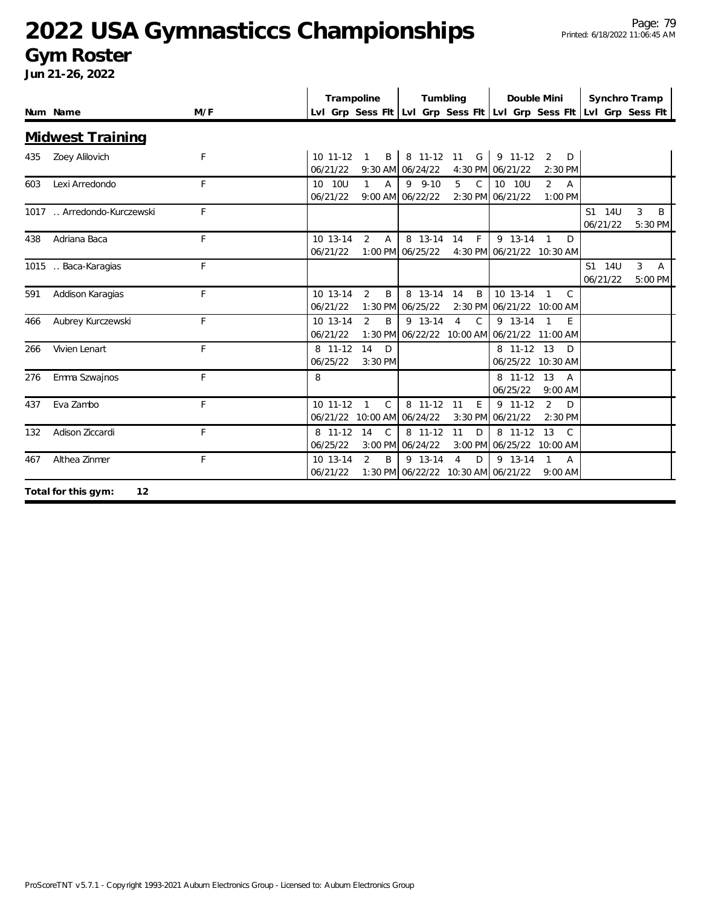#### **Gym Roster**

|     |                            |     | Trampoline             |                                  |                                               | Tumbling                        | Double Mini                                            |                                  | Synchro Tramp                                                       |                   |
|-----|----------------------------|-----|------------------------|----------------------------------|-----------------------------------------------|---------------------------------|--------------------------------------------------------|----------------------------------|---------------------------------------------------------------------|-------------------|
|     | Num Name                   | M/F |                        |                                  |                                               |                                 |                                                        |                                  | Lvl Grp Sess Fit Lvl Grp Sess Fit Lvl Grp Sess Fit Lvl Grp Sess Fit |                   |
|     | <b>Midwest Training</b>    |     |                        |                                  |                                               |                                 |                                                        |                                  |                                                                     |                   |
| 435 | Zoey Alilovich             | F   | $10$ 11-12<br>06/21/22 | B<br>$\mathbf{1}$                | 8 11-12<br>9:30 AM 06/24/22                   | G<br>11                         | 9 11-12<br>4:30 PM 06/21/22                            | $\overline{2}$<br>D<br>2:30 PM   |                                                                     |                   |
| 603 | Lexi Arredondo             | F   | 10 10U<br>06/21/22     | $\mathbf{1}$<br>$\overline{A}$   | $9 - 9 - 10$<br>9:00 AM 06/22/22              | $\mathsf{C}$<br>$5^{\circ}$     | 10 10U<br>2:30 PM 06/21/22                             | $\overline{2}$<br>A<br>1:00 PM   |                                                                     |                   |
|     | 1017  Arredondo-Kurczewski | F   |                        |                                  |                                               |                                 |                                                        |                                  | 14U<br>S1<br>06/21/22                                               | 3<br>B<br>5:30 PM |
| 438 | Adriana Baca               | F   | 10 13-14<br>06/21/22   | $\overline{2}$<br>$\overline{A}$ | 8 13-14<br>1:00 PM 06/25/22                   | $\mathsf{F}$<br>14              | 9 13-14<br>4:30 PM 06/21/22 10:30 AM                   | $\overline{1}$<br>D              |                                                                     |                   |
|     | 1015 . Baca-Karagias       | F   |                        |                                  |                                               |                                 |                                                        |                                  | S1 14U<br>06/21/22                                                  | 3<br>A<br>5:00 PM |
| 591 | Addison Karagias           | F   | 10 13-14<br>06/21/22   | $\overline{2}$<br>B              | 8 13-14<br>1:30 PM 06/25/22                   | 14<br>B                         | 10 13-14<br>2:30 PM 06/21/22 10:00 AM                  | $\overline{1}$<br>C              |                                                                     |                   |
| 466 | Aubrey Kurczewski          | F   | 10 13-14<br>06/21/22   | $\mathcal{P}$<br>B               | 9 13-14                                       | $\overline{4}$<br>$\mathcal{C}$ | 9 13-14<br>1:30 PM 06/22/22 10:00 AM 06/21/22 11:00 AM | E                                |                                                                     |                   |
| 266 | Vivien Lenart              | F   | 8 11-12<br>06/25/22    | 14<br>D<br>3:30 PM               |                                               |                                 | 8 11-12 13                                             | D<br>06/25/22 10:30 AM           |                                                                     |                   |
| 276 | Emma Szwajnos              | F   | 8                      |                                  |                                               |                                 | 8 11-12 13<br>06/25/22                                 | A<br>$9:00$ AM                   |                                                                     |                   |
| 437 | Eva Zambo                  | F   | 10 11-12               | $\mathsf{C}$<br>$\mathbf{1}$     | 8 11-12<br>06/21/22 10:00 AM 06/24/22         | 11<br>E                         | 9 11-12<br>3:30 PM 06/21/22                            | $\overline{2}$<br>D<br>$2:30$ PM |                                                                     |                   |
| 132 | Adison Ziccardi            | F   | 8 11-12<br>06/25/22    | 14<br>$\mathcal{C}$              | 8 11-12<br>3:00 PM 06/24/22                   | 11<br>D                         | 8 11-12<br>3:00 PM 06/25/22 10:00 AM                   | 13<br>C                          |                                                                     |                   |
| 467 | Althea Zinmer              | F   | 10 13-14<br>06/21/22   | $\overline{2}$<br>B              | 9 13-14<br>1:30 PM 06/22/22 10:30 AM 06/21/22 | $\overline{4}$<br>D             | 9 13-14                                                | 1<br>$\mathsf{A}$<br>$9:00$ AM   |                                                                     |                   |
|     | 12<br>Total for this gym:  |     |                        |                                  |                                               |                                 |                                                        |                                  |                                                                     |                   |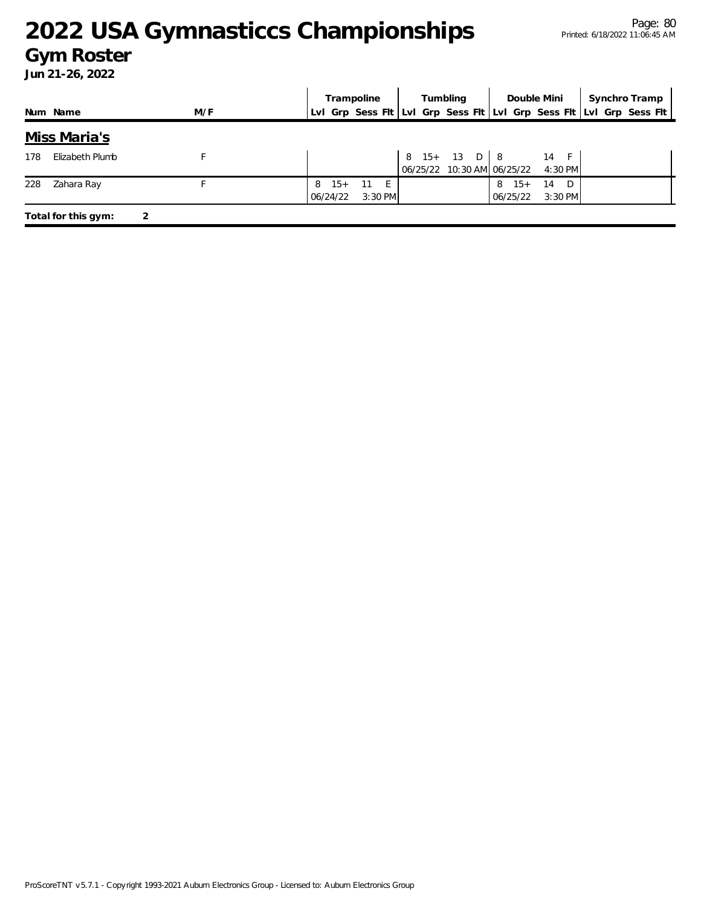#### **Gym Roster**

|     |                     |     |   |                   | Trampoline        |  | Tumbling                                            |                       | Double Mini           | Synchro Tramp                                                       |
|-----|---------------------|-----|---|-------------------|-------------------|--|-----------------------------------------------------|-----------------------|-----------------------|---------------------------------------------------------------------|
|     | Num Name            | M/F |   |                   |                   |  |                                                     |                       |                       | Lvl Grp Sess Fit Lvl Grp Sess Fit Lvl Grp Sess Fit Lvl Grp Sess Fit |
|     | Miss Maria's        |     |   |                   |                   |  |                                                     |                       |                       |                                                                     |
| 178 | Elizabeth Plumb     |     |   |                   |                   |  | $8 \t15 + 13 \tD \t8$<br>06/25/22 10:30 AM 06/25/22 |                       | 14 F<br>4:30 PM       |                                                                     |
| 228 | Zahara Ray          |     | 8 | $15+$<br>06/24/22 | 11 E<br>$3:30$ PM |  |                                                     | $8 \t15+$<br>06/25/22 | D.<br>14<br>$3:30$ PM |                                                                     |
|     | Total for this gym: |     |   |                   |                   |  |                                                     |                       |                       |                                                                     |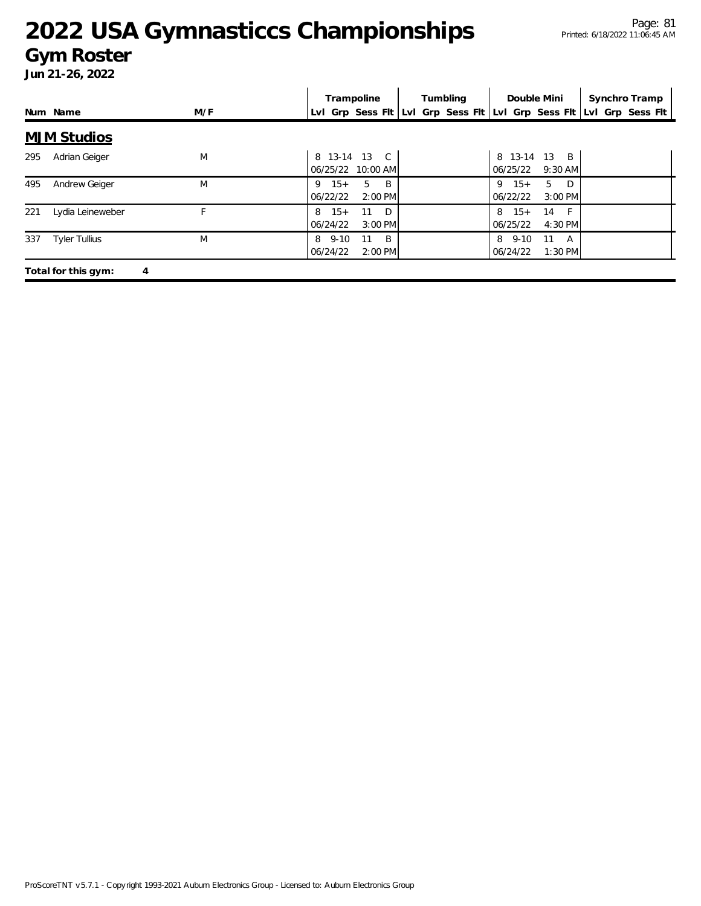#### **Gym Roster**

|     |                      |     | Trampoline                                                          | Tumbling | Double Mini                                      | Synchro Tramp |
|-----|----------------------|-----|---------------------------------------------------------------------|----------|--------------------------------------------------|---------------|
|     | Num Name             | M/F | Lvl Grp Sess Fit Lvl Grp Sess Fit Lvl Grp Sess Fit Lvl Grp Sess Fit |          |                                                  |               |
|     | <b>MJM Studios</b>   |     |                                                                     |          |                                                  |               |
| 295 | Adrian Geiger        | M   | 8 13-14 13 C<br>06/25/22 10:00 AM                                   |          | $13 \quad B$<br>8 13-14<br>06/25/22<br>$9:30$ AM |               |
| 495 | Andrew Geiger        | M   | <sup>B</sup><br>$15+$<br>5<br>9<br>06/22/22<br>$2:00$ PM            |          | $9 \t15+$<br>5<br>D<br>06/22/22<br>$3:00$ PM     |               |
| 221 | Lydia Leineweber     | E.  | D<br>$8 \t15+$<br>11<br>06/24/22<br>3:00 PM                         |          | $8 \t15+$<br>$-F$<br>14<br>06/25/22<br>4:30 PM   |               |
| 337 | <b>Tyler Tullius</b> | M   | 8 9-10<br>B<br>11<br>06/24/22<br>$2:00$ PM                          |          | 8 9-10<br>11<br>A<br>06/24/22<br>$1:30$ PM       |               |
|     | Total for this gym:  | 4   |                                                                     |          |                                                  |               |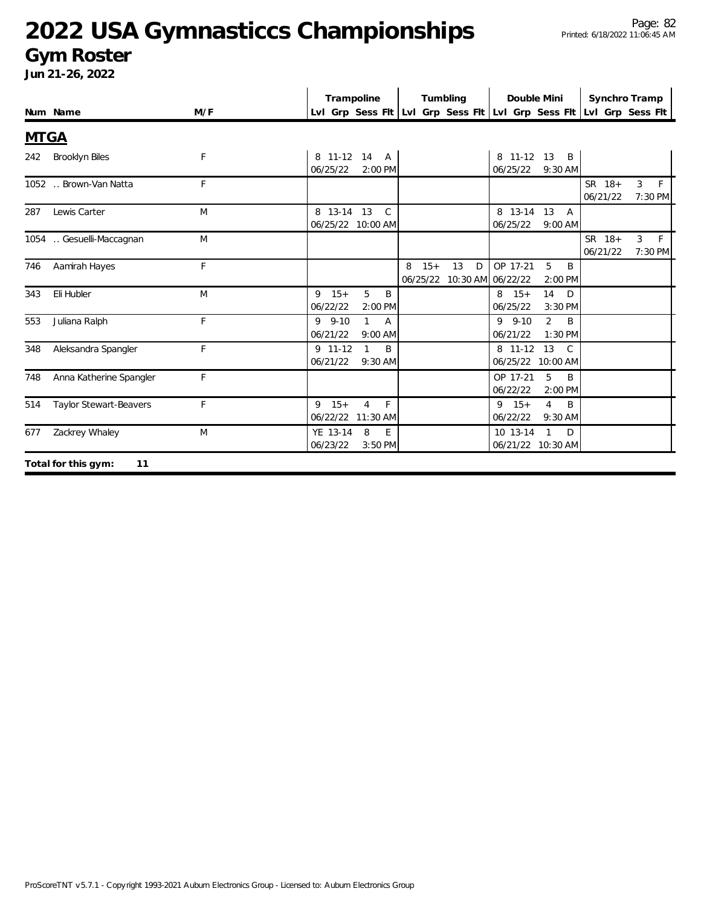#### **Gym Roster**

|             |                               |     | Trampoline                                                              | Tumbling                                            | Double Mini                                                  | Synchro Tramp                                                       |
|-------------|-------------------------------|-----|-------------------------------------------------------------------------|-----------------------------------------------------|--------------------------------------------------------------|---------------------------------------------------------------------|
|             | Num Name                      | M/F |                                                                         |                                                     |                                                              | Lvl Grp Sess Fit Lvl Grp Sess Fit Lvl Grp Sess Fit Lvl Grp Sess Fit |
| <b>MTGA</b> |                               |     |                                                                         |                                                     |                                                              |                                                                     |
| 242         | <b>Brooklyn Biles</b>         | F   | 8 11-12 14 A<br>06/25/22<br>$2:00$ PM                                   |                                                     | 8 11-12 13<br>B<br>06/25/22<br>9:30 AM                       |                                                                     |
|             | 1052  Brown-Van Natta         | F   |                                                                         |                                                     |                                                              | SR 18+<br>3<br>F<br>06/21/22<br>7:30 PM                             |
| 287         | Lewis Carter                  | M   | $\mathcal{C}$<br>8 13-14 13<br>06/25/22 10:00 AM                        |                                                     | 8 13-14 13<br>$\overline{A}$<br>06/25/22<br>$9:00$ AM        |                                                                     |
|             | 1054 . Gesuelli-Maccagnan     | M   |                                                                         |                                                     |                                                              | SR 18+<br>$\mathbf{3}$<br>F<br>06/21/22<br>7:30 PM                  |
| 746         | Aamirah Hayes                 | F   |                                                                         | $15+$<br>13<br>8<br>D<br>06/25/22 10:30 AM 06/22/22 | OP 17-21<br>5<br>B<br>$2:00$ PM                              |                                                                     |
| 343         | Eli Hubler                    | M   | 5<br>$9 \t15+$<br>B<br>06/22/22<br>2:00 PM                              |                                                     | 14<br>$8 \t15+$<br>D<br>06/25/22<br>3:30 PM                  |                                                                     |
| 553         | Juliana Ralph                 | F   | $9 - 9 - 10$<br>$\mathbf{1}$<br>$\overline{A}$<br>06/21/22<br>$9:00$ AM |                                                     | $9 - 9 - 10$<br>$\overline{2}$<br>B<br>06/21/22<br>$1:30$ PM |                                                                     |
| 348         | Aleksandra Spangler           | F   | 9 11-12<br>B<br>1<br>06/21/22<br>9:30 AM                                |                                                     | 8 11-12 13<br>$\mathcal{C}$<br>06/25/22 10:00 AM             |                                                                     |
| 748         | Anna Katherine Spangler       | F   |                                                                         |                                                     | 5<br>OP 17-21<br>B<br>06/22/22<br>2:00 PM                    |                                                                     |
| 514         | <b>Taylor Stewart-Beavers</b> | F   | $9 \t15+$<br>F<br>$\overline{4}$<br>06/22/22<br>$11:30$ AM              |                                                     | $9 \t15+$<br>$\overline{4}$<br>B<br>06/22/22<br>$9:30$ AM    |                                                                     |
| 677         | Zackrey Whaley                | M   | YE 13-14<br>8<br>E.<br>06/23/22<br>3:50 PM                              |                                                     | 10 13-14<br>$\mathbf{1}$<br>D<br>06/21/22 10:30 AM           |                                                                     |
|             | Total for this gym:<br>11     |     |                                                                         |                                                     |                                                              |                                                                     |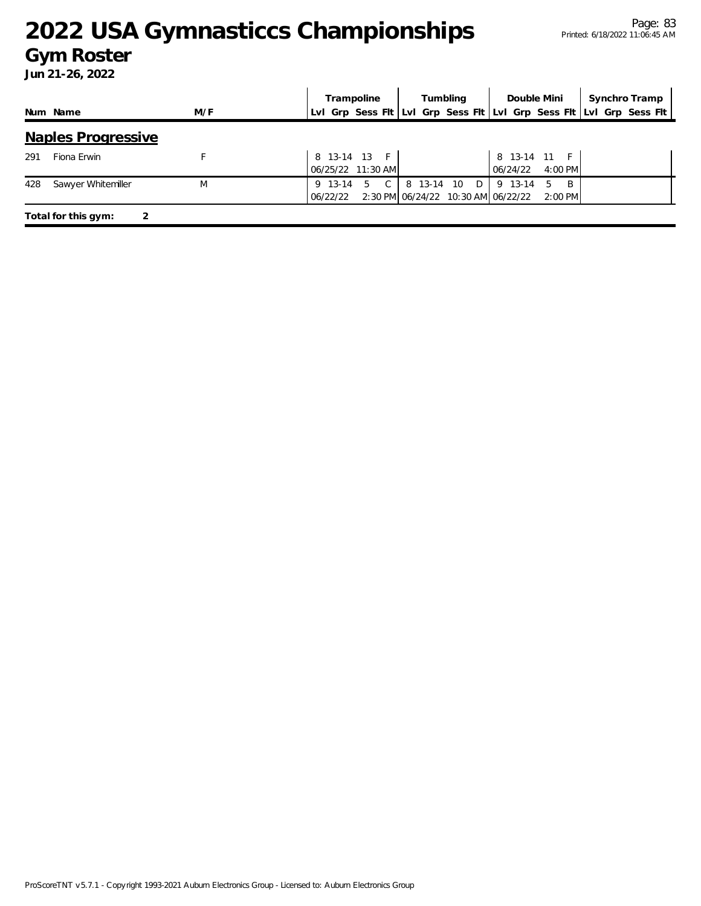#### **Gym Roster**

|     |                           |     | Trampoline          |                                   |            | Tumbling |                                               | Double Mini               | Synchro Tramp                                                       |
|-----|---------------------------|-----|---------------------|-----------------------------------|------------|----------|-----------------------------------------------|---------------------------|---------------------------------------------------------------------|
|     | Num Name                  | M/F |                     |                                   |            |          |                                               |                           | LvI Grp Sess FIt LvI Grp Sess FIt LvI Grp Sess FIt LvI Grp Sess FIt |
|     | <b>Naples Progressive</b> |     |                     |                                   |            |          |                                               |                           |                                                                     |
| 291 | Fiona Erwin               |     |                     | 8 13-14 13 F<br>06/25/22 11:30 AM |            |          | 06/24/22                                      | 8 13-14 11 F<br>$4:00$ PM |                                                                     |
| 428 | Sawyer Whitemiller        | M   | 9 13-14<br>06/22/22 | $\mathcal{C}$<br>5                | 8 13-14 10 | D        | 9 13-14<br>2:30 PM 06/24/22 10:30 AM 06/22/22 | - B<br>5<br>$2:00$ PM     |                                                                     |
|     | Total for this gym:       |     |                     |                                   |            |          |                                               |                           |                                                                     |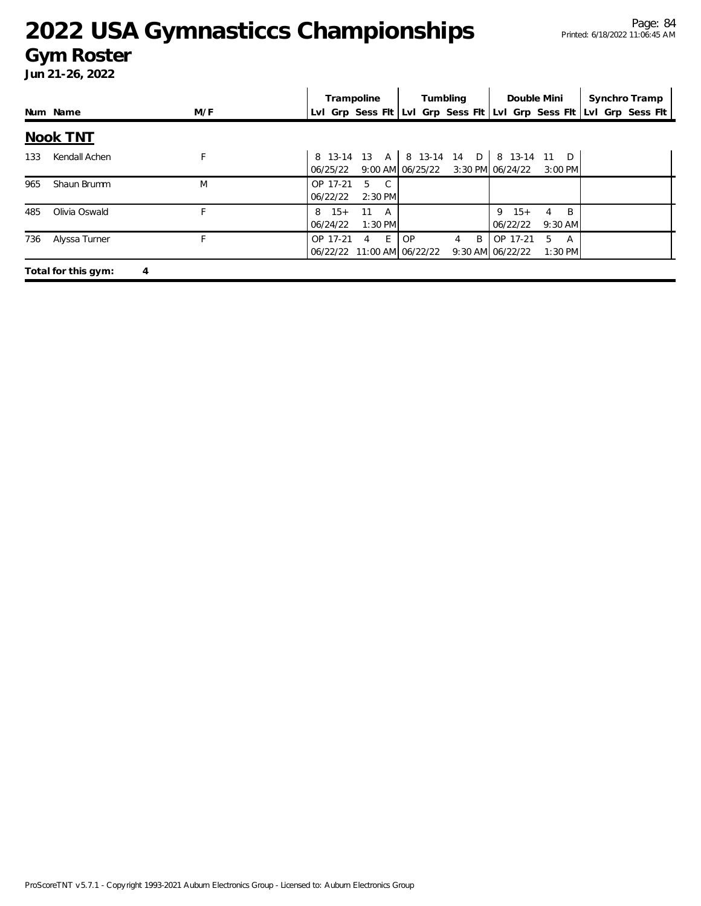#### **Gym Roster**

|     |                     |     | Trampoline<br>Tumbling                                                                        |                     | Double Mini                                                            | Synchro Tramp |
|-----|---------------------|-----|-----------------------------------------------------------------------------------------------|---------------------|------------------------------------------------------------------------|---------------|
|     | Num Name            | M/F | Lvl Grp Sess Flt Lvl Grp Sess Flt Lvl Grp Sess Flt Lvl Grp Sess Flt                           |                     |                                                                        |               |
|     | <b>Nook TNT</b>     |     |                                                                                               |                     |                                                                        |               |
| 133 | Kendall Achen       | F   | 8 13-14 13 A   8 13-14 14 D   8 13-14 11 D<br>9:00 AM 06/25/22 $3:30$ PM 06/24/22<br>06/25/22 |                     | $3:00$ PM                                                              |               |
| 965 | Shaun Brumm         | M   | OP 17-21<br>5<br>$\overline{C}$<br>$2:30$ PM<br>06/22/22                                      |                     |                                                                        |               |
| 485 | Olivia Oswald       |     | $8 \t15+$<br>11<br>A<br>$1:30$ PM<br>06/24/22                                                 |                     | $9 \t15+$<br>$\overline{B}$<br>$\overline{4}$<br>06/22/22<br>$9:30$ AM |               |
| 736 | Alyssa Turner       | F   | $E \rightarrow$<br><b>OP</b><br>OP 17-21<br>$\overline{4}$<br>06/22/22 11:00 AM 06/22/22      | B<br>$\overline{4}$ | OP 17-21<br>5<br>A<br>9:30 AM 06/22/22<br>$1:30$ PM                    |               |
|     | Total for this gym: | 4   |                                                                                               |                     |                                                                        |               |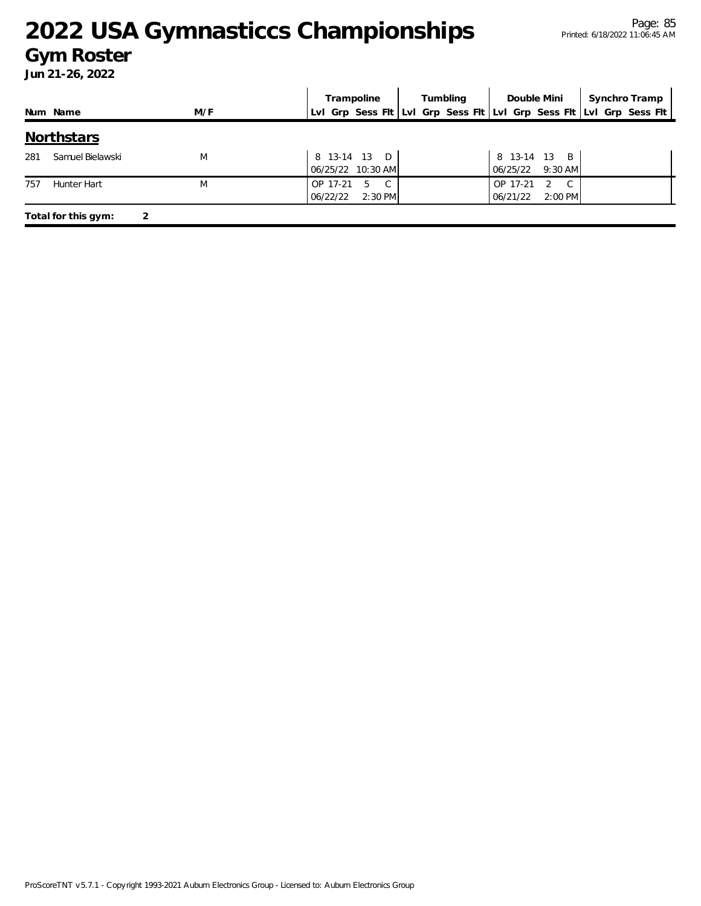#### **Gym Roster**

|     |                     |     | Tumbling<br>Double Mini<br>Trampoline                 |  |                                                          | Synchro Tramp                                                       |
|-----|---------------------|-----|-------------------------------------------------------|--|----------------------------------------------------------|---------------------------------------------------------------------|
|     | Num Name            | M/F |                                                       |  |                                                          | Lvl Grp Sess Fit Lvl Grp Sess Fit Lvl Grp Sess Fit Lvl Grp Sess Fit |
|     | <b>Northstars</b>   |     |                                                       |  |                                                          |                                                                     |
| 281 | Samuel Bielawski    | M   | 8 13-14 13 D<br>06/25/22 10:30 AM                     |  | 8 13-14 13 B<br>06/25/22<br>$9:30$ AM                    |                                                                     |
| 757 | Hunter Hart         | M   | OP 17-21<br>$\mathcal{C}$<br>5<br>2:30 PM<br>06/22/22 |  | OP 17-21<br>C.<br>$\mathcal{P}$<br>$2:00$ PM<br>06/21/22 |                                                                     |
|     | Total for this gym: |     |                                                       |  |                                                          |                                                                     |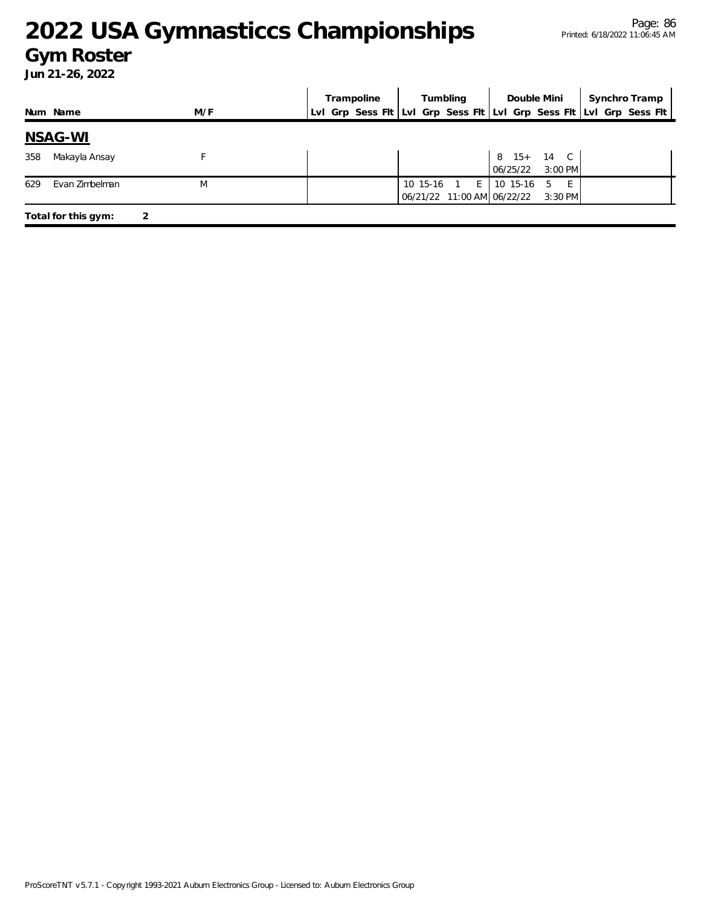#### **Gym Roster**

|     |                     |     | Trampoline                                                          |  | Tumbling       |                                                | Double Mini             | Synchro Tramp |
|-----|---------------------|-----|---------------------------------------------------------------------|--|----------------|------------------------------------------------|-------------------------|---------------|
|     | Num Name            | M/F | Lvl Grp Sess Flt Lvl Grp Sess Flt Lvl Grp Sess Flt Lvl Grp Sess Flt |  |                |                                                |                         |               |
|     | <u>NSAG-WI</u>      |     |                                                                     |  |                |                                                |                         |               |
| 358 | Makayla Ansay       |     |                                                                     |  |                | 06/25/22                                       | 8 15+ 14 C<br>$3:00$ PM |               |
| 629 | Evan Zimbelman      | M   |                                                                     |  | 10 15-16 1 $E$ | 10 15-16<br>06/21/22 11:00 AM 06/22/22 3:30 PM | 5<br>E                  |               |
|     | Total for this gym: | 2   |                                                                     |  |                |                                                |                         |               |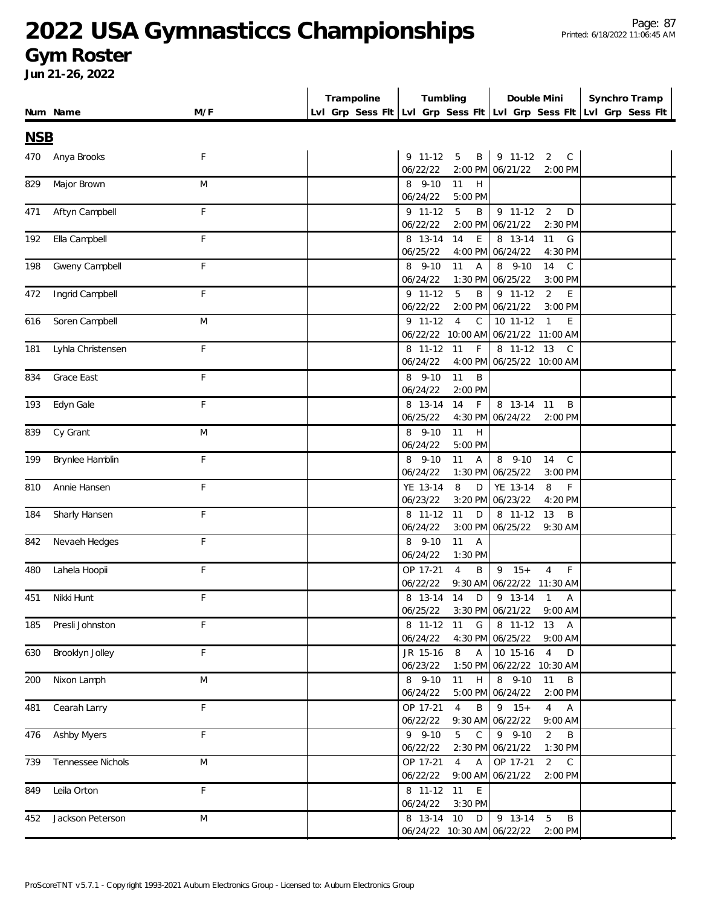#### **Gym Roster**

|            |                      |             | Trampoline | Tumbling                                                            | Double Mini                                                              | Synchro Tramp |
|------------|----------------------|-------------|------------|---------------------------------------------------------------------|--------------------------------------------------------------------------|---------------|
|            | Num Name             | M/F         |            | LvI Grp Sess FIt LvI Grp Sess FIt LvI Grp Sess FIt LvI Grp Sess FIt |                                                                          |               |
| <b>NSB</b> |                      |             |            |                                                                     |                                                                          |               |
|            | Anya Brooks          | F           |            | $9$ 11-12<br>5<br>B                                                 | 9 11-12<br>2<br>C                                                        |               |
| 470        |                      |             |            | 06/22/22                                                            | 2:00 PM 06/21/22<br>2:00 PM                                              |               |
| 829        | Major Brown          | M           |            | 8 9-10<br>11<br>H                                                   |                                                                          |               |
|            |                      |             |            | 06/24/22<br>5:00 PM                                                 |                                                                          |               |
| 471        | Aftyn Campbell       | F           |            | 9 11-12<br>5<br>B                                                   | $9 11 - 12$<br>$\overline{2}$<br>D                                       |               |
|            |                      |             |            | 06/22/22<br>2:00 PM                                                 | 06/21/22<br>2:30 PM                                                      |               |
| 192        | Ella Campbell        | F           |            | 14<br>8 13-14<br>E                                                  | 8 13-14<br>11<br>G                                                       |               |
|            |                      |             |            | 06/25/22<br>4:00 PM                                                 | 06/24/22<br>4:30 PM                                                      |               |
| 198        | Gweny Campbell       | F           |            | 8 9-10<br>11<br>$\overline{A}$                                      | 8 9-10<br>14<br>C                                                        |               |
|            |                      |             |            | 06/24/22<br>1:30 PM                                                 | 06/25/22<br>3:00 PM                                                      |               |
| 472        | Ingrid Campbell      | F           |            | 9 11-12<br>5<br>B                                                   | $9 11 - 12$<br>2<br>E                                                    |               |
|            |                      |             |            | 2:00 PM<br>06/22/22                                                 | 06/21/22<br>3:00 PM                                                      |               |
| 616        | Soren Campbell       | M           |            | $9 11 - 12$<br>$\overline{4}$<br>$\mathsf{C}$                       | 10 11-12<br>$\mathbf{1}$<br>E                                            |               |
|            |                      |             |            | 06/22/22 10:00 AM                                                   | 06/21/22 11:00 AM                                                        |               |
| 181        | Lyhla Christensen    | F           |            | F<br>8 11-12<br>11                                                  | $\overline{8}$ 11-12 13<br>C                                             |               |
|            |                      |             |            | 06/24/22<br>4:00 PM                                                 | 06/25/22 10:00 AM                                                        |               |
| 834        | Grace East           | F           |            | 8 9-10<br>11<br>B                                                   |                                                                          |               |
|            |                      |             |            | 06/24/22<br>2:00 PM                                                 |                                                                          |               |
| 193        | Edyn Gale            | F           |            | 14<br>$\mathsf{F}$<br>8 13-14                                       | 8 13-14 11<br>B                                                          |               |
|            |                      |             |            | 06/25/22                                                            | 4:30 PM 06/24/22<br>2:00 PM                                              |               |
| 839        | Cy Grant             | M           |            | 8 9-10<br>11<br>H                                                   |                                                                          |               |
|            |                      |             |            | 06/24/22<br>5:00 PM                                                 |                                                                          |               |
| 199        | Brynlee Hamblin      | $\mathsf F$ |            | 8 9-10<br>11<br>$\overline{A}$                                      | 8 9-10<br>14<br>$\mathsf{C}$                                             |               |
|            |                      |             |            | 06/24/22<br>1:30 PM                                                 | 06/25/22<br>3:00 PM                                                      |               |
| 810        | Annie Hansen         | F           |            | YE 13-14<br>8<br>D                                                  | YE 13-14<br>8<br>F.                                                      |               |
|            |                      |             |            | 06/23/22<br>3:20 PM                                                 | 06/23/22<br>4:20 PM                                                      |               |
| 184        | Sharly Hansen        | F           |            | 11<br>8 11-12<br>D                                                  | 8 11-12<br>13<br>B                                                       |               |
|            |                      |             |            | 06/24/22<br>3:00 PM                                                 | 06/25/22<br>9:30 AM                                                      |               |
| 842        | Nevaeh Hedges        | F           |            | 8 9-10<br>11<br>$\overline{A}$                                      |                                                                          |               |
|            |                      |             |            | 06/24/22<br>1:30 PM                                                 |                                                                          |               |
| 480        | Lahela Hoopii        | F           |            | OP 17-21<br>$\overline{4}$<br>B                                     | $9 \t15+$<br>$\overline{4}$<br>F                                         |               |
|            |                      |             |            | 06/22/22<br>$9:30$ AM                                               | 06/22/22 11:30 AM                                                        |               |
| 451        | Nikki Hunt           | F           |            | 8 13-14<br>14<br>D                                                  | $\overline{1}$<br>9 13-14<br>Α                                           |               |
|            |                      |             |            | 06/25/22                                                            | 3:30 PM 06/21/22<br>$9:00$ AM                                            |               |
| 185        | Presli Johnston      | F           |            | 11<br>G<br>8 11-12                                                  | 8 11-12 13<br>A                                                          |               |
|            |                      |             |            | 06/24/22                                                            | 4:30 PM 06/25/22<br>9:00 AM                                              |               |
| 630        | Brooklyn Jolley      | F           |            | JR 15-16<br>8<br>$\mathsf{A}$                                       | 10 15-16<br>$\overline{4}$<br>D                                          |               |
|            |                      |             |            | 06/23/22                                                            | 1:50 PM 06/22/22 10:30 AM                                                |               |
| 200        | Nixon Lamph          | M           |            | 8 9-10<br>11<br>$\boldsymbol{\mathsf{H}}$                           | $8$ 9-10<br>11<br>B                                                      |               |
|            |                      |             |            | 06/24/22                                                            | 5:00 PM 06/24/22<br>2:00 PM                                              |               |
| 481        | Cearah Larry         | F           |            | OP 17-21<br>$\overline{4}$<br>B                                     | $9 \t15+$<br>$\overline{4}$<br>$\mathsf{A}$                              |               |
|            |                      |             |            | 06/22/22                                                            | 9:30 AM 06/22/22<br>9:00 AM                                              |               |
|            | 476 Ashby Myers      | F           |            | $9 - 9 - 10$<br>$5\overline{)}$<br>$\mathsf{C}$                     | $9 - 9 - 10$<br>$\overline{2}$<br>Β                                      |               |
|            |                      |             |            | 06/22/22                                                            | 2:30 PM 06/21/22<br>1:30 PM                                              |               |
| 739        | Tennessee Nichols    | M           |            | OP 17-21<br>$\overline{4}$<br>Α<br>06/22/22                         | OP 17-21<br>$\overline{2}$<br>$\mathsf C$<br>9:00 AM 06/21/22<br>2:00 PM |               |
|            |                      | F           |            |                                                                     |                                                                          |               |
| 849        | Leila Orton          |             |            | 8 11-12 11<br>$\mathsf E$<br>06/24/22<br>3:30 PM                    |                                                                          |               |
|            |                      | ${\sf M}$   |            | 10<br>8 13-14<br>$\mathsf D$                                        | $\mathsf B$<br>9 13-14<br>5                                              |               |
|            | 452 Jackson Peterson |             |            | 06/24/22 10:30 AM 06/22/22                                          | 2:00 PM                                                                  |               |
|            |                      |             |            |                                                                     |                                                                          |               |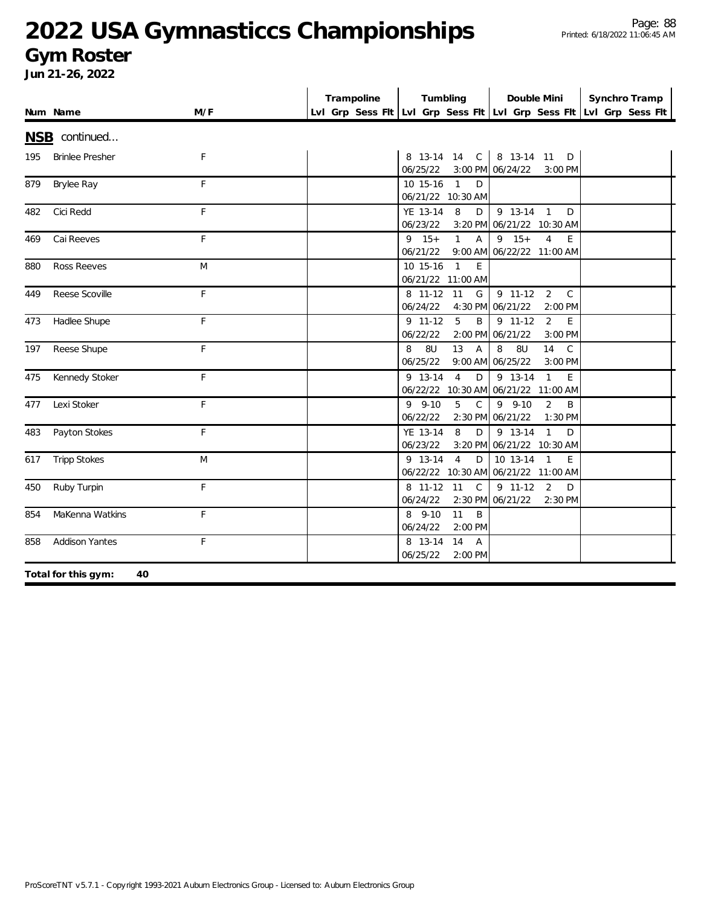#### **Gym Roster**

|     | Num Name                  | M/F | Trampoline | Tumbling                                                | Double Mini                                                         | Synchro Tramp<br>Lvl Grp Sess Fit Lvl Grp Sess Fit Lvl Grp Sess Fit Lvl Grp Sess Fit |
|-----|---------------------------|-----|------------|---------------------------------------------------------|---------------------------------------------------------------------|--------------------------------------------------------------------------------------|
|     | NSB continued             |     |            |                                                         |                                                                     |                                                                                      |
| 195 | <b>Brinlee Presher</b>    | F   |            | 8 13-14 14 C<br>06/25/22                                | 8 13-14 11 D<br>3:00 PM 06/24/22<br>3:00 PM                         |                                                                                      |
| 879 | Brylee Ray                | F   |            | 10 15-16<br>$\overline{1}$<br>D<br>06/21/22 10:30 AM    |                                                                     |                                                                                      |
| 482 | Cici Redd                 | F   |            | YE 13-14<br>8<br>D<br>06/23/22                          | 9 13-14 1<br>D<br>3:20 PM 06/21/22 10:30 AM                         |                                                                                      |
| 469 | Cai Reeves                | F   |            | $9 \t15+$<br>$\mathbf{1}$<br>$\overline{A}$<br>06/21/22 | $9 \t15+$<br>$\overline{4}$<br>E<br>9:00 AM 06/22/22 11:00 AM       |                                                                                      |
| 880 | <b>Ross Reeves</b>        | M   |            | E<br>10 15-16<br>$\overline{1}$<br>06/21/22 11:00 AM    |                                                                     |                                                                                      |
| 449 | Reese Scoville            | F   |            | 8 11-12<br>G<br>11<br>06/24/22                          | $9$ 11-12<br>2<br>$\mathsf{C}$<br>4:30 PM 06/21/22<br>2:00 PM       |                                                                                      |
| 473 | Hadlee Shupe              | F   |            | $\frac{1}{9}$ 11-12<br>5<br>B<br>06/22/22               | $9$ 11-12<br>$\overline{2}$<br>E<br>2:00 PM 06/21/22<br>3:00 PM     |                                                                                      |
| 197 | Reese Shupe               | F   |            | 13<br>8U<br>$\overline{A}$<br>8<br>06/25/22             | 8U<br>14<br>$\mathsf{C}$<br>8<br>9:00 AM 06/25/22<br>3:00 PM        |                                                                                      |
| 475 | Kennedy Stoker            | F   |            | 9 13-14<br>$\overline{4}$<br>D                          | 9 13-14<br>$\mathbf{1}$<br>E<br>06/22/22 10:30 AM 06/21/22 11:00 AM |                                                                                      |
| 477 | Lexi Stoker               | F   |            | $9 - 9 - 10$<br>5<br>$\mathsf{C}$<br>06/22/22           | $9 - 9 - 10$<br>$\overline{2}$<br>B<br>2:30 PM 06/21/22<br>1:30 PM  |                                                                                      |
| 483 | Payton Stokes             | F   |            | 8<br>YE 13-14<br>D<br>06/23/22                          | 9 13-14<br>$\mathbf{1}$<br>D<br>3:20 PM 06/21/22 10:30 AM           |                                                                                      |
| 617 | <b>Tripp Stokes</b>       | M   |            | $\overline{4}$<br>9 13-14<br>D                          | 10 13-14 1<br>E<br>06/22/22 10:30 AM 06/21/22 11:00 AM              |                                                                                      |
| 450 | Ruby Turpin               | F   |            | 8 11-12<br>11<br>$\mathsf{C}$<br>06/24/22               | $9$ 11-12<br>2<br>D<br>2:30 PM 06/21/22<br>2:30 PM                  |                                                                                      |
| 854 | MaKenna Watkins           | F   |            | 8 9-10<br>11<br>B<br>06/24/22<br>2:00 PM                |                                                                     |                                                                                      |
| 858 | <b>Addison Yantes</b>     | F   |            | 8 13-14<br>14<br>$\overline{A}$<br>06/25/22<br>2:00 PM  |                                                                     |                                                                                      |
|     | Total for this gym:<br>40 |     |            |                                                         |                                                                     |                                                                                      |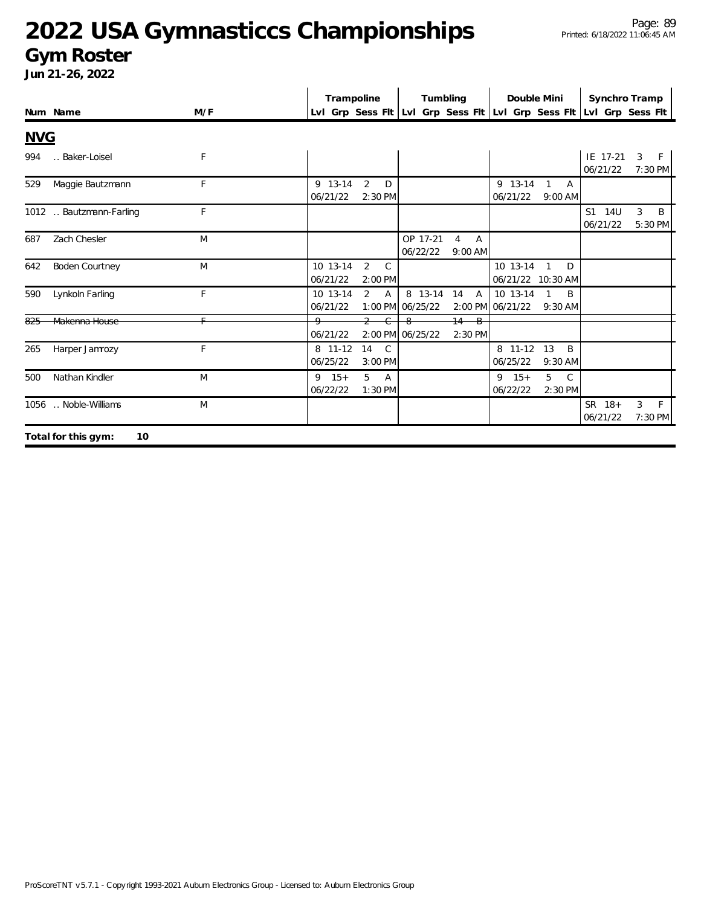### **Gym Roster**

|            |                           |     | Trampoline            |                                 | Tumbling                    |                                             | Double Mini                   |                              | Synchro Tramp                                                       |                              |
|------------|---------------------------|-----|-----------------------|---------------------------------|-----------------------------|---------------------------------------------|-------------------------------|------------------------------|---------------------------------------------------------------------|------------------------------|
|            | Num Name                  | M/F |                       |                                 |                             |                                             |                               |                              | Lvl Grp Sess Fit Lvl Grp Sess Fit Lvl Grp Sess Fit Lvl Grp Sess Fit |                              |
| <b>NVG</b> |                           |     |                       |                                 |                             |                                             |                               |                              |                                                                     |                              |
| 994        | Baker-Loisel              | F   |                       |                                 |                             |                                             |                               |                              | IE 17-21<br>06/21/22                                                | 3<br>F.<br>7:30 PM           |
| 529        | Maggie Bautzmann          | F   | 9 13-14<br>06/21/22   | $\overline{2}$<br>D<br>2:30 PM  |                             |                                             | 9 13-14<br>06/21/22           | 1<br>A<br>$9:00$ AM          |                                                                     |                              |
|            | 1012  Bautzmann-Farling   | F   |                       |                                 |                             |                                             |                               |                              | S1 14U<br>06/21/22                                                  | 3<br>B<br>5:30 PM            |
| 687        | Zach Chesler              | M   |                       |                                 | OP 17-21<br>06/22/22        | $\overline{A}$<br>$\overline{4}$<br>9:00 AM |                               |                              |                                                                     |                              |
| 642        | <b>Boden Courtney</b>     | M   | 10 13-14<br>06/21/22  | $\overline{2}$<br>C.<br>2:00 PM |                             |                                             | 10 13-14<br>06/21/22 10:30 AM | $\mathbf{1}$<br>D            |                                                                     |                              |
| 590        | Lynkoln Farling           | F   | 10 13-14<br>06/21/22  | 2<br>$\overline{A}$             | 8 13-14<br>1:00 PM 06/25/22 | 14<br>A                                     | 10 13-14<br>2:00 PM 06/21/22  | B<br>9:30 AM                 |                                                                     |                              |
|            | Makenna House             | E.  | 06/21/22              | $\overline{2}$<br>$\epsilon$    | -8<br>2:00 PM 06/25/22      | $14 - B$<br>2:30 PM                         |                               |                              |                                                                     |                              |
| 265        | Harper Jamrozy            | F   | 8 11-12<br>06/25/22   | 14<br>C.<br>$3:00$ PM           |                             |                                             | 8 11-12<br>06/25/22           | 13<br>B<br>9:30 AM           |                                                                     |                              |
| 500        | Nathan Kindler            | M   | $9 \t15+$<br>06/22/22 | 5<br>$\overline{A}$<br>1:30 PM  |                             |                                             | $9 \t15+$<br>06/22/22         | 5<br>$\mathsf{C}$<br>2:30 PM |                                                                     |                              |
|            | 1056 . Noble-Williams     | M   |                       |                                 |                             |                                             |                               |                              | SR 18+<br>06/21/22                                                  | 3<br>$\mathsf{F}$<br>7:30 PM |
|            | Total for this gym:<br>10 |     |                       |                                 |                             |                                             |                               |                              |                                                                     |                              |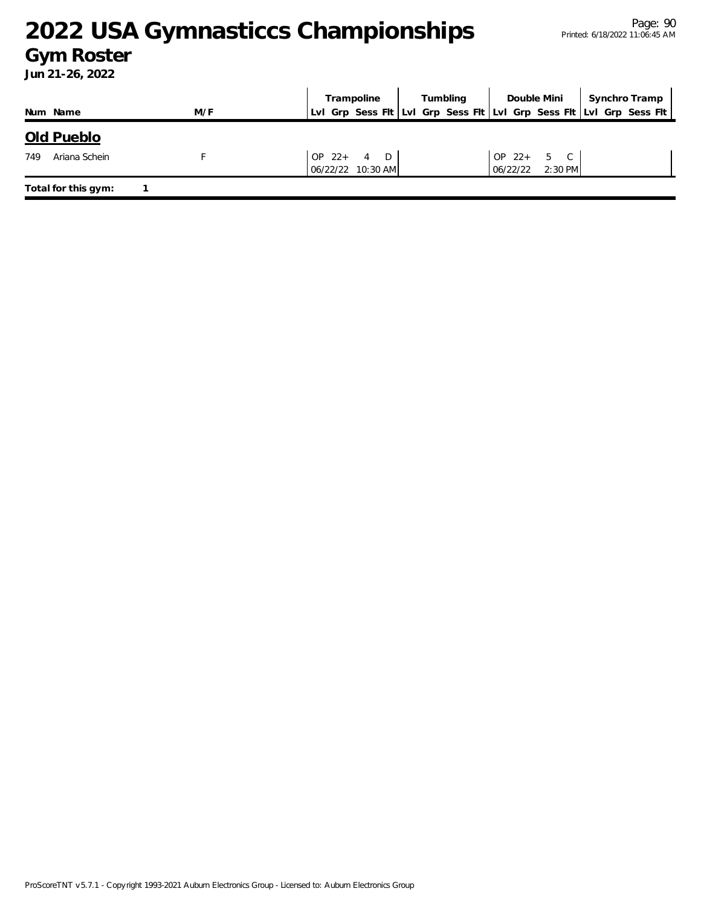### **Gym Roster**

|     |                     |     |  | Tumbling<br>Trampoline             |  | Double Mini                                                         |              | Synchro Tramp      |  |  |
|-----|---------------------|-----|--|------------------------------------|--|---------------------------------------------------------------------|--------------|--------------------|--|--|
|     | Num Name            | M/F |  |                                    |  | Lui Grp Sess Fit Lui Grp Sess Fit Lui Grp Sess Fit Lui Grp Sess Fit |              |                    |  |  |
|     | Old Pueblo          |     |  |                                    |  |                                                                     |              |                    |  |  |
| 749 | Ariana Schein       |     |  | OP $22 + 4$ D<br>06/22/22 10:30 AM |  |                                                                     | $OP$ 22+ 5 C | $06/22/22$ 2:30 PM |  |  |
|     | Total for this gym: |     |  |                                    |  |                                                                     |              |                    |  |  |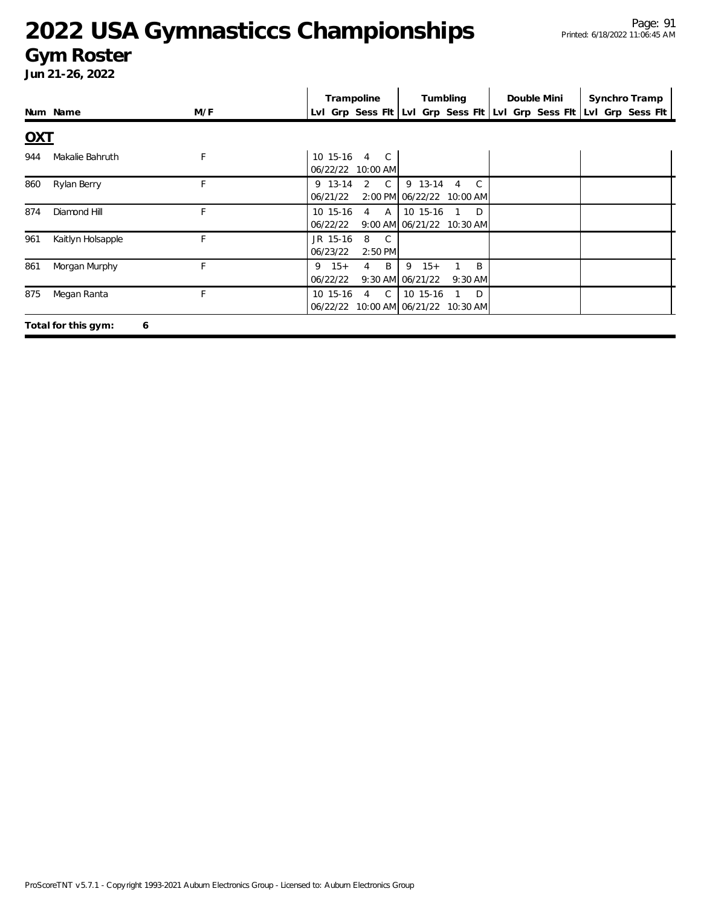### **Gym Roster**

|            |                          | Trampoline<br>Tumbling |                                                                   | Double Mini                                              | Synchro Tramp |                                                                     |
|------------|--------------------------|------------------------|-------------------------------------------------------------------|----------------------------------------------------------|---------------|---------------------------------------------------------------------|
|            | Num Name                 | M/F                    |                                                                   |                                                          |               | Lvl Grp Sess Fit Lvl Grp Sess Fit Lvl Grp Sess Fit Lvl Grp Sess Fit |
| <u>OXT</u> |                          |                        |                                                                   |                                                          |               |                                                                     |
| 944        | Makalie Bahruth          | F                      | 10 15-16<br>$\overline{4}$<br>$\overline{C}$<br>06/22/22 10:00 AM |                                                          |               |                                                                     |
| 860        | Rylan Berry              | F                      | $\mathbb{C}$<br>2<br>9 13-14<br>06/21/22                          | 9 13-14 4<br>$\overline{C}$<br>2:00 PM 06/22/22 10:00 AM |               |                                                                     |
| 874        | Diamond Hill             | F                      | 10 15-16<br>$4 \overline{A}$<br>06/22/22                          | 10 15-16 1 D<br>9:00 AM 06/21/22 10:30 AM                |               |                                                                     |
| 961        | Kaitlyn Holsapple        | F                      | JR 15-16<br>8<br>$\overline{C}$<br>06/23/22<br>$2:50$ PM          |                                                          |               |                                                                     |
| 861        | Morgan Murphy            | F                      | $9 \t15+$<br>$B$ .<br>4<br>06/22/22                               | $9 \t15+$<br>B<br>9:30 AM 06/21/22<br>$9:30$ AM          |               |                                                                     |
| 875        | Megan Ranta              | F.                     | 4 C<br>10 15-16                                                   | 10 15-16 1 D<br>06/22/22 10:00 AM 06/21/22 10:30 AM      |               |                                                                     |
|            | Total for this gym:<br>6 |                        |                                                                   |                                                          |               |                                                                     |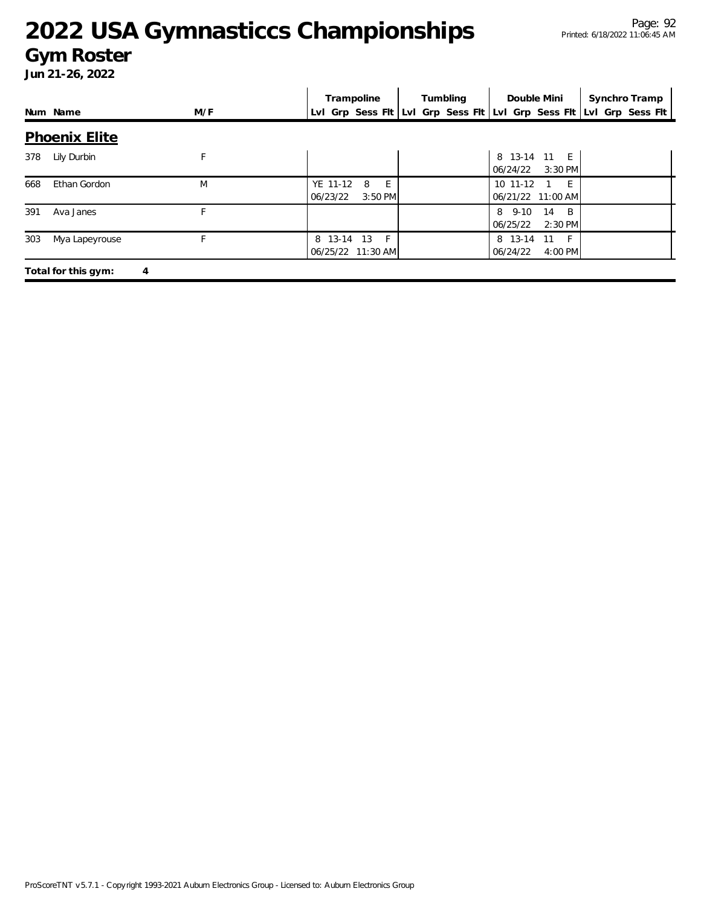#### **Gym Roster**

|     |                          |     | Trampoline                                  | Tumbling | Double Mini                                | Synchro Tramp                                                       |
|-----|--------------------------|-----|---------------------------------------------|----------|--------------------------------------------|---------------------------------------------------------------------|
|     | Num Name                 | M/F |                                             |          |                                            | Lvl Grp Sess Flt Lvl Grp Sess Flt Lvl Grp Sess Flt Lvl Grp Sess Flt |
|     | <b>Phoenix Elite</b>     |     |                                             |          |                                            |                                                                     |
| 378 | Lily Durbin              | F   |                                             |          | 8 13-14 11 E<br>06/24/22<br>$3:30$ PM      |                                                                     |
| 668 | Ethan Gordon             | M   | YE 11-12<br>8<br>E<br>$3:50$ PM<br>06/23/22 |          | 10 11-12<br>- F<br>06/21/22 11:00 AM       |                                                                     |
| 391 | Ava Janes                |     |                                             |          | -B<br>8 9-10<br>14<br>06/25/22<br>2:30 PM  |                                                                     |
| 303 | Mya Lapeyrouse           | F   | 8 13-14 13<br>F<br>06/25/22 11:30 AM        |          | 8 13-14<br>F<br>-11<br>06/24/22<br>4:00 PM |                                                                     |
|     | Total for this gym:<br>4 |     |                                             |          |                                            |                                                                     |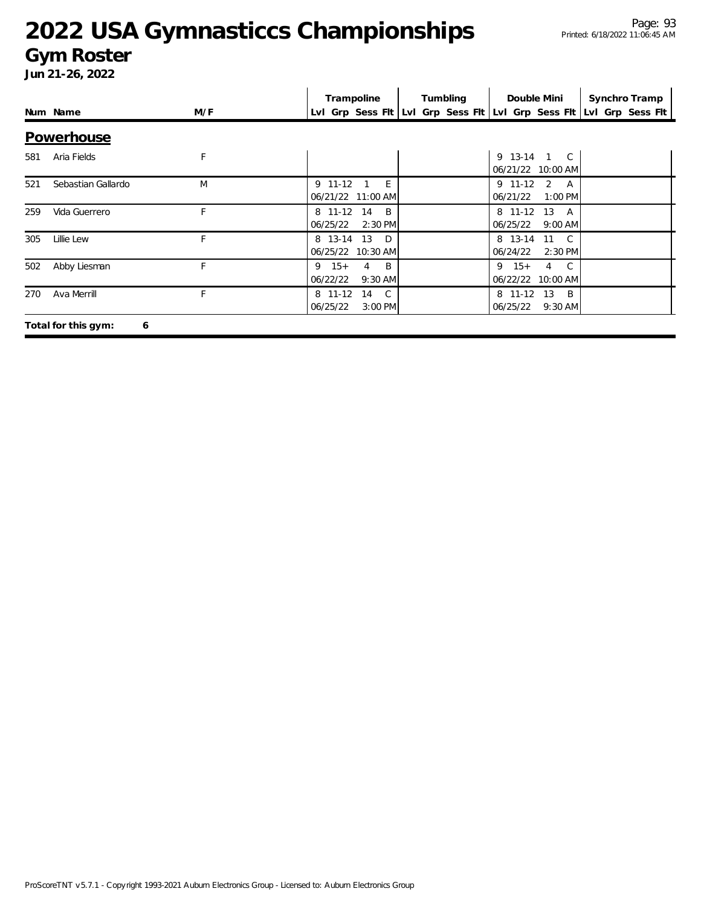#### **Gym Roster**

|     | Num Name                 | M/F | Trampoline                                              | Tumbling | Double Mini                             | Synchro Tramp<br>Lvl Grp Sess Flt Lvl Grp Sess Flt Lvl Grp Sess Flt Lvl Grp Sess Flt |
|-----|--------------------------|-----|---------------------------------------------------------|----------|-----------------------------------------|--------------------------------------------------------------------------------------|
|     | Powerhouse               |     |                                                         |          |                                         |                                                                                      |
| 581 | Aria Fields              | F   |                                                         |          | 9 13-14 1 C<br>06/21/22 10:00 AM        |                                                                                      |
| 521 | Sebastian Gallardo       | M   | 9 11-12<br>E<br>06/21/22 11:00 AM                       |          | 9 11-12<br>2 A<br>06/21/22<br>$1:00$ PM |                                                                                      |
| 259 | Vida Guerrero            | F   | 8 11-12 14<br>$\overline{B}$<br>06/25/22<br>2:30 PM     |          | 8 11-12 13 A<br>06/25/22<br>$9:00$ AM   |                                                                                      |
| 305 | Lillie Lew               | F   | 8 13-14<br>13 D<br>06/25/22 10:30 AM                    |          | 8 13-14 11 C<br>06/24/22<br>$2:30$ PM   |                                                                                      |
| 502 | Abby Liesman             | E   | $9 \t15+$<br>$\overline{B}$<br>4<br>06/22/22<br>9:30 AM |          | $9 \t15+$<br>4 C<br>06/22/22 10:00 AM   |                                                                                      |
| 270 | Ava Merrill              | F   | $\mathbb{C}$<br>8 11-12<br>14<br>06/25/22<br>$3:00$ PM  |          | 8 11-12 13 B<br>06/25/22<br>$9:30$ AM   |                                                                                      |
|     | Total for this gym:<br>6 |     |                                                         |          |                                         |                                                                                      |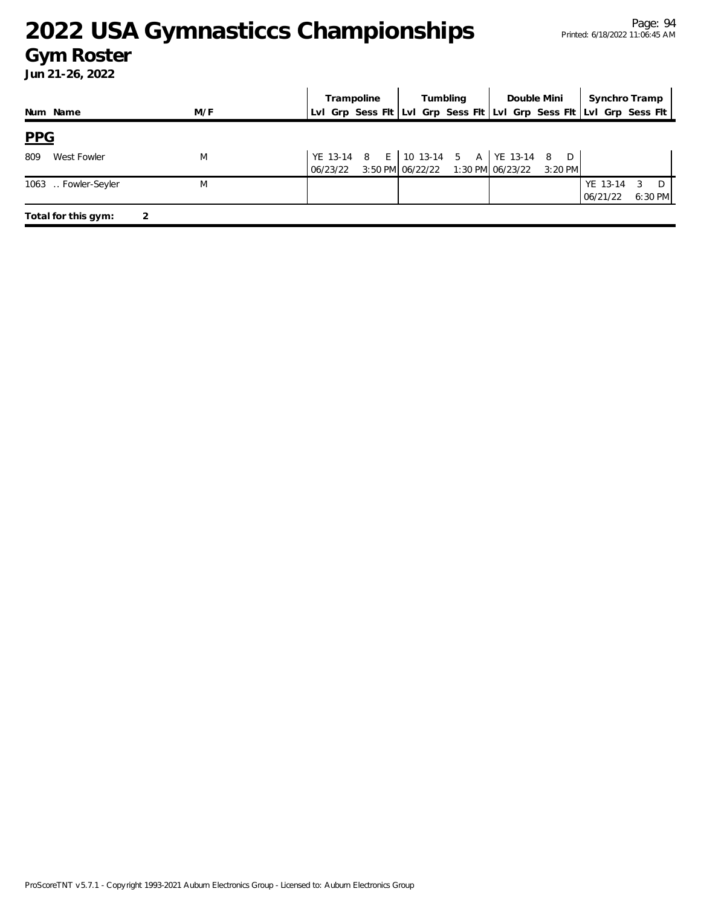#### **Gym Roster**

|                     |     | Trampoline | Tumbling                                                                                       | Double Mini | Synchro Tramp                                                       |
|---------------------|-----|------------|------------------------------------------------------------------------------------------------|-------------|---------------------------------------------------------------------|
| Num Name            | M/F |            |                                                                                                |             | Lvl Grp Sess Fit Lvl Grp Sess Fit Lvl Grp Sess Fit Lvl Grp Sess Fit |
| PPG                 |     |            |                                                                                                |             |                                                                     |
| 809<br>West Fowler  | M   |            | YE 13-14 8 E   10 13-14 5 A   YE 13-14 8<br>06/23/22 3:50 PM 06/22/22 1:30 PM 06/23/22 3:20 PM | D           |                                                                     |
| 1063  Fowler-Seyler | M   |            |                                                                                                |             | YE 13-14 3 D<br>$6:30$ PM<br>06/21/22                               |
| Total for this gym: |     |            |                                                                                                |             |                                                                     |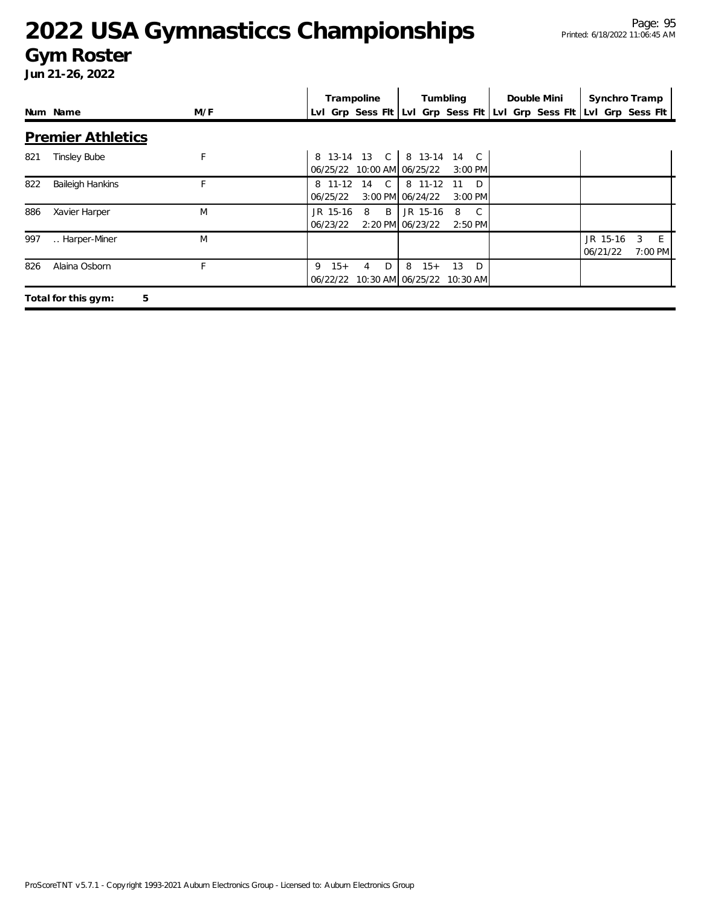#### **Gym Roster**

|     |                          |     | Trampoline                                                  | Tumbling                                                            | Double Mini | Synchro Tramp                                         |
|-----|--------------------------|-----|-------------------------------------------------------------|---------------------------------------------------------------------|-------------|-------------------------------------------------------|
|     | Num Name                 | M/F |                                                             | Lvl Grp Sess Fit Lvl Grp Sess Fit Lvl Grp Sess Fit Lvl Grp Sess Fit |             |                                                       |
|     | <b>Premier Athletics</b> |     |                                                             |                                                                     |             |                                                       |
| 821 | <b>Tinsley Bube</b>      | F   | 06/25/22 10:00 AM 06/25/22                                  | 8 13-14 13 C 8 13-14 14 C<br>$3:00$ PM                              |             |                                                       |
| 822 | <b>Baileigh Hankins</b>  |     | 8 11-12<br>14 C<br>06/25/22                                 | 8 11-12<br>$\Box$<br>-11<br>3:00 PM 06/24/22<br>$3:00$ PM           |             |                                                       |
| 886 | Xavier Harper            | M   | JR 15-16<br>B<br>8<br>06/23/22                              | JR 15-16<br>$\mathbb{C}$<br>8<br>2:20 PM 06/23/22<br>2:50 PM        |             |                                                       |
| 997 | Harper-Miner             | M   |                                                             |                                                                     |             | JR 15-16<br>3<br>E<br>06/21/22<br>$7:00 \, \text{PM}$ |
| 826 | Alaina Osborn            | F   | $15+$<br>D<br>9<br>4<br>06/22/22 10:30 AM 06/25/22 10:30 AM | 13<br>D <sub>D</sub><br>8<br>$15+$                                  |             |                                                       |
|     | 5<br>Total for this gym: |     |                                                             |                                                                     |             |                                                       |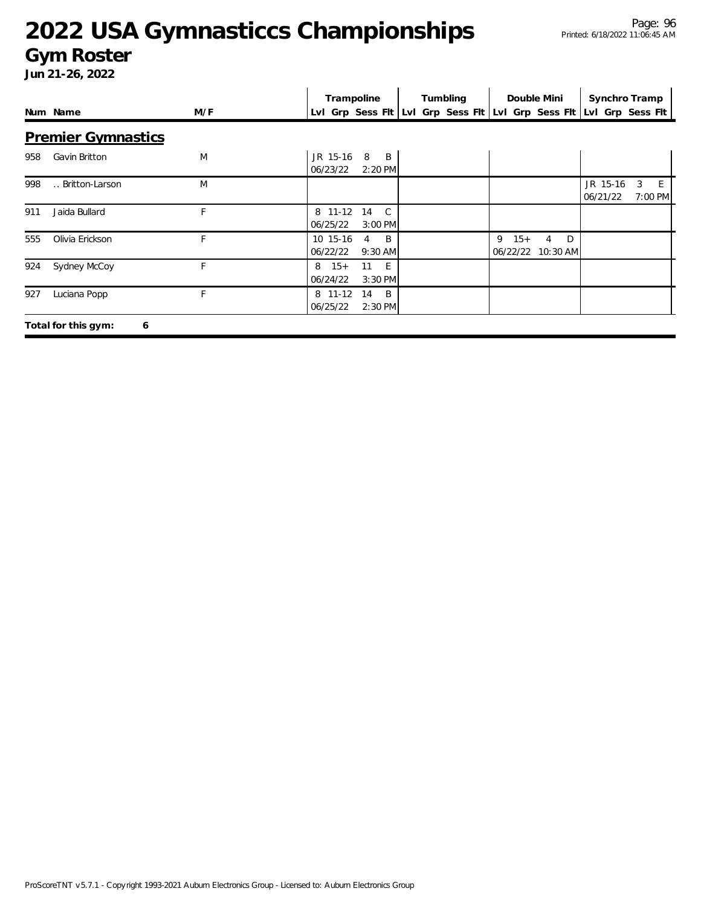#### **Gym Roster**

|     |                           |     | Trampoline                                                          |                                               | Tumbling |            | Double Mini                                         | Synchro Tramp        |   |               |
|-----|---------------------------|-----|---------------------------------------------------------------------|-----------------------------------------------|----------|------------|-----------------------------------------------------|----------------------|---|---------------|
|     | Num Name                  | M/F | Lvl Grp Sess Fit Lvl Grp Sess Fit Lvl Grp Sess Fit Lvl Grp Sess Fit |                                               |          |            |                                                     |                      |   |               |
|     | <b>Premier Gymnastics</b> |     |                                                                     |                                               |          |            |                                                     |                      |   |               |
| 958 | Gavin Britton             | M   | JR 15-16<br>06/23/22                                                | 8<br>$\overline{B}$<br>2:20 PM                |          |            |                                                     |                      |   |               |
| 998 | Britton-Larson            | M   |                                                                     |                                               |          |            |                                                     | JR 15-16<br>06/21/22 | 3 | E.<br>7:00 PM |
| 911 | Jaida Bullard             | F   | 8 11-12<br>06/25/22                                                 | $\mathbb{C}$<br>14<br>3:00 PM                 |          |            |                                                     |                      |   |               |
| 555 | Olivia Erickson           | F   | 10 15-16<br>06/22/22                                                | $\overline{B}$<br>$\overline{4}$<br>$9:30$ AM |          | 9<br>$15+$ | <sup>D</sup><br>$\overline{4}$<br>06/22/22 10:30 AM |                      |   |               |
| 924 | Sydney McCoy              | F   | $8 \t15+$<br>06/24/22                                               | 11 E<br>3:30 PM                               |          |            |                                                     |                      |   |               |
| 927 | Luciana Popp              | F   | 8 11-12<br>06/25/22                                                 | - B<br>14<br>2:30 PM                          |          |            |                                                     |                      |   |               |
|     | Total for this gym:<br>6  |     |                                                                     |                                               |          |            |                                                     |                      |   |               |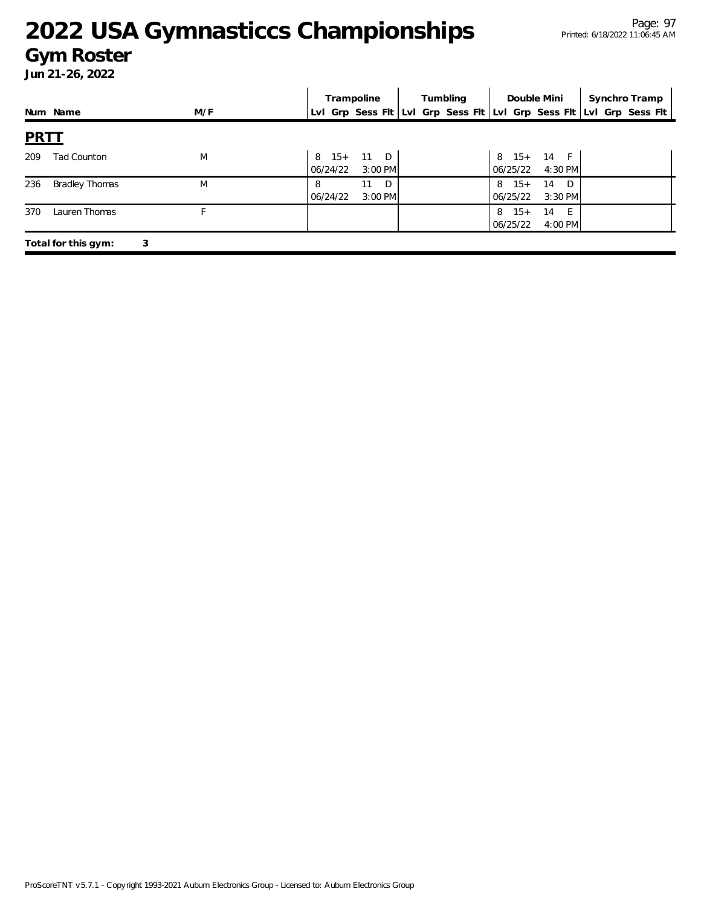#### **2022 USA Gymnasticcs Championships** Page: 97 Printed: 6/18/2022 11:06:45 AM

#### **Gym Roster**

|             |                     |     | Trampoline                                                          |                                 | Tumbling |                       | Double Mini                     | Synchro Tramp |  |
|-------------|---------------------|-----|---------------------------------------------------------------------|---------------------------------|----------|-----------------------|---------------------------------|---------------|--|
|             | Num Name            | M/F | Lvl Grp Sess Flt Lvl Grp Sess Flt Lvl Grp Sess Flt Lvl Grp Sess Flt |                                 |          |                       |                                 |               |  |
| <b>PRTT</b> |                     |     |                                                                     |                                 |          |                       |                                 |               |  |
| 209         | <b>Tad Counton</b>  | M   | $8 \t15+$<br>06/24/22                                               | 11 D<br>$3:00$ PM               |          | 06/25/22              | 8 15+ 14 F<br>4:30 PM           |               |  |
| 236         | Bradley Thomas      | M   | 06/24/22                                                            | D <sub>D</sub><br>11<br>3:00 PM |          | $8 \t15+$<br>06/25/22 | D <sub>D</sub><br>14<br>3:30 PM |               |  |
| 370         | Lauren Thomas       | F   |                                                                     |                                 |          | $8 \t15+$<br>06/25/22 | 14<br>- F<br>4:00 PM            |               |  |
|             | Total for this gym: | 3   |                                                                     |                                 |          |                       |                                 |               |  |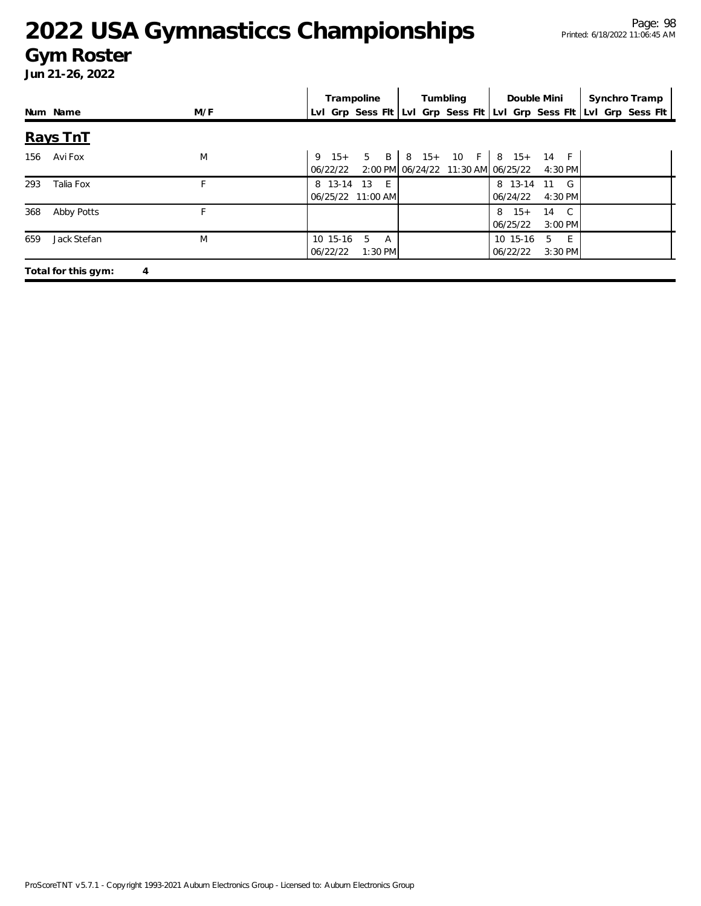#### **Gym Roster**

|     |                          |     | Trampoline                                | Tumbling                           | Double Mini                                              | Synchro Tramp                                                       |
|-----|--------------------------|-----|-------------------------------------------|------------------------------------|----------------------------------------------------------|---------------------------------------------------------------------|
|     | Num Name                 | M/F |                                           |                                    |                                                          | Lvl Grp Sess Fit Lvl Grp Sess Fit Lvl Grp Sess Fit Lvl Grp Sess Fit |
|     | Rays TnT                 |     |                                           |                                    |                                                          |                                                                     |
|     | 156 AviFox               | M   | 06/22/22                                  | 2:00 PM 06/24/22 11:30 AM 06/25/22 | 9 $15+ 5 B 8 15+ 10 F 8 15+ 14 F$<br>4:30 PM             |                                                                     |
| 293 | Talia Fox                | F   | 8 13-14 13 E<br>06/25/22 11:00 AM         |                                    | 8 13-14 11 G<br>06/24/22<br>4:30 PM                      |                                                                     |
| 368 | Abby Potts               | F   |                                           |                                    | $8 \t15+$<br>$\overline{C}$<br>14<br>06/25/22<br>3:00 PM |                                                                     |
| 659 | Jack Stefan              | M   | 10 15-16<br>5<br>A<br>1:30 PM<br>06/22/22 |                                    | $-E$<br>10 15-16<br>-5<br>06/22/22<br>3:30 PM            |                                                                     |
|     | Total for this gym:<br>4 |     |                                           |                                    |                                                          |                                                                     |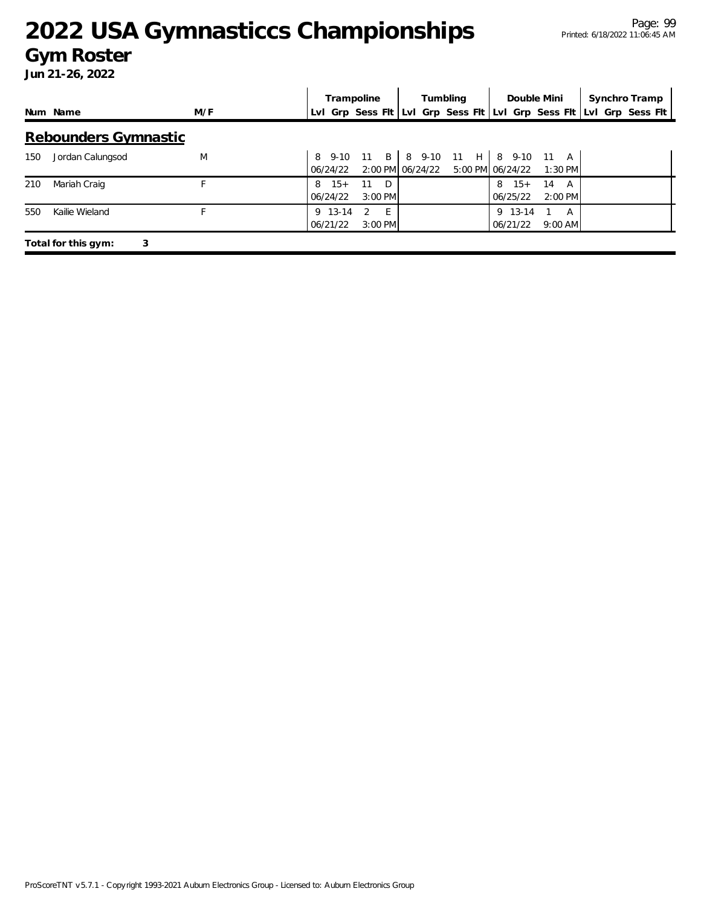#### **Gym Roster**

|     |                          |     | Trampoline                                                  | Tumbling                                              | Double Mini                                   | Synchro Tramp                                                       |
|-----|--------------------------|-----|-------------------------------------------------------------|-------------------------------------------------------|-----------------------------------------------|---------------------------------------------------------------------|
|     | Num Name                 | M/F |                                                             |                                                       |                                               | Lvl Grp Sess Flt Lvl Grp Sess Flt Lvl Grp Sess Flt Lvl Grp Sess Flt |
|     | Rebounders Gymnastic     |     |                                                             |                                                       |                                               |                                                                     |
| 150 | Jordan Calungsod         | M   | 06/24/22                                                    | 8 9-10 11 B 8 9-10 11 H 8 9-10 11<br>2:00 PM 06/24/22 | A<br>5:00 PM 06/24/22<br>$1:30$ PM            |                                                                     |
| 210 | Mariah Craig             |     | $15+$<br>11<br>D<br>8<br>$3:00$ PM<br>06/24/22              |                                                       | $8 \t15+$<br>14<br>A<br>06/25/22<br>$2:00$ PM |                                                                     |
| 550 | Kailie Wieland           |     | 9 13-14<br>$E^{-1}$<br>$\mathcal{L}$<br>06/21/22<br>3:00 PM |                                                       | 9 13-14<br>A<br>06/21/22<br>$9:00$ AM         |                                                                     |
|     | Total for this gym:<br>3 |     |                                                             |                                                       |                                               |                                                                     |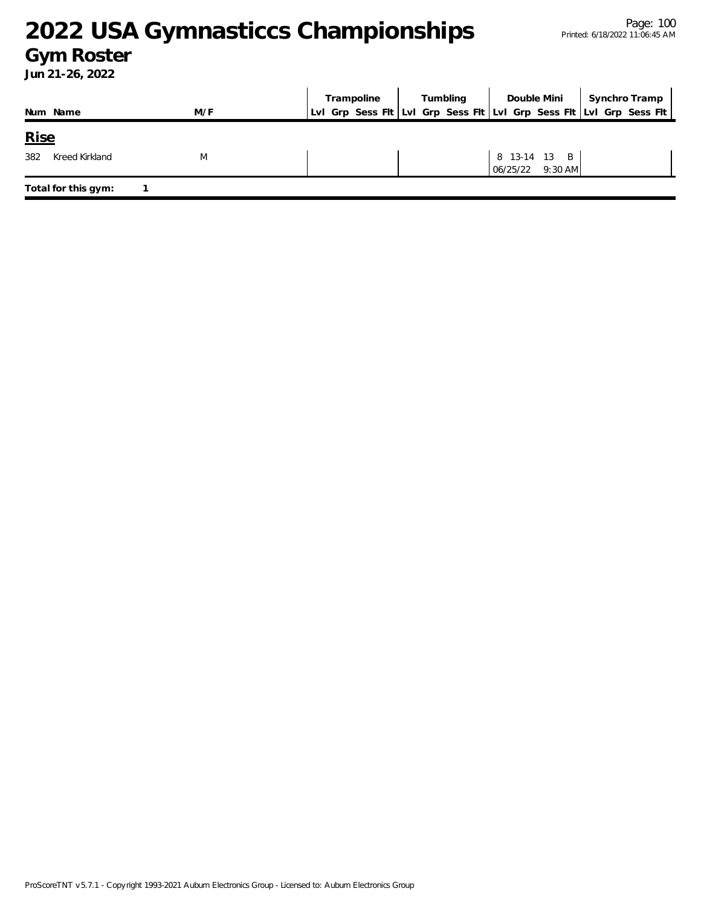#### **Gym Roster**

| Num Name              | M/F | Trampoline<br>Lvl Grp Sess Flt Lvl Grp Sess Flt Lvl Grp Sess Flt Lvl Grp Sess Flt | Tumbling |                                  | Double Mini   Synchro Tramp |
|-----------------------|-----|-----------------------------------------------------------------------------------|----------|----------------------------------|-----------------------------|
| <b>Rise</b>           |     |                                                                                   |          |                                  |                             |
| Kreed Kirkland<br>382 | M   |                                                                                   |          | 8 13-14 13 B<br>06/25/22 9:30 AM |                             |
| Total for this gym:   |     |                                                                                   |          |                                  |                             |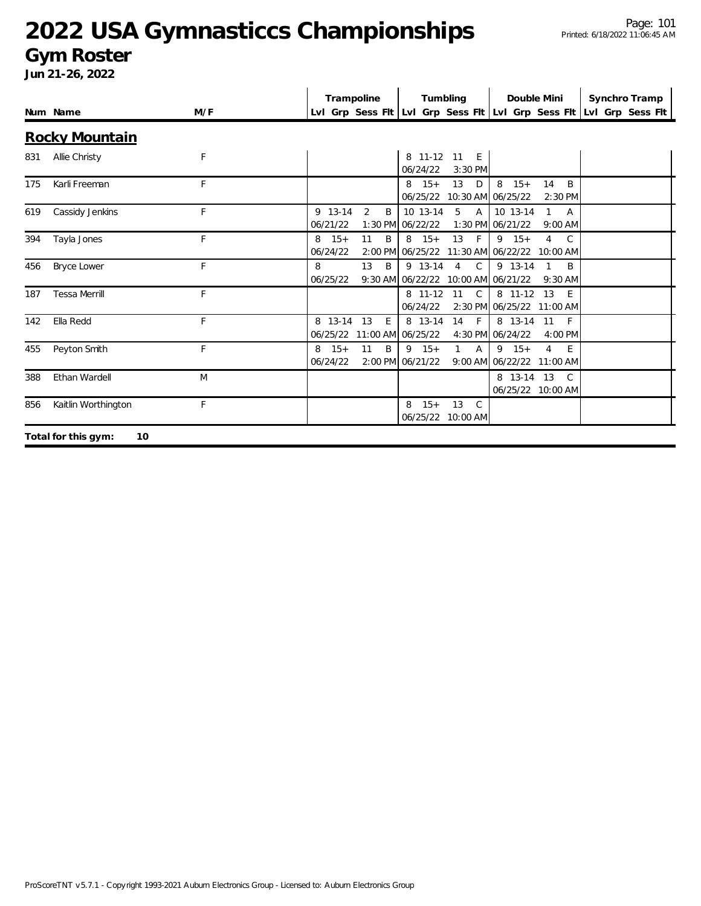#### **Gym Roster**

|     |                           |     |                       | Trampoline            | Tumbling                                                                               | Double Mini                                                               | Synchro Tramp                                                       |
|-----|---------------------------|-----|-----------------------|-----------------------|----------------------------------------------------------------------------------------|---------------------------------------------------------------------------|---------------------------------------------------------------------|
|     | Num Name                  | M/F |                       |                       |                                                                                        |                                                                           | LvI Grp Sess FIt LvI Grp Sess FIt LvI Grp Sess FIt LvI Grp Sess FIt |
|     | <b>Rocky Mountain</b>     |     |                       |                       |                                                                                        |                                                                           |                                                                     |
| 831 | Allie Christy             | F   |                       |                       | 8 11-12 11<br>E<br>06/24/22<br>$3:30$ PM                                               |                                                                           |                                                                     |
| 175 | Karli Freeman             | F   |                       |                       | 13<br>$8 \t15+$<br>D<br>06/25/22 10:30 AM 06/25/22                                     | 8<br>$15+$<br>B<br>14<br>$2:30$ PM                                        |                                                                     |
| 619 | Cassidy Jenkins           | F   | 9 13-14<br>06/21/22   | $\overline{2}$<br>B   | 10 13-14<br>5<br>$\overline{A}$<br>1:30 PM 06/22/22                                    | 10 13-14<br>$\mathbf{1}$<br>$\overline{A}$<br>1:30 PM 06/21/22<br>9:00 AM |                                                                     |
| 394 | Tayla Jones               | F   | $8 \t15+$<br>06/24/22 | B<br>11               | $8 \t15+$<br>13<br>$-F$<br>2:00 PM 06/25/22 11:30 AM 06/22/22 10:00 AM                 | $9 \t15+$<br>$\overline{4}$<br>C                                          |                                                                     |
| 456 | <b>Bryce Lower</b>        | F   | 8<br>06/25/22         | 13<br>B               | $\mathsf{C}$<br>9 13-14<br>$\overline{4}$<br>$9:30$ AM $06/22/22$<br>10:00 AM 06/21/22 | 9 13-14<br>B<br>$\mathbf{1}$<br>$9:30$ AM                                 |                                                                     |
| 187 | <b>Tessa Merrill</b>      | F   |                       |                       | 8 11-12<br>$\mathsf{C}$<br>11<br>06/24/22                                              | 8 11-12 13<br>-F<br>2:30 PM 06/25/22 11:00 AM                             |                                                                     |
| 142 | Ella Redd                 | F   | 8 13-14<br>06/25/22   | 13<br>E.              | 8 13-14<br>$\mathsf{F}$<br>14<br>11:00 AM 06/25/22                                     | 8 13-14<br>11<br>-F<br>4:30 PM 06/24/22<br>4:00 PM                        |                                                                     |
| 455 | Peyton Smith              | F   | $8 \t15+$<br>06/24/22 | 11<br>B.<br>$2:00$ PM | $9 \t15+$<br>$\mathbf{1}$<br>A<br>06/21/22                                             | $9 \t15+$<br>$\overline{4}$<br>F<br>9:00 AM 06/22/22 11:00 AM             |                                                                     |
| 388 | Ethan Wardell             | M   |                       |                       |                                                                                        | 8 13-14 13<br>C.<br>06/25/22 10:00 AM                                     |                                                                     |
| 856 | Kaitlin Worthington       | F   |                       |                       | $15+$<br>13<br>$\mathcal{C}$<br>8<br>06/25/22 10:00 AM                                 |                                                                           |                                                                     |
|     | Total for this gym:<br>10 |     |                       |                       |                                                                                        |                                                                           |                                                                     |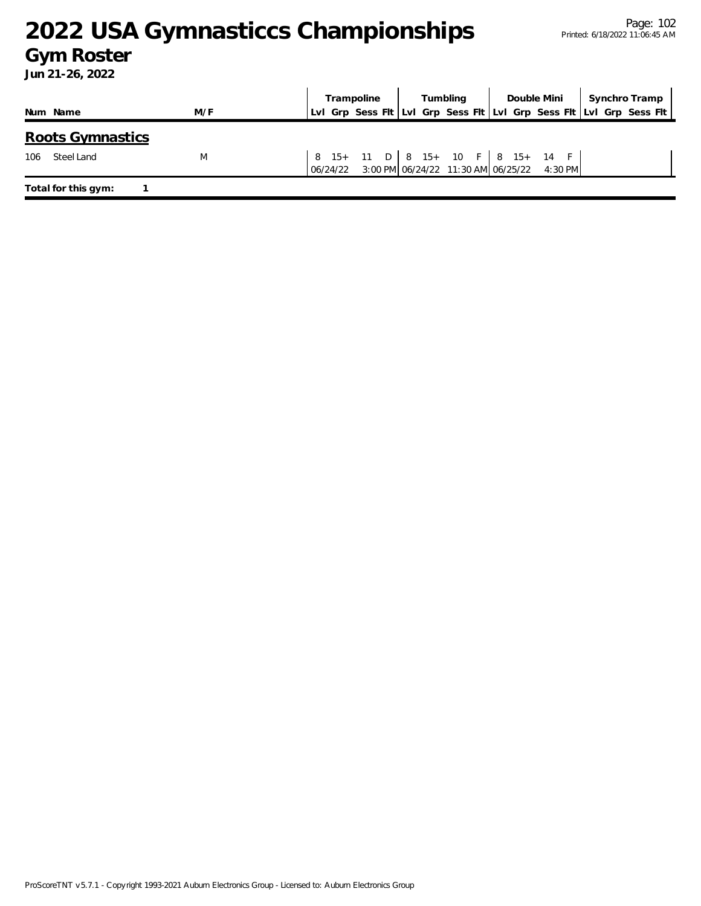#### **Gym Roster**

|          |                         |     |          | Tumbling<br>Trampoline           |  | Double Mini |  |  | Synchro Tramp |                                            |  |  |                                                                     |  |
|----------|-------------------------|-----|----------|----------------------------------|--|-------------|--|--|---------------|--------------------------------------------|--|--|---------------------------------------------------------------------|--|
| Num Name |                         | M/F |          |                                  |  |             |  |  |               |                                            |  |  | LvI Grp Sess Fit LvI Grp Sess Fit LvI Grp Sess Fit LvI Grp Sess Fit |  |
|          | <b>Roots Gymnastics</b> |     |          |                                  |  |             |  |  |               |                                            |  |  |                                                                     |  |
| 106      | Steel Land              | M   | 06/24/22 | 8 15+ 11 D 8 15+ 10 F 8 15+ 14 F |  |             |  |  |               | 3:00 PM 06/24/22 11:30 AM 06/25/22 4:30 PM |  |  |                                                                     |  |
|          | Total for this gym:     |     |          |                                  |  |             |  |  |               |                                            |  |  |                                                                     |  |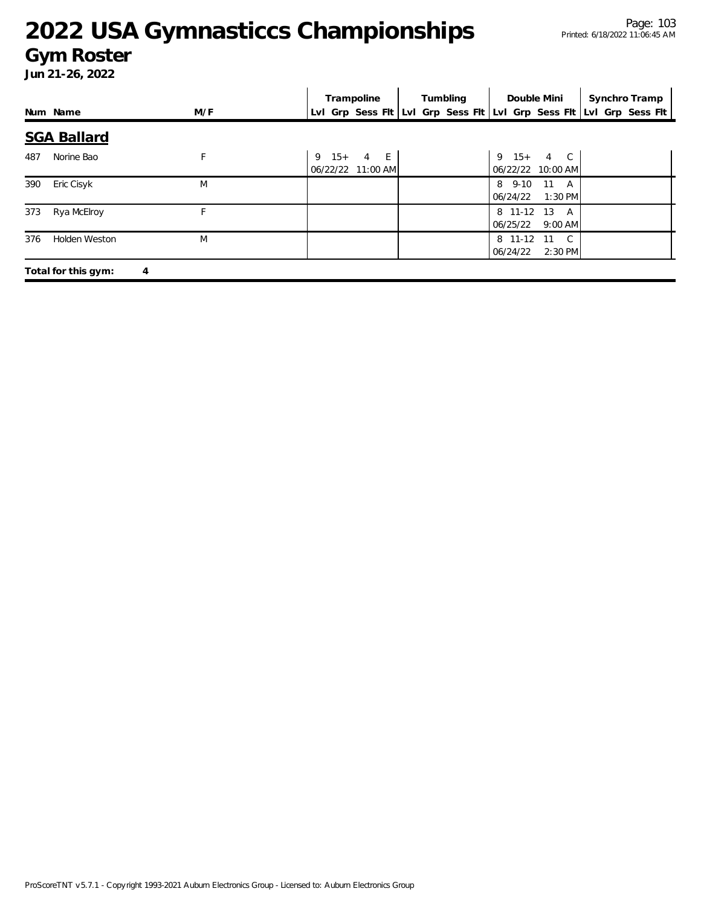### **Gym Roster**

|     |                     |     | Trampoline                            | Tumbling | Double Mini                                              | Synchro Tramp                                                       |
|-----|---------------------|-----|---------------------------------------|----------|----------------------------------------------------------|---------------------------------------------------------------------|
|     | Num Name            | M/F |                                       |          |                                                          | Lvl Grp Sess Flt Lvl Grp Sess Flt Lvl Grp Sess Flt Lvl Grp Sess Flt |
|     | <b>SGA Ballard</b>  |     |                                       |          |                                                          |                                                                     |
| 487 | Norine Bao          | F   | $9 \t15 + 4 \tE$<br>06/22/22 11:00 AM |          | $9 \t15 + 4 \tC$<br>06/22/22 10:00 AM                    |                                                                     |
| 390 | Eric Cisyk          | M   |                                       |          | 8 9-10<br>$11 \quad A$<br>06/24/22<br>$1:30$ PM          |                                                                     |
| 373 | Rya McElroy         |     |                                       |          | 8 11-12 13 A<br>06/25/22<br>$9:00$ AM                    |                                                                     |
| 376 | Holden Weston       | M   |                                       |          | 8 11-12<br>$\mathbb{C}$<br>- 11<br>06/24/22<br>$2:30$ PM |                                                                     |
|     | Total for this gym: | 4   |                                       |          |                                                          |                                                                     |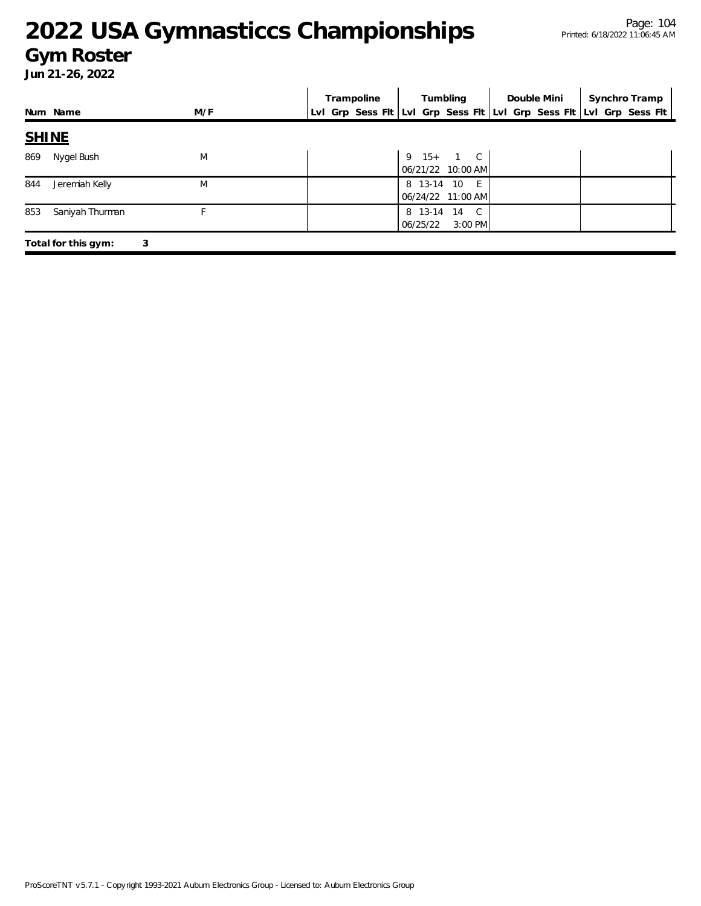### **Gym Roster**

|              |                     |     | Trampoline |          | Tumbling                          | Double Mini | Synchro Tramp                                                       |
|--------------|---------------------|-----|------------|----------|-----------------------------------|-------------|---------------------------------------------------------------------|
|              | Num Name            | M/F |            |          |                                   |             | Lvl Grp Sess Fit Lvl Grp Sess Fit Lvl Grp Sess Fit Lvl Grp Sess Fit |
| <b>SHINE</b> |                     |     |            |          |                                   |             |                                                                     |
| 869          | Nygel Bush          | M   |            |          | 9 15+ 1 C<br>06/21/22 10:00 AM    |             |                                                                     |
| 844          | Jeremiah Kelly      | M   |            |          | 8 13-14 10 E<br>06/24/22 11:00 AM |             |                                                                     |
| 853          | Saniyah Thurman     | F   |            | 06/25/22 | 8 13-14 14 C<br>$3:00$ PM         |             |                                                                     |
|              | Total for this gym: | 3   |            |          |                                   |             |                                                                     |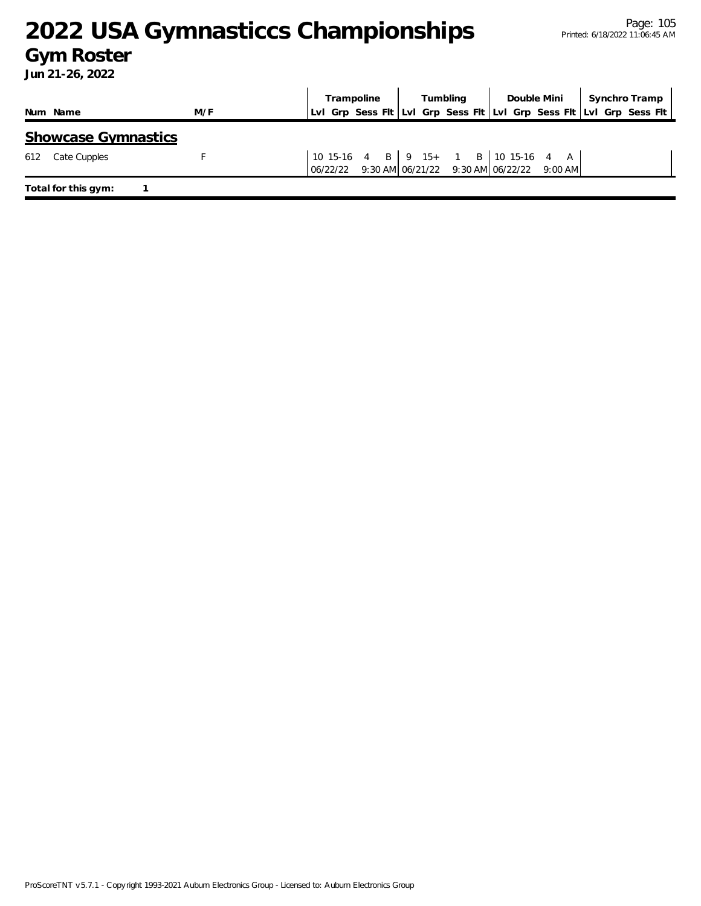### **Gym Roster**

|                     |                            |     |  | Trampoline | Tumbling |  |  |                                                                                                 | Double Mini   Synchro Tramp |  |                                                                     |  |
|---------------------|----------------------------|-----|--|------------|----------|--|--|-------------------------------------------------------------------------------------------------|-----------------------------|--|---------------------------------------------------------------------|--|
| Num Name            |                            | M/F |  |            |          |  |  |                                                                                                 |                             |  | Lvl Grp Sess Flt Lvl Grp Sess Flt Lvl Grp Sess Flt Lvl Grp Sess Flt |  |
|                     | <b>Showcase Gymnastics</b> |     |  |            |          |  |  |                                                                                                 |                             |  |                                                                     |  |
| 612                 | Cate Cupples               |     |  |            |          |  |  | 10 15-16 4 B   9 15+ 1 B   10 15-16 4 A  <br>06/22/22 9:30 AM 06/21/22 9:30 AM 06/22/22 9:00 AM |                             |  |                                                                     |  |
| Total for this gym: |                            |     |  |            |          |  |  |                                                                                                 |                             |  |                                                                     |  |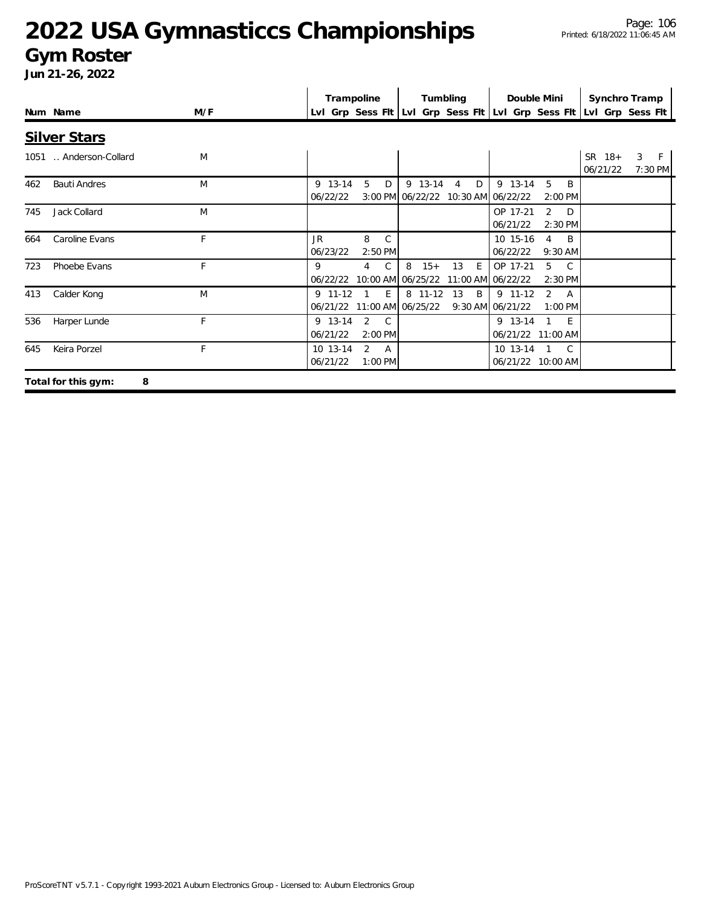#### **Gym Roster**

|     |                          |     |  | Trampoline            |                |                                    |   |         | Tumbling       |   |                                                                     | Double Mini                               | Synchro Tramp      |   |              |
|-----|--------------------------|-----|--|-----------------------|----------------|------------------------------------|---|---------|----------------|---|---------------------------------------------------------------------|-------------------------------------------|--------------------|---|--------------|
|     | Num Name                 | M/F |  |                       |                |                                    |   |         |                |   | Lyl Grp Sess Fit Lyl Grp Sess Fit Lyl Grp Sess Fit Lyl Grp Sess Fit |                                           |                    |   |              |
|     | <b>Silver Stars</b>      |     |  |                       |                |                                    |   |         |                |   |                                                                     |                                           |                    |   |              |
|     | 1051  Anderson-Collard   | M   |  |                       |                |                                    |   |         |                |   |                                                                     |                                           | SR 18+<br>06/21/22 | 3 | F<br>7:30 PM |
| 462 | <b>Bauti Andres</b>      | M   |  | 9 13-14<br>06/22/22   | 5              | D                                  |   | 9 13-14 | $\overline{4}$ | D | 9 13-14<br>3:00 PM 06/22/22 10:30 AM 06/22/22                       | 5<br>B<br>2:00 PM                         |                    |   |              |
| 745 | Jack Collard             | M   |  |                       |                |                                    |   |         |                |   | OP 17-21<br>06/21/22                                                | $\overline{2}$<br>D<br>2:30 PM            |                    |   |              |
| 664 | Caroline Evans           | F   |  | JR.<br>06/23/22       | 8              | $\mathcal{C}$<br>2:50 PM           |   |         |                |   | 10 15-16<br>06/22/22                                                | <sup>B</sup><br>$\overline{4}$<br>9:30 AM |                    |   |              |
| 723 | Phoebe Evans             | F   |  | 9<br>06/22/22         | $\overline{4}$ | $\mathcal{C}$<br>10:00 AM 06/25/22 | 8 | $15+$   | 13             | E | OP 17-21<br>11:00 AM 06/22/22                                       | 5<br>$\overline{C}$<br>2:30 PM            |                    |   |              |
| 413 | Calder Kong              | M   |  | $9$ 11-12<br>06/21/22 |                | E.<br>11:00 AM 06/25/22            |   | 8 11-12 | 13             | B | $9$ 11-12<br>9:30 AM 06/21/22                                       | $\mathcal{P}$<br><b>A</b><br>1:00 PM      |                    |   |              |
| 536 | Harper Lunde             | F   |  | 9 13-14<br>06/21/22   | 2              | $\mathsf{C}$<br>2:00 PM            |   |         |                |   | 9 13-14                                                             | $-E$<br>06/21/22 11:00 AM                 |                    |   |              |
| 645 | Keira Porzel             | F   |  | 10 13-14<br>06/21/22  | 2              | A<br>1:00 PM                       |   |         |                |   | 10 13-14                                                            | C.<br>06/21/22 10:00 AM                   |                    |   |              |
|     | Total for this gym:<br>8 |     |  |                       |                |                                    |   |         |                |   |                                                                     |                                           |                    |   |              |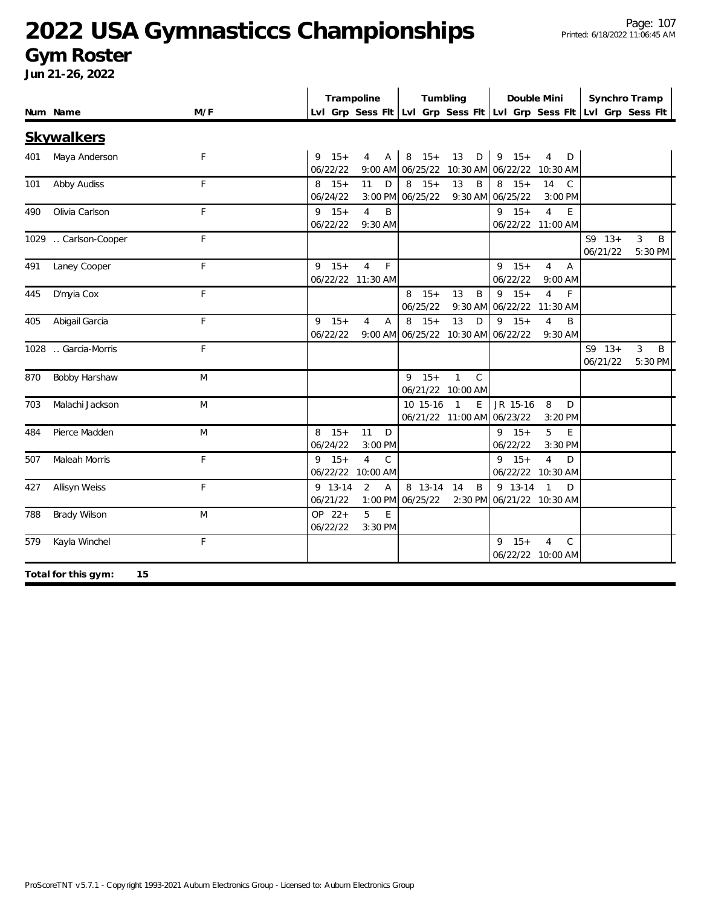#### **Gym Roster**

|     |                           |     | Trampoline             |                                           |                                | Tumbling                                          |                                | Double Mini                                         |                      | Synchro Tramp                                                       |
|-----|---------------------------|-----|------------------------|-------------------------------------------|--------------------------------|---------------------------------------------------|--------------------------------|-----------------------------------------------------|----------------------|---------------------------------------------------------------------|
|     | Num Name                  | M/F |                        |                                           |                                |                                                   |                                |                                                     |                      | Lvl Grp Sess Fit Lvl Grp Sess Fit Lvl Grp Sess Fit Lvl Grp Sess Fit |
|     | <b>Skywalkers</b>         |     |                        |                                           |                                |                                                   |                                |                                                     |                      |                                                                     |
| 401 | Maya Anderson             | F   | $15+$<br>9<br>06/22/22 | 4<br>$\mathsf{A}$                         | $15+$<br>8<br>9:00 AM 06/25/22 | 13<br>D                                           | $9 \t15+$<br>10:30 AM 06/22/22 | $\overline{4}$<br>D<br>10:30 AM                     |                      |                                                                     |
| 101 | Abby Audiss               | F   | $8 \t15+$<br>06/24/22  | 11<br>D<br>$3:00$ PM                      | $8 \t15+$<br>06/25/22          | 13<br>B<br>9:30 AM                                | $8 \t15+$<br>06/25/22          | 14<br>$\mathsf{C}$<br>3:00 PM                       |                      |                                                                     |
| 490 | Olivia Carlson            | F   | $9 \t15+$<br>06/22/22  | $\overline{4}$<br>B<br>9:30 AM            |                                |                                                   | $9 \t15+$                      | $\overline{4}$<br>E<br>06/22/22 11:00 AM            |                      |                                                                     |
|     | 1029  Carlson-Cooper      | F   |                        |                                           |                                |                                                   |                                |                                                     | $S9 13+$<br>06/21/22 | 3<br>B<br>5:30 PM                                                   |
| 491 | Laney Cooper              | F   | $9$ 15+                | $\overline{4}$<br>F<br>06/22/22 11:30 AM  |                                |                                                   | $9 \t15+$<br>06/22/22          | $\overline{4}$<br>Α<br>9:00 AM                      |                      |                                                                     |
| 445 | D'myia Cox                | F   |                        |                                           | $8 \t15+$<br>06/25/22          | 13<br>B<br>9:30 AM                                | $9 \t15+$<br>06/22/22 11:30 AM | $\overline{4}$<br>F.                                |                      |                                                                     |
| 405 | Abigail Garcia            | F   | $9 \t15+$<br>06/22/22  | $\overline{4}$<br>$\overline{A}$          | $15+$<br>8                     | 13<br>D<br>9:00 AM 06/25/22 10:30 AM 06/22/22     | $9 \t15+$                      | $\overline{4}$<br>B<br>9:30 AM                      |                      |                                                                     |
|     | 1028 . Garcia-Morris      | F   |                        |                                           |                                |                                                   |                                |                                                     | $S9 13+$<br>06/21/22 | 3<br>B<br>5:30 PM                                                   |
| 870 | Bobby Harshaw             | M   |                        |                                           | $9$ 15+                        | $\mathbf{1}$<br>$\mathsf{C}$<br>06/21/22 10:00 AM |                                |                                                     |                      |                                                                     |
| 703 | Malachi Jackson           | M   |                        |                                           | 10 15-16                       | $\overline{1}$<br>E<br>06/21/22 11:00 AM 06/23/22 | JR 15-16                       | 8<br>D<br>3:20 PM                                   |                      |                                                                     |
| 484 | Pierce Madden             | M   | $8 \t15+$<br>06/24/22  | 11<br>D<br>3:00 PM                        |                                |                                                   | $9 \t15+$<br>06/22/22          | 5<br>E<br>3:30 PM                                   |                      |                                                                     |
| 507 | Maleah Morris             | F   | $9 \t15+$<br>06/22/22  | $\overline{4}$<br>$\mathsf C$<br>10:00 AM |                                |                                                   | $9 \t15+$                      | $\overline{4}$<br>D<br>06/22/22 10:30 AM            |                      |                                                                     |
| 427 | Allisyn Weiss             | F   | 9 13-14<br>06/21/22    | 2<br>A<br>1:00 PM                         | 8 13-14<br>06/25/22            | 14<br>B<br>2:30 PM                                | 9 13-14<br>06/21/22 10:30 AM   | $\overline{1}$<br>D                                 |                      |                                                                     |
| 788 | Brady Wilson              | M   | OP 22+<br>06/22/22     | 5<br>E<br>3:30 PM                         |                                |                                                   |                                |                                                     |                      |                                                                     |
| 579 | Kayla Winchel             | F   |                        |                                           |                                |                                                   | $9 \t15+$                      | $\overline{4}$<br>$\mathsf{C}$<br>06/22/22 10:00 AM |                      |                                                                     |
|     | 15<br>Total for this gym: |     |                        |                                           |                                |                                                   |                                |                                                     |                      |                                                                     |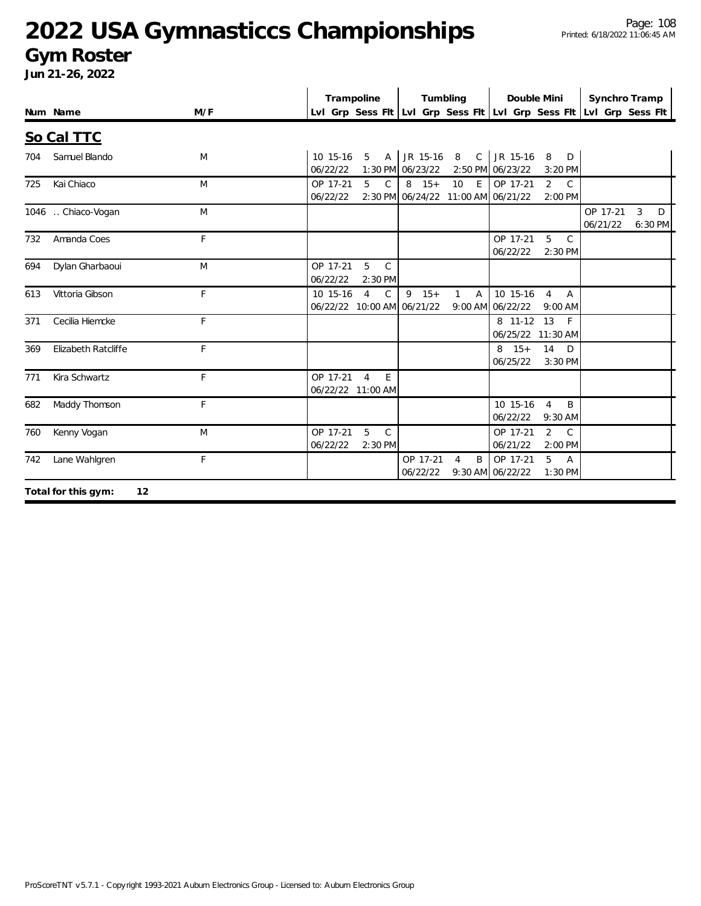#### **Gym Roster**

|     |                            |     | Trampoline                                                               | Tumbling                                                                | Double Mini                                                                       | Synchro Tramp                                                       |
|-----|----------------------------|-----|--------------------------------------------------------------------------|-------------------------------------------------------------------------|-----------------------------------------------------------------------------------|---------------------------------------------------------------------|
|     | Num Name                   | M/F |                                                                          |                                                                         |                                                                                   | Lvl Grp Sess Fit Lvl Grp Sess Fit Lvl Grp Sess Fit Lvl Grp Sess Fit |
|     | So Cal TTC                 |     |                                                                          |                                                                         |                                                                                   |                                                                     |
| 704 | Samuel Blando              | M   | 10 15-16<br>5<br>06/22/22                                                | A JR 15-16<br>1:30 PM 06/23/22                                          | 8 C JR 15-16<br>8<br>D<br>2:50 PM 06/23/22<br>3:20 PM                             |                                                                     |
| 725 | Kai Chiaco                 | M   | OP 17-21<br>5<br>$\mathsf{C}$<br>06/22/22                                | $8 \t15+$<br>10 <sup>1</sup><br>E<br>2:30 PM 06/24/22 11:00 AM 06/21/22 | OP 17-21<br>$\overline{2}$<br>$\mathsf{C}$<br>2:00 PM                             |                                                                     |
|     | 1046 . Chiaco-Vogan        | M   |                                                                          |                                                                         |                                                                                   | OP 17-21<br>3<br>D<br>06/21/22<br>6:30 PM                           |
| 732 | Amanda Coes                | F   |                                                                          |                                                                         | OP 17-21<br>5<br>$\mathcal{C}$<br>06/22/22<br>$2:30$ PM                           |                                                                     |
| 694 | Dylan Gharbaoui            | M   | OP 17-21<br>5<br>$\mathsf{C}$<br>06/22/22<br>2:30 PM                     |                                                                         |                                                                                   |                                                                     |
| 613 | Vittoria Gibson            | F   | $\overline{4}$<br>$\mathsf{C}$<br>10 15-16<br>06/22/22 10:00 AM 06/21/22 | $9 \t15+$<br>A<br>$\mathbf{1}$                                          | 10 15-16<br>$\overline{4}$<br>$\overline{A}$<br>$9:00$ AM $06/22/22$<br>$9:00$ AM |                                                                     |
| 371 | Cecilia Hiemcke            | F   |                                                                          |                                                                         | 8 11-12 13<br>- F<br>06/25/22 11:30 AM                                            |                                                                     |
| 369 | <b>Elizabeth Ratcliffe</b> | F   |                                                                          |                                                                         | $8 \t15+$<br>14<br>D<br>06/25/22<br>$3:30$ PM                                     |                                                                     |
| 771 | Kira Schwartz              | F   | OP 17-21<br>$\overline{4}$<br>E<br>06/22/22 11:00 AM                     |                                                                         |                                                                                   |                                                                     |
| 682 | Maddy Thomson              | F   |                                                                          |                                                                         | 10 15-16<br>$\overline{4}$<br>B<br>06/22/22<br>$9:30$ AM                          |                                                                     |
| 760 | Kenny Vogan                | M   | 5<br>$\mathsf{C}$<br>OP 17-21<br>06/22/22<br>2:30 PM                     |                                                                         | $\overline{2}$<br>$\mathsf{C}$<br>OP 17-21<br>06/21/22<br>$2:00$ PM               |                                                                     |
| 742 | Lane Wahlgren              | F   |                                                                          | OP 17-21<br>B<br>$\overline{4}$<br>06/22/22                             | 5<br>OP 17-21<br>$\overline{A}$<br>9:30 AM 06/22/22<br>1:30 PM                    |                                                                     |
|     | 12<br>Total for this gym:  |     |                                                                          |                                                                         |                                                                                   |                                                                     |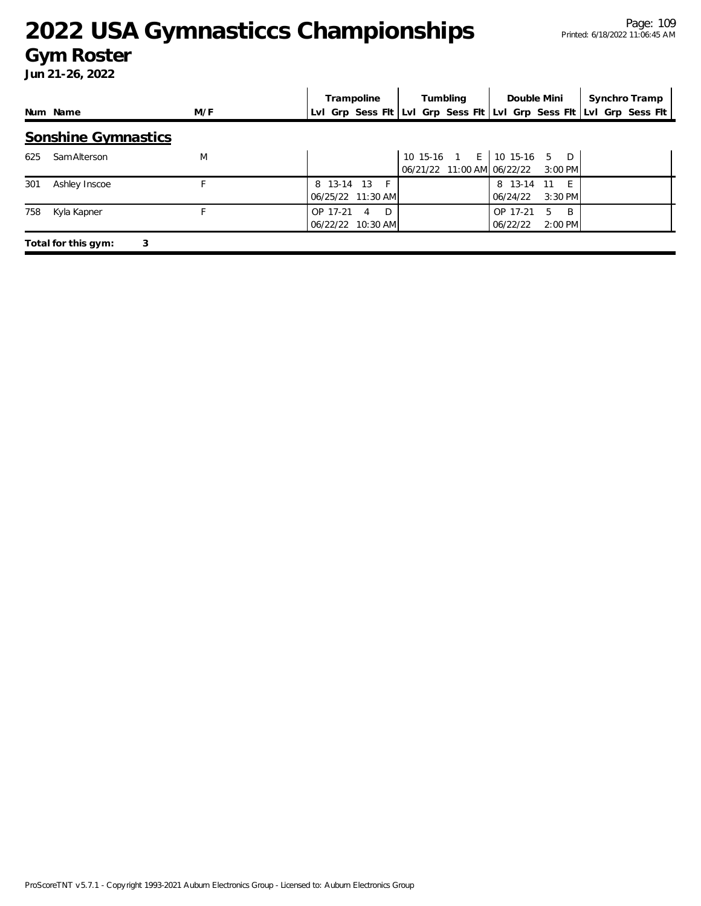#### **Gym Roster**

|     |                            |     |          | Trampoline                        |  | Tumbling |                                                                     | Double Mini          | Synchro Tramp |
|-----|----------------------------|-----|----------|-----------------------------------|--|----------|---------------------------------------------------------------------|----------------------|---------------|
|     | Num Name                   | M/F |          |                                   |  |          | Lvl Grp Sess Flt Lvl Grp Sess Flt Lvl Grp Sess Flt Lvl Grp Sess Flt |                      |               |
|     | <b>Sonshine Gymnastics</b> |     |          |                                   |  |          |                                                                     |                      |               |
| 625 | Sam Alterson               | M   |          |                                   |  |          | 10 15-16 1 E 10 15-16 5 D<br>06/21/22 11:00 AM 06/22/22             | 3:00 PM              |               |
| 301 | Ashley Inscoe              |     |          | 8 13-14 13 F<br>06/25/22 11:30 AM |  |          | 8 13-14<br>06/24/22                                                 | - 11<br>$3:30$ PM    |               |
| 758 | Kyla Kapner                |     | OP 17-21 | D.<br>4<br>06/22/22 10:30 AM      |  |          | OP 17-21<br>06/22/22                                                | B.<br>5<br>$2:00$ PM |               |
|     | 3<br>Total for this gym:   |     |          |                                   |  |          |                                                                     |                      |               |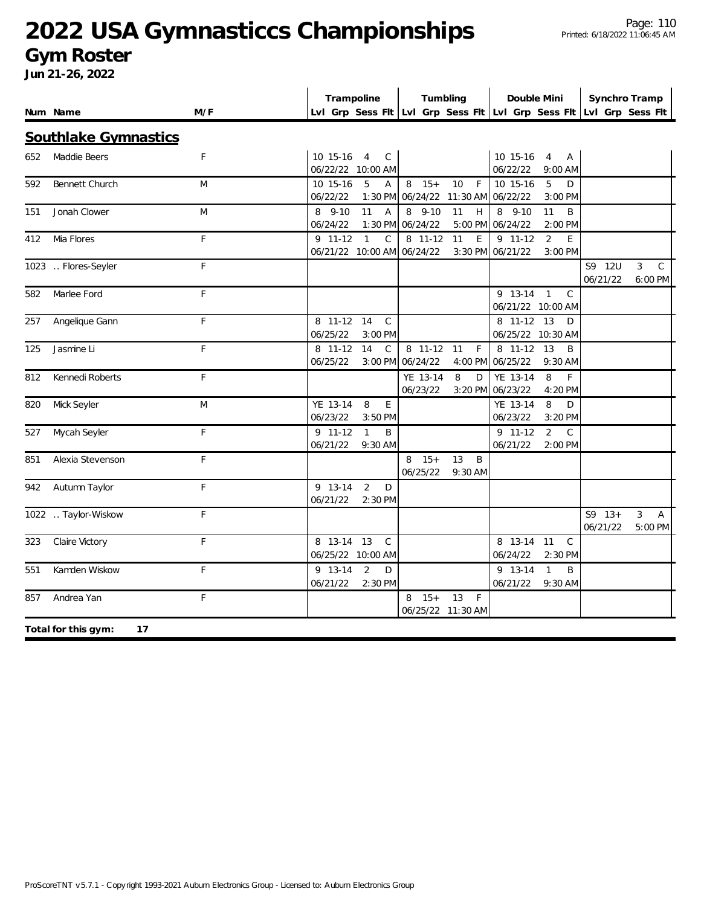#### **Gym Roster**

|     |                           |              | Trampoline                                                          |                             | Tumbling                        |                                         | Double Mini                      |                                |                      | Synchro Tramp                 |
|-----|---------------------------|--------------|---------------------------------------------------------------------|-----------------------------|---------------------------------|-----------------------------------------|----------------------------------|--------------------------------|----------------------|-------------------------------|
|     | Num Name                  | M/F          | Lvl Grp Sess Fit Lvl Grp Sess Fit Lvl Grp Sess Fit Lvl Grp Sess Fit |                             |                                 |                                         |                                  |                                |                      |                               |
|     | Southlake Gymnastics      |              |                                                                     |                             |                                 |                                         |                                  |                                |                      |                               |
| 652 | Maddie Beers              | F            | 10 15-16<br>$\overline{4}$<br>06/22/22 10:00 AM                     | $\mathsf{C}$                |                                 |                                         | 10 15-16<br>06/22/22             | $\overline{4}$<br>Α<br>9:00 AM |                      |                               |
| 592 | Bennett Church            | M            | 5<br>10 15-16<br>06/22/22                                           | A<br>$1:30$ PM              | $8 \t15+$<br>06/24/22           | 10<br>$\mathsf{F}$<br>11:30 AM 06/22/22 | 10 15-16                         | 5<br>D<br>3:00 PM              |                      |                               |
| 151 | Jonah Clower              | M            | 11<br>8 9-10<br>06/24/22                                            | $\overline{A}$<br>$1:30$ PM | 8 9-10<br>06/24/22              | 11<br>H<br>5:00 PM                      | 8 9-10<br>06/24/22               | 11<br>B<br>2:00 PM             |                      |                               |
| 412 | Mia Flores                | $\mathsf{F}$ | $9$ 11-12<br>$\mathbf{1}$<br>06/21/22 10:00 AM 06/24/22             | $\mathsf{C}$                | 8 11-12                         | 11<br>E<br>3:30 PM                      | $9 11 - 12$<br>06/21/22          | 2<br>E<br>3:00 PM              |                      |                               |
|     | 1023  Flores-Seyler       | F            |                                                                     |                             |                                 |                                         |                                  |                                | S9 12U<br>06/21/22   | 3<br>$\mathcal{C}$<br>6:00 PM |
| 582 | Marlee Ford               | F            |                                                                     |                             |                                 |                                         | $9$ 13-14 1<br>06/21/22 10:00 AM | C                              |                      |                               |
| 257 | Angelique Gann            | F            | 8 11-12<br>14<br>06/25/22                                           | $\mathsf{C}$<br>3:00 PM     |                                 |                                         | 8 11-12<br>06/25/22 10:30 AM     | 13<br>D                        |                      |                               |
| 125 | Jasmine Li                | $\mathsf{F}$ | 14<br>8 11-12<br>06/25/22                                           | $\mathsf{C}$                | 8 11-12<br>3:00 PM 06/24/22     | F<br>11<br>4:00 PM                      | 8 11-12<br>06/25/22              | 13<br>B<br>$9:30$ AM           |                      |                               |
| 812 | Kennedi Roberts           | $\mathsf F$  |                                                                     |                             | YE 13-14<br>06/23/22            | 8<br>D                                  | YE 13-14<br>3:20 PM 06/23/22     | 8<br>F<br>4:20 PM              |                      |                               |
| 820 | Mick Seyler               | M            | YE 13-14<br>8<br>06/23/22                                           | E<br>$3:50$ PM              |                                 |                                         | YE 13-14<br>06/23/22             | 8<br>D<br>3:20 PM              |                      |                               |
| 527 | Mycah Seyler              | $\mathsf{F}$ | 9 11-12<br>$\mathbf{1}$<br>06/21/22                                 | B<br>9:30 AM                |                                 |                                         | 9 11-12<br>06/21/22              | 2<br>$\mathcal{C}$<br>2:00 PM  |                      |                               |
| 851 | Alexia Stevenson          | F            |                                                                     |                             | $15+$<br>8<br>06/25/22          | 13<br>B<br>9:30 AM                      |                                  |                                |                      |                               |
| 942 | Autumn Taylor             | F            | 9 13-14<br>$\overline{2}$<br>06/21/22                               | D<br>2:30 PM                |                                 |                                         |                                  |                                |                      |                               |
|     | 1022 . Taylor-Wiskow      | F            |                                                                     |                             |                                 |                                         |                                  |                                | $S9 13+$<br>06/21/22 | 3<br>A<br>5:00 PM             |
| 323 | Claire Victory            | $\mathsf F$  | 13<br>8 13-14<br>06/25/22 10:00 AM                                  | $\mathsf{C}$                |                                 |                                         | 8 13-14<br>06/24/22              | $\mathbb C$<br>11<br>2:30 PM   |                      |                               |
| 551 | Kamden Wiskow             | $\mathsf F$  | 9 13-14<br>$\overline{2}$<br>06/21/22                               | D<br>2:30 PM                |                                 |                                         | 9 13-14<br>06/21/22              | $\mathbf{1}$<br>B<br>9:30 AM   |                      |                               |
| 857 | Andrea Yan                | F            |                                                                     |                             | $15+$<br>8<br>06/25/22 11:30 AM | 13<br>- F                               |                                  |                                |                      |                               |
|     | Total for this gym:<br>17 |              |                                                                     |                             |                                 |                                         |                                  |                                |                      |                               |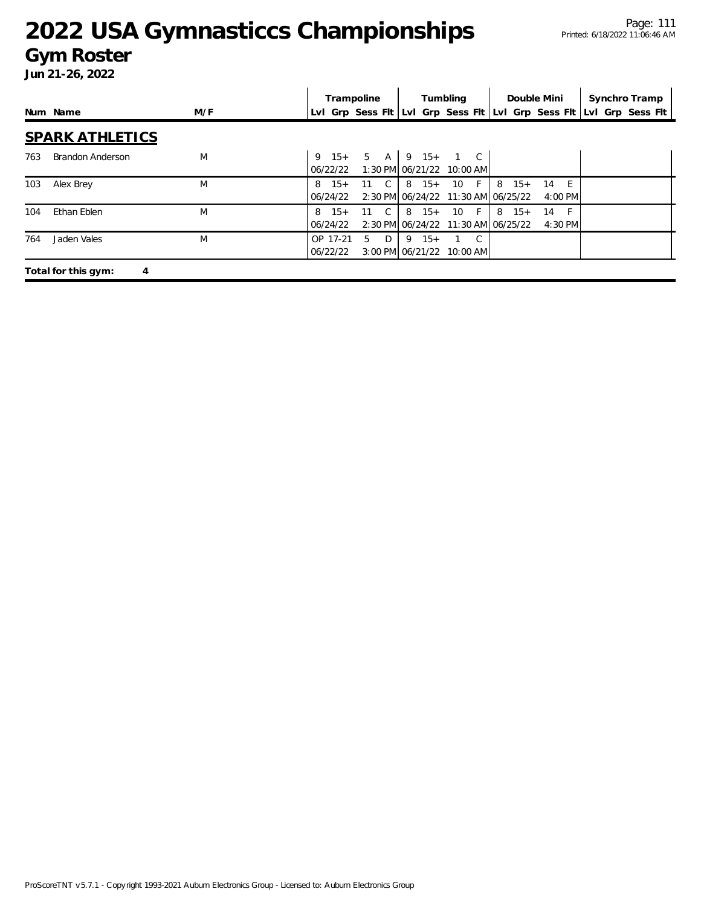#### **Gym Roster**

|     |                          |     |                       | Trampoline   |                               | Tumbling                                                     |    |                                                 | Double Mini           | Synchro Tramp                                                       |  |
|-----|--------------------------|-----|-----------------------|--------------|-------------------------------|--------------------------------------------------------------|----|-------------------------------------------------|-----------------------|---------------------------------------------------------------------|--|
|     | Num Name                 | M/F |                       |              |                               |                                                              |    |                                                 |                       | Lyl Grp Sess Fit Lyl Grp Sess Fit Lyl Grp Sess Fit Lyl Grp Sess Fit |  |
|     | <b>SPARK ATHLETICS</b>   |     |                       |              |                               |                                                              |    |                                                 |                       |                                                                     |  |
| 763 | <b>Brandon Anderson</b>  | M   | 06/22/22              |              |                               | $9 \t15+ 5 \tA \t9 \t15+ 1 \tC$<br>1:30 PM 06/21/22 10:00 AM |    |                                                 |                       |                                                                     |  |
| 103 | Alex Brey                | M   | $8 \t15+$<br>06/24/22 | $11 \quad C$ | $8 \t15+$                     | 10 F                                                         |    | $8 \t15+$<br>2:30 PM 06/24/22 11:30 AM 06/25/22 | $-F$<br>14<br>4:00 PM |                                                                     |  |
| 104 | Ethan Eblen              | M   | $8 \t15+$<br>06/24/22 | 11 C         | $8 \t15+$                     | 10 F                                                         |    | $8 \t15+$<br>2:30 PM 06/24/22 11:30 AM 06/25/22 | 14<br>$-F$<br>4:30 PM |                                                                     |  |
| 764 | Jaden Vales              | M   | OP 17-21<br>06/22/22  | $5 -$<br>D   | $9 \t15+$<br>3:00 PM 06/21/22 | $10:00$ AM                                                   | C. |                                                 |                       |                                                                     |  |
|     | Total for this gym:<br>4 |     |                       |              |                               |                                                              |    |                                                 |                       |                                                                     |  |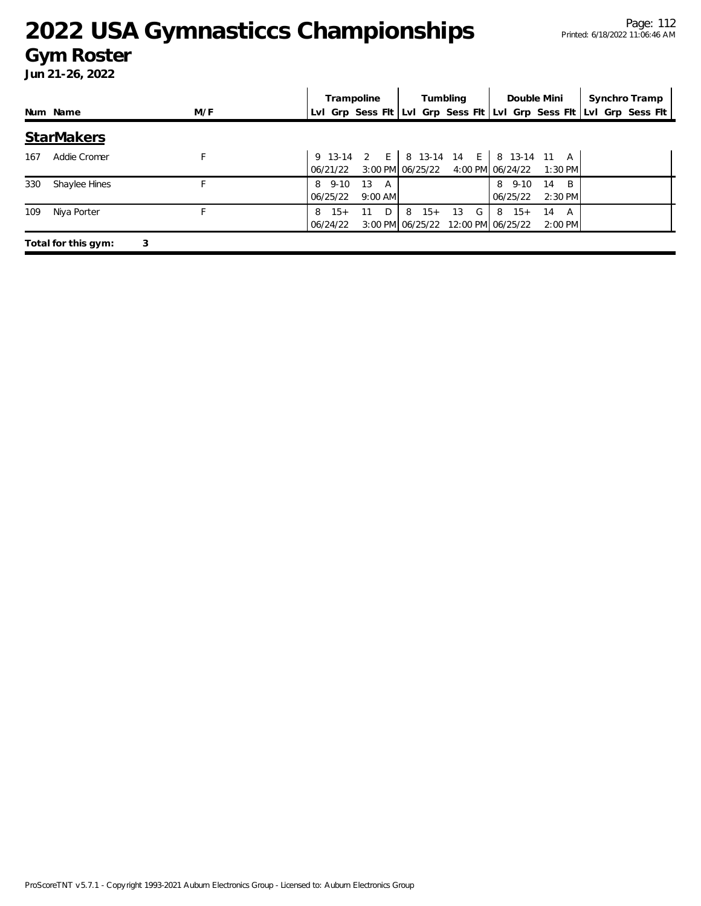#### **Gym Roster**

|     |                     |     | Trampoline             |                      |            | Tumbling                                      |                         | Double Mini          | Synchro Tramp                                                       |
|-----|---------------------|-----|------------------------|----------------------|------------|-----------------------------------------------|-------------------------|----------------------|---------------------------------------------------------------------|
|     | Num Name            | M/F |                        |                      |            |                                               |                         |                      | Lvl Grp Sess Flt Lvl Grp Sess Flt Lvl Grp Sess Flt Lvl Grp Sess Flt |
|     | <b>StarMakers</b>   |     |                        |                      |            |                                               |                         |                      |                                                                     |
| 167 | Addie Cromer        |     | 06/21/22               | 9 13-14 2 E          |            | 3:00 PM 06/25/22 4:00 PM 06/24/22             | 8 13-14 14 E 8 13-14 11 | A<br>$1:30$ PM       |                                                                     |
| 330 | Shaylee Hines       |     | 8 9-10<br>06/25/22     | 13<br>A<br>$9:00$ AM |            |                                               | 8 9-10<br>06/25/22      | B<br>14<br>$2:30$ PM |                                                                     |
| 109 | Niya Porter         |     | $15+$<br>8<br>06/24/22 | $D^{-1}$<br>11       | 8<br>$15+$ | G<br>13<br>3:00 PM 06/25/22 12:00 PM 06/25/22 | $8 \t15+$               | 14<br>A<br>$2:00$ PM |                                                                     |
|     | Total for this gym: | 3   |                        |                      |            |                                               |                         |                      |                                                                     |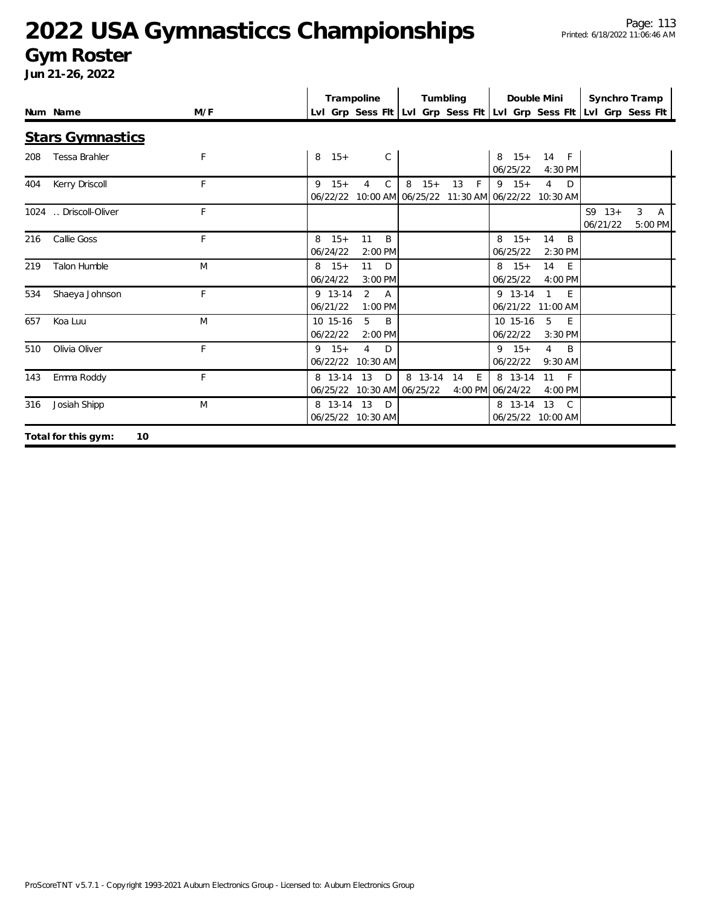#### **Gym Roster**

|     |                           |     |                       | Trampoline                          |                |                                          | Tumbling           |                                                                     | Double Mini                            |                      | Synchro Tramp                  |
|-----|---------------------------|-----|-----------------------|-------------------------------------|----------------|------------------------------------------|--------------------|---------------------------------------------------------------------|----------------------------------------|----------------------|--------------------------------|
|     | Num Name                  | M/F |                       |                                     |                |                                          |                    | LvI Grp Sess FIt LvI Grp Sess FIt LvI Grp Sess FIt LvI Grp Sess FIt |                                        |                      |                                |
|     | <b>Stars Gymnastics</b>   |     |                       |                                     |                |                                          |                    |                                                                     |                                        |                      |                                |
| 208 | Tessa Brahler             | F   | 8<br>$15+$            |                                     | $\mathsf{C}$   |                                          |                    | $8 \t15+$<br>06/25/22                                               | 14 F<br>4:30 PM                        |                      |                                |
| 404 | Kerry Driscoll            | F   | $9 \t15+$<br>06/22/22 | 4                                   | $\mathsf{C}$   | 8<br>$15+$                               | $\mathsf{F}$<br>13 | $9 \t15+$<br>10:00 AM 06/25/22 11:30 AM 06/22/22 10:30 AM           | $\overline{4}$<br>D                    |                      |                                |
|     | 1024  Driscoll-Oliver     | F   |                       |                                     |                |                                          |                    |                                                                     |                                        | $S9 13+$<br>06/21/22 | 3<br>$\overline{A}$<br>5:00 PM |
| 216 | Callie Goss               | F   | $8 \t15+$<br>06/24/22 | 11<br>$2:00$ PM                     | B              |                                          |                    | $15+$<br>8<br>06/25/22                                              | 14<br><sup>B</sup><br>$2:30$ PM        |                      |                                |
| 219 | <b>Talon Humble</b>       | M   | $8 \t15+$<br>06/24/22 | 11<br>3:00 PM                       | D              |                                          |                    | $8 \t15+$<br>06/25/22                                               | 14<br>E<br>4:00 PM                     |                      |                                |
| 534 | Shaeya Johnson            | F   | 9 13-14<br>06/21/22   | 2<br>1:00 PM                        | $\overline{A}$ |                                          |                    | 9 13-14                                                             | $\mathbf{1}$<br>E<br>06/21/22 11:00 AM |                      |                                |
| 657 | Koa Luu                   | M   | 10 15-16<br>06/22/22  | 5<br>2:00 PM                        | B              |                                          |                    | 10 15-16<br>06/22/22                                                | 5<br>E<br>$3:30$ PM                    |                      |                                |
| 510 | Olivia Oliver             | F   | $9 \t15+$             | $\overline{4}$<br>06/22/22 10:30 AM | D              |                                          |                    | $9 \t15+$<br>06/22/22                                               | $\overline{4}$<br>B<br>9:30 AM         |                      |                                |
| 143 | Emma Roddy                | F   | 8 13-14 13            |                                     | D              | 8 13-14 14<br>06/25/22 10:30 AM 06/25/22 | E                  | 8 13-14<br>4:00 PM 06/24/22                                         | 11<br>$-F$<br>4:00 PM                  |                      |                                |
| 316 | Josiah Shipp              | M   |                       | 8 13-14 13 D<br>06/25/22 10:30 AM   |                |                                          |                    | 8 13-14 13                                                          | $\overline{C}$<br>06/25/22 10:00 AM    |                      |                                |
|     | 10<br>Total for this gym: |     |                       |                                     |                |                                          |                    |                                                                     |                                        |                      |                                |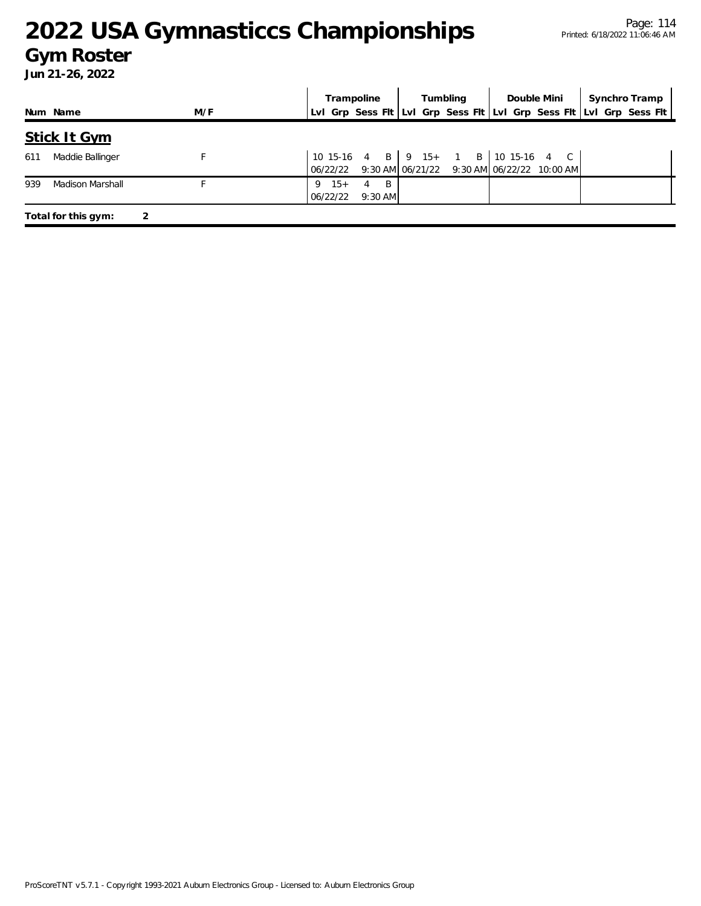#### **Gym Roster**

|     |                     |     | Tumbling<br>Double Mini                                                               | Synchro Tramp |
|-----|---------------------|-----|---------------------------------------------------------------------------------------|---------------|
|     | Num Name            | M/F | LvI Grp Sess FIt LvI Grp Sess FIt LvI Grp Sess FIt LvI Grp Sess FIt                   |               |
|     | <b>Stick It Gym</b> |     |                                                                                       |               |
| 611 | Maddie Ballinger    |     | 10 15-16 4 B   9 15+ 1 B   10 15-16 4 C<br>9:30 AM 06/21/22 9:30 AM 06/22/22 10:00 AM |               |
| 939 | Madison Marshall    |     |                                                                                       |               |
|     | Total for this gym: |     |                                                                                       |               |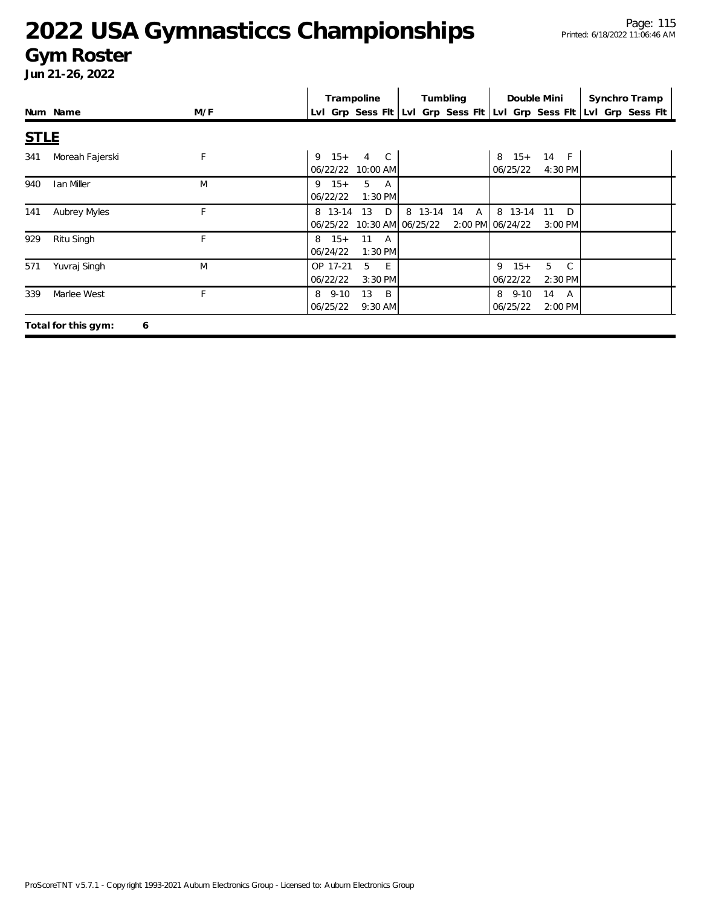#### **Gym Roster**

|             |                          |     | Trampoline                                       | Tumbling       |                                  | Double Mini                  | Synchro Tramp                                                       |
|-------------|--------------------------|-----|--------------------------------------------------|----------------|----------------------------------|------------------------------|---------------------------------------------------------------------|
|             | Num Name                 | M/F |                                                  |                |                                  |                              | Lvl Grp Sess Fit Lvl Grp Sess Fit Lvl Grp Sess Fit Lvl Grp Sess Fit |
| <b>STLE</b> |                          |     |                                                  |                |                                  |                              |                                                                     |
| 341         | Moreah Fajerski          | F   | $15+$<br>4 C<br>9<br>06/22/22<br>10:00 AM        |                | $15+$<br>8<br>06/25/22           | 14 F<br>4:30 PM              |                                                                     |
| 940         | <b>Ian Miller</b>        | M   | $9 \t15+$<br>5<br>A<br>1:30 PM<br>06/22/22       |                |                                  |                              |                                                                     |
| 141         | Aubrey Myles             | F   | D<br>8 13-14<br>13<br>06/25/22 10:30 AM 06/25/22 | 8 13-14<br>14  | 8 13-14<br>A<br>2:00 PM 06/24/22 | D<br>-11<br>3:00 PM          |                                                                     |
| 929         | Ritu Singh               | F   | $8 \t15+$<br>11 A<br>06/24/22<br>$1:30$ PM       |                |                                  |                              |                                                                     |
| 571         | Yuvraj Singh             | M   | OP 17-21<br>5<br>E<br>06/22/22<br>$3:30$ PM      |                | $15+$<br>9<br>06/22/22           | 5<br>$\mathbb{C}$<br>2:30 PM |                                                                     |
| 339         | Marlee West              | F   | 8 9-10<br>13<br>06/25/22<br>$9:30$ AM            | $\overline{B}$ | $8\quad 9-10$<br>06/25/22        | 14<br>A<br>2:00 PM           |                                                                     |
|             | Total for this gym:<br>6 |     |                                                  |                |                                  |                              |                                                                     |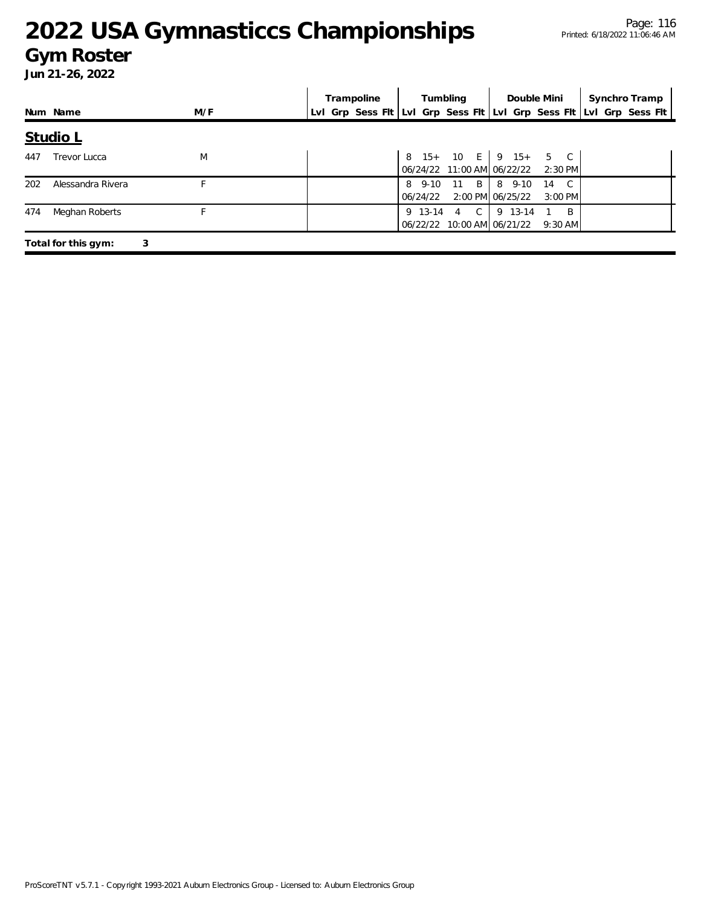#### **Gym Roster**

|     |                     |     |  | Trampoline                                                          |          | Tumbling    |                                                                    | Double Mini     |                | Synchro Tramp |  |
|-----|---------------------|-----|--|---------------------------------------------------------------------|----------|-------------|--------------------------------------------------------------------|-----------------|----------------|---------------|--|
|     | Num Name            | M/F |  | Lvl Grp Sess Fit Lvl Grp Sess Fit Lvl Grp Sess Fit Lvl Grp Sess Fit |          |             |                                                                    |                 |                |               |  |
|     | <b>Studio L</b>     |     |  |                                                                     |          |             |                                                                    |                 |                |               |  |
| 447 | Trevor Lucca        | M   |  |                                                                     |          |             | $8 \t15+ \t10 \tE \t9 \t15+ \t5 \tC$<br>06/24/22 11:00 AM 06/22/22 | $2:30$ PM       |                |               |  |
| 202 | Alessandra Rivera   |     |  |                                                                     | 06/24/22 | 8 9-10 11 B | 8 9-10<br>2:00 PM 06/25/22                                         | 14<br>$3:00$ PM | $\overline{C}$ |               |  |
| 474 | Meghan Roberts      |     |  |                                                                     |          | 9 13-14 4 C | 9 13-14<br>06/22/22 10:00 AM 06/21/22 9:30 AM                      |                 | $\overline{B}$ |               |  |
|     | Total for this gym: | 3   |  |                                                                     |          |             |                                                                    |                 |                |               |  |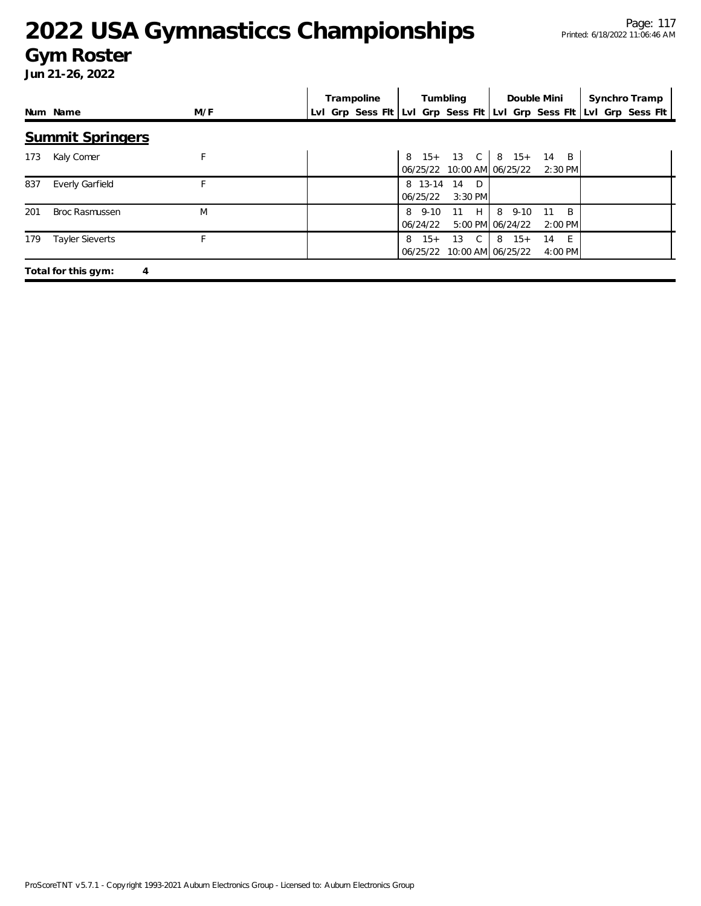#### **Gym Roster**

|     |                          |     | Trampoline | Tumbling                                         | Double Mini                                               | Synchro Tramp                                                       |
|-----|--------------------------|-----|------------|--------------------------------------------------|-----------------------------------------------------------|---------------------------------------------------------------------|
|     | Num Name                 | M/F |            |                                                  |                                                           | Lvl Grp Sess Flt Lvl Grp Sess Flt Lvl Grp Sess Flt Lvl Grp Sess Flt |
|     | <b>Summit Springers</b>  |     |            |                                                  |                                                           |                                                                     |
| 173 | Kaly Comer               | F   |            | 06/25/22                                         | 8 15+ 13 C   8 15+ 14 B<br>10:00 AM 06/25/22<br>$2:30$ PM |                                                                     |
| 837 | <b>Everly Garfield</b>   |     |            | 8 13-14<br>14<br>$\Box$<br>06/25/22<br>$3:30$ PM |                                                           |                                                                     |
| 201 | <b>Broc Rasmussen</b>    | M   |            | H<br>$8\quad 9-10$<br>11<br>06/24/22             | 8<br>B.<br>$9 - 10$<br>11<br>5:00 PM 06/24/22<br>2:00 PM  |                                                                     |
| 179 | <b>Tayler Sieverts</b>   |     |            | $\mathsf{C}$<br>$15+$<br>13<br>8<br>06/25/22     | $8 \t15+$<br>E<br>14<br>10:00 AM 06/25/22<br>4:00 PM      |                                                                     |
|     | Total for this gym:<br>4 |     |            |                                                  |                                                           |                                                                     |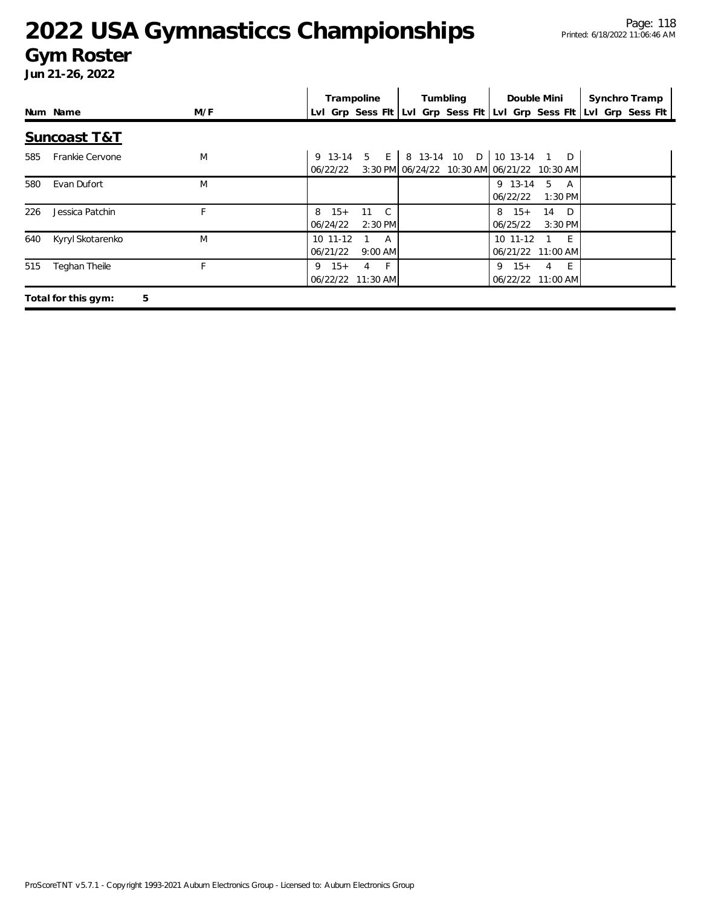#### **Gym Roster**

|     |                          |     | Trampoline                      |                          | Tumbling                                                                             | Double Mini           |                                              | Synchro Tramp                                                       |  |
|-----|--------------------------|-----|---------------------------------|--------------------------|--------------------------------------------------------------------------------------|-----------------------|----------------------------------------------|---------------------------------------------------------------------|--|
|     | Num Name                 | M/F |                                 |                          |                                                                                      |                       |                                              | Lvl Grp Sess Fit Lvi Grp Sess Fit Lvi Grp Sess Fit Lvi Grp Sess Fit |  |
|     | <b>Suncoast T&amp;T</b>  |     |                                 |                          |                                                                                      |                       |                                              |                                                                     |  |
| 585 | Frankie Cervone          | M   | 06/22/22                        |                          | 9 13-14 5 E 8 13-14 10 D 10 13-14 1 D<br>3:30 PM 06/24/22 10:30 AM 06/21/22 10:30 AM |                       |                                              |                                                                     |  |
| 580 | Evan Dufort              | M   |                                 |                          |                                                                                      | 9 13-14 5<br>06/22/22 | A<br>1:30 PM                                 |                                                                     |  |
| 226 | Jessica Patchin          | F   | $15+$<br>8<br>06/24/22          | 11 C<br>2:30 PM          |                                                                                      | $8 \t15+$<br>06/25/22 | 14 D<br>3:30 PM                              |                                                                     |  |
| 640 | Kyryl Skotarenko         | M   | 10 11-12<br>06/21/22            | $1 \quad A$<br>$9:00$ AM |                                                                                      | $10 \t11-12$          | 1 E<br>06/21/22 11:00 AM                     |                                                                     |  |
| 515 | Teghan Theile            | F   | $15+$<br>9<br>06/22/22 11:30 AM | $4 \quad F$              |                                                                                      | $15+$<br>9            | - E I<br>$\overline{4}$<br>06/22/22 11:00 AM |                                                                     |  |
|     | 5<br>Total for this gym: |     |                                 |                          |                                                                                      |                       |                                              |                                                                     |  |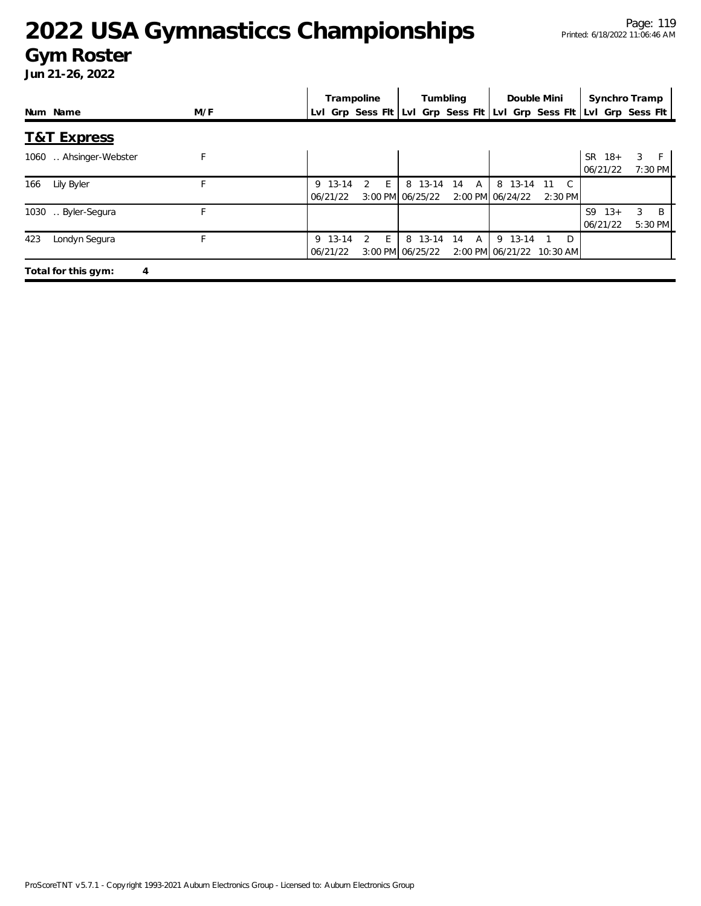#### **Gym Roster**

|                          |     | Trampoline                                 | Tumbling                                           | Double Mini                                            | Synchro Tramp                                       |
|--------------------------|-----|--------------------------------------------|----------------------------------------------------|--------------------------------------------------------|-----------------------------------------------------|
| Num Name                 | M/F |                                            | LvI Grp Sess FIt LvI Grp Sess FIt LvI Grp Sess FIt |                                                        | LvI Grp Sess Flt                                    |
| <b>T&amp;T Express</b>   |     |                                            |                                                    |                                                        |                                                     |
| Ahsinger-Webster<br>1060 | F   |                                            |                                                    |                                                        | 3<br><b>SR</b><br>$18+$<br>F<br>06/21/22<br>7:30 PM |
| Lily Byler<br>166        |     | F.<br>9 13-14<br>$\mathcal{P}$<br>06/21/22 | 8 13-14<br>14<br>A<br>3:00 PM 06/25/22             | 8 13-14<br>C.<br>- 11<br>2:00 PM 06/24/22<br>$2:30$ PM |                                                     |
| 1030<br>Byler-Segura     | F   |                                            |                                                    |                                                        | B<br>S9<br>$13+$<br>3<br>06/21/22<br>5:30 PM        |
| Londyn Segura<br>423     |     | E<br>9 13-14<br>2<br>06/21/22              | 8 13-14<br>14<br>A<br>3:00 PM 06/25/22             | 9 13-14<br>D<br>2:00 PM 06/21/22 10:30 AM              |                                                     |
| Total for this gym:<br>4 |     |                                            |                                                    |                                                        |                                                     |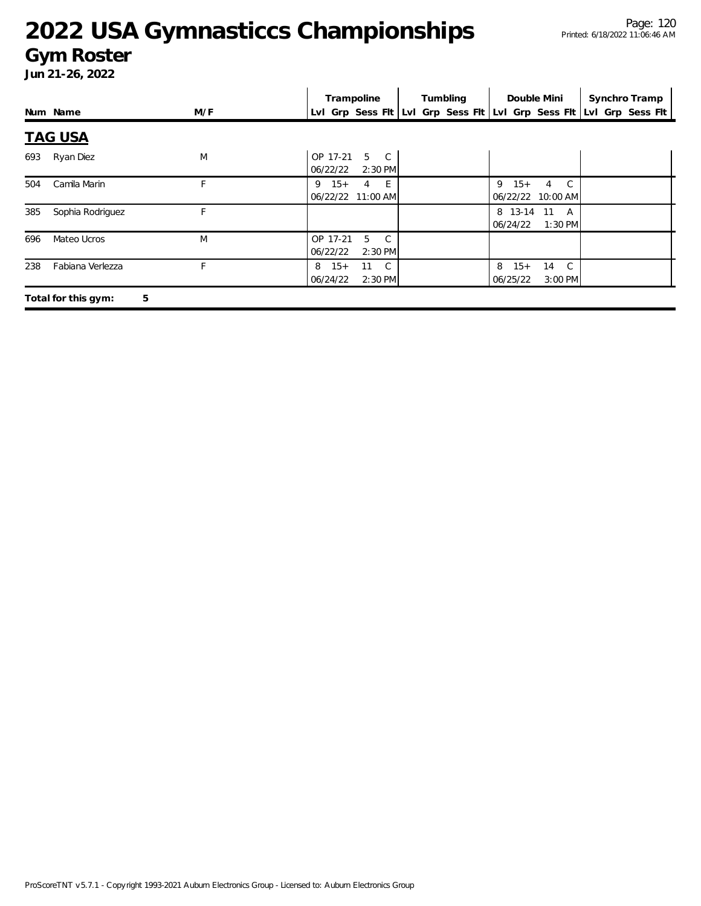#### **Gym Roster**

|     |                          |     | Trampoline                                                          | Tumbling | Double Mini                                 | Synchro Tramp |
|-----|--------------------------|-----|---------------------------------------------------------------------|----------|---------------------------------------------|---------------|
|     | Num Name                 | M/F | Lvl Grp Sess Flt Lvl Grp Sess Flt Lvl Grp Sess Flt Lvl Grp Sess Flt |          |                                             |               |
|     | <b>TAG USA</b>           |     |                                                                     |          |                                             |               |
| 693 | Ryan Diez                | M   | 5 C<br>OP 17-21<br>06/22/22<br>$2:30$ PM                            |          |                                             |               |
| 504 | Camila Marin             | F   | $9 \t15+$<br>4 E<br>06/22/22 11:00 AM                               |          | 4 C<br>9<br>$15+$<br>06/22/22 10:00 AM      |               |
| 385 | Sophia Rodriguez         | F.  |                                                                     |          | 8 13-14 11 A<br>$1:30$ PM<br>06/24/22       |               |
| 696 | Mateo Ucros              | M   | $\mathcal{C}$<br>OP 17-21<br>5<br>2:30 PM<br>06/22/22               |          |                                             |               |
| 238 | Fabiana Verlezza         | F   | $8 \t15+$<br>11 C<br>2:30 PM<br>06/24/22                            |          | $15+$<br>8<br>14 C<br>06/25/22<br>$3:00$ PM |               |
|     | 5<br>Total for this gym: |     |                                                                     |          |                                             |               |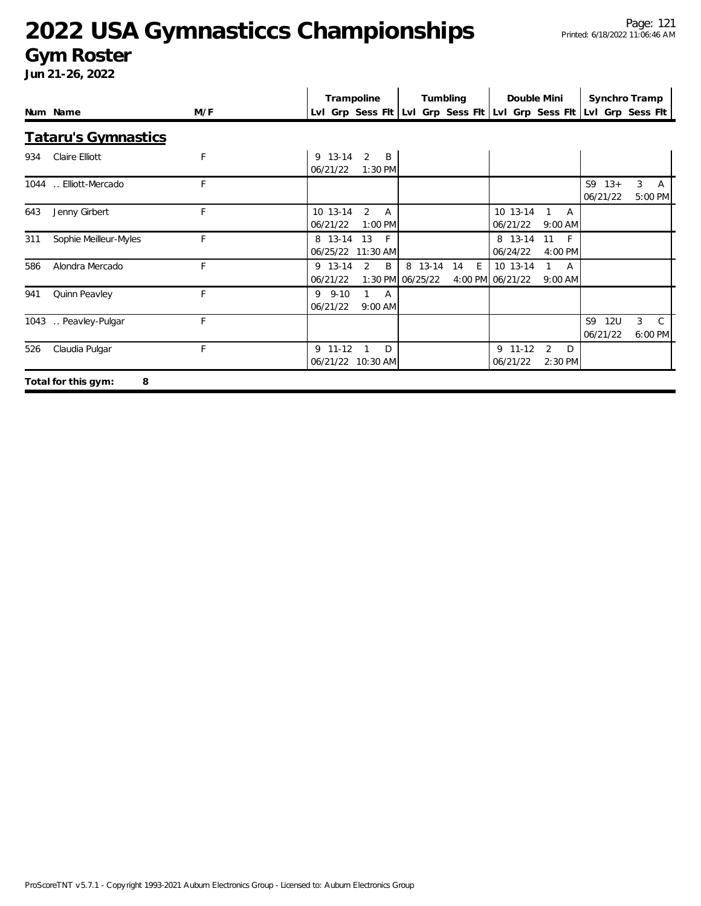#### **Gym Roster**

|      |                            |     |                         | Trampoline                              | Tumbling |    |   | Double Mini                                                         |                          |   |    | Synchro Tramp          |   |                          |
|------|----------------------------|-----|-------------------------|-----------------------------------------|----------|----|---|---------------------------------------------------------------------|--------------------------|---|----|------------------------|---|--------------------------|
|      | Num Name                   | M/F |                         |                                         |          |    |   | LvI Grp Sess FIt LvI Grp Sess FIt LvI Grp Sess FIt LvI Grp Sess FIt |                          |   |    |                        |   |                          |
|      | <b>Tataru's Gymnastics</b> |     |                         |                                         |          |    |   |                                                                     |                          |   |    |                        |   |                          |
| 934  | Claire Elliott             | F   | 9 13-14<br>06/21/22     | 2<br>$\overline{B}$<br>$1:30$ PM        |          |    |   |                                                                     |                          |   |    |                        |   |                          |
|      | 1044  Elliott-Mercado      | F   |                         |                                         |          |    |   |                                                                     |                          |   |    | $S9 13+$<br>06/21/22   | 3 | A<br>5:00 PM             |
| 643  | Jenny Girbert              | F   | 10 13-14<br>06/21/22    | 2<br>$\mathsf{A}$<br>$1:00$ PM          |          |    |   | 10 13-14<br>06/21/22                                                | $9:00$ AM                | A |    |                        |   |                          |
| 311  | Sophie Meilleur-Myles      | F   | 8 13-14<br>06/25/22     | 13<br>$-F$<br>11:30 AM                  |          |    |   | 8 13-14<br>06/24/22                                                 | 11<br>$-F$<br>4:00 PM    |   |    |                        |   |                          |
| 586  | Alondra Mercado            | F   | 9 13-14<br>06/21/22     | $\overline{2}$<br>B<br>1:30 PM 06/25/22 | 8 13-14  | 14 | E | 10 13-14<br>4:00 PM 06/21/22                                        | $1 \quad A$<br>$9:00$ AM |   |    |                        |   |                          |
| 941  | Quinn Peavley              | F   | $9 \t 9-10$<br>06/21/22 | $\mathbf{1}$<br>A<br>$9:00$ AM          |          |    |   |                                                                     |                          |   |    |                        |   |                          |
| 1043 | Peavley-Pulgar             | F   |                         |                                         |          |    |   |                                                                     |                          |   | S9 | <b>12U</b><br>06/21/22 | 3 | $\mathcal{C}$<br>6:00 PM |
| 526  | Claudia Pulgar             | F   | 9 11-12                 | D<br>06/21/22 10:30 AM                  |          |    |   | 9 11-12<br>06/21/22                                                 | 2<br>2:30 PM             | D |    |                        |   |                          |
|      | Total for this gym:<br>8   |     |                         |                                         |          |    |   |                                                                     |                          |   |    |                        |   |                          |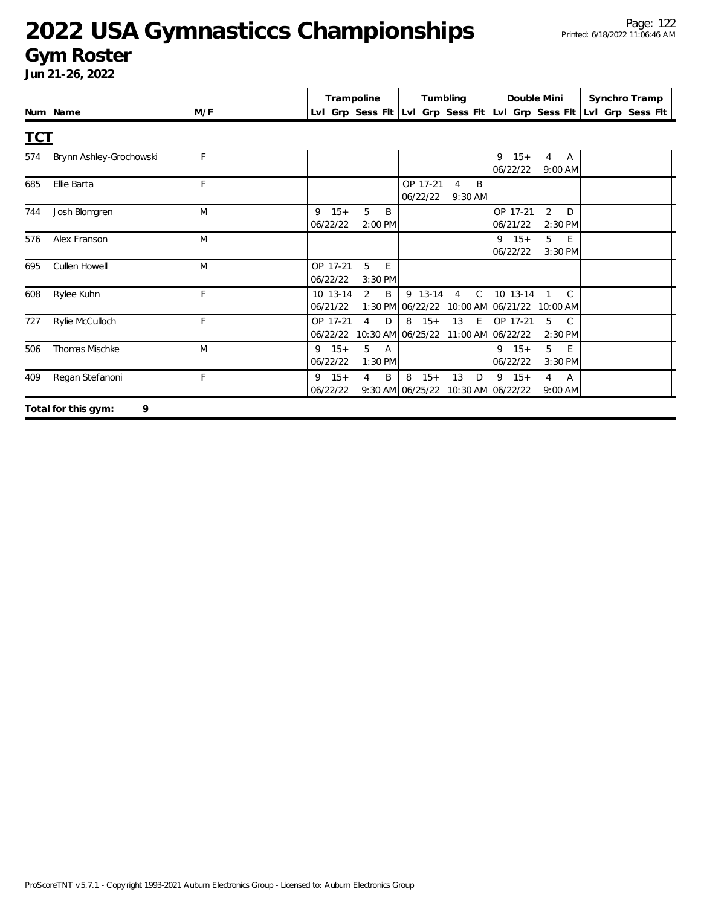#### **Gym Roster**

|            |                          |              | Trampoline                                              | Tumbling                                                                                 | Double Mini                                   | Synchro Tramp                                                             |
|------------|--------------------------|--------------|---------------------------------------------------------|------------------------------------------------------------------------------------------|-----------------------------------------------|---------------------------------------------------------------------------|
|            | Num Name                 | M/F          |                                                         |                                                                                          |                                               | LvI Grp Sess FIt   LvI Grp Sess FIt   LvI Grp Sess FIt   LvI Grp Sess FIt |
| <b>TCT</b> |                          |              |                                                         |                                                                                          |                                               |                                                                           |
| 574        | Brynn Ashley-Grochowski  | $\mathsf{F}$ |                                                         |                                                                                          | $15+$<br>9<br>4<br>A<br>06/22/22<br>9:00 AM   |                                                                           |
| 685        | Ellie Barta              | F            |                                                         | OP 17-21<br>B<br>$\overline{4}$<br>06/22/22<br>9:30 AM                                   |                                               |                                                                           |
| 744        | Josh Blomgren            | M            | $9 \t15+$<br>5<br>B<br>06/22/22<br>2:00 PM              |                                                                                          | 2<br>OP 17-21<br>D<br>06/21/22<br>2:30 PM     |                                                                           |
| 576        | Alex Franson             | M            |                                                         |                                                                                          | 5<br>$9 \t15+$<br>E<br>06/22/22<br>3:30 PM    |                                                                           |
| 695        | Cullen Howell            | M            | OP 17-21<br>5<br>E<br>06/22/22<br>3:30 PM               |                                                                                          |                                               |                                                                           |
| 608        | Rylee Kuhn               | F.           | $\overline{2}$<br>B<br>10 13-14<br>06/21/22             | $\mathsf{C}$<br>9 13-14<br>$\overline{4}$<br>1:30 PM 06/22/22 10:00 AM 06/21/22 10:00 AM | 10 13-14<br>$\mathsf{C}$                      |                                                                           |
| 727        | Rylie McCulloch          | F            | OP 17-21<br>4<br>D<br>06/22/22                          | $8 \t15+$<br>13<br>E<br>10:30 AM 06/25/22 11:00 AM 06/22/22                              | OP 17-21<br>5<br>C<br>2:30 PM                 |                                                                           |
| 506        | Thomas Mischke           | M            | $9 \t15+$<br>5<br>$\overline{A}$<br>06/22/22<br>1:30 PM |                                                                                          | $9 \t15+$<br>5<br>E<br>06/22/22<br>3:30 PM    |                                                                           |
| 409        | Regan Stefanoni          | $\mathsf{F}$ | $9 \t15+$<br>$\overline{4}$<br>B<br>06/22/22            | $15+$<br>13<br>8<br>D<br>9:30 AM 06/25/22 10:30 AM 06/22/22                              | $9 \t15+$<br>$\overline{4}$<br>A<br>$9:00$ AM |                                                                           |
|            | 9<br>Total for this gym: |              |                                                         |                                                                                          |                                               |                                                                           |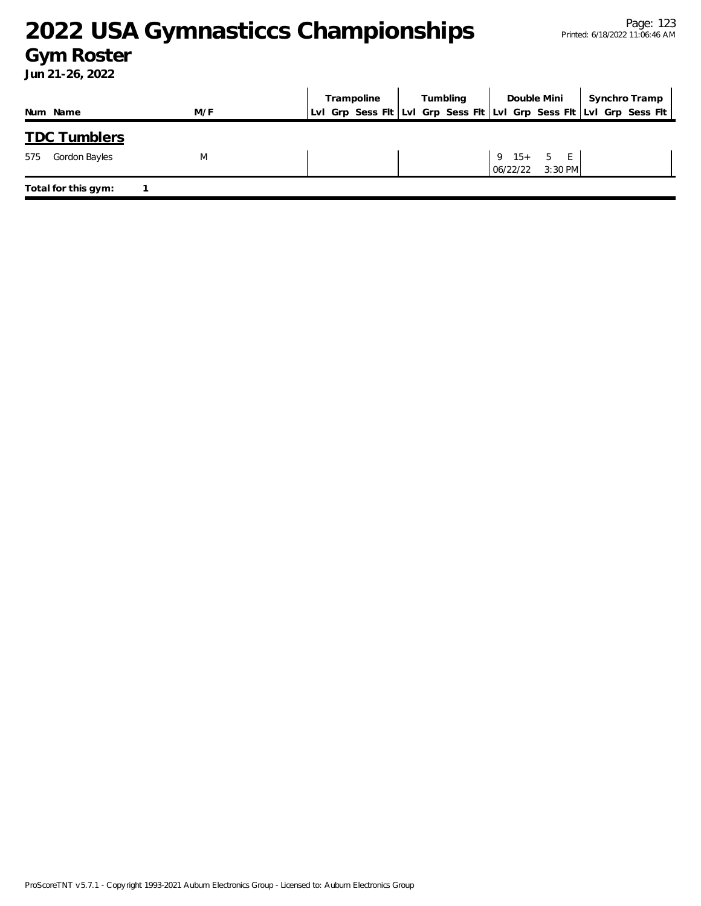#### **Gym Roster**

|                      |     | Trampoline | Tumbling | Double Mini                        | Synchro Tramp                                                       |
|----------------------|-----|------------|----------|------------------------------------|---------------------------------------------------------------------|
| Num Name             | M/F |            |          |                                    | Lvl Grp Sess Fit Lvl Grp Sess Fit Lvl Grp Sess Fit Lvl Grp Sess Fit |
| <b>TDC Tumblers</b>  |     |            |          |                                    |                                                                     |
| Gordon Bayles<br>575 | M   |            |          | 9 $15+ 5 E$<br>3:30 PM<br>06/22/22 |                                                                     |
| Total for this gym:  |     |            |          |                                    |                                                                     |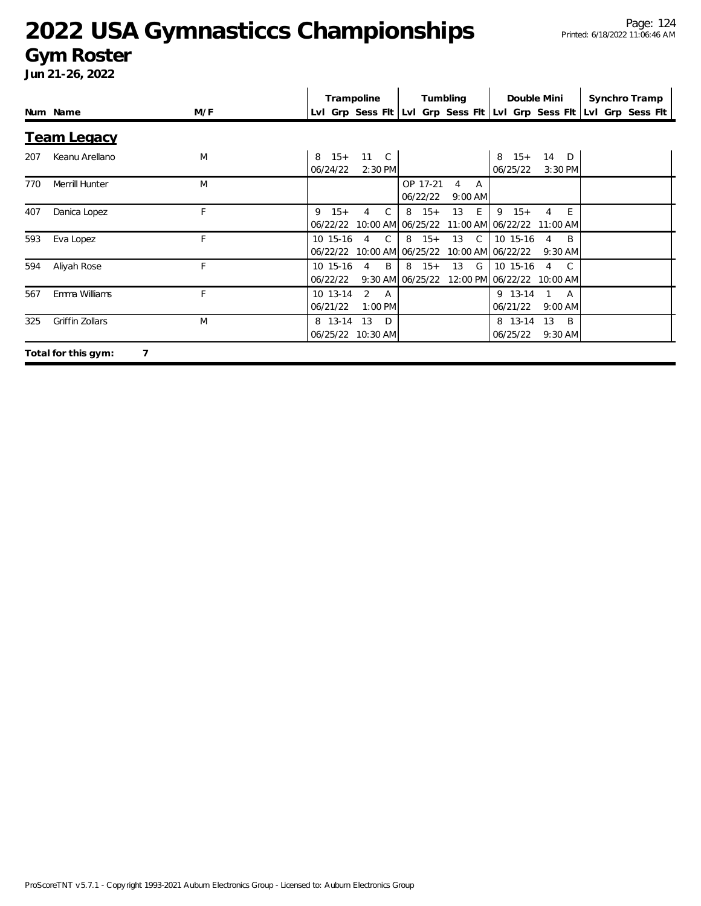#### **Gym Roster**

|     |                          |     | Trampoline                                                  | Tumbling                                  | Double Mini                                                     | Synchro Tramp                                                       |
|-----|--------------------------|-----|-------------------------------------------------------------|-------------------------------------------|-----------------------------------------------------------------|---------------------------------------------------------------------|
|     | Num Name                 | M/F |                                                             |                                           |                                                                 | LvI Grp Sess FIt LvI Grp Sess FIt LvI Grp Sess FIt LvI Grp Sess FIt |
|     | <u>Team Legacy</u>       |     |                                                             |                                           |                                                                 |                                                                     |
| 207 | Keanu Arellano           | M   | $15+$<br>11 C<br>8<br>06/24/22<br>$2:30$ PM                 |                                           | $15+$<br>14<br>8<br>$\Box$<br>06/25/22<br>3:30 PM               |                                                                     |
| 770 | Merrill Hunter           | M   |                                                             | OP 17-21<br>4<br>A<br>06/22/22<br>9:00 AM |                                                                 |                                                                     |
| 407 | Danica Lopez             | F   | 9<br>$15+$<br>C.<br>4<br>06/22/22                           | $8 \t15+$<br>13<br>E<br>10:00 AM 06/25/22 | 9<br>E<br>$15+$<br>4<br>11:00 AM 06/22/22 11:00 AM              |                                                                     |
| 593 | Eva Lopez                | F   | 10 15-16<br>$\mathsf{C}$<br>4<br>06/22/22 10:00 AM 06/25/22 | $8 \t15+$<br>13 C                         | 10 15-16<br><sup>B</sup><br>4<br>10:00 AM 06/22/22<br>$9:30$ AM |                                                                     |
| 594 | Aliyah Rose              | F   | B<br>10 15-16<br>4<br>06/22/22                              | G<br>$8 \t15+$<br>13<br>9:30 AM 06/25/22  | 10 15-16<br>C.<br>$\overline{4}$<br>12:00 PM 06/22/22 10:00 AM  |                                                                     |
| 567 | Emma Williams            | F   | 10 13-14<br>2<br>A<br>06/21/22<br>$1:00$ PM                 |                                           | 9 13-14<br>A<br>06/21/22<br>$9:00$ AM                           |                                                                     |
| 325 | Griffin Zollars          | M   | 13<br>8 13-14<br>D.<br>06/25/22<br>$10:30$ AM               |                                           | 8 13-14 13<br>B<br>06/25/22<br>$9:30$ AM                        |                                                                     |
|     | 7<br>Total for this gym: |     |                                                             |                                           |                                                                 |                                                                     |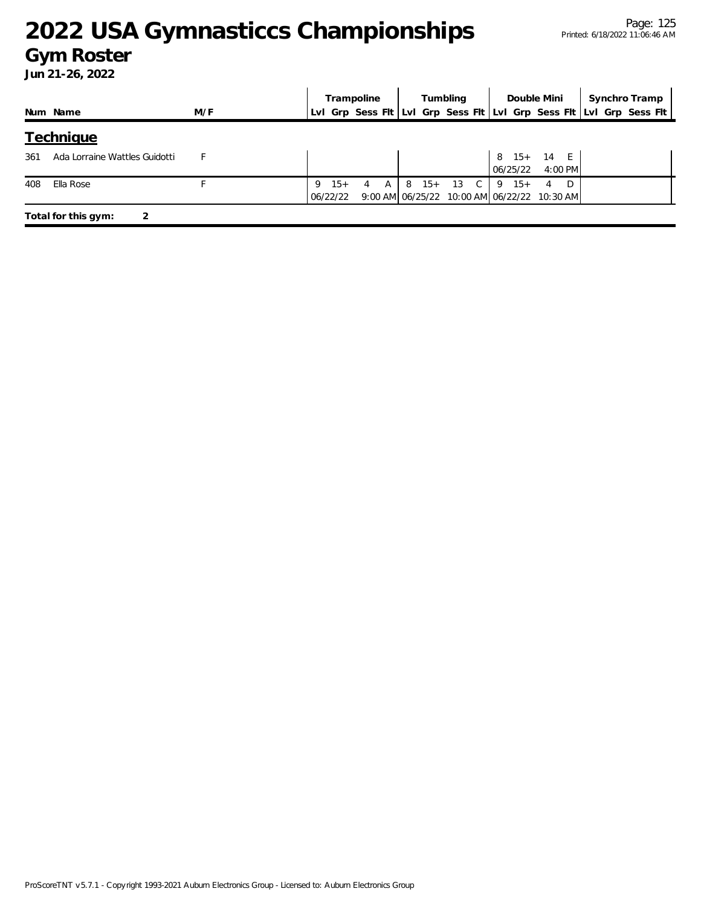#### **Gym Roster**

|     |                               |     |                   | Trampoline |     |   |       | Tumbling | Double Mini                                              |         |  | Synchro Tramp                                                       |  |
|-----|-------------------------------|-----|-------------------|------------|-----|---|-------|----------|----------------------------------------------------------|---------|--|---------------------------------------------------------------------|--|
|     | Num Name                      | M/F |                   |            |     |   |       |          |                                                          |         |  | Lvl Grp Sess Flt Lvl Grp Sess Flt Lvl Grp Sess Flt Lvl Grp Sess Flt |  |
|     | <b>Technique</b>              |     |                   |            |     |   |       |          |                                                          |         |  |                                                                     |  |
| 361 | Ada Lorraine Wattles Guidotti |     |                   |            |     |   |       |          | 8 15+ 14 E<br>06/25/22                                   | 4:00 PM |  |                                                                     |  |
| 408 | Ella Rose                     |     | $15+$<br>06/22/22 | 4          | A ' | 8 | $15+$ | 13 C     | $9 \t15+$<br>9:00 AM 06/25/22 10:00 AM 06/22/22 10:30 AM | 4       |  |                                                                     |  |
|     | Total for this gym:           |     |                   |            |     |   |       |          |                                                          |         |  |                                                                     |  |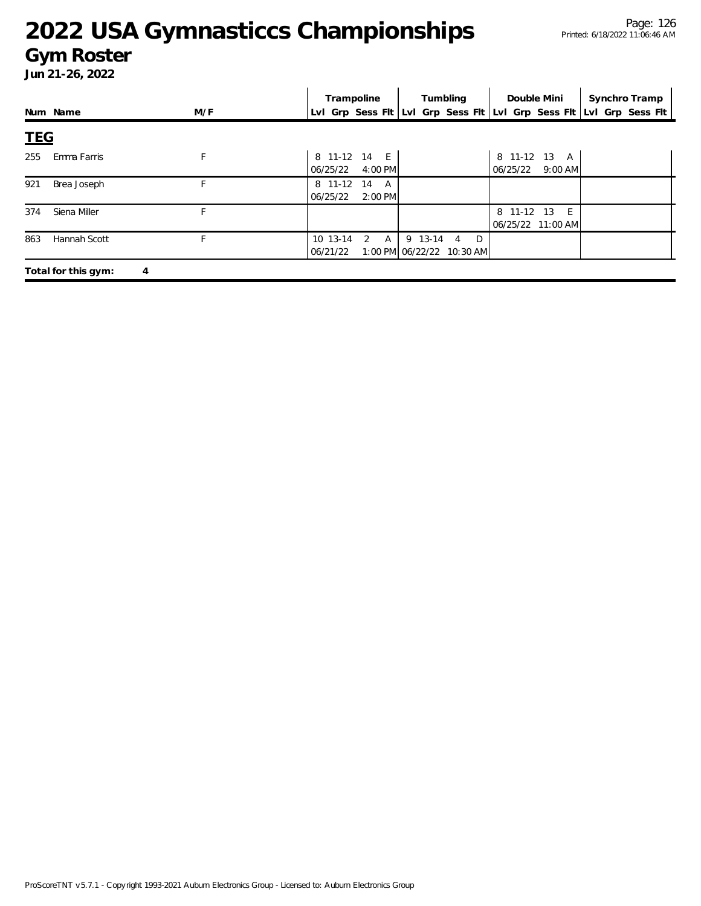#### **Gym Roster**

|            |                     |     | Trampoline                                             | Tumbling                                 | Double Mini                           | Synchro Tramp                                                       |
|------------|---------------------|-----|--------------------------------------------------------|------------------------------------------|---------------------------------------|---------------------------------------------------------------------|
|            | Num Name            | M/F |                                                        |                                          |                                       | Lvl Grp Sess Fit Lvl Grp Sess Fit Lvl Grp Sess Fit Lvl Grp Sess Fit |
| <b>TEG</b> |                     |     |                                                        |                                          |                                       |                                                                     |
| 255        | Emma Farris         | F   | 8 11-12 14 E<br>06/25/22<br>4:00 PM                    |                                          | 8 11-12 13 A<br>06/25/22<br>$9:00$ AM |                                                                     |
| 921        | Brea Joseph         | F   | 8 11-12<br>14<br>$\mathsf{A}$<br>$2:00$ PM<br>06/25/22 |                                          |                                       |                                                                     |
| 374        | Siena Miller        | F.  |                                                        |                                          | 8 11-12 13<br>E<br>06/25/22 11:00 AM  |                                                                     |
| 863        | Hannah Scott        | F.  | $2 \overline{A}$<br>10 13-14<br>06/21/22               | 9 13-14 4 D<br>1:00 PM 06/22/22 10:30 AM |                                       |                                                                     |
|            | Total for this gym: | 4   |                                                        |                                          |                                       |                                                                     |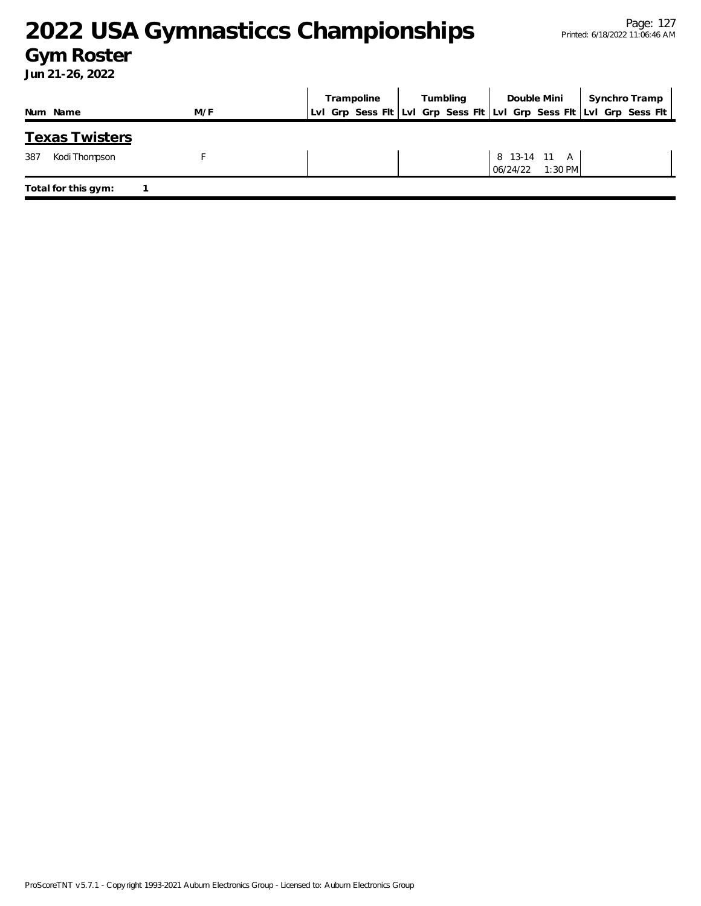### **Gym Roster**

|                       |     | Trampoline | Tumbling | Double Mini                           | Synchro Tramp                                                       |
|-----------------------|-----|------------|----------|---------------------------------------|---------------------------------------------------------------------|
| Num Name              | M/F |            |          |                                       | Lvl Grp Sess Fit Lvl Grp Sess Fit Lvl Grp Sess Fit Lvl Grp Sess Fit |
| <b>Texas Twisters</b> |     |            |          |                                       |                                                                     |
| 387<br>Kodi Thompson  |     |            |          | 8 13-14 11 A<br>$1:30$ PM<br>06/24/22 |                                                                     |
| Total for this gym:   |     |            |          |                                       |                                                                     |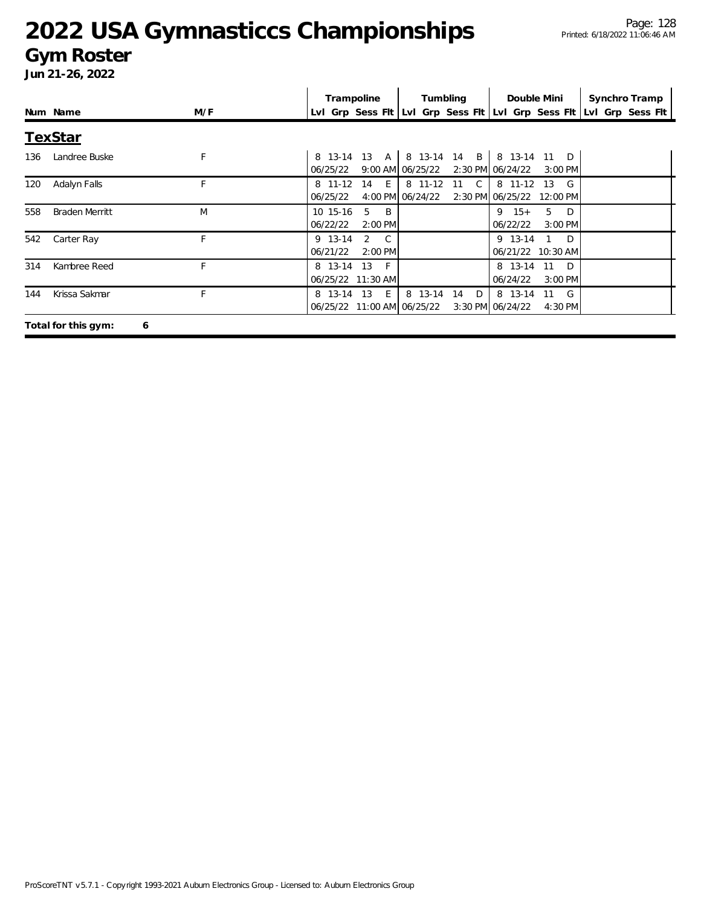#### **Gym Roster**

|     |                       |     | Trampoline                   |                                  |                             | Tumbling                                           |                                      | Double Mini                     | Synchro Tramp    |
|-----|-----------------------|-----|------------------------------|----------------------------------|-----------------------------|----------------------------------------------------|--------------------------------------|---------------------------------|------------------|
|     | Num Name              | M/F |                              |                                  |                             | Lvl Grp Sess Fit Lvl Grp Sess Fit Lvl Grp Sess Fit |                                      |                                 | Lvl Grp Sess Flt |
|     | <b>TexStar</b>        |     |                              |                                  |                             |                                                    |                                      |                                 |                  |
| 136 | Landree Buske         | F   | 06/25/22                     | 8 13-14 13 A                     | 9:00 AM 06/25/22            | 8 13-14 14 B   8 13-14 11 D                        | 2:30 PM 06/24/22                     | $3:00$ PM                       |                  |
| 120 | Adalyn Falls          | F.  | 8 11-12<br>06/25/22          | $-E$<br>14                       | 8 11-12<br>4:00 PM 06/24/22 | $\overline{C}$<br>- 11                             | 8 11-12<br>2:30 PM 06/25/22 12:00 PM | 13<br>$\mathsf{G}$              |                  |
| 558 | <b>Braden Merritt</b> | M   | 10 15-16<br>06/22/22         | 5<br>B.<br>$2:00$ PM             |                             |                                                    | $9 \t15+$<br>06/22/22                | 5 D<br>$3:00$ PM                |                  |
| 542 | Carter Ray            | F   | 9 13-14<br>06/21/22          | 2<br>$\overline{C}$<br>$2:00$ PM |                             |                                                    | 9 13-14                              | $1\quad D$<br>06/21/22 10:30 AM |                  |
| 314 | Kambree Reed          | F   | 8 13-14<br>06/25/22 11:30 AM | 13<br>$-F$                       |                             |                                                    | 8 13-14<br>06/24/22                  | 11<br>$\Box$<br>$3:00$ PM       |                  |
| 144 | Krissa Sakmar         |     | 8 13-14 13                   | E<br>06/25/22 11:00 AM 06/25/22  | 8 13-14                     | 14<br>D                                            | 8 13-14<br>3:30 PM 06/24/22          | 11 G<br>4:30 PM                 |                  |
|     | Total for this gym:   | 6   |                              |                                  |                             |                                                    |                                      |                                 |                  |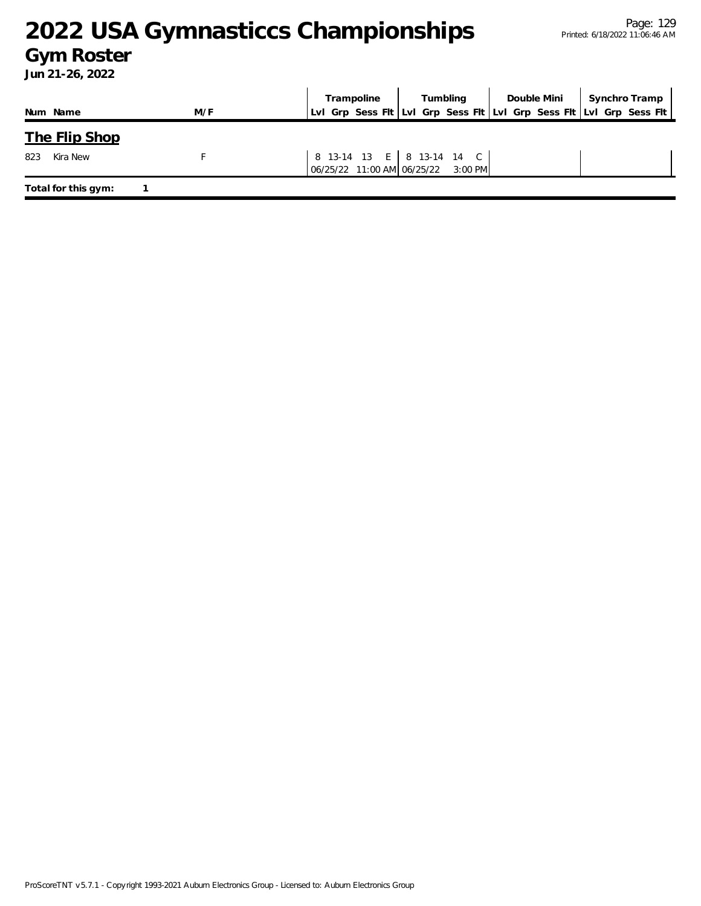### **Gym Roster**

|                     |     | Trampoline | Tumbling                                                        | Double Mini | Synchro Tramp                                                       |
|---------------------|-----|------------|-----------------------------------------------------------------|-------------|---------------------------------------------------------------------|
| Num Name            | M/F |            |                                                                 |             | Lvl Grp Sess Flt Lvl Grp Sess Flt Lvl Grp Sess Flt Lvl Grp Sess Flt |
| The Flip Shop       |     |            |                                                                 |             |                                                                     |
| 823<br>Kira New     |     |            | 8 13-14 13 E 8 13-14 14 C<br>06/25/22 11:00 AM 06/25/22 3:00 PM |             |                                                                     |
| Total for this gym: |     |            |                                                                 |             |                                                                     |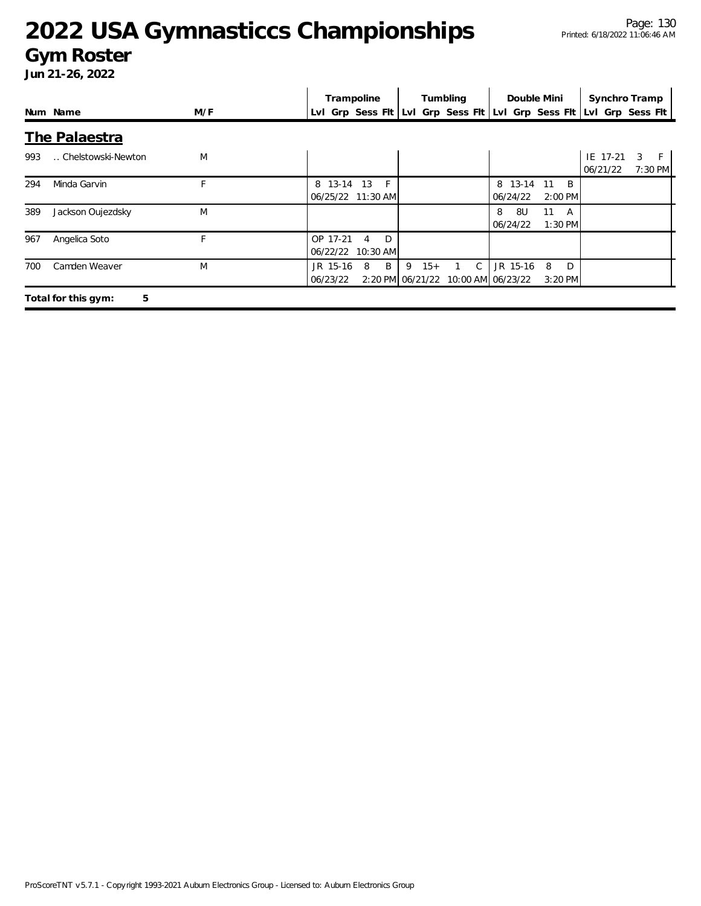#### **Gym Roster**

|     |                          |     | Trampoline           |                              |                                | Tumbling     | Double Mini                                        |                      | Synchro Tramp        |                   |
|-----|--------------------------|-----|----------------------|------------------------------|--------------------------------|--------------|----------------------------------------------------|----------------------|----------------------|-------------------|
|     | Num Name                 | M/F |                      |                              |                                |              | Lvl Grp Sess Fit Lvl Grp Sess Fit Lvl Grp Sess Fit |                      | Lvl Grp Sess Flt     |                   |
|     | The Palaestra            |     |                      |                              |                                |              |                                                    |                      |                      |                   |
| 993 | Chelstowski-Newton       | M   |                      |                              |                                |              |                                                    |                      | IE 17-21<br>06/21/22 | 3<br>F<br>7:30 PM |
| 294 | Minda Garvin             | F   | 8 13-14              | 13<br>F<br>06/25/22 11:30 AM |                                |              | 8 13-14<br>06/24/22                                | B<br>11<br>$2:00$ PM |                      |                   |
| 389 | Jackson Oujezdsky        | M   |                      |                              |                                |              | 8<br>8U<br>06/24/22                                | 11<br>A<br>$1:30$ PM |                      |                   |
| 967 | Angelica Soto            | F   | OP 17-21<br>06/22/22 | D<br>4<br>$10:30$ AM         |                                |              |                                                    |                      |                      |                   |
| 700 | Camden Weaver            | M   | JR 15-16<br>06/23/22 | B<br>8                       | $15+$<br>9<br>2:20 PM 06/21/22 | $\mathsf{C}$ | JR 15-16<br>10:00 AM 06/23/22                      | 8<br>D<br>3:20 PM    |                      |                   |
|     | 5<br>Total for this gym: |     |                      |                              |                                |              |                                                    |                      |                      |                   |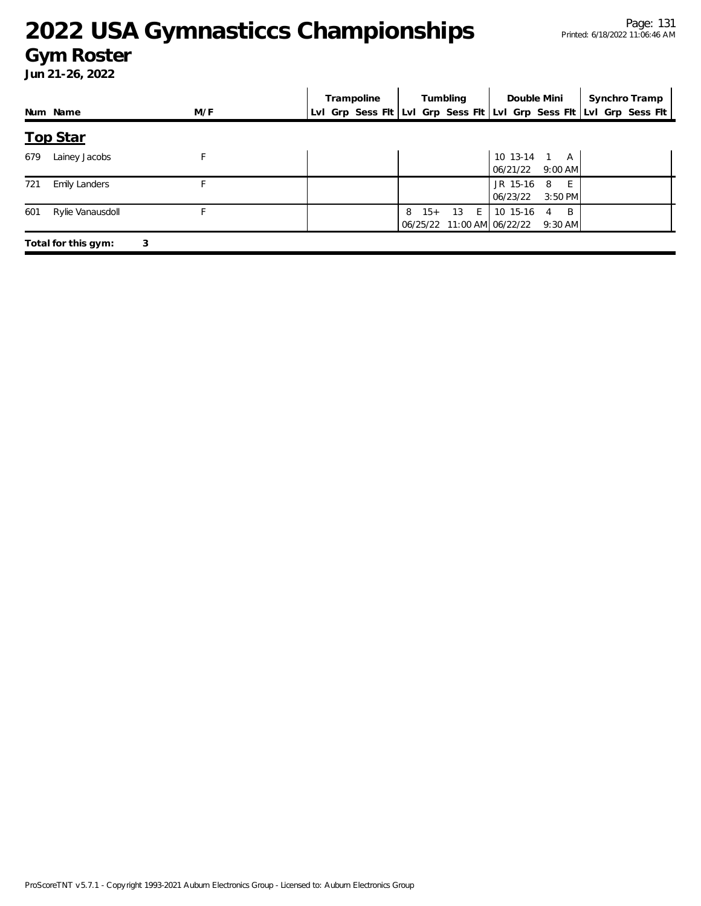#### Page: 131 Printed: 6/18/2022 11:06:46 AM

### **2022 USA Gymnasticcs Championships**

#### **Gym Roster**

|     |                      |     | Trampoline | Tumbling           | Double Mini                                              | Synchro Tramp                                                       |
|-----|----------------------|-----|------------|--------------------|----------------------------------------------------------|---------------------------------------------------------------------|
|     | Num Name             | M/F |            |                    |                                                          | Lvl Grp Sess Fit Lvl Grp Sess Fit Lvl Grp Sess Fit Lvl Grp Sess Fit |
|     | <b>Top Star</b>      |     |            |                    |                                                          |                                                                     |
| 679 | Lainey Jacobs        | F   |            |                    | 10 13-14 1 A<br>$06/21/22$ 9:00 AM                       |                                                                     |
| 721 | <b>Emily Landers</b> |     |            |                    | JR 15-16<br>E<br>-8<br>06/23/22<br>$3:50$ PM             |                                                                     |
| 601 | Rylie Vanausdoll     |     |            | 13 E<br>$15+$<br>8 | 10 15-16<br>B<br>4<br>06/25/22 11:00 AM 06/22/22 9:30 AM |                                                                     |
|     | Total for this gym:  | 3   |            |                    |                                                          |                                                                     |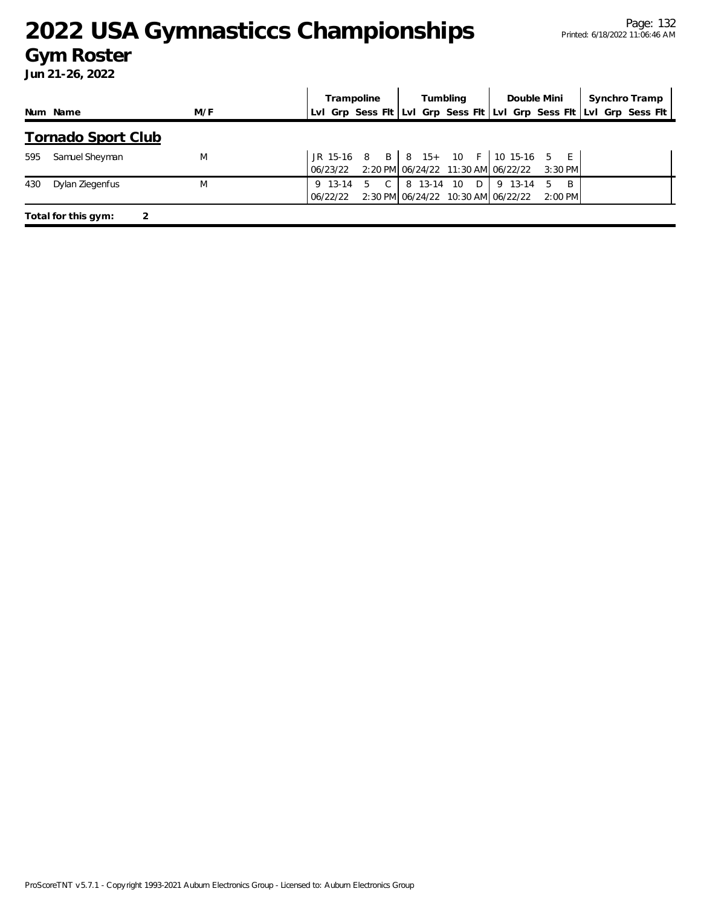#### **Gym Roster**

|     |                           |     | Trampoline          |   |               | Tumbling |            | Double Mini |                                                                                        |                 | Synchro Tramp |  |  |  |
|-----|---------------------------|-----|---------------------|---|---------------|----------|------------|-------------|----------------------------------------------------------------------------------------|-----------------|---------------|--|--|--|
|     | Num Name                  | M/F |                     |   |               |          |            |             | LvI Grp Sess FIt LvI Grp Sess FIt LvI Grp Sess FIt LvI Grp Sess FIt                    |                 |               |  |  |  |
|     | <b>Tornado Sport Club</b> |     |                     |   |               |          |            |             |                                                                                        |                 |               |  |  |  |
| 595 | Samuel Sheyman            | M   | 06/23/22            |   |               |          |            |             | JR 15-16 8 B   8 15+ 10 F   10 15-16 5 E<br>2:20 PM 06/24/22 11:30 AM 06/22/22 3:30 PM |                 |               |  |  |  |
| 430 | Dylan Ziegenfus           | M   | 9 13-14<br>06/22/22 | 5 | $\mathcal{C}$ |          | 8 13-14 10 | D           | 9 13-14<br>2:30 PM 06/24/22 10:30 AM 06/22/22                                          | .5<br>$2:00$ PM | - B           |  |  |  |
|     | Total for this gym:       |     |                     |   |               |          |            |             |                                                                                        |                 |               |  |  |  |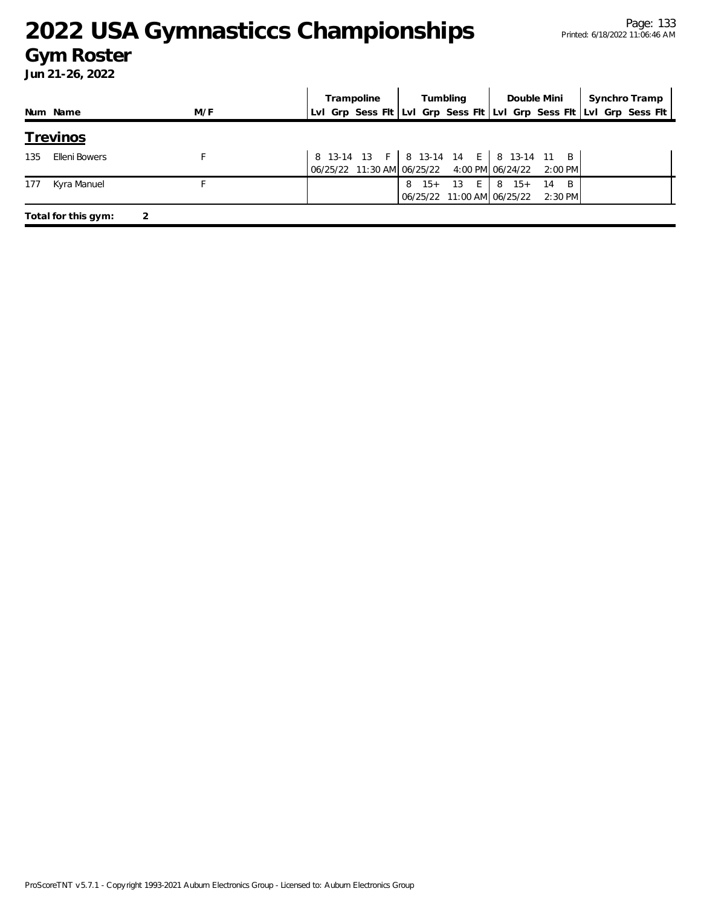#### **Gym Roster**

|     |                     |     | Tumbling<br>Double Mini<br>Trampoline |            |                                                                                           |                 |           | Synchro Tramp |                                                                     |
|-----|---------------------|-----|---------------------------------------|------------|-------------------------------------------------------------------------------------------|-----------------|-----------|---------------|---------------------------------------------------------------------|
|     | Num Name            | M/F |                                       |            |                                                                                           |                 |           |               | Lvl Grp Sess Fit Lvl Grp Sess Fit Lvl Grp Sess Fit Lvl Grp Sess Fit |
|     | <u>Trevinos</u>     |     |                                       |            |                                                                                           |                 |           |               |                                                                     |
| 135 | Elleni Bowers       |     |                                       |            | 8 13-14 13 F   8 13-14 14 E   8 13-14 11 B<br>06/25/22 11:30 AM 06/25/22 4:00 PM 06/24/22 |                 | $2:00$ PM |               |                                                                     |
| 177 | Kyra Manuel         |     |                                       | $15+$<br>8 | 13<br>$E_{\perp}$<br>06/25/22 11:00 AM 06/25/22 2:30 PM                                   | $8 \t15 + \t14$ | - B       |               |                                                                     |
|     | Total for this gym: |     |                                       |            |                                                                                           |                 |           |               |                                                                     |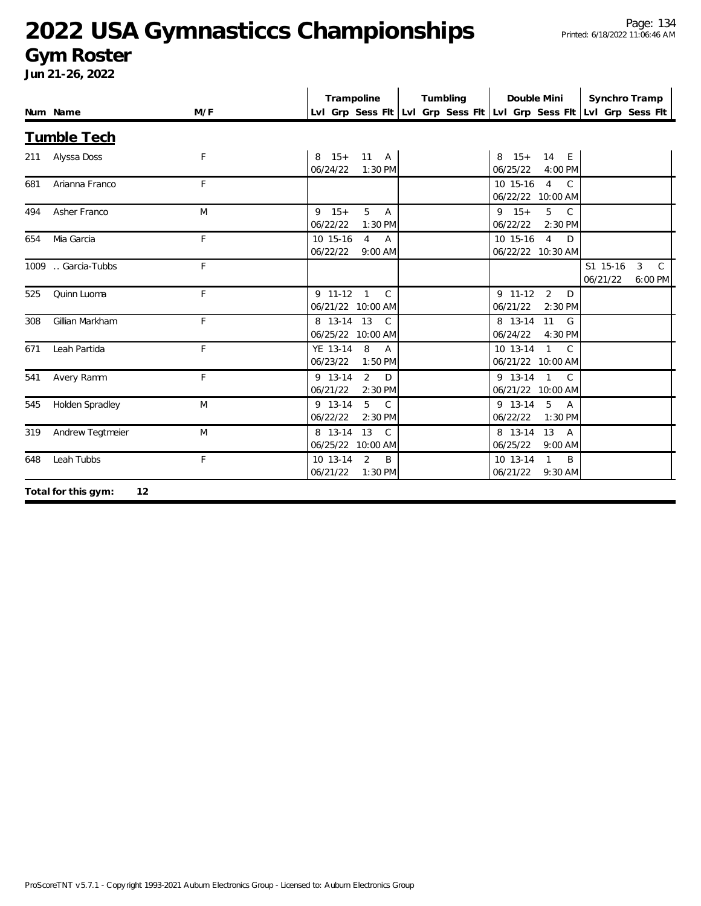#### **Gym Roster**

|     | Num Name                  | M/F | Trampoline                                                            | Tumbling | Double Mini                                                        | Synchro Tramp                                                    |
|-----|---------------------------|-----|-----------------------------------------------------------------------|----------|--------------------------------------------------------------------|------------------------------------------------------------------|
|     |                           |     | Lvl Grp Sess Fit Lvl Grp Sess Fit Lvl Grp Sess Fit Lvl Grp Sess Fit   |          |                                                                    |                                                                  |
|     | <b>Tumble Tech</b>        |     |                                                                       |          |                                                                    |                                                                  |
| 211 | Alyssa Doss               | F   | 8 15+ 11 A<br>06/24/22<br>1:30 PM                                     |          | 14 E<br>$8 \t15+$<br>06/25/22<br>4:00 PM                           |                                                                  |
| 681 | Arianna Franco            | F   |                                                                       |          | $\overline{4}$<br>$\mathcal{C}$<br>10 15-16<br>06/22/22 10:00 AM   |                                                                  |
| 494 | Asher Franco              | M   | 5 <sup>1</sup><br>$9 \t15+$<br><b>A</b><br>06/22/22<br>1:30 PM        |          | $9 \t15+$<br>5 <sup>5</sup><br>$\mathbb{C}$<br>06/22/22<br>2:30 PM |                                                                  |
| 654 | Mia Garcia                | F   | 10 15-16<br>$\overline{4}$<br>$\overline{A}$<br>06/22/22<br>$9:00$ AM |          | 10 15-16<br>$\overline{4}$<br>D<br>06/22/22 10:30 AM               |                                                                  |
|     | 1009  Garcia-Tubbs        | F   |                                                                       |          |                                                                    | S1 15-16<br>$\mathbf{3}$<br>$\mathcal{C}$<br>06/21/22<br>6:00 PM |
| 525 | Quinn Luoma               | F   | 9 11-12 1<br>$\mathcal{C}$<br>06/21/22 10:00 AM                       |          | $9$ 11-12 2<br>$\Box$<br>06/21/22<br>2:30 PM                       |                                                                  |
| 308 | Gillian Markham           | F   | 8 13-14 13<br>$\mathcal{C}$<br>06/25/22 10:00 AM                      |          | 8 13-14<br>11<br>G<br>06/24/22<br>4:30 PM                          |                                                                  |
| 671 | Leah Partida              | F   | YE 13-14<br>8<br>$\overline{A}$<br>06/23/22<br>$1:50$ PM              |          | 10 13-14<br>$1 \quad C$<br>06/21/22 10:00 AM                       |                                                                  |
| 541 | Avery Ramm                | F   | 9 13-14<br>2<br>D<br>06/21/22<br>2:30 PM                              |          | $9$ 13-14 1<br>$\mathcal{C}$<br>06/21/22 10:00 AM                  |                                                                  |
| 545 | Holden Spradley           | M   | 5<br>9 13-14<br>$\mathsf{C}$<br>06/22/22<br>2:30 PM                   |          | 9 13-14<br>5<br>$\overline{A}$<br>06/22/22<br>$1:30$ PM            |                                                                  |
| 319 | Andrew Tegtmeier          | M   | 8 13-14<br>13<br>$\mathcal{C}$<br>06/25/22 10:00 AM                   |          | 8 13-14<br>13<br>$\overline{A}$<br>06/25/22<br>9:00 AM             |                                                                  |
| 648 | Leah Tubbs                | F   | 10 13-14<br>2<br>B<br>06/21/22<br>1:30 PM                             |          | 10 13-14<br>$\mathbf{1}$<br>$\overline{B}$<br>06/21/22<br>9:30 AM  |                                                                  |
|     | Total for this gym:<br>12 |     |                                                                       |          |                                                                    |                                                                  |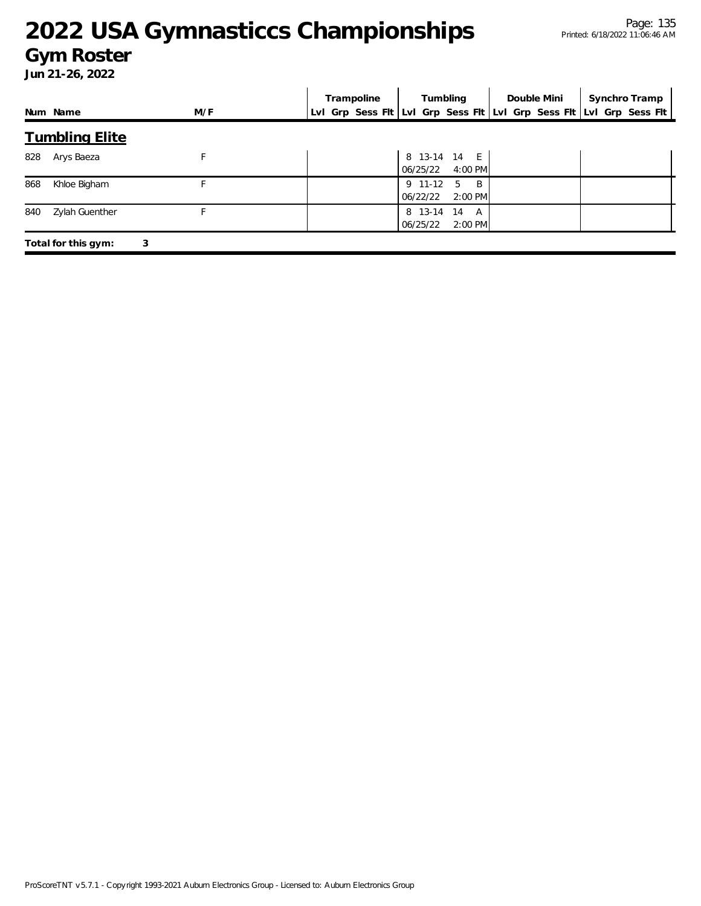#### **Gym Roster**

|     |                       |     | Trampoline |          | Tumbling                  | Double Mini                                                         | Synchro Tramp |
|-----|-----------------------|-----|------------|----------|---------------------------|---------------------------------------------------------------------|---------------|
|     | Num Name              | M/F |            |          |                           | Lvl Grp Sess Fit Lvl Grp Sess Fit Lvl Grp Sess Fit Lvl Grp Sess Fit |               |
|     | <b>Tumbling Elite</b> |     |            |          |                           |                                                                     |               |
| 828 | Arys Baeza            | F   |            | 06/25/22 | 8 13-14 14 E<br>$4:00$ PM |                                                                     |               |
| 868 | Khloe Bigham          | F   |            | 06/22/22 | 9 11-12 5 B<br>2:00 PM    |                                                                     |               |
| 840 | Zylah Guenther        | F   |            | 06/25/22 | 8 13-14 14 A<br>2:00 PM   |                                                                     |               |
|     | Total for this gym:   | 3   |            |          |                           |                                                                     |               |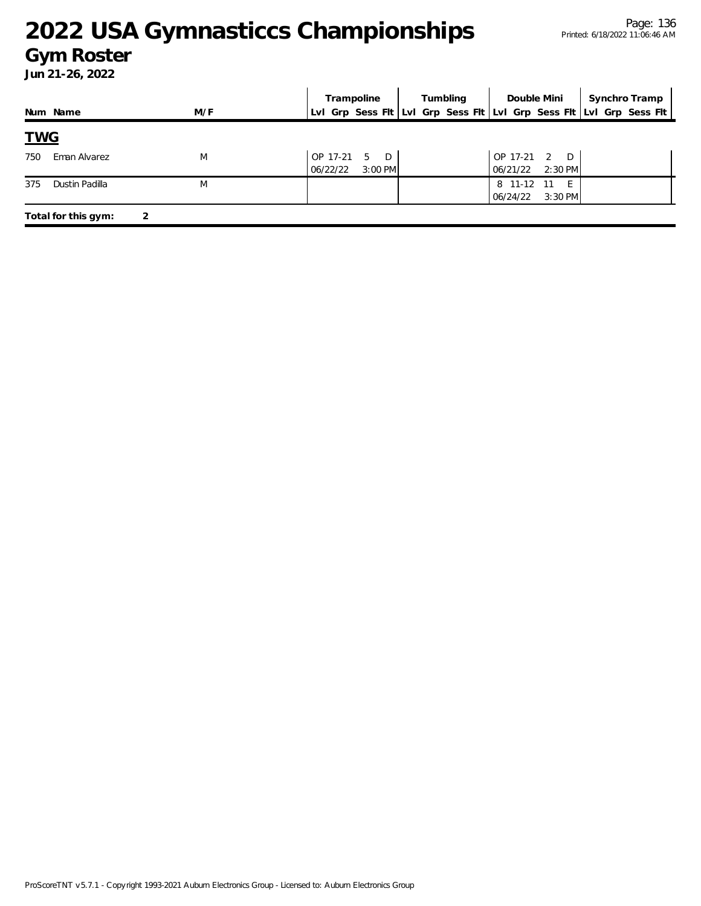#### Page: 136 Printed: 6/18/2022 11:06:46 AM

# **2022 USA Gymnasticcs Championships**

#### **Gym Roster**

|            |                     |     | Trampoline           |                          | Tumbling |  | Double Mini |                      | Synchro Tramp     |  |                                                                     |
|------------|---------------------|-----|----------------------|--------------------------|----------|--|-------------|----------------------|-------------------|--|---------------------------------------------------------------------|
|            | Num Name            | M/F |                      |                          |          |  |             |                      |                   |  | Lvl Grp Sess Flt Lvl Grp Sess Flt Lvl Grp Sess Flt Lvl Grp Sess Flt |
| <u>TWG</u> |                     |     |                      |                          |          |  |             |                      |                   |  |                                                                     |
| 750        | Eman Alvarez        | M   | OP 17-21<br>06/22/22 | $\Box$<br>5<br>$3:00$ PM |          |  |             | OP 17-21<br>06/21/22 | 2 D<br>$2:30$ PM  |  |                                                                     |
| 375        | Dustin Padilla      | M   |                      |                          |          |  |             | 8 11-12<br>06/24/22  | - 11<br>$3:30$ PM |  |                                                                     |
|            | Total for this gym: | 2   |                      |                          |          |  |             |                      |                   |  |                                                                     |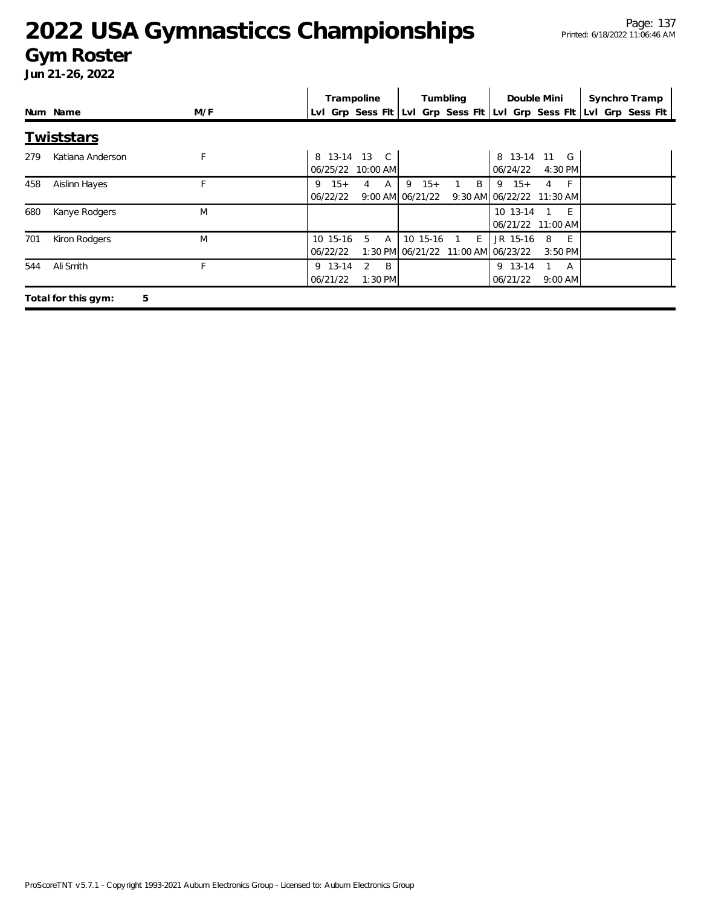#### **Gym Roster**

|     |                          |     |   |                      | Trampoline                        |   |          | Tumbling |   | Double Mini                                                         |                |                    | Synchro Tramp |  |
|-----|--------------------------|-----|---|----------------------|-----------------------------------|---|----------|----------|---|---------------------------------------------------------------------|----------------|--------------------|---------------|--|
|     | Num Name                 | M/F |   |                      |                                   |   |          |          |   | Lvl Grp Sess Flt Lvl Grp Sess Flt Lvl Grp Sess Flt Lvl Grp Sess Flt |                |                    |               |  |
|     | <b>Twiststars</b>        |     |   |                      |                                   |   |          |          |   |                                                                     |                |                    |               |  |
| 279 | Katiana Anderson         | F   |   |                      | 8 13-14 13 C<br>06/25/22 10:00 AM |   |          |          |   | 8 13-14 11 G<br>06/24/22                                            |                | 4:30 PM            |               |  |
| 458 | Aislinn Hayes            | F.  | 9 | $15+$<br>06/22/22    | A<br>4<br>9:00 AM 06/21/22        | 9 | $15+$    |          | B | $9 \t15+$<br>9:30 AM 06/22/22 11:30 AM                              | $\overline{4}$ | $-F$               |               |  |
| 680 | Kanye Rodgers            | M   |   |                      |                                   |   |          |          |   | 10 13-14<br>06/21/22 11:00 AM                                       |                | $-E$               |               |  |
| 701 | Kiron Rodgers            | M   |   | 10 15-16<br>06/22/22 | 5<br>$\overline{A}$               |   | 10 15-16 | 1 E      |   | JR 15-16<br>1:30 PM 06/21/22 11:00 AM 06/23/22                      | 8              | - E -<br>$3:50$ PM |               |  |
| 544 | Ali Smith                | F   |   | 9 13-14<br>06/21/22  | 2<br>- B<br>$1:30$ PM             |   |          |          |   | 9 13-14<br>06/21/22                                                 |                | A<br>$9:00$ AM     |               |  |
|     | 5<br>Total for this gym: |     |   |                      |                                   |   |          |          |   |                                                                     |                |                    |               |  |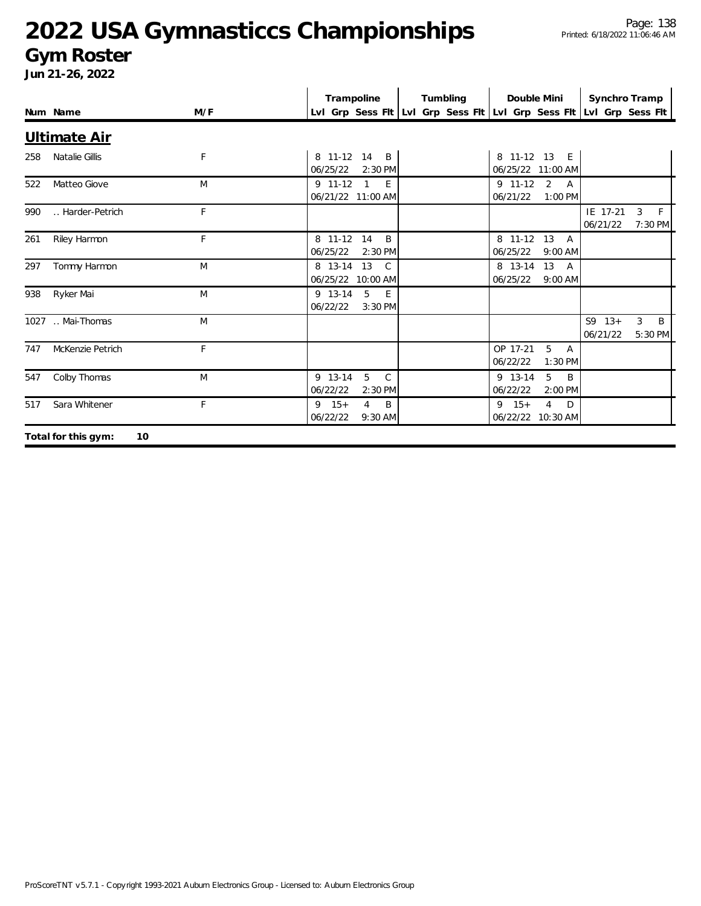#### **Gym Roster**

|     | Num Name                  | M/F | Trampoline<br>Lvl Grp Sess Fit Lvl Grp Sess Fit Lvl Grp Sess Fit Lvl Grp Sess Fit | Tumbling | Double Mini                                           | Synchro Tramp          |                   |
|-----|---------------------------|-----|-----------------------------------------------------------------------------------|----------|-------------------------------------------------------|------------------------|-------------------|
|     | Ultimate Air              |     |                                                                                   |          |                                                       |                        |                   |
| 258 | Natalie Gillis            | F   | 8 11-12 14 B<br>06/25/22<br>2:30 PM                                               |          | 8 11-12 13 E<br>06/25/22 11:00 AM                     |                        |                   |
| 522 | Matteo Giove              | M   | 9 11-12<br>$\overline{1}$<br>E<br>06/21/22 11:00 AM                               |          | $9$ 11-12 2<br>A<br>1:00 PM<br>06/21/22               |                        |                   |
| 990 | Harder-Petrich            | F   |                                                                                   |          |                                                       | IE 17-21<br>06/21/22   | 3<br>F<br>7:30 PM |
| 261 | Riley Harmon              | F   | 8 11-12<br>14<br>B<br>06/25/22<br>2:30 PM                                         |          | 8 11-12 13<br>$\overline{A}$<br>9:00 AM<br>06/25/22   |                        |                   |
| 297 | Tommy Harmon              | M   | 13<br>8 13-14<br>$\mathcal{C}$<br>06/25/22 10:00 AM                               |          | 8 13-14<br>13<br><b>A</b><br>06/25/22<br>$9:00$ AM    |                        |                   |
| 938 | Ryker Mai                 | M   | 5<br>9 13-14<br>E<br>06/22/22<br>3:30 PM                                          |          |                                                       |                        |                   |
|     | 1027  Mai-Thomas          | M   |                                                                                   |          |                                                       | $S9 \t13+$<br>06/21/22 | 3<br>B<br>5:30 PM |
| 747 | McKenzie Petrich          | F   |                                                                                   |          | 5<br>OP 17-21<br>A<br>06/22/22<br>1:30 PM             |                        |                   |
| 547 | Colby Thomas              | M   | 5<br>$\mathsf{C}$<br>9 13-14<br>06/22/22<br>2:30 PM                               |          | 9 13-14<br>5<br>B<br>06/22/22<br>2:00 PM              |                        |                   |
| 517 | Sara Whitener             | F   | B<br>$9 \t15+$<br>$\overline{4}$<br>06/22/22<br>9:30 AM                           |          | $9 \t15+$<br>$\overline{4}$<br>D<br>06/22/22 10:30 AM |                        |                   |
|     | Total for this gym:<br>10 |     |                                                                                   |          |                                                       |                        |                   |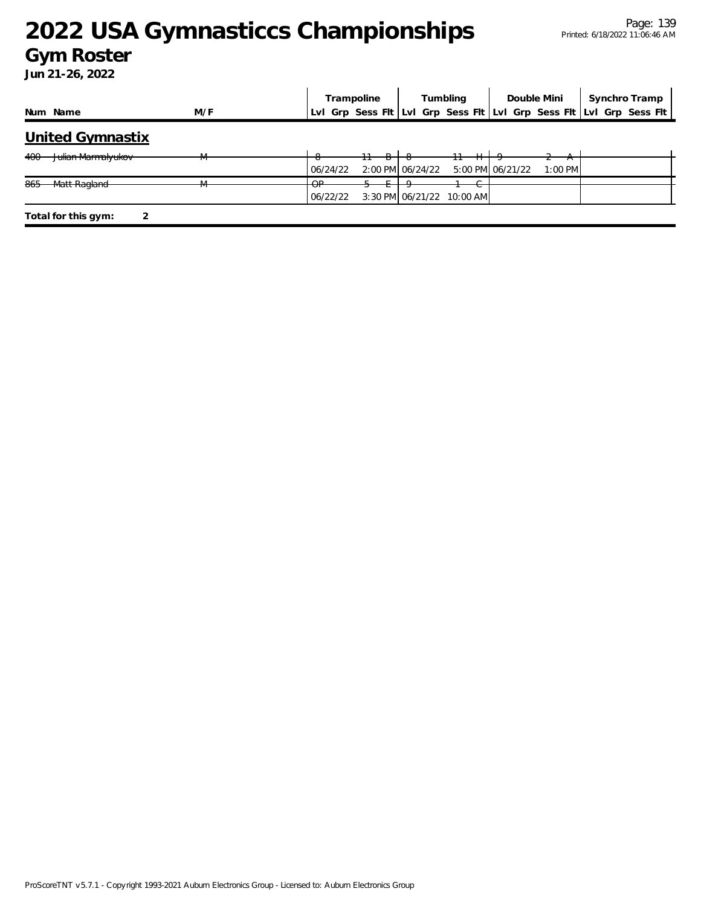#### **Gym Roster**

|                                      |     | Trampoline              | Tumbling                                                   | Double Mini                   | Synchro Tramp                                                       |
|--------------------------------------|-----|-------------------------|------------------------------------------------------------|-------------------------------|---------------------------------------------------------------------|
| Num Name                             | M/F |                         |                                                            |                               | Lvl Grp Sess Fit Lvl Grp Sess Fit Lvl Grp Sess Fit Lvl Grp Sess Fit |
| <b>United Gymnastix</b>              |     |                         |                                                            |                               |                                                                     |
| <del>Julian Marmalyukov</del><br>400 |     | 06/24/22                | 2:00 PM 06/24/22                                           | 5:00 PM 06/21/22<br>$1:00$ PM |                                                                     |
| Matt Ragland<br>04E<br>000           | TVI | $\cap$<br>ਯ<br>06/22/22 | $\sim$<br>$\overline{ }$<br>3:30 PM 06/21/22<br>$10:00$ AM |                               |                                                                     |
| Total for this gym:                  |     |                         |                                                            |                               |                                                                     |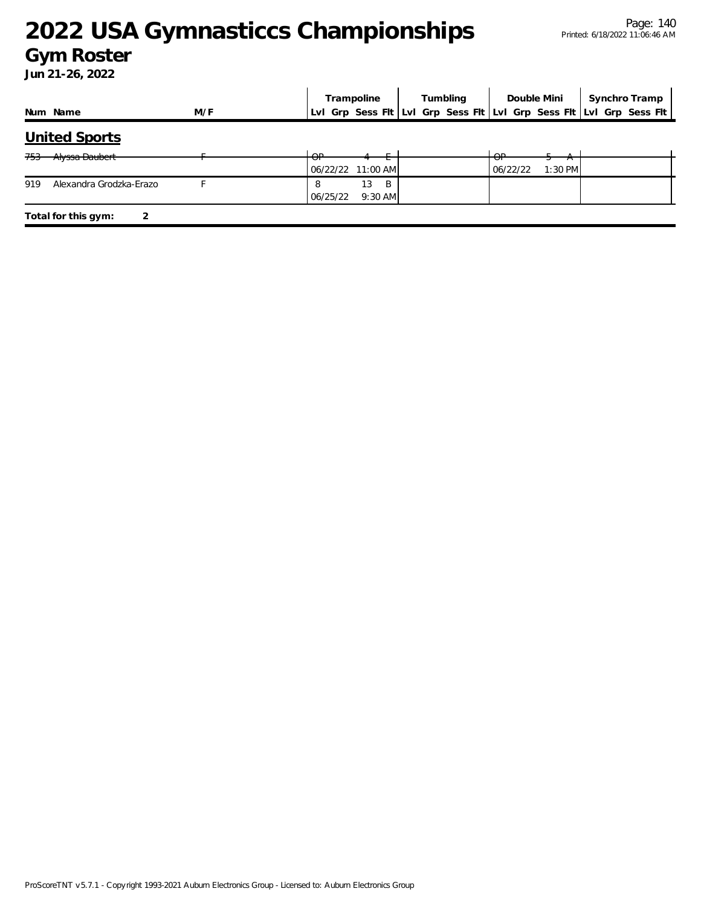#### **Gym Roster**

|                                |     |             | Trampoline |                      |  | Tumbling |                         | Double Mini | Synchro Tramp |                                                                     |
|--------------------------------|-----|-------------|------------|----------------------|--|----------|-------------------------|-------------|---------------|---------------------------------------------------------------------|
| Num Name                       | M/F |             |            |                      |  |          |                         |             |               | Lvl Grp Sess Fit Lvl Grp Sess Fit Lvl Grp Sess Fit Lvl Grp Sess Fit |
| United Sports                  |     |             |            |                      |  |          |                         |             |               |                                                                     |
| Alyssa Daubert<br>753          |     | $\cap$<br>আ |            | 06/22/22 11:00 AM    |  |          | $\cap$<br>◡<br>06/22/22 | $1:30$ PM   |               |                                                                     |
| 919<br>Alexandra Grodzka-Erazo |     | 8           | 06/25/22   | 13<br>B<br>$9:30$ AM |  |          |                         |             |               |                                                                     |
| Total for this gym:            |     |             |            |                      |  |          |                         |             |               |                                                                     |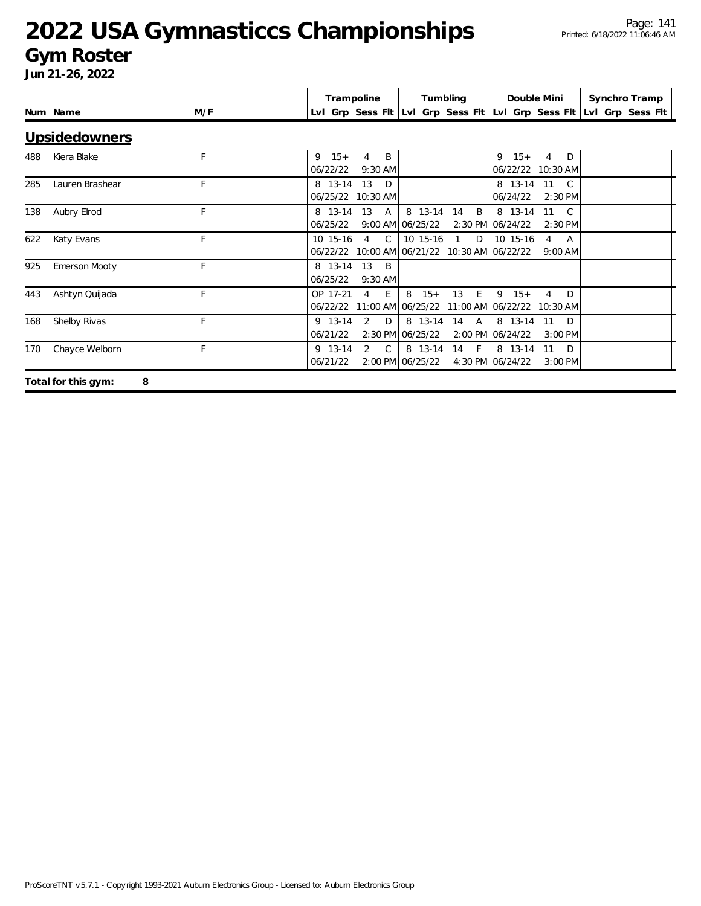#### **Gym Roster**

|     |                          |     | Trampoline<br>Tumbling<br>Double Mini                                                                                                                                             | Synchro Tramp |
|-----|--------------------------|-----|-----------------------------------------------------------------------------------------------------------------------------------------------------------------------------------|---------------|
|     | Num Name                 | M/F | LvI Grp Sess Fit LvI Grp Sess Fit LvI Grp Sess Fit LvI Grp Sess Fit                                                                                                               |               |
|     | Upsidedowners            |     |                                                                                                                                                                                   |               |
| 488 | Kiera Blake              | F   | $15+$<br>$9 \t15+$<br>9<br>4<br>B<br>$\overline{4}$<br>D<br>06/22/22<br>$9:30$ AM<br>06/22/22 10:30 AM                                                                            |               |
| 285 | Lauren Brashear          | F   | 13<br>8 13-14<br>D<br>8 13-14 11<br>$\overline{C}$<br>06/25/22 10:30 AM<br>06/24/22<br>2:30 PM                                                                                    |               |
| 138 | Aubry Elrod              | F   | 8 13-14<br>8 13-14<br>8 13-14<br>13<br>$\mathsf{A}$<br>14<br>B<br>11<br>C.<br>06/25/22<br>9:00 AM 06/25/22<br>2:30 PM 06/24/22<br>2:30 PM                                         |               |
| 622 | Katy Evans               | F   | 10 15-16<br>$\mathcal{C}$<br>10 15-16<br>10 15-16<br>$\overline{4}$<br>$\overline{1}$<br>D<br>$\overline{4}$<br>A<br>10:00 AM 06/21/22 10:30 AM 06/22/22<br>06/22/22<br>$9:00$ AM |               |
| 925 | <b>Emerson Mooty</b>     | F   | 8 13-14<br>13<br>$\overline{B}$<br>06/25/22<br>9:30 AM                                                                                                                            |               |
| 443 | Ashtyn Quijada           | F   | OP 17-21<br>E<br>E.<br>8<br>$15+$<br>13<br>9<br>$15+$<br>4<br>4<br>$\Box$<br>06/22/22<br>06/25/22<br>11:00 AM 06/22/22 10:30 AM<br>11:00 AM                                       |               |
| 168 | Shelby Rivas             | F   | $\overline{2}$<br>9 13-14<br>D<br>8 13-14<br>14<br>$\overline{A}$<br>8 13-14<br>11<br>D<br>06/21/22<br>2:30 PM 06/25/22<br>2:00 PM 06/24/22<br>3:00 PM                            |               |
| 170 | Chayce Welborn           | F   | 9 13-14<br>2<br>C.<br>8 13-14<br>F<br>8 13-14<br>11<br>14<br>D<br>06/21/22<br>2:00 PM 06/25/22<br>4:30 PM 06/24/22<br>$3:00$ PM                                                   |               |
|     | 8<br>Total for this gym: |     |                                                                                                                                                                                   |               |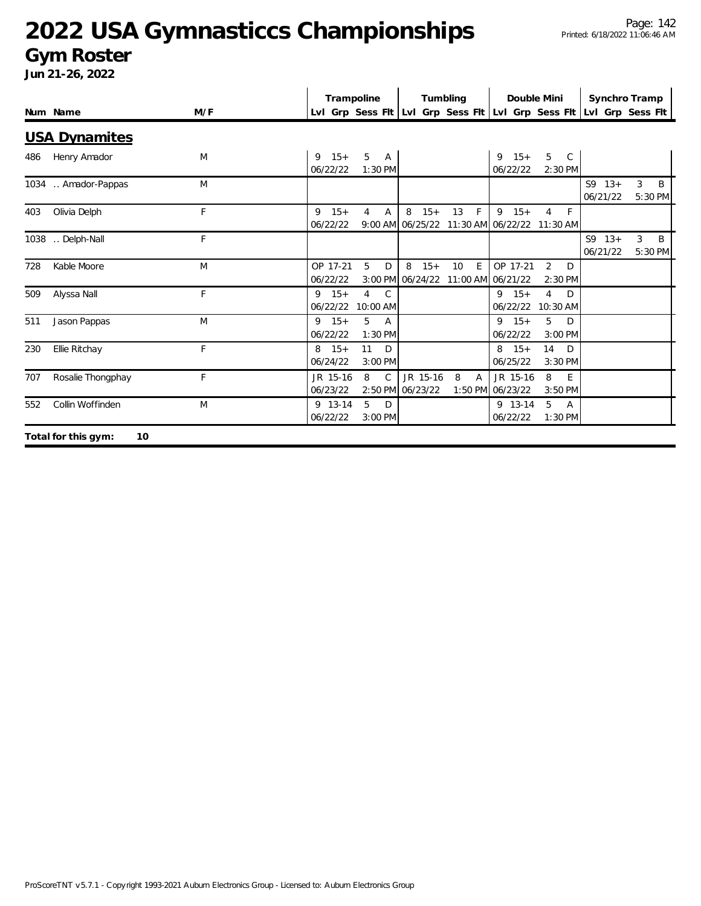#### **Gym Roster**

|     |                           |              | Trampoline            |                                            |                                | Tumbling                     |                                                           | Double Mini                      |                        | Synchro Tramp                                                       |
|-----|---------------------------|--------------|-----------------------|--------------------------------------------|--------------------------------|------------------------------|-----------------------------------------------------------|----------------------------------|------------------------|---------------------------------------------------------------------|
|     | Num Name                  | M/F          |                       |                                            |                                |                              |                                                           |                                  |                        | Lvl Grp Sess Fit Lvl Grp Sess Fit Lvl Grp Sess Fit Lvl Grp Sess Fit |
|     | <b>USA Dynamites</b>      |              |                       |                                            |                                |                              |                                                           |                                  |                        |                                                                     |
| 486 | Henry Amador              | M            | $9 \t15+$<br>06/22/22 | 5<br>$\mathsf{A}$<br>1:30 PM               |                                |                              | $9 \t15+$<br>06/22/22                                     | 5<br>$\mathsf{C}$<br>2:30 PM     |                        |                                                                     |
|     | 1034  Amador-Pappas       | M            |                       |                                            |                                |                              |                                                           |                                  | $S9 \t13+$<br>06/21/22 | 3<br>B<br>5:30 PM                                                   |
| 403 | Olivia Delph              | F            | $9 \t15+$<br>06/22/22 | 4<br>A                                     | 8<br>$15+$                     | F<br>13                      | 9<br>$15+$<br>9:00 AM 06/25/22 11:30 AM 06/22/22 11:30 AM | 4<br>F                           |                        |                                                                     |
|     | 1038  Delph-Nall          | F            |                       |                                            |                                |                              |                                                           |                                  | $S9 13+$<br>06/21/22   | 3<br>B<br>5:30 PM                                                   |
| 728 | Kable Moore               | M            | OP 17-21<br>06/22/22  | 5<br>D                                     | 8<br>$15+$<br>3:00 PM 06/24/22 | E<br>10<br>11:00 AM 06/21/22 | OP 17-21                                                  | $\overline{2}$<br>D<br>$2:30$ PM |                        |                                                                     |
| 509 | Alyssa Nall               | F            | $9 \t15+$<br>06/22/22 | $\overline{4}$<br>$\mathsf{C}$<br>10:00 AM |                                |                              | $9 \t15+$<br>06/22/22                                     | 4<br>D<br>10:30 AM               |                        |                                                                     |
| 511 | Jason Pappas              | M            | $9 \t15+$<br>06/22/22 | 5<br>$\overline{A}$<br>1:30 PM             |                                |                              | $9 \t15+$<br>06/22/22                                     | 5<br>D<br>3:00 PM                |                        |                                                                     |
| 230 | Ellie Ritchay             | $\mathsf{F}$ | $8 \t15+$<br>06/24/22 | 11<br>D<br>3:00 PM                         |                                |                              | $8 \t15+$<br>06/25/22                                     | 14<br>D<br>3:30 PM               |                        |                                                                     |
| 707 | Rosalie Thongphay         | F            | JR 15-16<br>06/23/22  | 8<br>$\mathcal{C}$                         | JR 15-16<br>2:50 PM 06/23/22   | 8<br>A                       | JR 15-16<br>1:50 PM 06/23/22                              | 8<br>E<br>3:50 PM                |                        |                                                                     |
| 552 | Collin Woffinden          | M            | 9 13-14<br>06/22/22   | 5<br>D<br>3:00 PM                          |                                |                              | 9 13-14<br>06/22/22                                       | 5<br>$\overline{A}$<br>1:30 PM   |                        |                                                                     |
|     | Total for this gym:<br>10 |              |                       |                                            |                                |                              |                                                           |                                  |                        |                                                                     |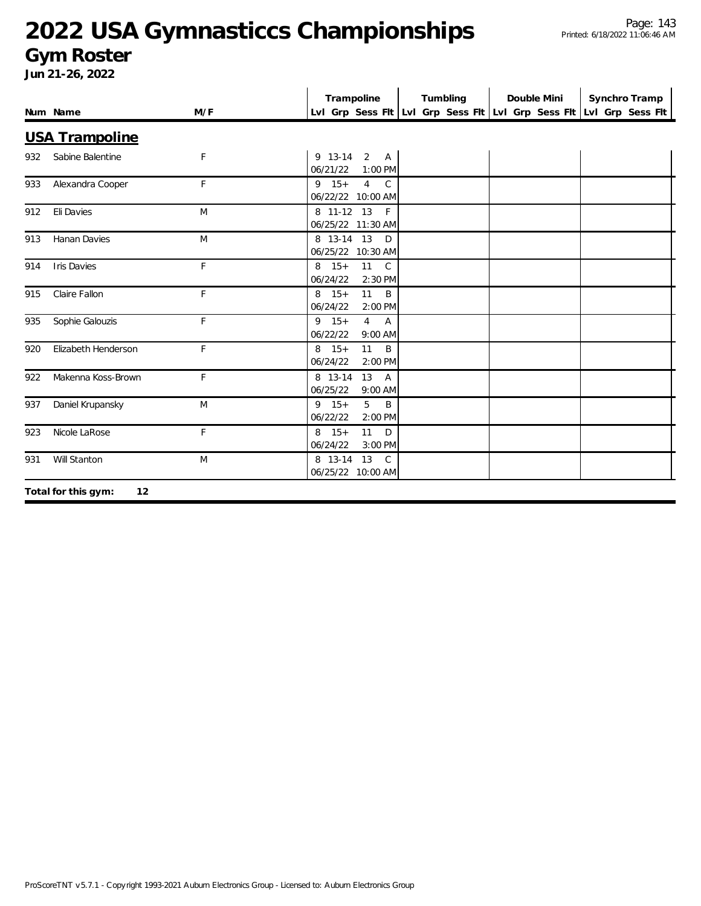#### **Gym Roster**

|     | Num Name              | M/F | Trampoline                                                             | Tumbling | Double Mini | Synchro Tramp<br>LvI Grp Sess FIt LvI Grp Sess FIt LvI Grp Sess FIt LvI Grp Sess FIt |
|-----|-----------------------|-----|------------------------------------------------------------------------|----------|-------------|--------------------------------------------------------------------------------------|
|     | <b>USA Trampoline</b> |     |                                                                        |          |             |                                                                                      |
| 932 | Sabine Balentine      | F   | 9 13-14 2 A<br>06/21/22<br>1:00 PM                                     |          |             |                                                                                      |
| 933 | Alexandra Cooper      | F   | $9 \t15+$<br>$\overline{4}$<br>$\mathcal{C}$<br>06/22/22 10:00 AM      |          |             |                                                                                      |
| 912 | Eli Davies            | M   | 8 11-12 13<br>F<br>06/25/22 11:30 AM                                   |          |             |                                                                                      |
| 913 | Hanan Davies          | M   | 8 13-14 13<br>D<br>06/25/22 10:30 AM                                   |          |             |                                                                                      |
| 914 | <b>Iris Davies</b>    | F   | $8 \t15+$<br>11<br>$\mathsf{C}$<br>06/24/22<br>2:30 PM                 |          |             |                                                                                      |
| 915 | Claire Fallon         | F   | 11<br>B<br>$8 \t15+$<br>06/24/22<br>2:00 PM                            |          |             |                                                                                      |
| 935 | Sophie Galouzis       | F   | $9 \t15+$<br>$\overline{4}$<br>$\overline{A}$<br>06/22/22<br>$9:00$ AM |          |             |                                                                                      |
| 920 | Elizabeth Henderson   | F   | 11<br>$8 \t15+$<br>B<br>06/24/22<br>2:00 PM                            |          |             |                                                                                      |
| 922 | Makenna Koss-Brown    | F   | 8 13-14<br>13<br><b>A</b><br>06/25/22<br>9:00 AM                       |          |             |                                                                                      |
| 937 | Daniel Krupansky      | M   | $9 \t15+$<br>5<br>B<br>06/22/22<br>2:00 PM                             |          |             |                                                                                      |
| 923 | Nicole LaRose         | F   | $8 \t15+$<br>11<br>D<br>06/24/22<br>3:00 PM                            |          |             |                                                                                      |
| 931 | Will Stanton          | M   | 8 13-14<br>13<br>$\mathsf{C}$<br>06/25/22 10:00 AM                     |          |             |                                                                                      |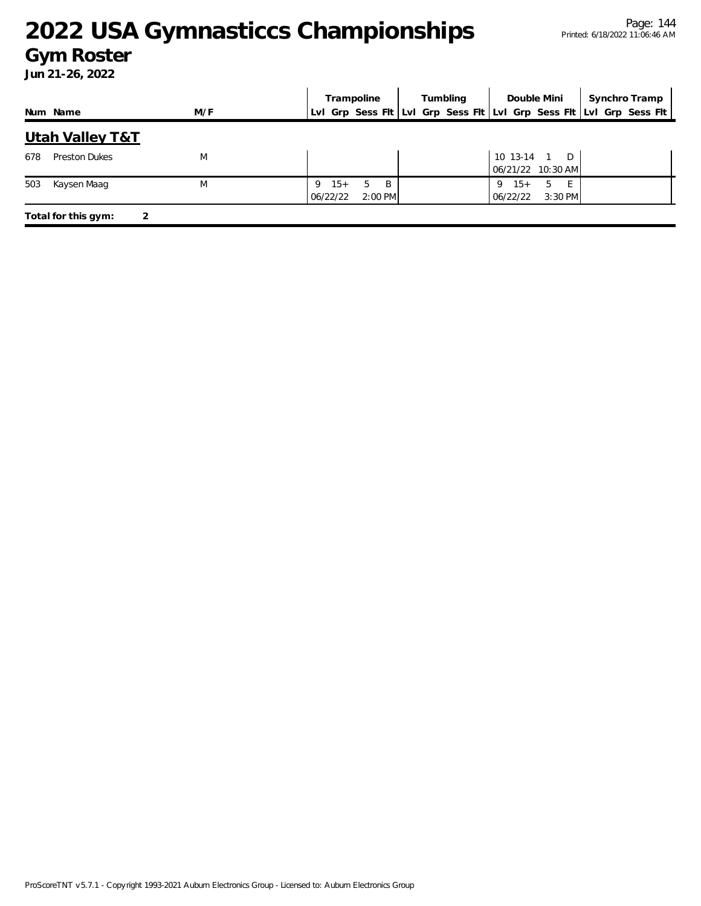#### **Gym Roster**

|     |                            |     |          |           | Trampoline            | Tumbling |  | Double Mini |                        | Synchro Tramp                     |                                                                     |
|-----|----------------------------|-----|----------|-----------|-----------------------|----------|--|-------------|------------------------|-----------------------------------|---------------------------------------------------------------------|
|     | Num Name                   | M/F |          |           |                       |          |  |             |                        |                                   | LvI Grp Sess FIt LvI Grp Sess FIt LvI Grp Sess FIt LvI Grp Sess FIt |
|     | <b>Utah Valley T&amp;T</b> |     |          |           |                       |          |  |             |                        |                                   |                                                                     |
| 678 | <b>Preston Dukes</b>       | M   |          |           |                       |          |  |             |                        | 10 13-14 1 D<br>06/21/22 10:30 AM |                                                                     |
| 503 | Kaysen Maag                | M   | 06/22/22 | $9 \t15+$ | - B<br>5<br>$2:00$ PM |          |  |             | $15+$<br>9<br>06/22/22 | - E -<br>-5<br>3:30 PM            |                                                                     |
|     | Total for this gym:        | 2   |          |           |                       |          |  |             |                        |                                   |                                                                     |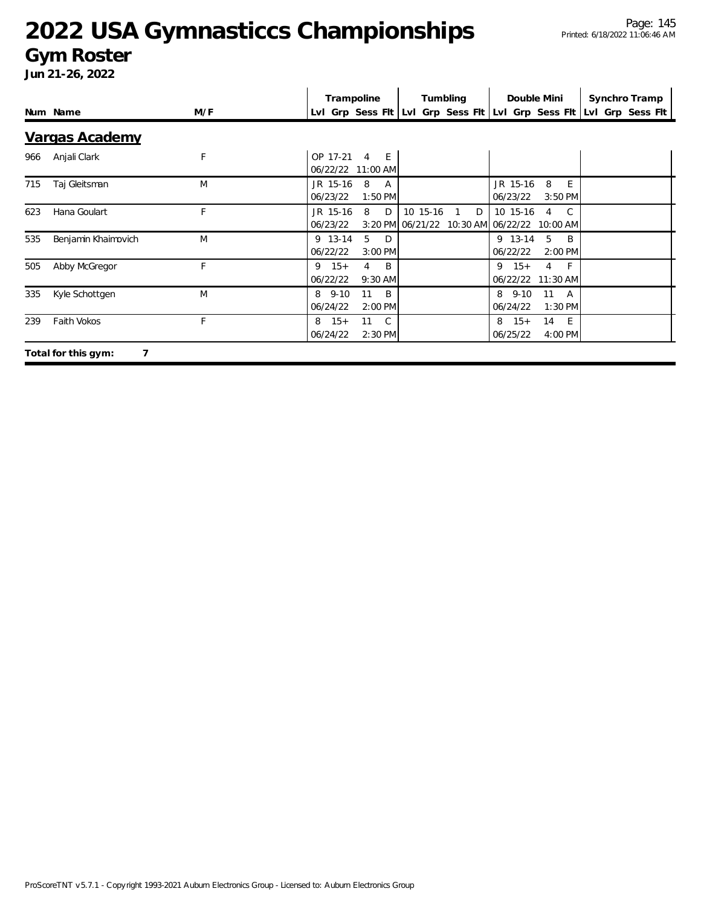#### **Gym Roster**

|     |                          |     |                           | Trampoline                      | Tumbling |                                                  | Double Mini           |                                | Synchro Tramp |                                                                     |
|-----|--------------------------|-----|---------------------------|---------------------------------|----------|--------------------------------------------------|-----------------------|--------------------------------|---------------|---------------------------------------------------------------------|
|     | Num Name                 | M/F |                           |                                 |          |                                                  |                       |                                |               | LvI Grp Sess FIt LvI Grp Sess FIt LvI Grp Sess FIt LvI Grp Sess FIt |
|     | Vargas Academy           |     |                           |                                 |          |                                                  |                       |                                |               |                                                                     |
| 966 | Anjali Clark             | F   | OP 17-21                  | E<br>4<br>06/22/22 11:00 AM     |          |                                                  |                       |                                |               |                                                                     |
| 715 | Taj Gleitsman            | M   | JR 15-16<br>06/23/22      | 8<br>A<br>$1:50$ PM             |          |                                                  | JR 15-16<br>06/23/22  | 8<br>E<br>3:50 PM              |               |                                                                     |
| 623 | Hana Goulart             | F   | JR 15-16<br>06/23/22      | 8<br>D                          | 10 15-16 | D<br>3:20 PM 06/21/22 10:30 AM 06/22/22 10:00 AM | 10 15-16              | $\overline{C}$<br>4            |               |                                                                     |
| 535 | Benjamin Khaimovich      | M   | 9 13-14<br>06/22/22       | 5<br>D<br>$3:00$ PM             |          |                                                  | 9 13-14<br>06/22/22   | -5<br>- B<br>2:00 PM           |               |                                                                     |
| 505 | Abby McGregor            | F   | $9 \t15+$<br>06/22/22     | B<br>4<br>9:30 AM               |          |                                                  | $9 \t15+$             | $-F$<br>4<br>06/22/22 11:30 AM |               |                                                                     |
| 335 | Kyle Schottgen           | M   | $8\quad 9-10$<br>06/24/22 | 11<br>$\overline{B}$<br>2:00 PM |          |                                                  | 8 9-10<br>06/24/22    | 11<br>A<br>1:30 PM             |               |                                                                     |
| 239 | Faith Vokos              | F   | $8 \t15+$<br>06/24/22     | 11 C<br>2:30 PM                 |          |                                                  | $8 \t15+$<br>06/25/22 | 14 E<br>4:00 PM                |               |                                                                     |
|     | 7<br>Total for this gym: |     |                           |                                 |          |                                                  |                       |                                |               |                                                                     |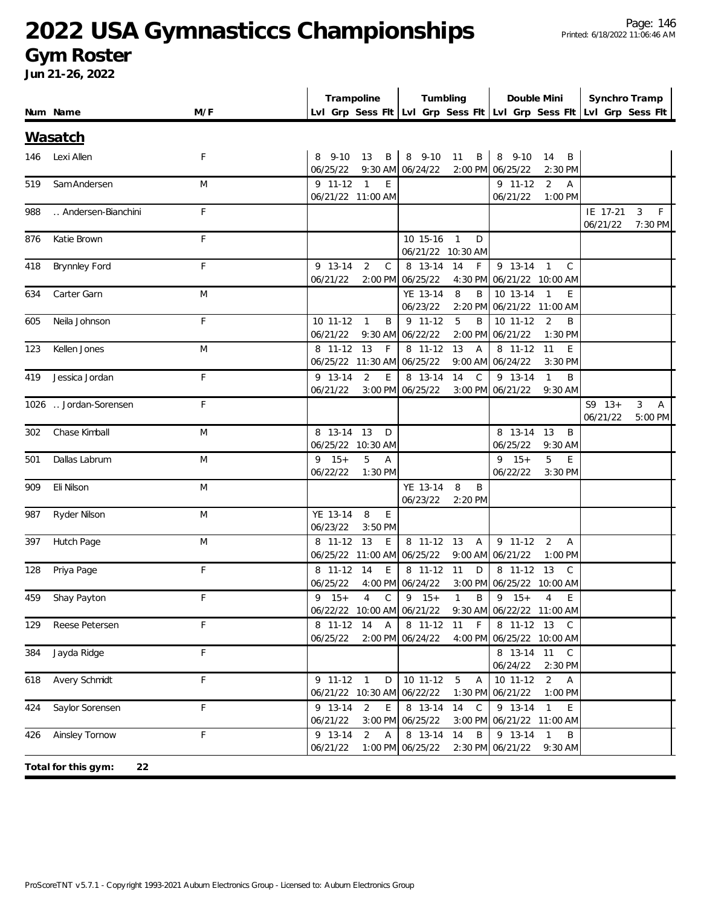### **Gym Roster**

|     |                           |              | Trampoline                                                          |                           | Tumbling             |                           | Double Mini                      | Synchro Tramp        |                                |  |
|-----|---------------------------|--------------|---------------------------------------------------------------------|---------------------------|----------------------|---------------------------|----------------------------------|----------------------|--------------------------------|--|
|     | Num Name                  | M/F          | Lvl Grp Sess Fit Lvl Grp Sess Fit Lvl Grp Sess Fit Lvl Grp Sess Fit |                           |                      |                           |                                  |                      |                                |  |
|     | <u>Wasatch</u>            |              |                                                                     |                           |                      |                           |                                  |                      |                                |  |
|     |                           |              |                                                                     |                           |                      |                           |                                  |                      |                                |  |
| 146 | Lexi Allen                | F            | 8 9-10 13 B 8 9-10 11 B 8 9-10<br>06/25/22 9:30 AM 06/24/22         |                           |                      | 2:00 PM 06/25/22          | 14 B<br>2:30 PM                  |                      |                                |  |
| 519 | Sam Andersen              | M            | $9$ 11-12 1<br>E                                                    |                           |                      | $9$ 11-12                 | 2<br>$\overline{A}$              |                      |                                |  |
|     |                           |              | 06/21/22 11:00 AM                                                   |                           |                      | 06/21/22                  | 1:00 PM                          |                      |                                |  |
| 988 | Andersen-Bianchini        | F            |                                                                     |                           |                      |                           |                                  | IE 17-21<br>06/21/22 | $\mathsf F$<br>3               |  |
| 876 | Katie Brown               | F            |                                                                     | 10 15-16                  | $\overline{1}$<br>D  |                           |                                  |                      | 7:30 PM                        |  |
|     |                           |              |                                                                     |                           | 06/21/22 10:30 AM    |                           |                                  |                      |                                |  |
| 418 | <b>Brynnley Ford</b>      | F            | 2<br>9 13-14                                                        | $\mathsf{C}$<br>8 13-14   | 14<br>F              | 9 13-14 1                 | $\mathcal{C}$                    |                      |                                |  |
|     |                           |              | 06/21/22                                                            | 2:00 PM 06/25/22          |                      | 4:30 PM 06/21/22 10:00 AM |                                  |                      |                                |  |
| 634 | Carter Garn               | M            |                                                                     | YE 13-14                  | 8<br>B               | 10 13-14 1                | E                                |                      |                                |  |
|     |                           |              |                                                                     | 06/23/22                  |                      | 2:20 PM 06/21/22 11:00 AM |                                  |                      |                                |  |
| 605 | Neila Johnson             | F            | $\mathbf{1}$<br>B<br>10 11-12                                       | $9$ 11-12                 | 5<br>B               | $10$ 11-12                | 2<br>B                           |                      |                                |  |
|     |                           |              | 06/21/22                                                            | 9:30 AM 06/22/22          |                      | 2:00 PM 06/21/22          | 1:30 PM                          |                      |                                |  |
| 123 | Kellen Jones              | M            | 8 11-12<br>13<br>F                                                  | 8 11-12                   | 13<br>$\overline{A}$ | 8 11-12                   | 11<br>E                          |                      |                                |  |
|     |                           |              | 06/25/22 11:30 AM 06/25/22                                          |                           |                      | 9:00 AM 06/24/22          | 3:30 PM                          |                      |                                |  |
| 419 | Jessica Jordan            | F            | 9 13-14<br>2                                                        | E<br>$\overline{8}$ 13-14 | 14 C                 | 9 13-14                   | $\overline{1}$<br>B              |                      |                                |  |
|     |                           |              | 06/21/22                                                            | 3:00 PM 06/25/22          |                      | 3:00 PM 06/21/22          | 9:30 AM                          |                      |                                |  |
|     | 1026  Jordan-Sorensen     | F            |                                                                     |                           |                      |                           |                                  | $S9 13+$             | $\mathbf{3}$<br>$\overline{A}$ |  |
|     |                           |              |                                                                     |                           |                      |                           |                                  | 06/21/22             | 5:00 PM                        |  |
| 302 | Chase Kimball             | M            | 8 13-14 13<br>D                                                     |                           |                      | 8 13-14                   | 13<br>$\overline{B}$             |                      |                                |  |
|     |                           |              | 06/25/22 10:30 AM                                                   |                           |                      | 06/25/22                  | 9:30 AM                          |                      |                                |  |
| 501 | Dallas Labrum             | M            | $9 \t15+$<br>5<br>$\overline{A}$<br>06/22/22<br>1:30 PM             |                           |                      | $9 \t15+$<br>06/22/22     | 5<br>E<br>$3:30$ PM              |                      |                                |  |
| 909 | Eli Nilson                | M            |                                                                     | YE 13-14                  | 8<br>B               |                           |                                  |                      |                                |  |
|     |                           |              |                                                                     | 06/23/22                  | 2:20 PM              |                           |                                  |                      |                                |  |
| 987 | Ryder Nilson              | M            | YE 13-14<br>8<br>E                                                  |                           |                      |                           |                                  |                      |                                |  |
|     |                           |              | 06/23/22<br>3:50 PM                                                 |                           |                      |                           |                                  |                      |                                |  |
| 397 | Hutch Page                | M            | 8 11-12 13                                                          | E                         | 8 11-12 13 A         | $9$ 11-12                 | 2<br>$\overline{A}$              |                      |                                |  |
|     |                           |              | 06/25/22 11:00 AM 06/25/22                                          |                           |                      | 9:00 AM 06/21/22          | $1:00$ PM                        |                      |                                |  |
| 128 | Priya Page                | F            | 8 11-12 14                                                          | E                         | 8 11-12 11 D         | 8 11-12 13                | C <sub>c</sub>                   |                      |                                |  |
|     |                           |              | 06/25/22 4:00 PM 06/24/22                                           |                           |                      | 3:00 PM 06/25/22 10:00 AM |                                  |                      |                                |  |
|     | 459 Shay Payton           | $\mathbb{E}$ | 9 15+ 4 C   9 15+ 1 B   9 15+ 4 E                                   |                           |                      |                           |                                  |                      |                                |  |
|     |                           |              | 06/22/22 10:00 AM 06/21/22 9:30 AM 06/22/22 11:00 AM                |                           |                      |                           |                                  |                      |                                |  |
| 129 | Reese Petersen            | F            | 8 11-12 14 A                                                        |                           | 8 11-12 11 F         |                           | 8 11-12 13 C                     |                      |                                |  |
|     |                           |              | 06/25/22                                                            | 2:00 PM 06/24/22          |                      | 4:00 PM 06/25/22 10:00 AM |                                  |                      |                                |  |
| 384 | Jayda Ridge               | F            |                                                                     |                           |                      |                           | 8 13-14 11 C                     |                      |                                |  |
|     |                           |              |                                                                     |                           |                      | 06/24/22                  | 2:30 PM                          |                      |                                |  |
| 618 | Avery Schmidt             | F            | $9$ 11-12 1                                                         | $10$ 11-12 $5$<br>D       | $\overline{A}$       | 10 11-12                  | $\overline{2}$<br>$\overline{A}$ |                      |                                |  |
|     |                           |              | 06/21/22 10:30 AM 06/22/22                                          |                           |                      | 1:30 PM 06/21/22          | 1:00 PM                          |                      |                                |  |
| 424 | Saylor Sorensen           | F            | 9 13-14<br>2                                                        | E.                        | 8 13-14 14 C         | 9 13-14 1                 | E.                               |                      |                                |  |
|     |                           |              | 06/21/22                                                            | 3:00 PM 06/25/22          |                      | 3:00 PM 06/21/22 11:00 AM |                                  |                      |                                |  |
|     | 426 Ainsley Tornow        | F            | 9 13-14<br>2<br>$\mathsf{A}$                                        | 8 13-14 14                | B                    | 9 13-14 1                 | B                                |                      |                                |  |
|     |                           |              | 06/21/22                                                            | 1:00 PM 06/25/22          |                      | 2:30 PM 06/21/22          | 9:30 AM                          |                      |                                |  |
|     | 22<br>Total for this gym: |              |                                                                     |                           |                      |                           |                                  |                      |                                |  |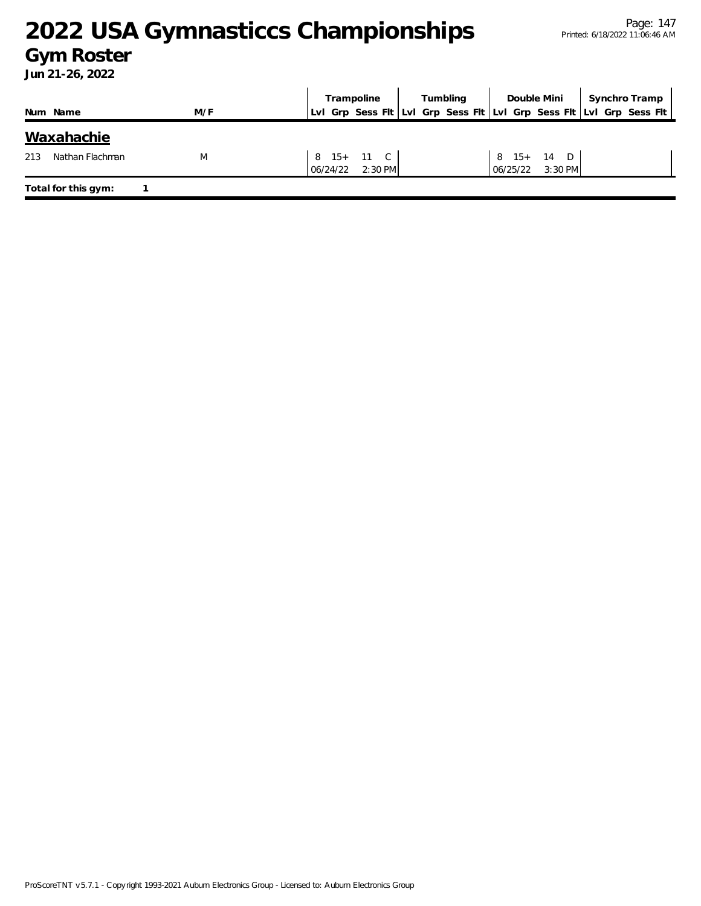### **Gym Roster**

|          |                     |     | Tumbling<br>Trampoline |  | Double Mini                    |  |                                                                     | Synchro Tramp |  |                                |  |  |  |
|----------|---------------------|-----|------------------------|--|--------------------------------|--|---------------------------------------------------------------------|---------------|--|--------------------------------|--|--|--|
| Num Name |                     | M/F |                        |  |                                |  | LvI Grp Sess Fit LvI Grp Sess Fit LvI Grp Sess Fit LvI Grp Sess Fit |               |  |                                |  |  |  |
|          | Waxahachie          |     |                        |  |                                |  |                                                                     |               |  |                                |  |  |  |
| 213      | Nathan Flachman     | M   |                        |  | 8 15+ 11 C<br>06/24/22 2:30 PM |  |                                                                     |               |  | 8 15+ 14 D<br>06/25/22 3:30 PM |  |  |  |
|          | Total for this gym: |     |                        |  |                                |  |                                                                     |               |  |                                |  |  |  |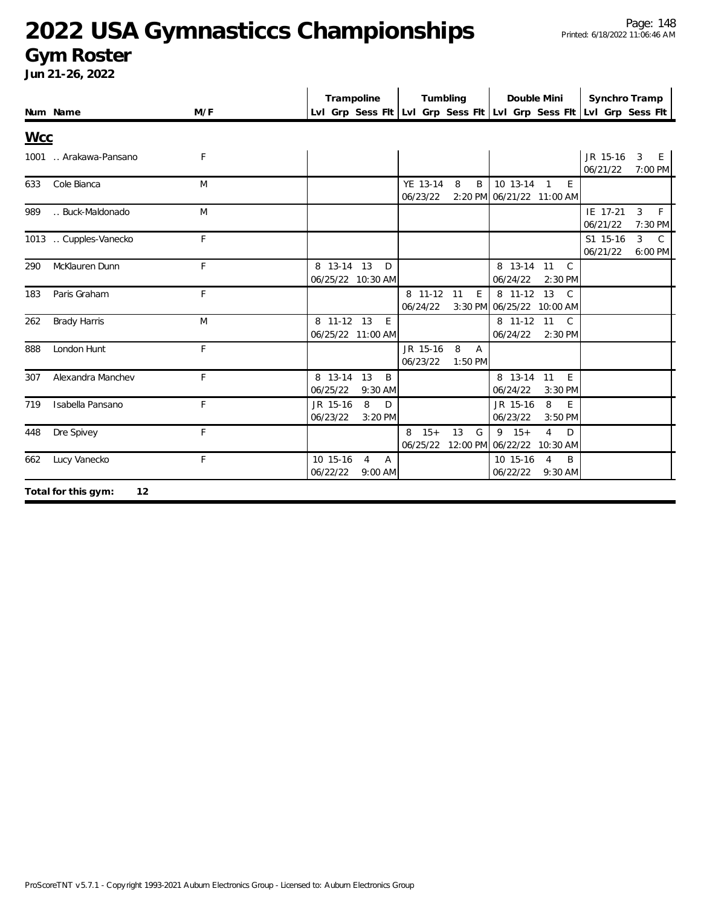### **Gym Roster**

|            | Num Name                  | M/F | Trampoline<br>Tumbling<br>Lvl Grp Sess Flt Lvl Grp Sess Flt Lvl Grp Sess Flt Lvl Grp Sess Flt | Double Mini<br>Synchro Tramp                      |               |
|------------|---------------------------|-----|-----------------------------------------------------------------------------------------------|---------------------------------------------------|---------------|
| <b>Wcc</b> |                           |     |                                                                                               |                                                   |               |
|            | 1001  Arakawa-Pansano     | F   |                                                                                               | JR 15-16<br>$\overline{3}$<br>06/21/22<br>7:00 PM | E.            |
| 633        | Cole Bianca               | M   | YE 13-14<br>8<br>B<br>06/23/22<br>2:20 PM 06/21/22 11:00 AM                                   | 10 13-14 1<br>E                                   |               |
| 989        | Buck-Maldonado            | M   |                                                                                               | IE 17-21<br>3<br>06/21/22<br>7:30 PM              | F             |
|            | 1013  Cupples-Vanecko     | F   |                                                                                               | S1 15-16<br>3<br>06/21/22<br>6:00 PM              | $\mathcal{C}$ |
| 290        | McKlauren Dunn            | F   | 8 13-14 13<br>D<br>06/25/22 10:30 AM<br>06/24/22                                              | 8 13-14 11<br>$\mathcal{C}$<br>2:30 PM            |               |
| 183        | Paris Graham              | F   | 8 11-12 11<br>E<br>06/24/22<br>3:30 PM 06/25/22 10:00 AM                                      | 8 11-12 13<br>$\mathcal{C}$                       |               |
| 262        | <b>Brady Harris</b>       | M   | 8 11-12 13<br>E<br>06/25/22 11:00 AM<br>06/24/22                                              | 8 11-12 11<br>C.<br>$2:30$ PM                     |               |
| 888        | London Hunt               | F   | 8<br>JR 15-16<br>A<br>06/23/22<br>$1:50$ PM                                                   |                                                   |               |
| 307        | Alexandra Manchev         | F   | 8 13-14<br>13<br>B<br>06/25/22<br>06/24/22<br>9:30 AM                                         | 8 13-14 11<br>E<br>$3:30$ PM                      |               |
| 719        | Isabella Pansano          | F   | 8<br>JR 15-16<br>D<br>JR 15-16<br>06/23/22<br>06/23/22<br>$3:20$ PM                           | 8<br>E<br>3:50 PM                                 |               |
| 448        | Dre Spivey                | F   | $8 \t15+$<br>13<br>$9 \t15+$<br>G<br>06/25/22<br>12:00 PM 06/22/22 10:30 AM                   | $\overline{4}$<br>D                               |               |
| 662        | Lucy Vanecko              | F.  | 10 15-16<br>10 15-16<br>4<br>Α<br>06/22/22<br>06/22/22<br>9:00 AM                             | B<br>$\overline{4}$<br>9:30 AM                    |               |
|            | Total for this gym:<br>12 |     |                                                                                               |                                                   |               |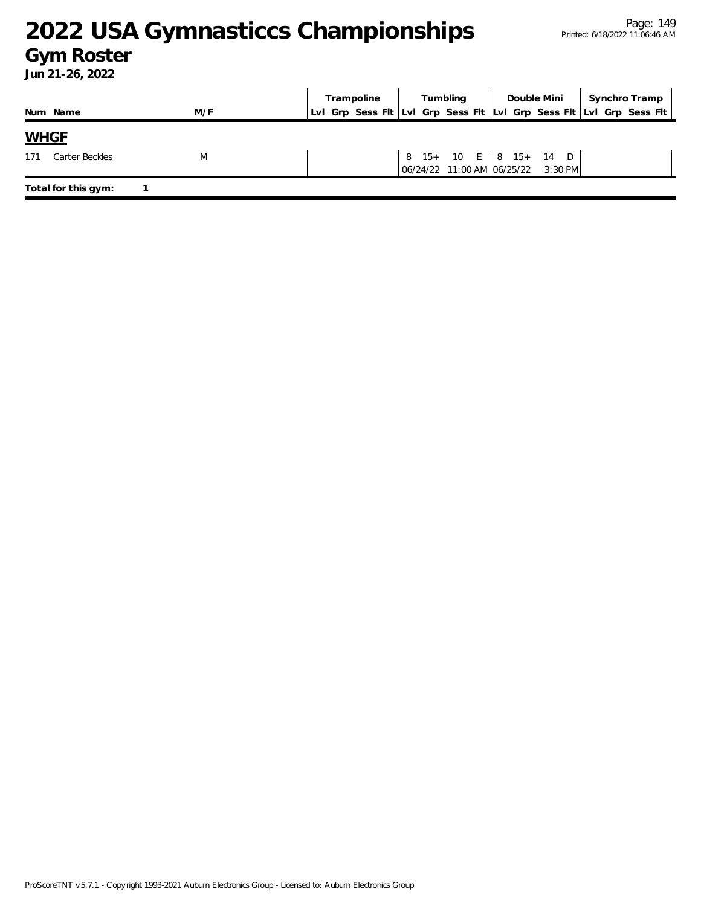### **Gym Roster**

|                       |     | Trampoline | Tumbling |                                                             | Synchro Tramp                                                       |  |
|-----------------------|-----|------------|----------|-------------------------------------------------------------|---------------------------------------------------------------------|--|
| Num Name              | M/F |            |          |                                                             | Lvl Grp Sess Fit Lvl Grp Sess Fit Lvl Grp Sess Fit Lvl Grp Sess Fit |  |
| <b>WHGE</b>           |     |            |          |                                                             |                                                                     |  |
| Carter Beckles<br>171 | M   |            |          | 8 15+ 10 E 8 15+ 14 D<br>06/24/22 11:00 AM 06/25/22 3:30 PM |                                                                     |  |
| Total for this gym:   |     |            |          |                                                             |                                                                     |  |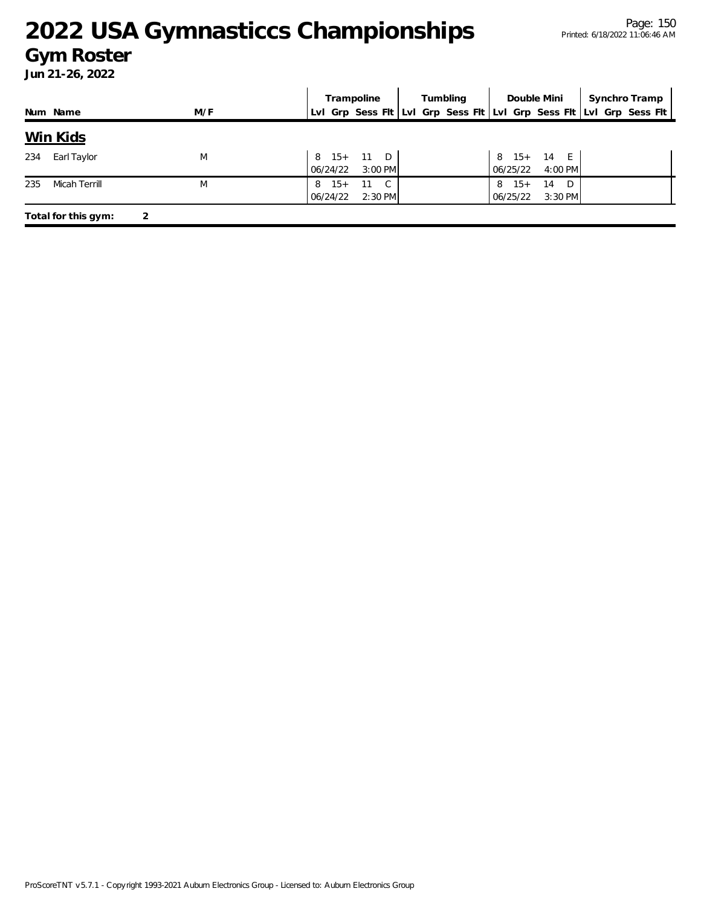#### **Gym Roster**

|     |                     |     | Trampoline                                                | Tumbling | Double Mini                                     | Synchro Tramp                                                       |
|-----|---------------------|-----|-----------------------------------------------------------|----------|-------------------------------------------------|---------------------------------------------------------------------|
|     | Num Name            | M/F |                                                           |          |                                                 | Lvl Grp Sess Flt Lvl Grp Sess Flt Lvl Grp Sess Flt Lvl Grp Sess Flt |
|     | <u>Win Kids</u>     |     |                                                           |          |                                                 |                                                                     |
| 234 | Earl Taylor         | M   | 8 15+ 11 D<br>$3:00$ PM<br>06/24/22                       |          | 8 15+ 14 E<br>06/25/22<br>4:00 PM               |                                                                     |
| 235 | Micah Terrill       | M   | $15+$<br>$\mathbb{C}$<br>11<br>8<br>06/24/22<br>$2:30$ PM |          | $15+$<br>14<br>D.<br>8<br>$3:30$ PM<br>06/25/22 |                                                                     |
|     | Total for this gym: |     |                                                           |          |                                                 |                                                                     |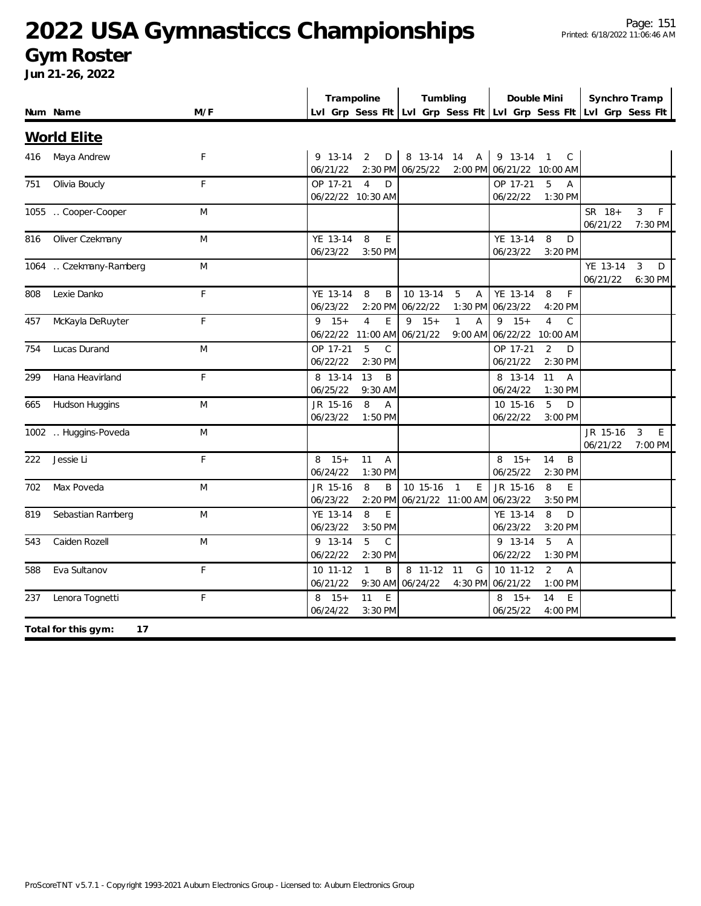### **Gym Roster**

|     |                           |             | Trampoline                                                 | Tumbling                                                            | Double Mini                                                     | Synchro Tramp                             |
|-----|---------------------------|-------------|------------------------------------------------------------|---------------------------------------------------------------------|-----------------------------------------------------------------|-------------------------------------------|
|     | Num Name                  | M/F         |                                                            | Lvl Grp Sess Fit Lvl Grp Sess Fit Lvl Grp Sess Fit Lvl Grp Sess Fit |                                                                 |                                           |
|     | <b>World Elite</b>        |             |                                                            |                                                                     |                                                                 |                                           |
| 416 | Maya Andrew               | $\mathsf F$ | 9 13-14<br>2<br>D<br>06/21/22                              | 8 13-14 14 A<br>2:30 PM 06/25/22                                    | 9 13-14 1<br>$\mathsf{C}$<br>2:00 PM 06/21/22 10:00 AM          |                                           |
| 751 | Olivia Boucly             | F           | OP 17-21<br>$\overline{4}$<br>D<br>06/22/22 10:30 AM       |                                                                     | OP 17-21<br>5<br>$\overline{A}$<br>06/22/22<br>1:30 PM          |                                           |
|     | 1055  Cooper-Cooper       | M           |                                                            |                                                                     |                                                                 | SR 18+<br>3<br>F.<br>06/21/22<br>7:30 PM  |
| 816 | Oliver Czekmany           | M           | YE 13-14<br>8<br>E<br>06/23/22<br>3:50 PM                  |                                                                     | YE 13-14<br>8<br>D<br>06/23/22<br>3:20 PM                       |                                           |
|     | 1064  Czekmany-Ramberg    | M           |                                                            |                                                                     |                                                                 | YE 13-14<br>3<br>D<br>06/21/22<br>6:30 PM |
| 808 | Lexie Danko               | $\mathsf F$ | YE 13-14<br>8<br>B<br>06/23/22<br>2:20 PM                  | 10 13-14<br>5<br>Α<br>06/22/22<br>$1:30$ PM                         | YE 13-14<br>$\mathsf F$<br>8<br>06/23/22<br>4:20 PM             |                                           |
| 457 | McKayla DeRuyter          | F           | $9 \t15+$<br>$\overline{4}$<br>E<br>06/22/22 11:00 AM      | $15+$<br>$\mathbf{1}$<br>9<br>Α<br>06/21/22<br>9:00 AM              | $9 \t15+$<br>$\overline{4}$<br>$\mathsf C$<br>06/22/22 10:00 AM |                                           |
| 754 | Lucas Durand              | M           | OP 17-21<br>5<br>$\mathcal{C}$<br>06/22/22<br>2:30 PM      |                                                                     | OP 17-21<br>D<br>2<br>06/21/22<br>2:30 PM                       |                                           |
| 299 | Hana Heavirland           | F           | 8 13-14<br>13<br>B<br>06/25/22<br>9:30 AM                  |                                                                     | 11<br>8 13-14<br>A<br>06/24/22<br>1:30 PM                       |                                           |
| 665 | Hudson Huggins            | M           | 8<br>JR 15-16<br>$\overline{A}$<br>06/23/22<br>$1:50$ PM   |                                                                     | 10 15-16<br>5<br>D<br>06/22/22<br>3:00 PM                       |                                           |
|     | 1002  Huggins-Poveda      | M           |                                                            |                                                                     |                                                                 | JR 15-16<br>3<br>E<br>06/21/22<br>7:00 PM |
| 222 | Jessie Li                 | $\mathsf F$ | $8 \t15+$<br>11<br>$\overline{A}$<br>06/24/22<br>$1:30$ PM |                                                                     | $15+$<br>14<br>B<br>8<br>06/25/22<br>2:30 PM                    |                                           |
| 702 | Max Poveda                | M           | JR 15-16<br>8<br>06/23/22<br>2:20 PM                       | 10 15-16<br>$\overline{1}$<br>E<br>Β<br>06/21/22 11:00 AM           | JR 15-16<br>8<br>E<br>06/23/22<br>3:50 PM                       |                                           |
| 819 | Sebastian Ramberg         | M           | YE 13-14<br>8<br>E<br>06/23/22<br>3:50 PM                  |                                                                     | YE 13-14<br>8<br>D<br>06/23/22<br>3:20 PM                       |                                           |
| 543 | Caiden Rozell             | M           | 5<br>$\mathcal{C}$<br>9 13-14<br>06/22/22<br>2:30 PM       |                                                                     | 9 13-14<br>5<br>$\overline{A}$<br>06/22/22<br>1:30 PM           |                                           |
| 588 | Eva Sultanov              | F           | 10 11-12<br>$\mathbf{1}$<br>B<br>06/21/22                  | 8 11-12<br>11<br>G<br>9:30 AM 06/24/22<br>4:30 PM                   | 10 11-12<br>2<br>$\overline{A}$<br>06/21/22<br>1:00 PM          |                                           |
| 237 | Lenora Tognetti           | F           | E<br>$8 \t15+$<br>11<br>06/24/22<br>3:30 PM                |                                                                     | $15+$<br>E<br>8<br>14<br>06/25/22<br>4:00 PM                    |                                           |
|     | Total for this gym:<br>17 |             |                                                            |                                                                     |                                                                 |                                           |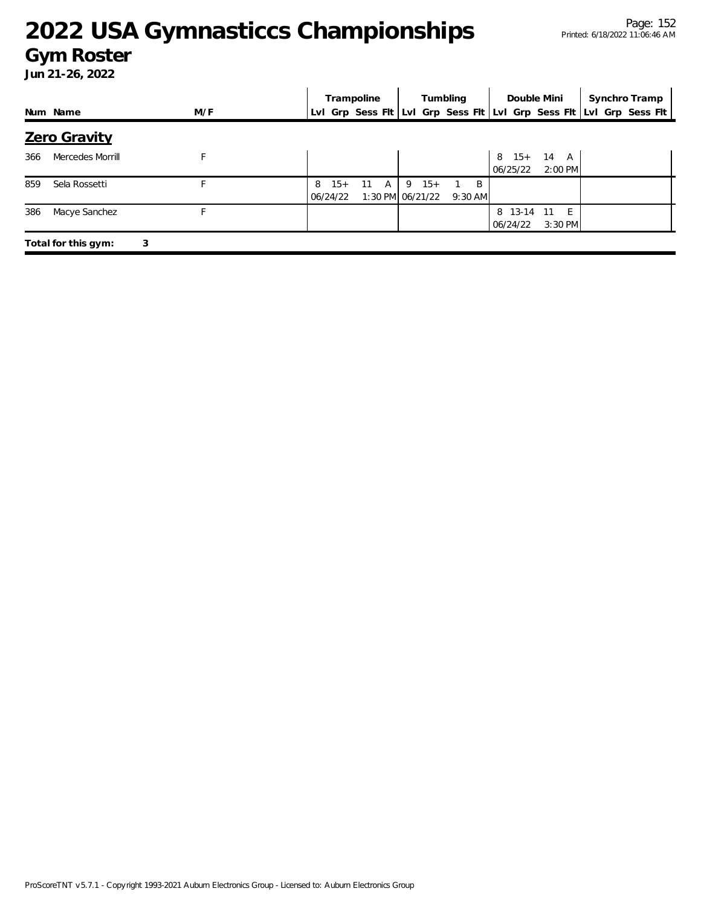#### **Gym Roster**

|     |                     |     |                        | Trampoline |   | Tumbling |                               | Double Mini    |                                                                     | Synchro Tramp     |  |  |
|-----|---------------------|-----|------------------------|------------|---|----------|-------------------------------|----------------|---------------------------------------------------------------------|-------------------|--|--|
|     | Num Name            | M/F |                        |            |   |          |                               |                | Lvl Grp Sess Flt Lvl Grp Sess Flt Lvl Grp Sess Flt Lvl Grp Sess Flt |                   |  |  |
|     | Zero Gravity        |     |                        |            |   |          |                               |                |                                                                     |                   |  |  |
| 366 | Mercedes Morrill    |     |                        |            |   |          |                               |                | $15+$<br>8<br>06/25/22                                              | 14 A<br>$2:00$ PM |  |  |
| 859 | Sela Rossetti       |     | $15+$<br>8<br>06/24/22 | 11         | A |          | $9 \t15+$<br>1:30 PM 06/21/22 | B<br>$9:30$ AM |                                                                     |                   |  |  |
| 386 | Macye Sanchez       |     |                        |            |   |          |                               |                | 8 13-14 11<br>06/24/22                                              | $-F$<br>3:30 PM   |  |  |
|     | Total for this gym: | 3   |                        |            |   |          |                               |                |                                                                     |                   |  |  |